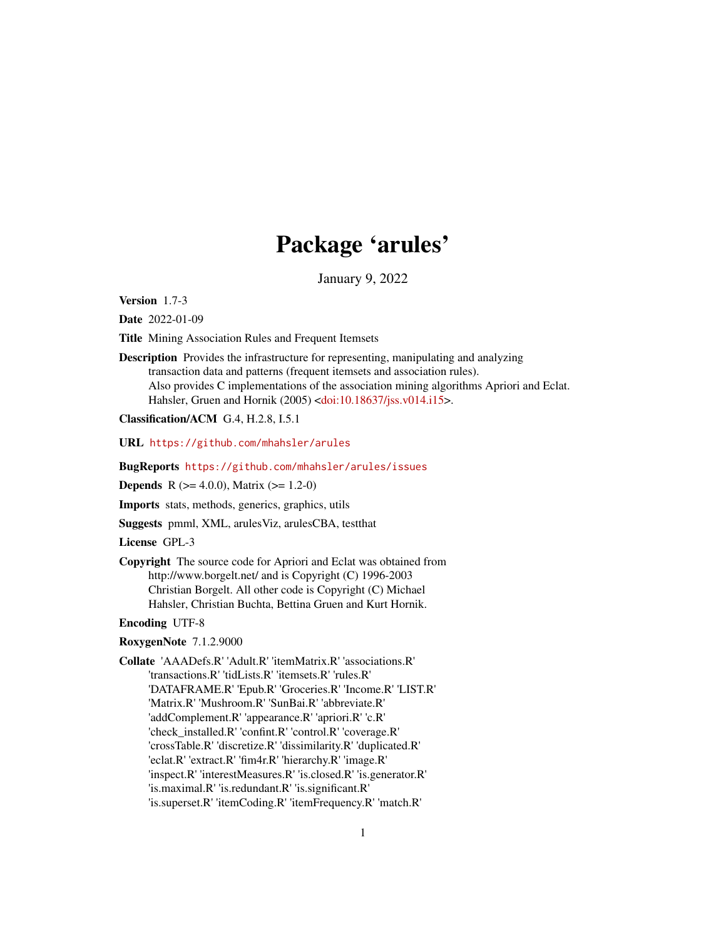# Package 'arules'

January 9, 2022

<span id="page-0-0"></span>Version 1.7-3

Date 2022-01-09

Title Mining Association Rules and Frequent Itemsets

Description Provides the infrastructure for representing, manipulating and analyzing transaction data and patterns (frequent itemsets and association rules). Also provides C implementations of the association mining algorithms Apriori and Eclat. Hahsler, Gruen and Hornik (2005) [<doi:10.18637/jss.v014.i15>](https://doi.org/10.18637/jss.v014.i15).

Classification/ACM G.4, H.2.8, I.5.1

URL <https://github.com/mhahsler/arules>

BugReports <https://github.com/mhahsler/arules/issues>

**Depends** R  $(>= 4.0.0)$ , Matrix  $(>= 1.2-0)$ 

Imports stats, methods, generics, graphics, utils

Suggests pmml, XML, arulesViz, arulesCBA, testthat

License GPL-3

Copyright The source code for Apriori and Eclat was obtained from http://www.borgelt.net/ and is Copyright (C) 1996-2003 Christian Borgelt. All other code is Copyright (C) Michael Hahsler, Christian Buchta, Bettina Gruen and Kurt Hornik.

# Encoding UTF-8

RoxygenNote 7.1.2.9000

Collate 'AAADefs.R' 'Adult.R' 'itemMatrix.R' 'associations.R' 'transactions.R' 'tidLists.R' 'itemsets.R' 'rules.R' 'DATAFRAME.R' 'Epub.R' 'Groceries.R' 'Income.R' 'LIST.R' 'Matrix.R' 'Mushroom.R' 'SunBai.R' 'abbreviate.R' 'addComplement.R' 'appearance.R' 'apriori.R' 'c.R' 'check\_installed.R' 'confint.R' 'control.R' 'coverage.R' 'crossTable.R' 'discretize.R' 'dissimilarity.R' 'duplicated.R' 'eclat.R' 'extract.R' 'fim4r.R' 'hierarchy.R' 'image.R' 'inspect.R' 'interestMeasures.R' 'is.closed.R' 'is.generator.R' 'is.maximal.R' 'is.redundant.R' 'is.significant.R' 'is.superset.R' 'itemCoding.R' 'itemFrequency.R' 'match.R'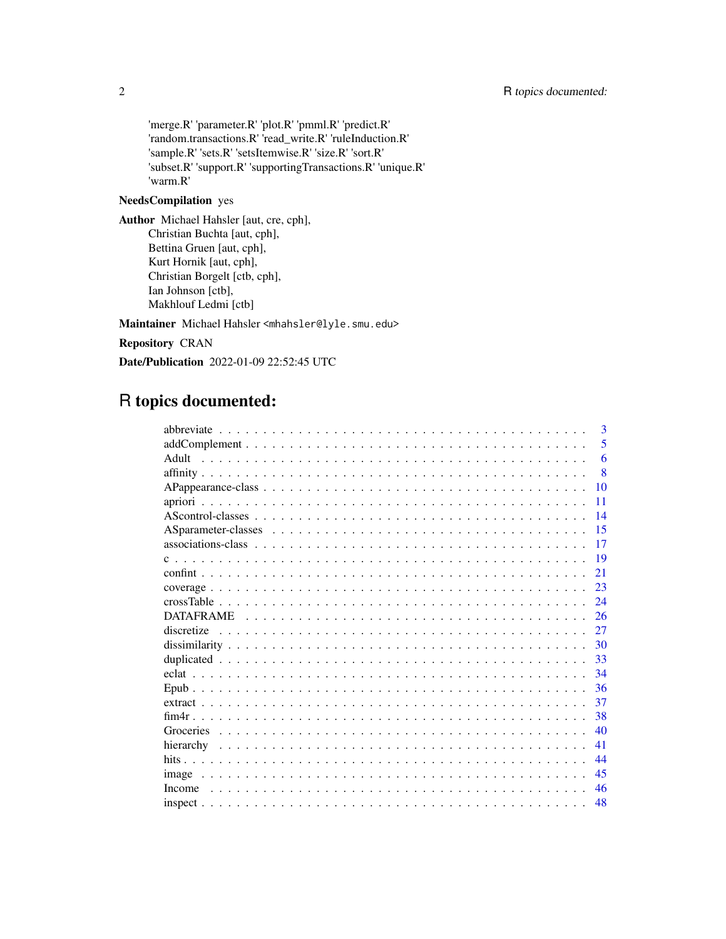'merge.R' 'parameter.R' 'plot.R' 'pmml.R' 'predict.R' 'random.transactions.R' 'read\_write.R' 'ruleInduction.R' 'sample.R' 'sets.R' 'setsItemwise.R' 'size.R' 'sort.R' 'subset.R' 'support.R' 'supportingTransactions.R' 'unique.R' 'warm.R'

# NeedsCompilation yes

Author Michael Hahsler [aut, cre, cph], Christian Buchta [aut, cph], Bettina Gruen [aut, cph], Kurt Hornik [aut, cph], Christian Borgelt [ctb, cph], Ian Johnson [ctb], Makhlouf Ledmi [ctb]

Maintainer Michael Hahsler <mhahsler@lyle.smu.edu>

Repository CRAN

Date/Publication 2022-01-09 22:52:45 UTC

# R topics documented:

| 3                                                                                                                                                                     |
|-----------------------------------------------------------------------------------------------------------------------------------------------------------------------|
| 5                                                                                                                                                                     |
| Adult<br>6                                                                                                                                                            |
| 8                                                                                                                                                                     |
| 10                                                                                                                                                                    |
| 11                                                                                                                                                                    |
| 14                                                                                                                                                                    |
| 15                                                                                                                                                                    |
| associations-class $\ldots$ , $\ldots$ , $\ldots$ , $\ldots$ , $\ldots$ , $\ldots$ , $\ldots$ , $\ldots$ , $\ldots$ , $\ldots$ , $\ldots$ , $\ldots$ , $\ldots$<br>17 |
| 19                                                                                                                                                                    |
| 21                                                                                                                                                                    |
| 23                                                                                                                                                                    |
| 24                                                                                                                                                                    |
| 26                                                                                                                                                                    |
| 27                                                                                                                                                                    |
| 30                                                                                                                                                                    |
| 33                                                                                                                                                                    |
| 34                                                                                                                                                                    |
| 36                                                                                                                                                                    |
| 37                                                                                                                                                                    |
| 38                                                                                                                                                                    |
| 40                                                                                                                                                                    |
| 41                                                                                                                                                                    |
| 44                                                                                                                                                                    |
| 45                                                                                                                                                                    |
| 46                                                                                                                                                                    |
| 48                                                                                                                                                                    |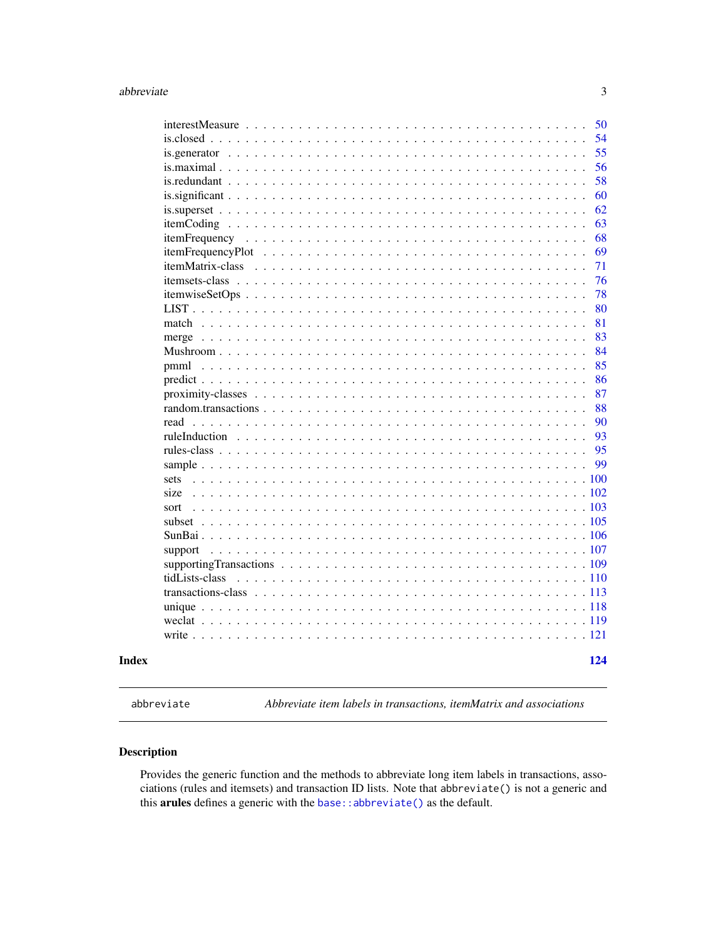<span id="page-2-0"></span>

|                                         |                  |                       |                           |  |  |  |  |  |  |  |                                                                                      |  |  |  |  | 110                                                                                                           |
|-----------------------------------------|------------------|-----------------------|---------------------------|--|--|--|--|--|--|--|--------------------------------------------------------------------------------------|--|--|--|--|---------------------------------------------------------------------------------------------------------------|
|                                         |                  |                       |                           |  |  |  |  |  |  |  |                                                                                      |  |  |  |  | 109                                                                                                           |
|                                         |                  |                       |                           |  |  |  |  |  |  |  |                                                                                      |  |  |  |  |                                                                                                               |
|                                         |                  |                       |                           |  |  |  |  |  |  |  |                                                                                      |  |  |  |  |                                                                                                               |
|                                         |                  |                       |                           |  |  |  |  |  |  |  |                                                                                      |  |  |  |  |                                                                                                               |
|                                         |                  |                       |                           |  |  |  |  |  |  |  |                                                                                      |  |  |  |  |                                                                                                               |
|                                         |                  |                       |                           |  |  |  |  |  |  |  |                                                                                      |  |  |  |  |                                                                                                               |
|                                         |                  |                       |                           |  |  |  |  |  |  |  |                                                                                      |  |  |  |  |                                                                                                               |
|                                         |                  |                       |                           |  |  |  |  |  |  |  |                                                                                      |  |  |  |  | 99                                                                                                            |
|                                         |                  |                       |                           |  |  |  |  |  |  |  |                                                                                      |  |  |  |  | 95                                                                                                            |
|                                         |                  |                       |                           |  |  |  |  |  |  |  |                                                                                      |  |  |  |  | 93                                                                                                            |
|                                         |                  |                       |                           |  |  |  |  |  |  |  |                                                                                      |  |  |  |  | 90                                                                                                            |
|                                         |                  |                       |                           |  |  |  |  |  |  |  |                                                                                      |  |  |  |  | 88                                                                                                            |
|                                         |                  |                       |                           |  |  |  |  |  |  |  |                                                                                      |  |  |  |  | 87                                                                                                            |
|                                         |                  |                       |                           |  |  |  |  |  |  |  |                                                                                      |  |  |  |  | 86                                                                                                            |
|                                         |                  |                       |                           |  |  |  |  |  |  |  |                                                                                      |  |  |  |  | 85                                                                                                            |
|                                         |                  |                       |                           |  |  |  |  |  |  |  |                                                                                      |  |  |  |  | 84                                                                                                            |
|                                         |                  |                       |                           |  |  |  |  |  |  |  |                                                                                      |  |  |  |  | 81<br>83                                                                                                      |
|                                         |                  |                       |                           |  |  |  |  |  |  |  |                                                                                      |  |  |  |  | 80                                                                                                            |
|                                         |                  |                       |                           |  |  |  |  |  |  |  |                                                                                      |  |  |  |  | 78                                                                                                            |
|                                         |                  |                       |                           |  |  |  |  |  |  |  |                                                                                      |  |  |  |  | 76                                                                                                            |
|                                         |                  |                       |                           |  |  |  |  |  |  |  |                                                                                      |  |  |  |  | 71                                                                                                            |
|                                         |                  |                       |                           |  |  |  |  |  |  |  |                                                                                      |  |  |  |  | 69                                                                                                            |
|                                         |                  |                       |                           |  |  |  |  |  |  |  |                                                                                      |  |  |  |  | 68                                                                                                            |
|                                         |                  |                       |                           |  |  |  |  |  |  |  |                                                                                      |  |  |  |  | 63                                                                                                            |
|                                         |                  |                       |                           |  |  |  |  |  |  |  |                                                                                      |  |  |  |  | 62                                                                                                            |
|                                         |                  |                       |                           |  |  |  |  |  |  |  |                                                                                      |  |  |  |  | 60                                                                                                            |
|                                         |                  |                       |                           |  |  |  |  |  |  |  |                                                                                      |  |  |  |  | 58                                                                                                            |
|                                         |                  |                       |                           |  |  |  |  |  |  |  |                                                                                      |  |  |  |  | 56                                                                                                            |
|                                         |                  |                       |                           |  |  |  |  |  |  |  |                                                                                      |  |  |  |  | 55                                                                                                            |
|                                         |                  |                       |                           |  |  |  |  |  |  |  |                                                                                      |  |  |  |  | 54                                                                                                            |
|                                         |                  |                       |                           |  |  |  |  |  |  |  |                                                                                      |  |  |  |  | 50                                                                                                            |
| read<br>sets<br>size<br>sort<br>support | itemMatrix-class | $is. redundant \dots$ | $is.closed \ldots \ldots$ |  |  |  |  |  |  |  | $itemCoding \dots \dots \dots \dots \dots \dots \dots \dots \dots \dots \dots \dots$ |  |  |  |  | supporting Transactions $\ldots \ldots \ldots \ldots \ldots \ldots \ldots \ldots \ldots \ldots \ldots \ldots$ |

<span id="page-2-1"></span>abbreviate *Abbreviate item labels in transactions, itemMatrix and associations*

# Description

Provides the generic function and the methods to abbreviate long item labels in transactions, associations (rules and itemsets) and transaction ID lists. Note that abbreviate() is not a generic and this arules defines a generic with the [base::abbreviate\(\)](#page-0-0) as the default.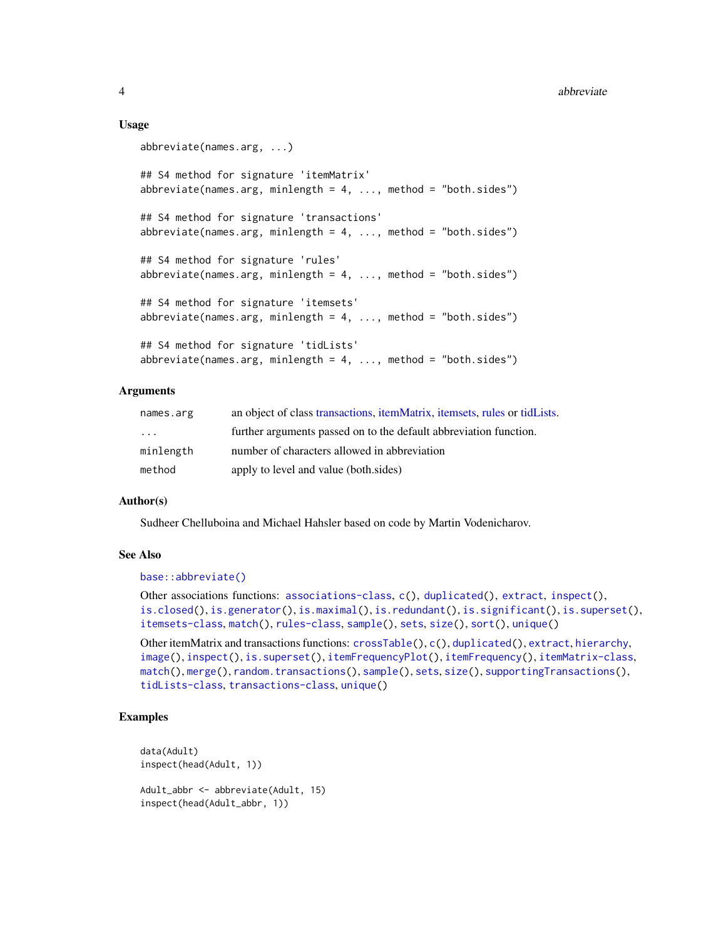#### Usage

```
abbreviate(names.arg, ...)
## S4 method for signature 'itemMatrix'
abbreviate(names.argv, minlength = 4, ..., method = "both.sides")## S4 method for signature 'transactions'
abbreviate(names.argv, minlength = 4, ..., method = "both.sizes")## S4 method for signature 'rules'
abreviate(names.arg, minlength = 4, ..., method = "both.sides")
## S4 method for signature 'itemsets'
abbreviate(names.arg, minlength = 4, \ldots, method = "both.sides")
## S4 method for signature 'tidLists'
abbreviate(names.argv, minlength = 4, ..., method = "both.sides")
```
# Arguments

| names.arg | an object of class transactions, itemMatrix, itemsets, rules or tidLists. |
|-----------|---------------------------------------------------------------------------|
| $\cdot$   | further arguments passed on to the default abbreviation function.         |
| minlength | number of characters allowed in abbreviation                              |
| method    | apply to level and value (both.sides)                                     |

# Author(s)

Sudheer Chelluboina and Michael Hahsler based on code by Martin Vodenicharov.

# See Also

#### [base::abbreviate\(\)](#page-0-0)

Other associations functions: [associations-class](#page-16-1), [c\(](#page-18-1)), [duplicated\(](#page-32-1)), [extract](#page-36-1), [inspect\(](#page-47-1)), [is.closed\(](#page-53-1)), [is.generator\(](#page-54-1)), [is.maximal\(](#page-55-1)), [is.redundant\(](#page-57-1)), [is.significant\(](#page-59-1)), [is.superset\(](#page-61-1)), [itemsets-class](#page-75-2), [match\(](#page-80-1)), [rules-class](#page-94-2), [sample\(](#page-98-1)), [sets](#page-99-1), [size\(](#page-101-1)), [sort\(](#page-102-1)), [unique\(](#page-117-1))

Other itemMatrix and transactions functions: [crossTable\(](#page-23-1)), [c\(](#page-18-1)), [duplicated\(](#page-32-1)), [extract](#page-36-1), [hierarchy](#page-40-1), [image\(](#page-44-1)), [inspect\(](#page-47-1)), [is.superset\(](#page-61-1)), [itemFrequencyPlot\(](#page-68-1)), [itemFrequency\(](#page-67-1)), [itemMatrix-class](#page-70-2), [match\(](#page-80-1)), [merge\(](#page-82-1)), [random.transactions\(](#page-87-1)), [sample\(](#page-98-1)), [sets](#page-99-1), [size\(](#page-101-1)), [supportingTransactions\(](#page-108-1)), [tidLists-class](#page-109-2), [transactions-class](#page-112-2), [unique\(](#page-117-1))

# Examples

```
data(Adult)
inspect(head(Adult, 1))
Adult_abbr <- abbreviate(Adult, 15)
```

```
inspect(head(Adult_abbr, 1))
```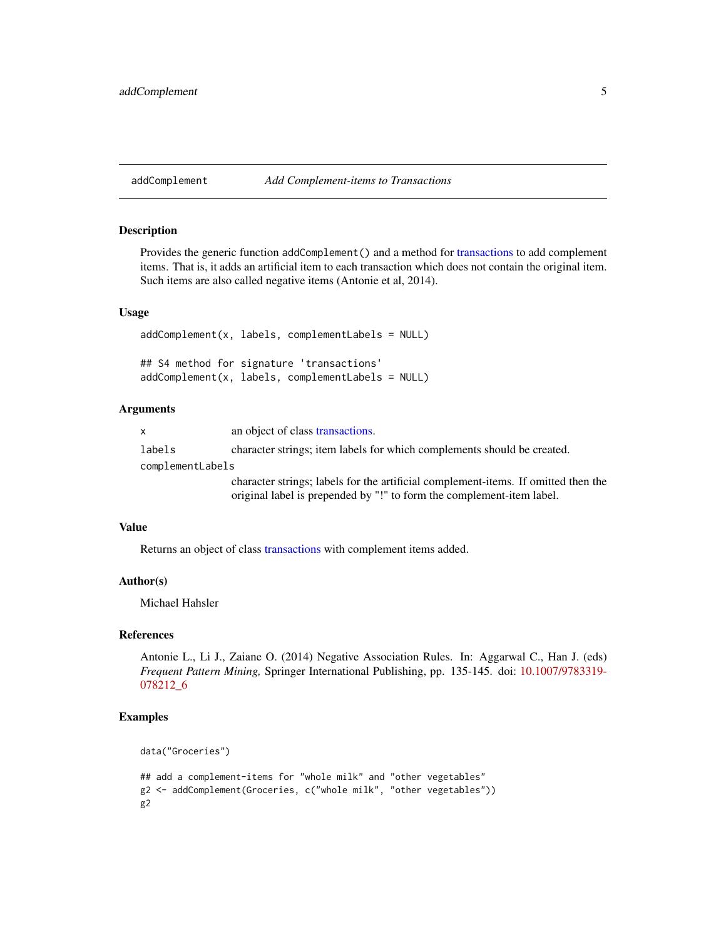<span id="page-4-0"></span>

# Description

Provides the generic function addComplement() and a method for [transactions](#page-112-1) to add complement items. That is, it adds an artificial item to each transaction which does not contain the original item. Such items are also called negative items (Antonie et al, 2014).

# Usage

addComplement(x, labels, complementLabels = NULL) ## S4 method for signature 'transactions'  $addComplement(x, labels, complementLabels = NULL)$ 

# Arguments

| X                | an object of class transactions.                                                   |
|------------------|------------------------------------------------------------------------------------|
| labels           | character strings; item labels for which complements should be created.            |
| complementLabels |                                                                                    |
|                  | character strings; labels for the artificial complement-items. If omitted then the |
|                  | original label is prepended by "!" to form the complement-item label.              |

# Value

Returns an object of class [transactions](#page-112-1) with complement items added.

### Author(s)

Michael Hahsler

#### References

Antonie L., Li J., Zaiane O. (2014) Negative Association Rules. In: Aggarwal C., Han J. (eds) *Frequent Pattern Mining,* Springer International Publishing, pp. 135-145. doi: [10.1007/9783319-](https://doi.org/10.1007/978-3-319-07821-2_6) [078212\\_6](https://doi.org/10.1007/978-3-319-07821-2_6)

# Examples

```
data("Groceries")
## add a complement-items for "whole milk" and "other vegetables"
g2 <- addComplement(Groceries, c("whole milk", "other vegetables"))
g2
```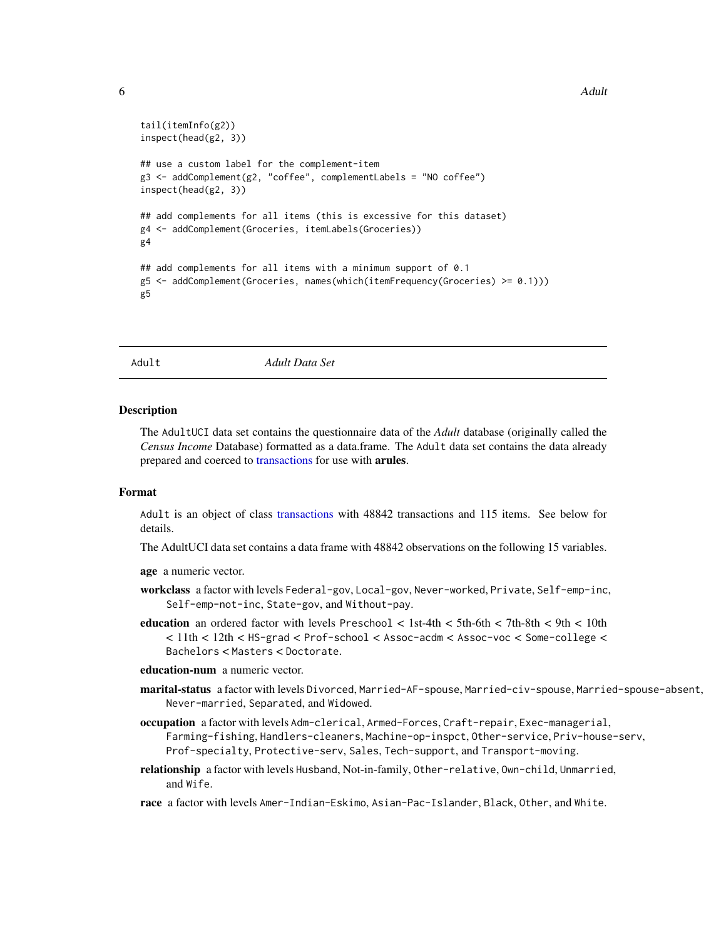```
tail(itemInfo(g2))
inspect(head(g2, 3))
## use a custom label for the complement-item
g3 <- addComplement(g2, "coffee", complementLabels = "NO coffee")
inspect(head(g2, 3))
## add complements for all items (this is excessive for this dataset)
g4 <- addComplement(Groceries, itemLabels(Groceries))
g4
## add complements for all items with a minimum support of 0.1
g5 <- addComplement(Groceries, names(which(itemFrequency(Groceries) >= 0.1)))
g5
```
Adult *Adult Data Set*

#### Description

The AdultUCI data set contains the questionnaire data of the *Adult* database (originally called the *Census Income* Database) formatted as a data.frame. The Adult data set contains the data already prepared and coerced to [transactions](#page-112-1) for use with **arules**.

#### Format

Adult is an object of class [transactions](#page-112-1) with 48842 transactions and 115 items. See below for details.

The AdultUCI data set contains a data frame with 48842 observations on the following 15 variables.

- age a numeric vector.
- workclass a factor with levels Federal-gov, Local-gov, Never-worked, Private, Self-emp-inc, Self-emp-not-inc, State-gov, and Without-pay.
- education an ordered factor with levels Preschool  $\lt$  1st-4th  $\lt$  5th-6th  $\lt$  7th-8th  $\lt$  9th  $\lt$  10th < 11th < 12th < HS-grad < Prof-school < Assoc-acdm < Assoc-voc < Some-college < Bachelors < Masters < Doctorate.
- education-num a numeric vector.
- marital-status a factor with levels Divorced, Married-AF-spouse, Married-civ-spouse, Married-spouse-absent, Never-married, Separated, and Widowed.
- occupation a factor with levels Adm-clerical, Armed-Forces, Craft-repair, Exec-managerial, Farming-fishing, Handlers-cleaners, Machine-op-inspct, Other-service, Priv-house-serv, Prof-specialty, Protective-serv, Sales, Tech-support, and Transport-moving.
- relationship a factor with levels Husband, Not-in-family, Other-relative, Own-child, Unmarried, and Wife.
- race a factor with levels Amer-Indian-Eskimo, Asian-Pac-Islander, Black, Other, and White.

<span id="page-5-0"></span>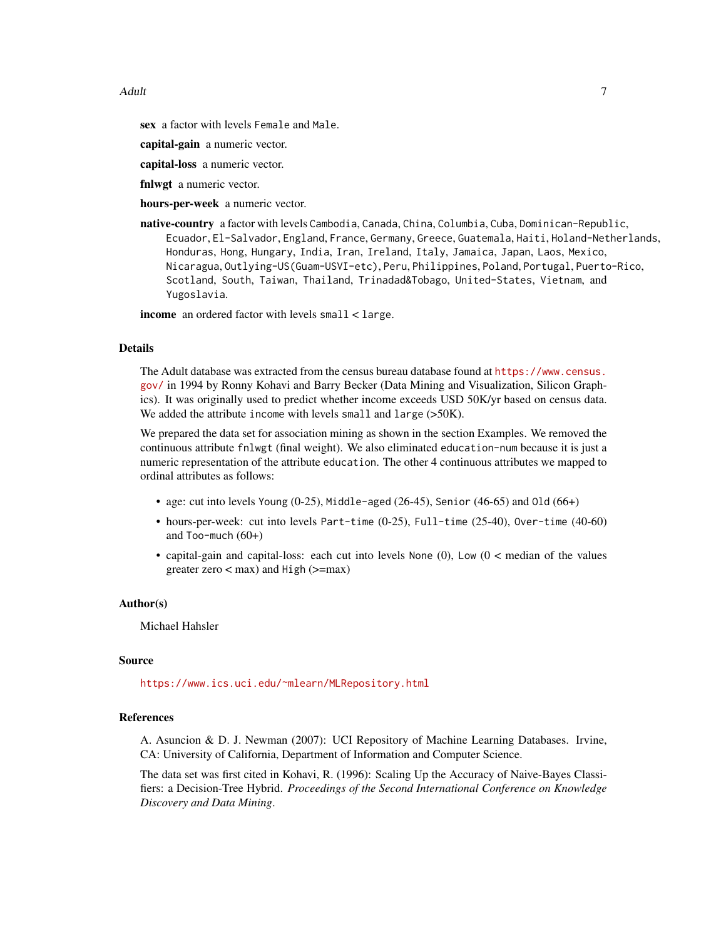sex a factor with levels Female and Male.

capital-gain a numeric vector.

capital-loss a numeric vector.

fulwgt a numeric vector.

hours-per-week a numeric vector.

native-country a factor with levels Cambodia, Canada, China, Columbia, Cuba, Dominican-Republic, Ecuador, El-Salvador, England, France, Germany, Greece, Guatemala, Haiti, Holand-Netherlands, Honduras, Hong, Hungary, India, Iran, Ireland, Italy, Jamaica, Japan, Laos, Mexico, Nicaragua, Outlying-US(Guam-USVI-etc), Peru, Philippines, Poland, Portugal, Puerto-Rico, Scotland, South, Taiwan, Thailand, Trinadad&Tobago, United-States, Vietnam, and Yugoslavia.

income an ordered factor with levels small < large.

#### Details

The Adult database was extracted from the census bureau database found at [https://www.census.](https://www.census.gov/) [gov/](https://www.census.gov/) in 1994 by Ronny Kohavi and Barry Becker (Data Mining and Visualization, Silicon Graphics). It was originally used to predict whether income exceeds USD 50K/yr based on census data. We added the attribute income with levels small and large ( $>50K$ ).

We prepared the data set for association mining as shown in the section Examples. We removed the continuous attribute fnlwgt (final weight). We also eliminated education-num because it is just a numeric representation of the attribute education. The other 4 continuous attributes we mapped to ordinal attributes as follows:

- age: cut into levels Young (0-25), Middle-aged (26-45), Senior (46-65) and Old (66+)
- hours-per-week: cut into levels Part-time (0-25), Full-time (25-40), Over-time (40-60) and Too-much (60+)
- capital-gain and capital-loss: each cut into levels None  $(0)$ , Low  $(0 < \text{median of the values})$ greater zero  $\langle$  max) and High ( $\rangle$ =max)

#### Author(s)

Michael Hahsler

#### Source

<https://www.ics.uci.edu/~mlearn/MLRepository.html>

#### References

A. Asuncion & D. J. Newman (2007): UCI Repository of Machine Learning Databases. Irvine, CA: University of California, Department of Information and Computer Science.

The data set was first cited in Kohavi, R. (1996): Scaling Up the Accuracy of Naive-Bayes Classifiers: a Decision-Tree Hybrid. *Proceedings of the Second International Conference on Knowledge Discovery and Data Mining*.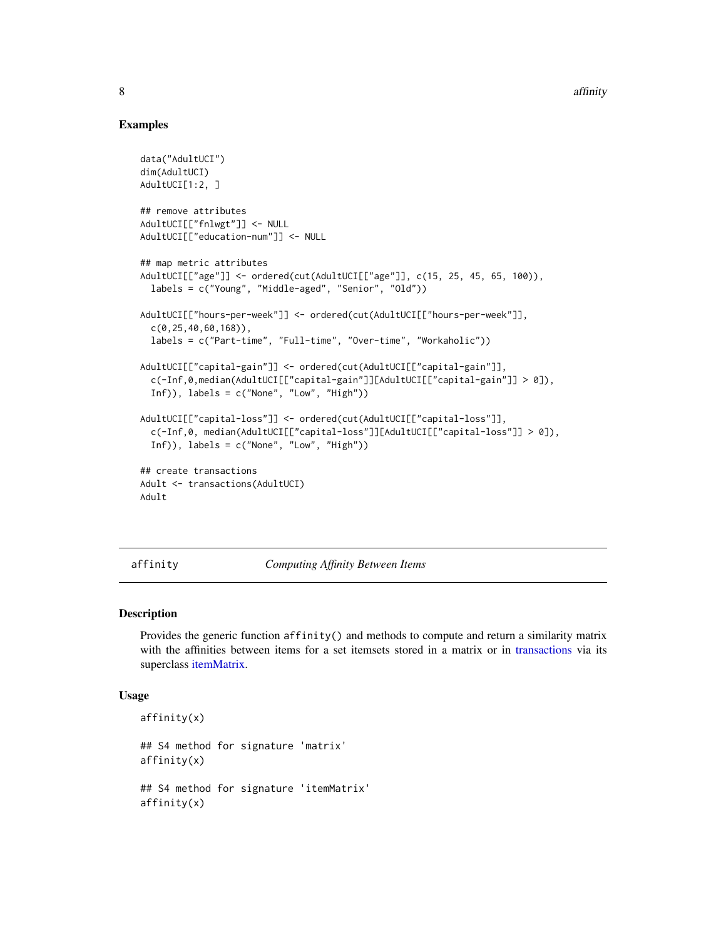# Examples

```
data("AdultUCI")
dim(AdultUCI)
AdultUCI[1:2, ]
## remove attributes
AdultUCI[["fnlwgt"]] <- NULL
AdultUCI[["education-num"]] <- NULL
## map metric attributes
AdultUCI[["age"]] <- ordered(cut(AdultUCI[["age"]], c(15, 25, 45, 65, 100)),
 labels = c("Young", "Middle-aged", "Senior", "Old"))
AdultUCI[["hours-per-week"]] <- ordered(cut(AdultUCI[["hours-per-week"]],
 c(0,25,40,60,168)),
 labels = c("Part-time", "Full-time", "Over-time", "Workaholic"))
AdultUCI[["capital-gain"]] <- ordered(cut(AdultUCI[["capital-gain"]],
 c(-Inf,0,median(AdultUCI[["capital-gain"]][AdultUCI[["capital-gain"]] > 0]),
 Inf)), labels = c("None", "Low", "High"))
AdultUCI[["capital-loss"]] <- ordered(cut(AdultUCI[["capital-loss"]],
 c(-Inf,0, median(AdultUCI[["capital-loss"]][AdultUCI[["capital-loss"]] > 0]),
 Inf)), labels = c("None", "Low", "High"))
## create transactions
Adult <- transactions(AdultUCI)
Adult
```
<span id="page-7-1"></span>affinity *Computing Affinity Between Items*

# **Description**

Provides the generic function affinity() and methods to compute and return a similarity matrix with the affinities between items for a set itemsets stored in a matrix or in [transactions](#page-112-1) via its superclass [itemMatrix.](#page-70-1)

# Usage

```
affinity(x)
## S4 method for signature 'matrix'
affinity(x)
## S4 method for signature 'itemMatrix'
affinity(x)
```
<span id="page-7-0"></span>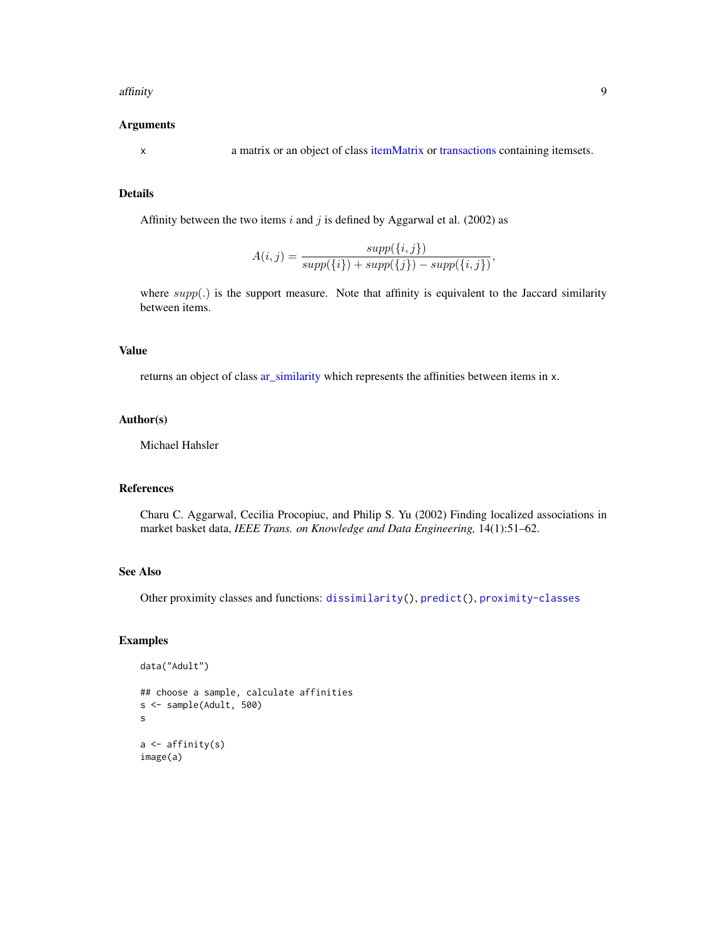#### affinity that is a set of the set of the set of the set of the set of the set of the set of the set of the set

# Arguments

x a matrix or an object of class [itemMatrix](#page-70-1) or [transactions](#page-112-1) containing itemsets.

#### Details

Affinity between the two items  $i$  and  $j$  is defined by Aggarwal et al. (2002) as

$$
A(i,j) = \frac{supp(\lbrace i,j \rbrace)}{supp(\lbrace i \rbrace) + supp(\lbrace j \rbrace) - supp(\lbrace i,j \rbrace)},
$$

where  $supp(.)$  is the support measure. Note that affinity is equivalent to the Jaccard similarity between items.

#### Value

returns an object of class [ar\\_similarity](#page-86-1) which represents the affinities between items in x.

#### Author(s)

Michael Hahsler

# References

Charu C. Aggarwal, Cecilia Procopiuc, and Philip S. Yu (2002) Finding localized associations in market basket data, *IEEE Trans. on Knowledge and Data Engineering,* 14(1):51–62.

# See Also

Other proximity classes and functions: [dissimilarity\(](#page-29-1)), [predict\(](#page-85-1)), [proximity-classes](#page-86-2)

# Examples

```
data("Adult")
## choose a sample, calculate affinities
s <- sample(Adult, 500)
s
a <- affinity(s)
image(a)
```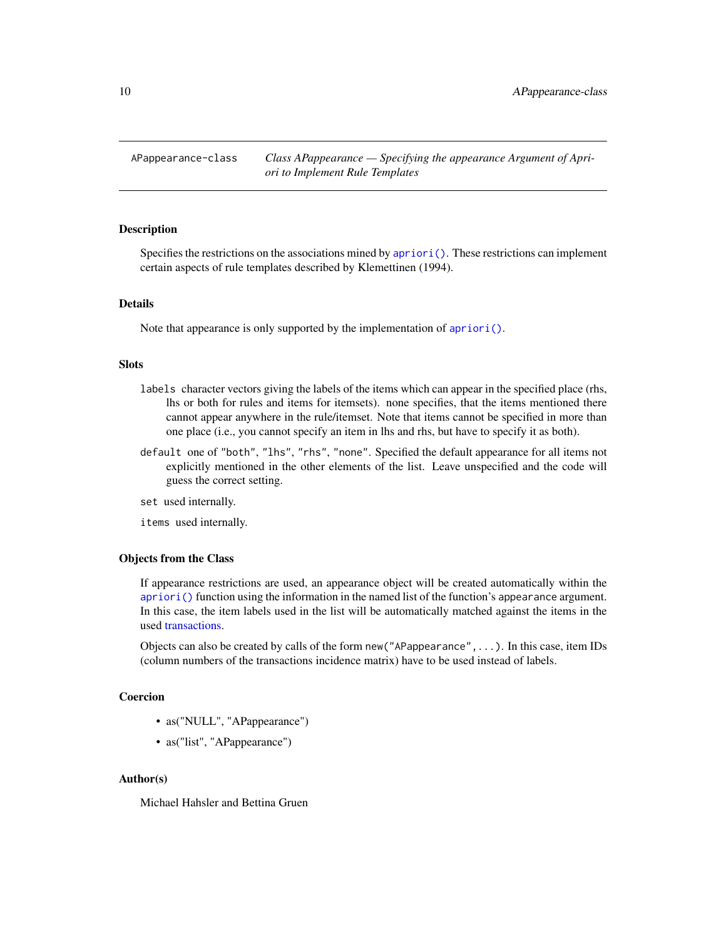<span id="page-9-2"></span><span id="page-9-0"></span>APappearance-class *Class APappearance — Specifying the appearance Argument of Apriori to Implement Rule Templates*

# <span id="page-9-1"></span>**Description**

Specifies the restrictions on the associations mined by  $apriori()$ . These restrictions can implement certain aspects of rule templates described by Klemettinen (1994).

# Details

Note that appearance is only supported by the implementation of [apriori\(\)](#page-10-1).

# Slots

- labels character vectors giving the labels of the items which can appear in the specified place (rhs, lhs or both for rules and items for itemsets). none specifies, that the items mentioned there cannot appear anywhere in the rule/itemset. Note that items cannot be specified in more than one place (i.e., you cannot specify an item in lhs and rhs, but have to specify it as both).
- default one of "both", "lhs", "rhs", "none". Specified the default appearance for all items not explicitly mentioned in the other elements of the list. Leave unspecified and the code will guess the correct setting.
- set used internally.

items used internally.

# Objects from the Class

If appearance restrictions are used, an appearance object will be created automatically within the [apriori\(\)](#page-10-1) function using the information in the named list of the function's appearance argument. In this case, the item labels used in the list will be automatically matched against the items in the used [transactions.](#page-112-1)

Objects can also be created by calls of the form new("APappearance",...). In this case, item IDs (column numbers of the transactions incidence matrix) have to be used instead of labels.

# Coercion

- as("NULL", "APappearance")
- as("list", "APappearance")

#### Author(s)

Michael Hahsler and Bettina Gruen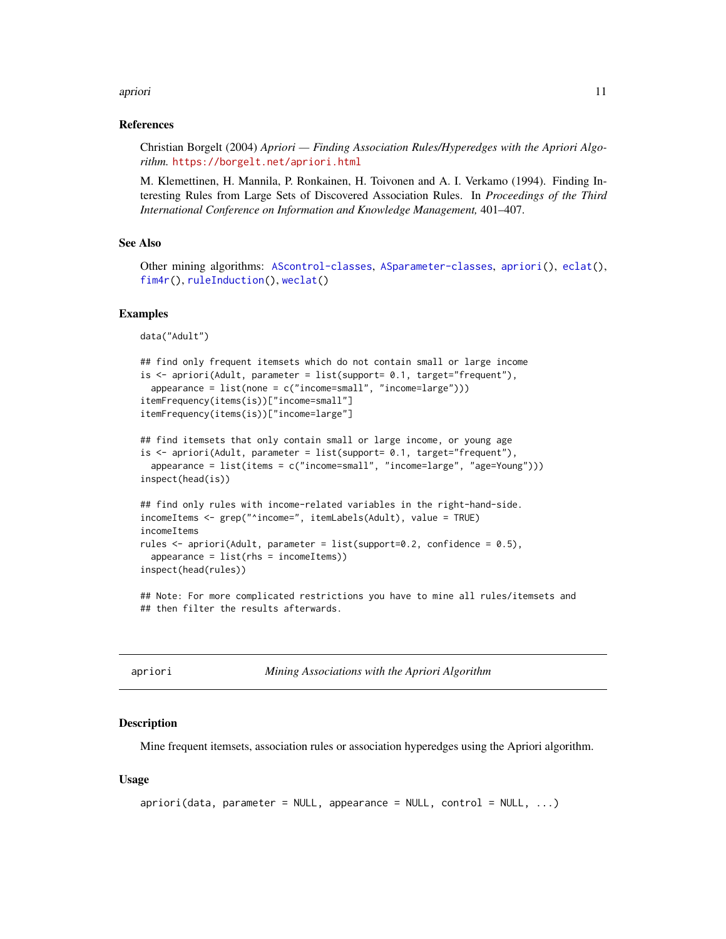#### <span id="page-10-0"></span>apriori de la contrada de la contrada de la contrada de la contrada de la contrada de la contrada de la contra

# References

Christian Borgelt (2004) *Apriori — Finding Association Rules/Hyperedges with the Apriori Algorithm.* <https://borgelt.net/apriori.html>

M. Klemettinen, H. Mannila, P. Ronkainen, H. Toivonen and A. I. Verkamo (1994). Finding Interesting Rules from Large Sets of Discovered Association Rules. In *Proceedings of the Third International Conference on Information and Knowledge Management,* 401–407.

#### See Also

Other mining algorithms: [AScontrol-classes](#page-13-1), [ASparameter-classes](#page-14-1), [apriori\(](#page-10-1)), [eclat\(](#page-33-1)), [fim4r\(](#page-37-1)), [ruleInduction\(](#page-92-1)), [weclat\(](#page-118-1))

# Examples

```
data("Adult")
```

```
## find only frequent itemsets which do not contain small or large income
is \leq apriori(Adult, parameter = list(support= 0.1, target="frequent"),
 appearance = list(none = c("income=small", "income=large")))
itemFrequency(items(is))["income=small"]
itemFrequency(items(is))["income=large"]
```

```
## find itemsets that only contain small or large income, or young age
is <- apriori(Adult, parameter = list(support= 0.1, target="frequent"),
 appearance = list(items = c("income=small", "income=large", "age=Young"))inspect(head(is))
```

```
## find only rules with income-related variables in the right-hand-side.
incomeItems <- grep("^income=", itemLabels(Adult), value = TRUE)
incomeItems
rules \leq apriori(Adult, parameter = list(support=0.2, confidence = 0.5),
  appearance = list(rhs = incomeltems))inspect(head(rules))
```
## Note: For more complicated restrictions you have to mine all rules/itemsets and ## then filter the results afterwards.

<span id="page-10-1"></span>

| apriori |  |  |
|---------|--|--|
|---------|--|--|

apriori *Mining Associations with the Apriori Algorithm*

#### Description

Mine frequent itemsets, association rules or association hyperedges using the Apriori algorithm.

# Usage

```
apriori(data, parameter = NULL, appearance = NULL, control = NULL, ...)
```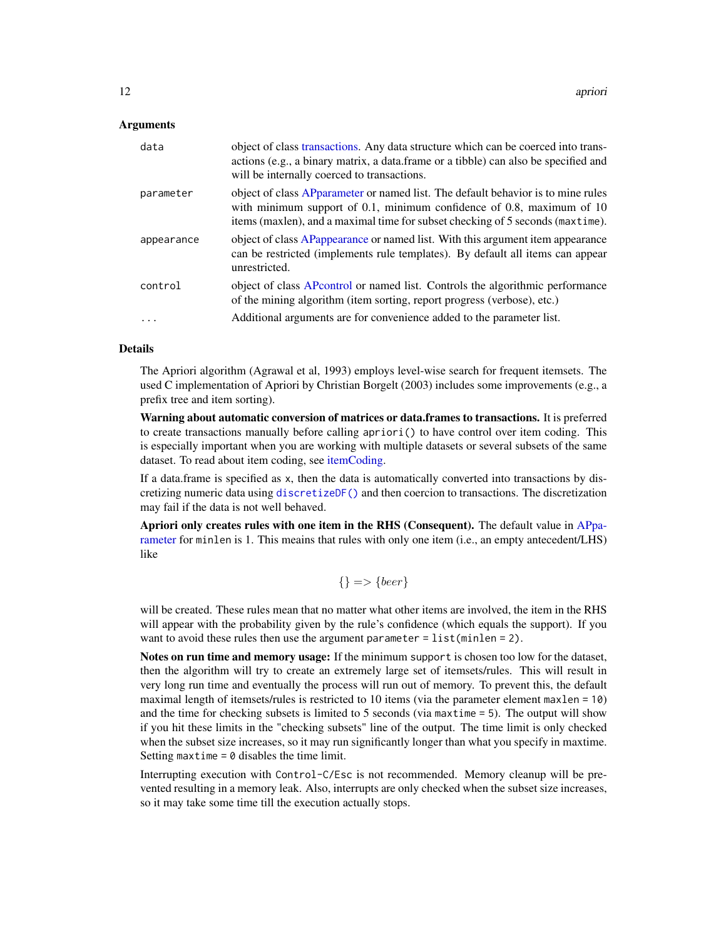# **Arguments**

| data       | object of class transactions. Any data structure which can be coerced into trans-<br>actions (e.g., a binary matrix, a data.frame or a tibble) can also be specified and<br>will be internally coerced to transactions.                     |
|------------|---------------------------------------------------------------------------------------------------------------------------------------------------------------------------------------------------------------------------------------------|
| parameter  | object of class APparameter or named list. The default behavior is to mine rules<br>with minimum support of 0.1, minimum confidence of 0.8, maximum of 10<br>items (maxlen), and a maximal time for subset checking of 5 seconds (maxtime). |
| appearance | object of class APappearance or named list. With this argument item appearance<br>can be restricted (implements rule templates). By default all items can appear<br>unrestricted.                                                           |
| control    | object of class APcontrol or named list. Controls the algorithmic performance<br>of the mining algorithm (item sorting, report progress (verbose), etc.)                                                                                    |
| $\ddots$   | Additional arguments are for convenience added to the parameter list.                                                                                                                                                                       |

# Details

The Apriori algorithm (Agrawal et al, 1993) employs level-wise search for frequent itemsets. The used C implementation of Apriori by Christian Borgelt (2003) includes some improvements (e.g., a prefix tree and item sorting).

Warning about automatic conversion of matrices or data.frames to transactions. It is preferred to create transactions manually before calling apriori() to have control over item coding. This is especially important when you are working with multiple datasets or several subsets of the same dataset. To read about item coding, see [itemCoding.](#page-62-1)

If a data.frame is specified as x, then the data is automatically converted into transactions by discretizing numeric data using [discretizeDF\(\)](#page-26-1) and then coercion to transactions. The discretization may fail if the data is not well behaved.

Apriori only creates rules with one item in the RHS (Consequent). The default value in [APpa](#page-14-2)[rameter](#page-14-2) for minlen is 1. This meains that rules with only one item (i.e., an empty antecedent/LHS) like

$$
\{\} => \{ beer\}
$$

will be created. These rules mean that no matter what other items are involved, the item in the RHS will appear with the probability given by the rule's confidence (which equals the support). If you want to avoid these rules then use the argument parameter = list(minlen = 2).

Notes on run time and memory usage: If the minimum support is chosen too low for the dataset, then the algorithm will try to create an extremely large set of itemsets/rules. This will result in very long run time and eventually the process will run out of memory. To prevent this, the default maximal length of itemsets/rules is restricted to 10 items (via the parameter element maxlen = 10) and the time for checking subsets is limited to 5 seconds (via maxtime = 5). The output will show if you hit these limits in the "checking subsets" line of the output. The time limit is only checked when the subset size increases, so it may run significantly longer than what you specify in maxtime. Setting maxtime  $= 0$  disables the time limit.

Interrupting execution with Control-C/Esc is not recommended. Memory cleanup will be prevented resulting in a memory leak. Also, interrupts are only checked when the subset size increases, so it may take some time till the execution actually stops.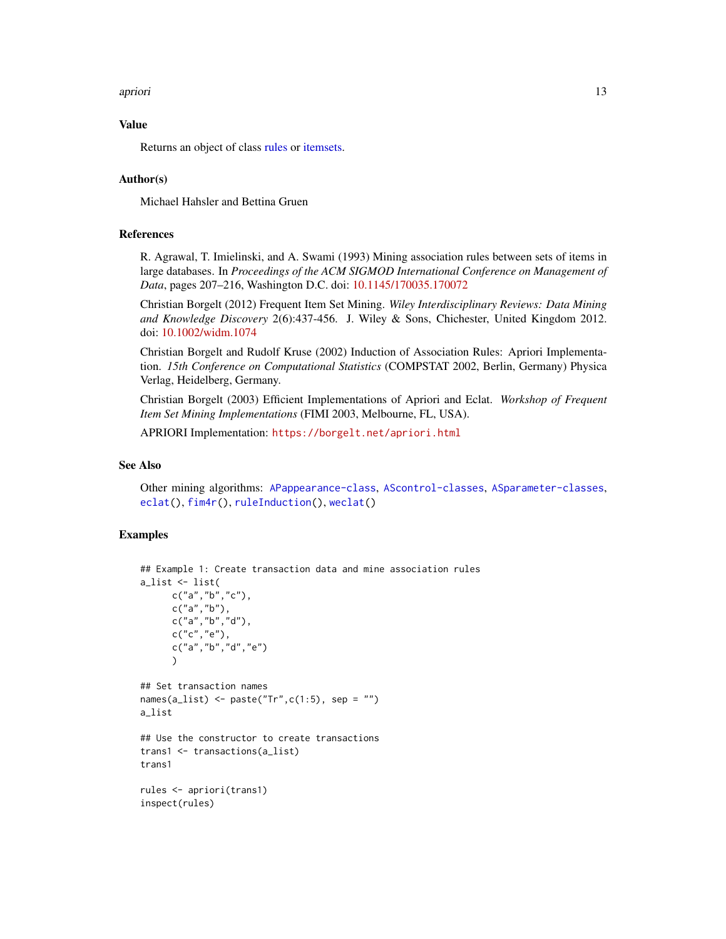#### apriori de la contrada de la contrada de la contrada de la contrada de la contrada de la contrada de la contra

# Value

Returns an object of class [rules](#page-94-1) or [itemsets.](#page-75-1)

# Author(s)

Michael Hahsler and Bettina Gruen

# References

R. Agrawal, T. Imielinski, and A. Swami (1993) Mining association rules between sets of items in large databases. In *Proceedings of the ACM SIGMOD International Conference on Management of Data*, pages 207–216, Washington D.C. doi: [10.1145/170035.170072](https://doi.org/10.1145/170035.170072)

Christian Borgelt (2012) Frequent Item Set Mining. *Wiley Interdisciplinary Reviews: Data Mining and Knowledge Discovery* 2(6):437-456. J. Wiley & Sons, Chichester, United Kingdom 2012. doi: [10.1002/widm.1074](https://doi.org/10.1002/widm.1074)

Christian Borgelt and Rudolf Kruse (2002) Induction of Association Rules: Apriori Implementation. *15th Conference on Computational Statistics* (COMPSTAT 2002, Berlin, Germany) Physica Verlag, Heidelberg, Germany.

Christian Borgelt (2003) Efficient Implementations of Apriori and Eclat. *Workshop of Frequent Item Set Mining Implementations* (FIMI 2003, Melbourne, FL, USA).

APRIORI Implementation: <https://borgelt.net/apriori.html>

# See Also

Other mining algorithms: [APappearance-class](#page-9-2), [AScontrol-classes](#page-13-1), [ASparameter-classes](#page-14-1), [eclat\(](#page-33-1)), [fim4r\(](#page-37-1)), [ruleInduction\(](#page-92-1)), [weclat\(](#page-118-1))

# Examples

```
## Example 1: Create transaction data and mine association rules
a_list <- list(
     c("a", "b", "c"),
      c("a","b"),
      c("a","b","d"),
      c("c", "e"),
      c("a","b","d","e")
      \lambda## Set transaction names
names(a_list) <- paste("Tr",c(1:5), sep = "")
a_list
## Use the constructor to create transactions
trans1 <- transactions(a_list)
trans1
rules <- apriori(trans1)
inspect(rules)
```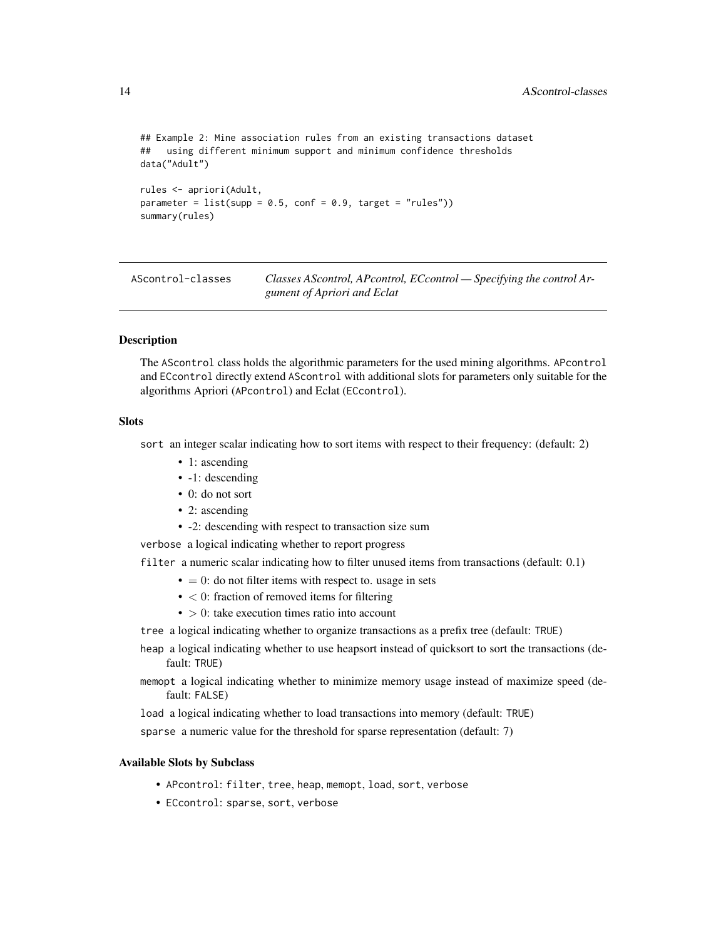```
## Example 2: Mine association rules from an existing transactions dataset
## using different minimum support and minimum confidence thresholds
data("Adult")
rules <- apriori(Adult,
parameter = list(supp = 0.5, conf = 0.9, target = "rules"))summary(rules)
```
<span id="page-13-1"></span>AScontrol-classes *Classes AScontrol, APcontrol, ECcontrol — Specifying the control Argument of Apriori and Eclat*

# <span id="page-13-2"></span>**Description**

The AScontrol class holds the algorithmic parameters for the used mining algorithms. APcontrol and ECcontrol directly extend AScontrol with additional slots for parameters only suitable for the algorithms Apriori (APcontrol) and Eclat (ECcontrol).

#### Slots

sort an integer scalar indicating how to sort items with respect to their frequency: (default: 2)

- 1: ascending
- -1: descending
- 0: do not sort
- 2: ascending
- -2: descending with respect to transaction size sum

verbose a logical indicating whether to report progress

- filter a numeric scalar indicating how to filter unused items from transactions (default: 0.1)
	- $\bullet$  = 0: do not filter items with respect to. usage in sets
	- $\bullet$  < 0: fraction of removed items for filtering
	- $\bullet$  > 0: take execution times ratio into account

tree a logical indicating whether to organize transactions as a prefix tree (default: TRUE)

- heap a logical indicating whether to use heapsort instead of quicksort to sort the transactions (default: TRUE)
- memopt a logical indicating whether to minimize memory usage instead of maximize speed (default: FALSE)

load a logical indicating whether to load transactions into memory (default: TRUE)

sparse a numeric value for the threshold for sparse representation (default: 7)

# Available Slots by Subclass

- APcontrol: filter, tree, heap, memopt, load, sort, verbose
- ECcontrol: sparse, sort, verbose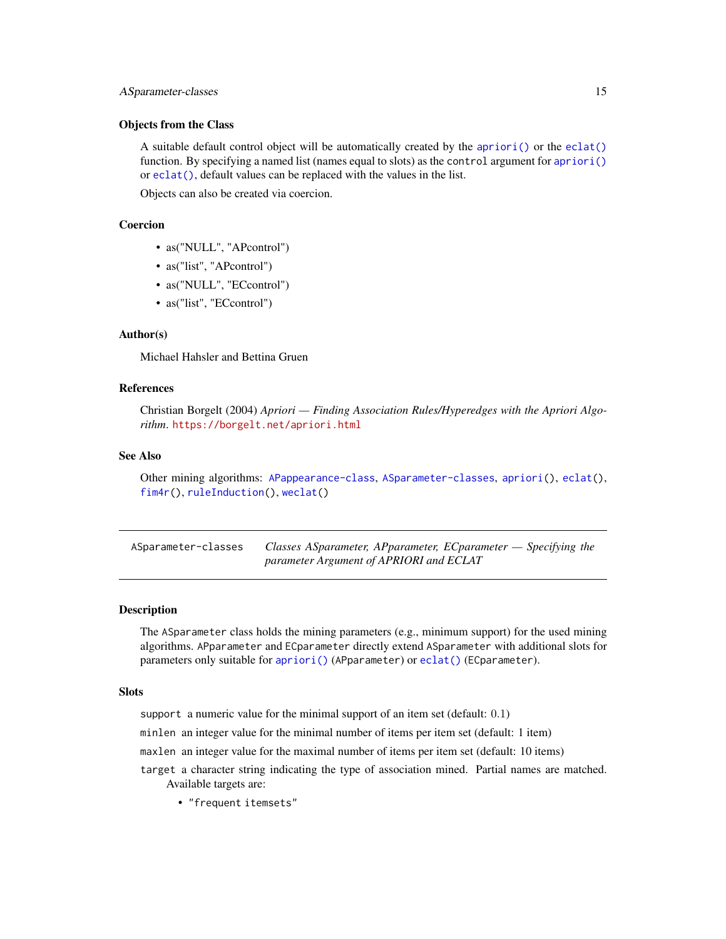# <span id="page-14-0"></span>ASparameter-classes 15

# Objects from the Class

A suitable default control object will be automatically created by the [apriori\(\)](#page-10-1) or the [eclat\(\)](#page-33-1) function. By specifying a named list (names equal to slots) as the control argument for [apriori\(\)](#page-10-1) or [eclat\(\)](#page-33-1), default values can be replaced with the values in the list.

Objects can also be created via coercion.

# Coercion

- as("NULL", "APcontrol")
- as("list", "APcontrol")
- as("NULL", "ECcontrol")
- as("list", "ECcontrol")

# Author(s)

Michael Hahsler and Bettina Gruen

# References

Christian Borgelt (2004) *Apriori — Finding Association Rules/Hyperedges with the Apriori Algorithm*. <https://borgelt.net/apriori.html>

# See Also

Other mining algorithms: [APappearance-class](#page-9-2), [ASparameter-classes](#page-14-1), [apriori\(](#page-10-1)), [eclat\(](#page-33-1)), [fim4r\(](#page-37-1)), [ruleInduction\(](#page-92-1)), [weclat\(](#page-118-1))

<span id="page-14-1"></span>

| ASparameter-classes | Classes ASparameter, APparameter, ECparameter — Specifying the |
|---------------------|----------------------------------------------------------------|
|                     | parameter Argument of APRIORI and ECLAT                        |

#### <span id="page-14-2"></span>Description

The ASparameter class holds the mining parameters (e.g., minimum support) for the used mining algorithms. APparameter and ECparameter directly extend ASparameter with additional slots for parameters only suitable for [apriori\(\)](#page-10-1) (APparameter) or [eclat\(\)](#page-33-1) (ECparameter).

#### Slots

support a numeric value for the minimal support of an item set (default: 0.1)

minlen an integer value for the minimal number of items per item set (default: 1 item)

maxlen an integer value for the maximal number of items per item set (default: 10 items)

- target a character string indicating the type of association mined. Partial names are matched. Available targets are:
	- "frequent itemsets"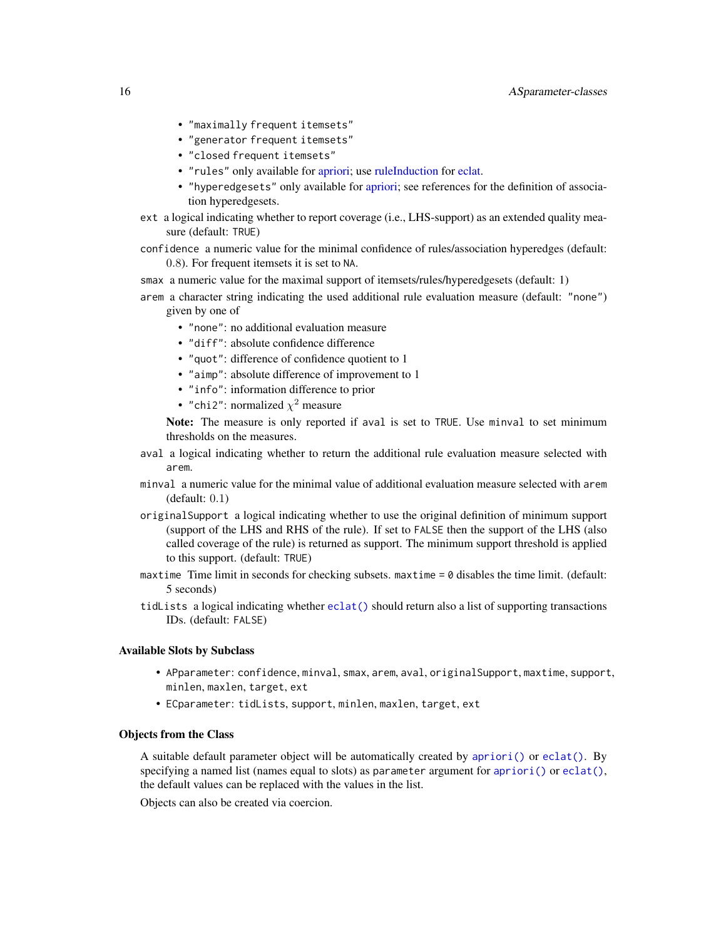- "maximally frequent itemsets"
- "generator frequent itemsets"
- "closed frequent itemsets"
- "rules" only available for [apriori;](#page-10-1) use [ruleInduction](#page-92-1) for [eclat.](#page-33-1)
- "hyperedgesets" only available for [apriori;](#page-10-1) see references for the definition of association hyperedgesets.
- ext a logical indicating whether to report coverage (i.e., LHS-support) as an extended quality measure (default: TRUE)
- confidence a numeric value for the minimal confidence of rules/association hyperedges (default: 0.8). For frequent itemsets it is set to NA.
- smax a numeric value for the maximal support of itemsets/rules/hyperedgesets (default: 1)
- arem a character string indicating the used additional rule evaluation measure (default: "none") given by one of
	- "none": no additional evaluation measure
	- "diff": absolute confidence difference
	- "quot": difference of confidence quotient to 1
	- "aimp": absolute difference of improvement to 1
	- "info": information difference to prior
	- "chi2": normalized  $\chi^2$  measure

Note: The measure is only reported if aval is set to TRUE. Use minval to set minimum thresholds on the measures.

- aval a logical indicating whether to return the additional rule evaluation measure selected with arem.
- minval a numeric value for the minimal value of additional evaluation measure selected with arem (default: 0.1)
- originalSupport a logical indicating whether to use the original definition of minimum support (support of the LHS and RHS of the rule). If set to FALSE then the support of the LHS (also called coverage of the rule) is returned as support. The minimum support threshold is applied to this support. (default: TRUE)
- maxtime Time limit in seconds for checking subsets. maxtime = 0 disables the time limit. (default: 5 seconds)
- tidLists a logical indicating whether [eclat\(\)](#page-33-1) should return also a list of supporting transactions IDs. (default: FALSE)

# Available Slots by Subclass

- APparameter: confidence, minval, smax, arem, aval, originalSupport, maxtime, support, minlen, maxlen, target, ext
- ECparameter: tidLists, support, minlen, maxlen, target, ext

# Objects from the Class

A suitable default parameter object will be automatically created by [apriori\(\)](#page-10-1) or [eclat\(\)](#page-33-1). By specifying a named list (names equal to slots) as parameter argument for [apriori\(\)](#page-10-1) or [eclat\(\)](#page-33-1), the default values can be replaced with the values in the list.

Objects can also be created via coercion.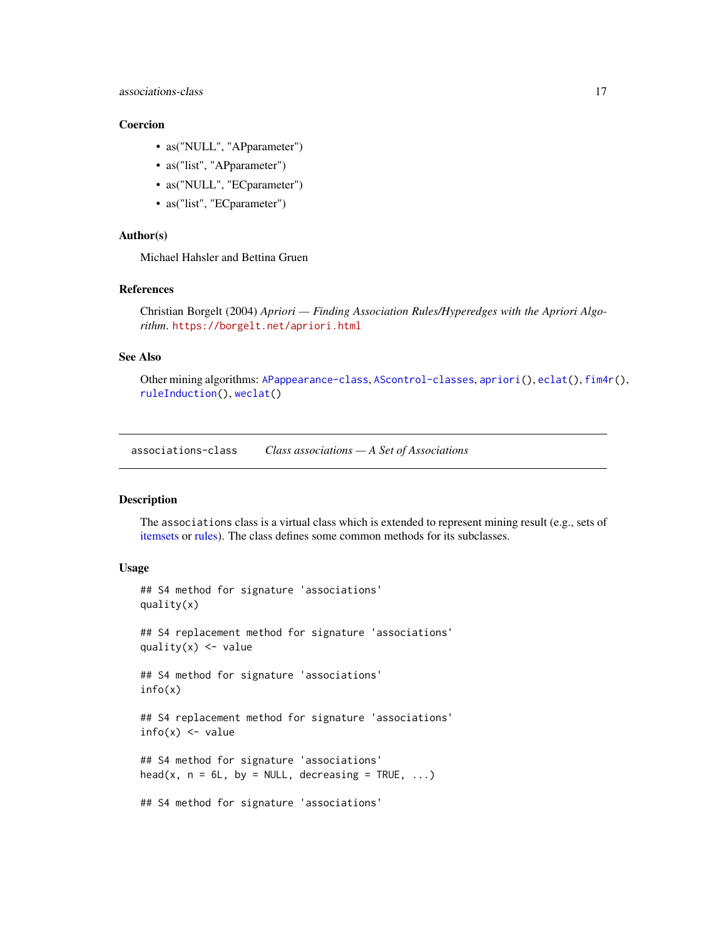# <span id="page-16-0"></span>Coercion

- as("NULL", "APparameter")
- as("list", "APparameter")
- as("NULL", "ECparameter")
- as("list", "ECparameter")

# Author(s)

Michael Hahsler and Bettina Gruen

# References

```
Christian Borgelt (2004) Apriori — Finding Association Rules/Hyperedges with the Apriori Algo-
rithm. https://borgelt.net/apriori.html
```
# See Also

Other mining algorithms: [APappearance-class](#page-9-2), [AScontrol-classes](#page-13-1), [apriori\(](#page-10-1)), [eclat\(](#page-33-1)), [fim4r\(](#page-37-1)), [ruleInduction\(](#page-92-1)), [weclat\(](#page-118-1))

<span id="page-16-1"></span>associations-class *Class associations — A Set of Associations*

# <span id="page-16-2"></span>Description

The associations class is a virtual class which is extended to represent mining result (e.g., sets of [itemsets](#page-75-1) or [rules\)](#page-94-1). The class defines some common methods for its subclasses.

# Usage

```
## S4 method for signature 'associations'
quality(x)
## S4 replacement method for signature 'associations'
quality(x) \leq value
## S4 method for signature 'associations'
info(x)
## S4 replacement method for signature 'associations'
info(x) <- value
## S4 method for signature 'associations'
head(x, n = 6L, by = NULL, decreasing = TRUE, ...)
## S4 method for signature 'associations'
```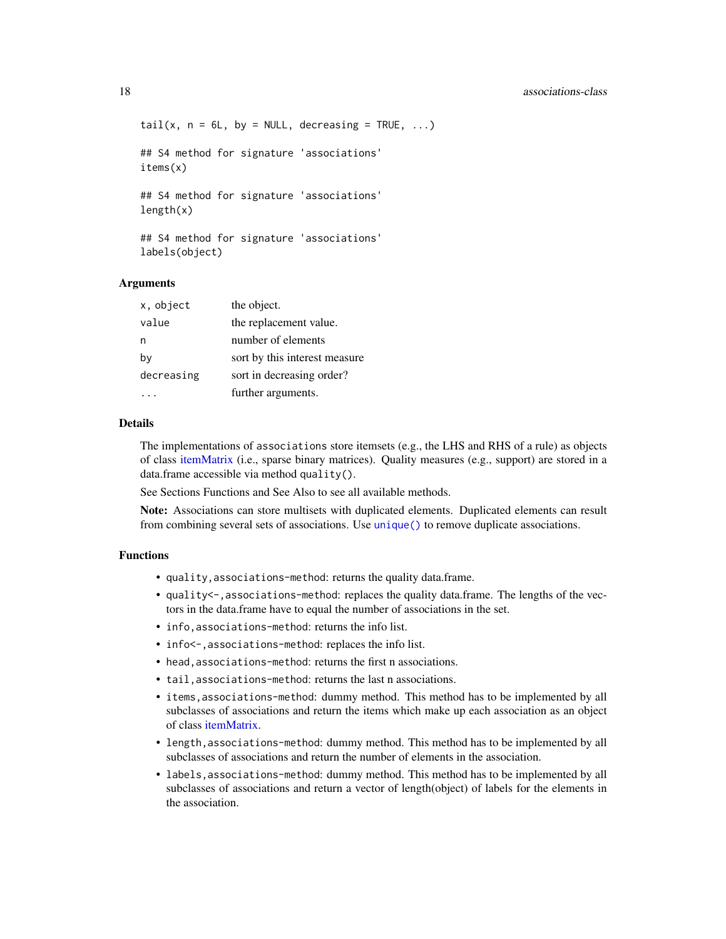```
tail(x, n = 6L, by = NULL, decreasing = TRUE, ...)## S4 method for signature 'associations'
items(x)
## S4 method for signature 'associations'
length(x)
## S4 method for signature 'associations'
labels(object)
```
#### Arguments

| x, object  | the object.                   |
|------------|-------------------------------|
| value      | the replacement value.        |
| n          | number of elements            |
| bv         | sort by this interest measure |
| decreasing | sort in decreasing order?     |
|            | further arguments.            |

# Details

The implementations of associations store itemsets (e.g., the LHS and RHS of a rule) as objects of class [itemMatrix](#page-70-1) (i.e., sparse binary matrices). Quality measures (e.g., support) are stored in a data.frame accessible via method quality().

See Sections Functions and See Also to see all available methods.

Note: Associations can store multisets with duplicated elements. Duplicated elements can result from combining several sets of associations. Use [unique\(\)](#page-117-1) to remove duplicate associations.

# Functions

- quality,associations-method: returns the quality data.frame.
- quality<-, associations-method: replaces the quality data.frame. The lengths of the vectors in the data.frame have to equal the number of associations in the set.
- info,associations-method: returns the info list.
- info<-, associations-method: replaces the info list.
- head, associations-method: returns the first n associations.
- tail,associations-method: returns the last n associations.
- items,associations-method: dummy method. This method has to be implemented by all subclasses of associations and return the items which make up each association as an object of class [itemMatrix.](#page-70-1)
- length, associations-method: dummy method. This method has to be implemented by all subclasses of associations and return the number of elements in the association.
- labels, associations-method: dummy method. This method has to be implemented by all subclasses of associations and return a vector of length(object) of labels for the elements in the association.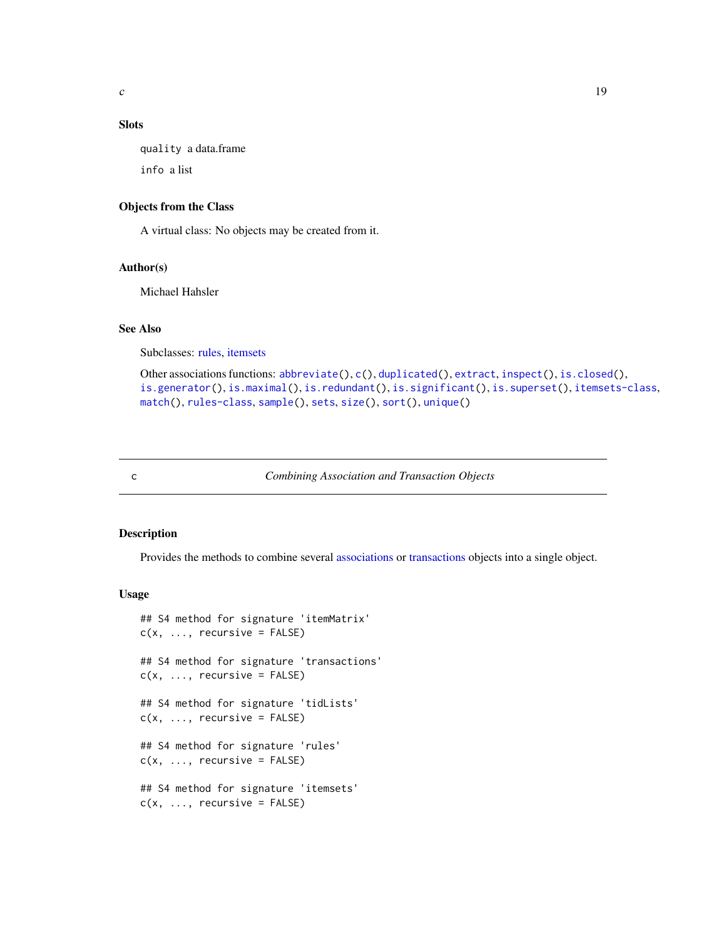# <span id="page-18-0"></span>Slots

quality a data.frame info a list

# Objects from the Class

A virtual class: No objects may be created from it.

# Author(s)

Michael Hahsler

# See Also

Subclasses: [rules,](#page-94-1) [itemsets](#page-75-1)

```
Other associations functions: abbreviate(), c(), duplicated(), extract, inspect(), is.closed(),
is.generator(), is.maximal(), is.redundant(), is.significant(), is.superset(), itemsets-class,
match(), rules-class, sample(), sets, size(), sort(), unique()
```
<span id="page-18-1"></span>

c *Combining Association and Transaction Objects*

# Description

Provides the methods to combine several [associations](#page-16-2) or [transactions](#page-112-1) objects into a single object.

#### Usage

```
## S4 method for signature 'itemMatrix'
c(x, \ldots, recursive = FALSE)
## S4 method for signature 'transactions'
c(x, \ldots, recursive = FALSE)
## S4 method for signature 'tidLists'
c(x, \ldots, recursive = FALSE)
## S4 method for signature 'rules'
c(x, \ldots, recursive = FALSE)
## S4 method for signature 'itemsets'
c(x, \ldots, recursive = FALSE)
```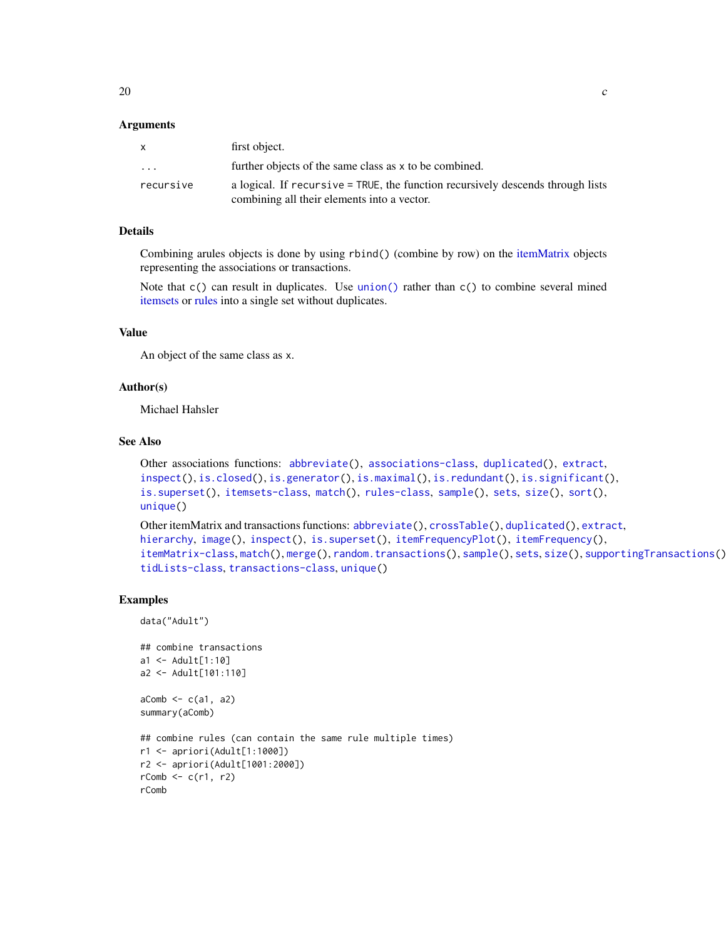# Arguments

| $\mathsf{x}$ | first object.                                                                   |
|--------------|---------------------------------------------------------------------------------|
| .            | further objects of the same class as x to be combined.                          |
| recursive    | a logical. If recursive = TRUE, the function recursively descends through lists |
|              | combining all their elements into a vector.                                     |

# Details

Combining arules objects is done by using rbind() (combine by row) on the [itemMatrix](#page-70-1) objects representing the associations or transactions.

Note that  $c()$  can result in duplicates. Use [union\(\)](#page-0-0) rather than  $c()$  to combine several mined [itemsets](#page-75-1) or [rules](#page-94-1) into a single set without duplicates.

# Value

An object of the same class as x.

# Author(s)

Michael Hahsler

### See Also

```
Other associations functions: abbreviate(), associations-class, duplicated(), extract,
inspect(), is.closed(), is.generator(), is.maximal(), is.redundant(), is.significant(),
is.superset(), itemsets-class, match(), rules-class, sample(), sets, size(), sort(),
unique()
```

```
Other itemMatrix and transactions functions: abbreviate(), crossTable(), duplicated(), extract,
hierarchy, image(), inspect(), is.superset(), itemFrequencyPlot(), itemFrequency(),
itemMatrix-class, match(), merge(), random.transactions(), sample(), sets, size(), supportingTransactions(),
tidLists-class, transactions-class, unique()
```
# Examples

```
data("Adult")
```

```
## combine transactions
a1 <- Adult[1:10]
a2 <- Adult[101:110]
aComb \leftarrow c(a1, a2)summary(aComb)
## combine rules (can contain the same rule multiple times)
r1 <- apriori(Adult[1:1000])
r2 <- apriori(Adult[1001:2000])
rComb \leftarrow c(r1, r2)rComb
```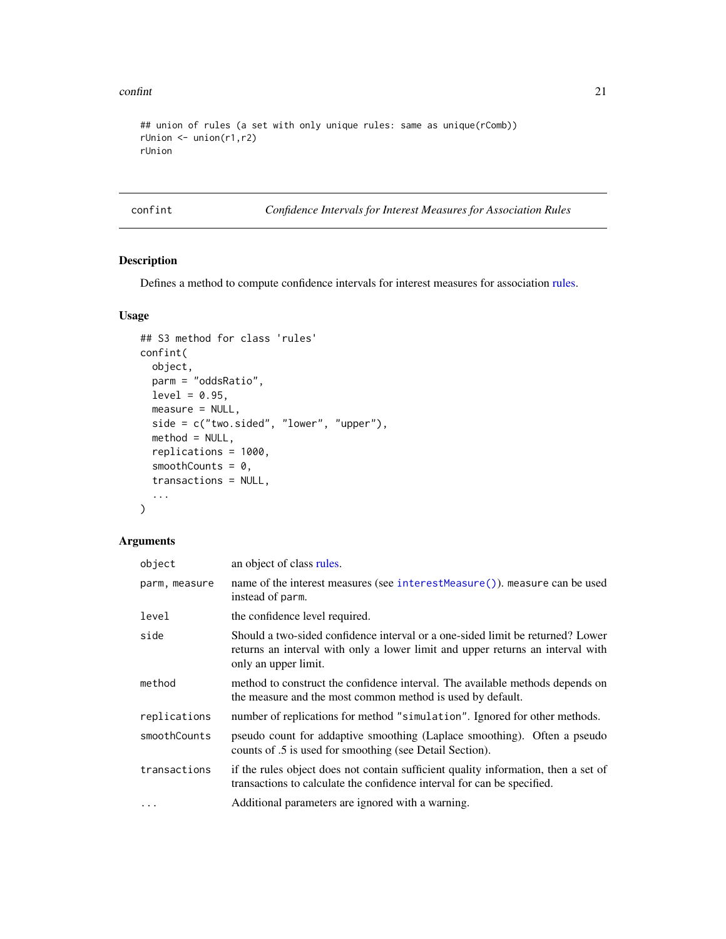#### <span id="page-20-0"></span>confint 21

```
## union of rules (a set with only unique rules: same as unique(rComb))
rUnion <- union(r1,r2)
rUnion
```
<span id="page-20-1"></span>confint *Confidence Intervals for Interest Measures for Association Rules*

# Description

Defines a method to compute confidence intervals for interest measures for association [rules.](#page-94-1)

# Usage

```
## S3 method for class 'rules'
confint(
 object,
 parm = "oddsRatio",
 level = 0.95,measure = NULL,
 side = c("two.sided", "lower", "upper"),
 method = NULL,replications = 1000,
 smoothCounts = 0,
  transactions = NULL,
  ...
)
```
# Arguments

| object        | an object of class rules.                                                                                                                                                                |
|---------------|------------------------------------------------------------------------------------------------------------------------------------------------------------------------------------------|
| parm, measure | name of the interest measures (see interest Measure ()). measure can be used<br>instead of parm.                                                                                         |
| level         | the confidence level required.                                                                                                                                                           |
| side          | Should a two-sided confidence interval or a one-sided limit be returned? Lower<br>returns an interval with only a lower limit and upper returns an interval with<br>only an upper limit. |
| method        | method to construct the confidence interval. The available methods depends on<br>the measure and the most common method is used by default.                                              |
| replications  | number of replications for method "simulation". Ignored for other methods.                                                                                                               |
| smoothCounts  | pseudo count for addaptive smoothing (Laplace smoothing). Often a pseudo<br>counts of .5 is used for smoothing (see Detail Section).                                                     |
| transactions  | if the rules object does not contain sufficient quality information, then a set of<br>transactions to calculate the confidence interval for can be specified.                            |
| $\cdots$      | Additional parameters are ignored with a warning.                                                                                                                                        |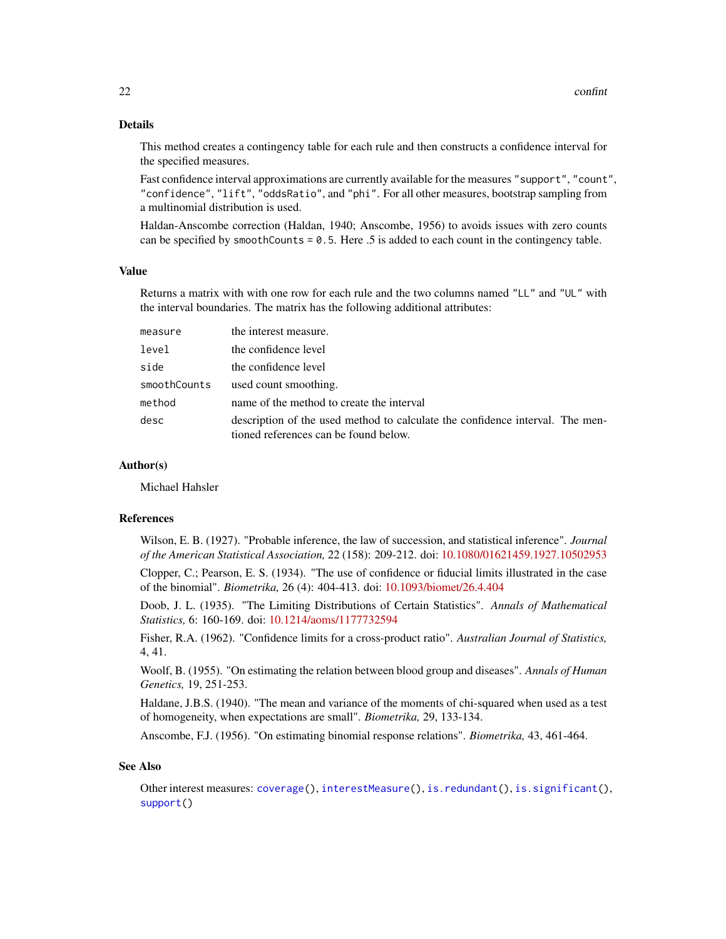# Details

This method creates a contingency table for each rule and then constructs a confidence interval for the specified measures.

Fast confidence interval approximations are currently available for the measures "support", "count", "confidence", "lift", "oddsRatio", and "phi". For all other measures, bootstrap sampling from a multinomial distribution is used.

Haldan-Anscombe correction (Haldan, 1940; Anscombe, 1956) to avoids issues with zero counts can be specified by smoothCounts = 0.5. Here .5 is added to each count in the contingency table.

#### Value

Returns a matrix with with one row for each rule and the two columns named "LL" and "UL" with the interval boundaries. The matrix has the following additional attributes:

| measure      | the interest measure.                                                                                                  |
|--------------|------------------------------------------------------------------------------------------------------------------------|
| level        | the confidence level                                                                                                   |
| side         | the confidence level                                                                                                   |
| smoothCounts | used count smoothing.                                                                                                  |
| method       | name of the method to create the interval                                                                              |
| desc         | description of the used method to calculate the confidence interval. The men-<br>tioned references can be found below. |

#### Author(s)

Michael Hahsler

# References

Wilson, E. B. (1927). "Probable inference, the law of succession, and statistical inference". *Journal of the American Statistical Association,* 22 (158): 209-212. doi: [10.1080/01621459.1927.10502953](https://doi.org/10.1080/01621459.1927.10502953)

Clopper, C.; Pearson, E. S. (1934). "The use of confidence or fiducial limits illustrated in the case of the binomial". *Biometrika,* 26 (4): 404-413. doi: [10.1093/biomet/26.4.404](https://doi.org/10.1093/biomet/26.4.404)

Doob, J. L. (1935). "The Limiting Distributions of Certain Statistics". *Annals of Mathematical Statistics,* 6: 160-169. doi: [10.1214/aoms/1177732594](https://doi.org/10.1214/aoms/1177732594)

Fisher, R.A. (1962). "Confidence limits for a cross-product ratio". *Australian Journal of Statistics,* 4, 41.

Woolf, B. (1955). "On estimating the relation between blood group and diseases". *Annals of Human Genetics,* 19, 251-253.

Haldane, J.B.S. (1940). "The mean and variance of the moments of chi-squared when used as a test of homogeneity, when expectations are small". *Biometrika,* 29, 133-134.

Anscombe, F.J. (1956). "On estimating binomial response relations". *Biometrika,* 43, 461-464.

#### See Also

Other interest measures: [coverage\(](#page-22-1)), [interestMeasure\(](#page-49-1)), [is.redundant\(](#page-57-1)), [is.significant\(](#page-59-1)), [support\(](#page-106-1))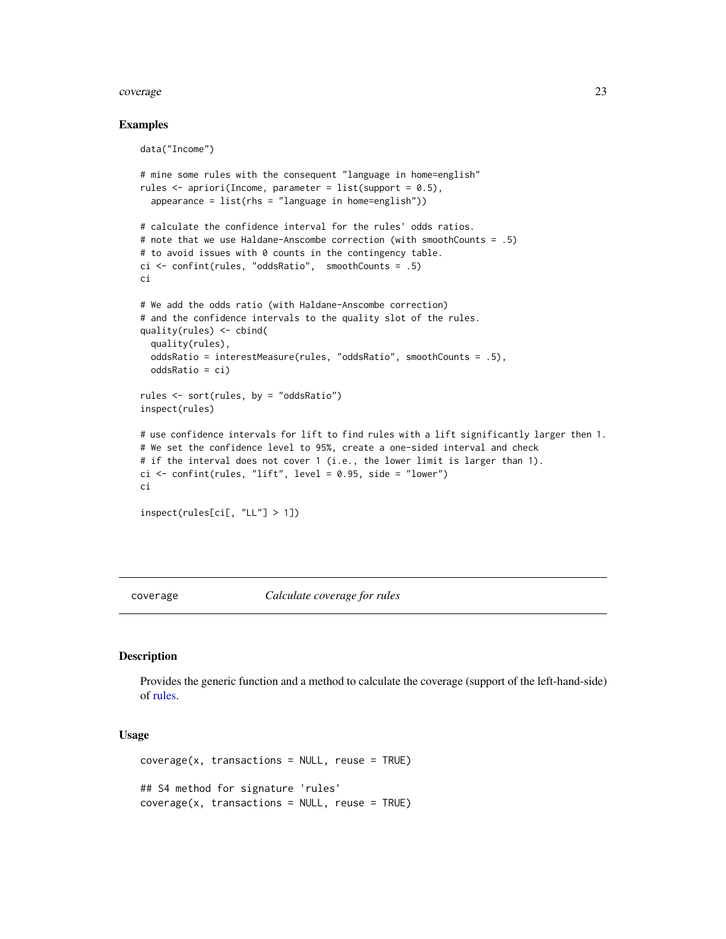#### <span id="page-22-0"></span>coverage 23

# Examples

data("Income")

```
# mine some rules with the consequent "language in home=english"
rules <- apriori(Income, parameter = list(support = 0.5),
  appearance = list(rhs = "language in home=english"))
# calculate the confidence interval for the rules' odds ratios.
# note that we use Haldane-Anscombe correction (with smoothCounts = .5)
# to avoid issues with 0 counts in the contingency table.
ci <- confint(rules, "oddsRatio", smoothCounts = .5)
ci
# We add the odds ratio (with Haldane-Anscombe correction)
# and the confidence intervals to the quality slot of the rules.
quality(rules) <- cbind(
  quality(rules),
  oddsRatio = interestMeasure(rules, "oddsRatio", smoothCounts = .5),
  oddsRatio = ci)
rules <- sort(rules, by = "oddsRatio")
inspect(rules)
# use confidence intervals for lift to find rules with a lift significantly larger then 1.
# We set the confidence level to 95%, create a one-sided interval and check
# if the interval does not cover 1 (i.e., the lower limit is larger than 1).
ci <- confint(rules, "lift", level = 0.95, side = "lower")
ci
inspect(rules[ci[, "LL"] > 1])
```
<span id="page-22-1"></span>coverage *Calculate coverage for rules*

# Description

Provides the generic function and a method to calculate the coverage (support of the left-hand-side) of [rules.](#page-94-1)

#### Usage

```
coverage(x, transactions = NULL, reuse = TRUE)## S4 method for signature 'rules'
coverage(x, transactions = NULL, reuse = TRUE)
```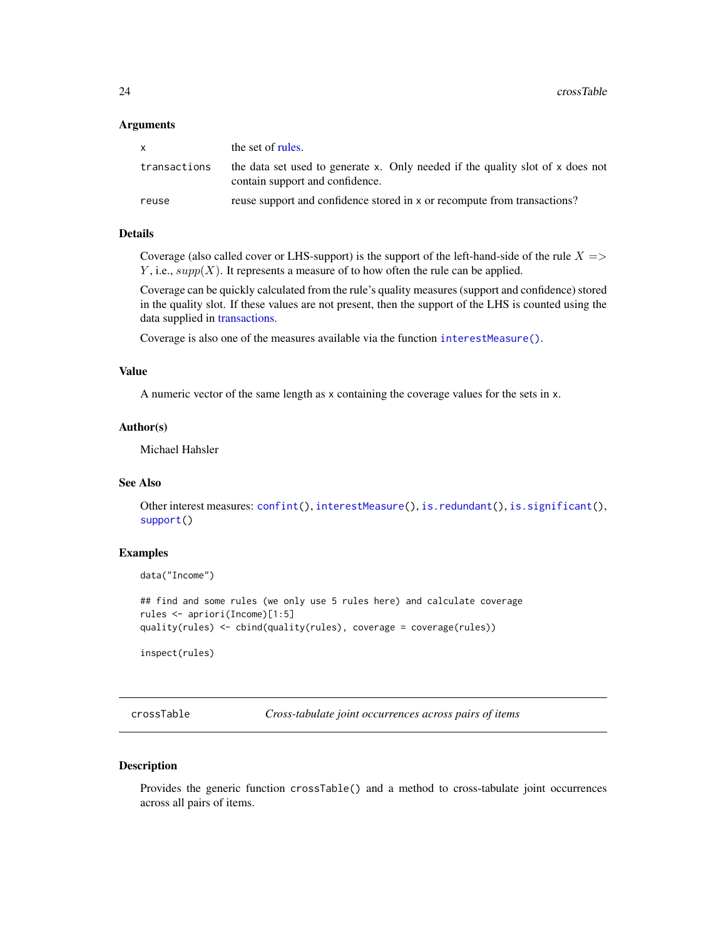#### <span id="page-23-0"></span>**Arguments**

| X            | the set of rules.                                                                                                 |
|--------------|-------------------------------------------------------------------------------------------------------------------|
| transactions | the data set used to generate x. Only needed if the quality slot of x does not<br>contain support and confidence. |
| reuse        | reuse support and confidence stored in x or recompute from transactions?                                          |

# Details

Coverage (also called cover or LHS-support) is the support of the left-hand-side of the rule  $X = \gt$  $Y$ , i.e.,  $supp(X)$ . It represents a measure of to how often the rule can be applied.

Coverage can be quickly calculated from the rule's quality measures (support and confidence) stored in the quality slot. If these values are not present, then the support of the LHS is counted using the data supplied in [transactions.](#page-112-1)

Coverage is also one of the measures available via the function [interestMeasure\(\)](#page-49-1).

# Value

A numeric vector of the same length as x containing the coverage values for the sets in x.

# Author(s)

Michael Hahsler

# See Also

Other interest measures: [confint\(](#page-20-1)), [interestMeasure\(](#page-49-1)), [is.redundant\(](#page-57-1)), [is.significant\(](#page-59-1)), [support\(](#page-106-1))

## Examples

```
data("Income")
```
## find and some rules (we only use 5 rules here) and calculate coverage rules <- apriori(Income)[1:5] quality(rules) <- cbind(quality(rules), coverage = coverage(rules))

inspect(rules)

<span id="page-23-1"></span>crossTable *Cross-tabulate joint occurrences across pairs of items*

# Description

Provides the generic function crossTable() and a method to cross-tabulate joint occurrences across all pairs of items.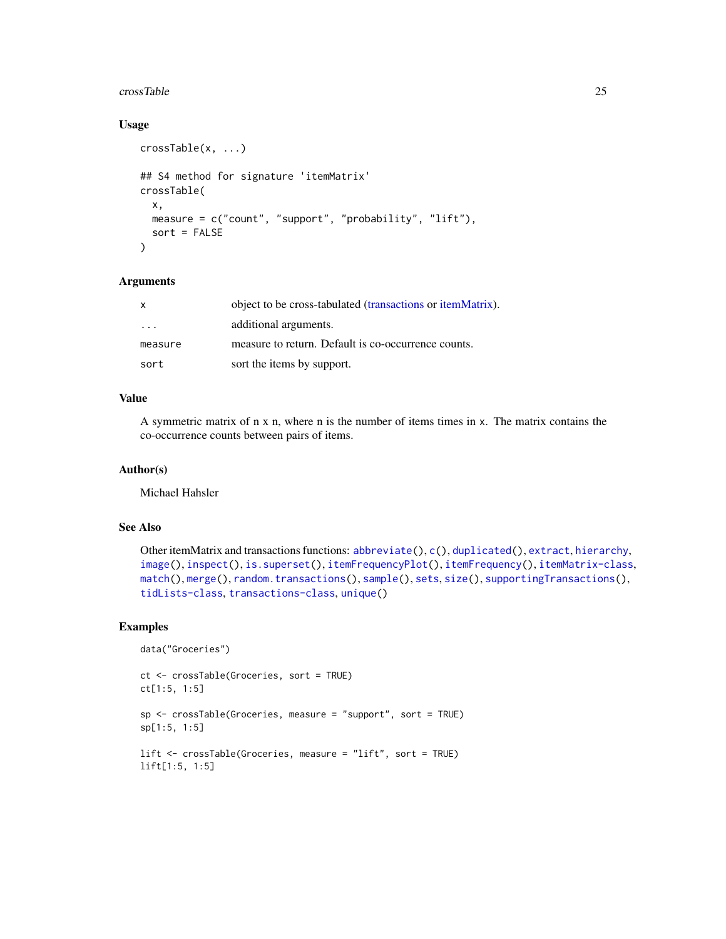#### crossTable 25

# Usage

```
crossTable(x, ...)
## S4 method for signature 'itemMatrix'
crossTable(
  x,
 measure = c("count", "support", "probability", "lift"),
 sort = FALSE
\mathcal{L}
```
# Arguments

| X                       | object to be cross-tabulated (transactions or itemMatrix). |
|-------------------------|------------------------------------------------------------|
| $\cdot$ $\cdot$ $\cdot$ | additional arguments.                                      |
| measure                 | measure to return. Default is co-occurrence counts.        |
| sort                    | sort the items by support.                                 |

# Value

A symmetric matrix of n x n, where n is the number of items times in x. The matrix contains the co-occurrence counts between pairs of items.

# Author(s)

Michael Hahsler

# See Also

```
Other itemMatrix and transactions functions: abbreviate(), c(), duplicated(), extract, hierarchy,
image(), inspect(), is.superset(), itemFrequencyPlot(), itemFrequency(), itemMatrix-class,
match(), merge(), random.transactions(), sample(), sets, size(), supportingTransactions(),
tidLists-class, transactions-class, unique()
```
# Examples

```
data("Groceries")
```
ct <- crossTable(Groceries, sort = TRUE) ct[1:5, 1:5]

sp <- crossTable(Groceries, measure = "support", sort = TRUE) sp[1:5, 1:5]

```
lift <- crossTable(Groceries, measure = "lift", sort = TRUE)
lift[1:5, 1:5]
```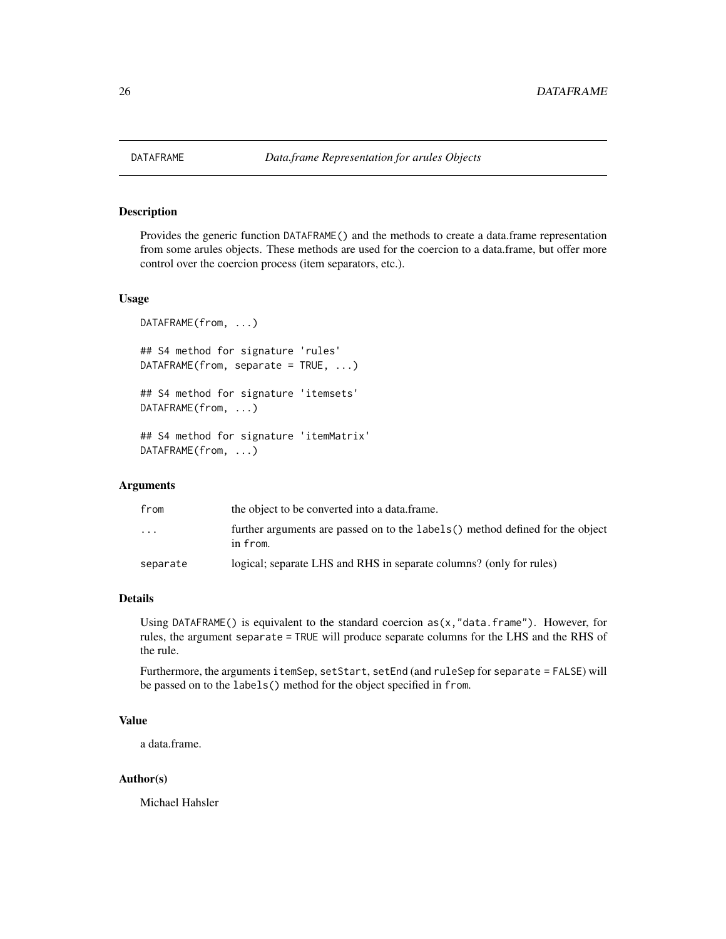<span id="page-25-0"></span>

# Description

Provides the generic function DATAFRAME() and the methods to create a data.frame representation from some arules objects. These methods are used for the coercion to a data.frame, but offer more control over the coercion process (item separators, etc.).

# Usage

```
DATAFRAME(from, ...)
## S4 method for signature 'rules'
DATAFRAME(from, separate = TRUE, ...)
## S4 method for signature 'itemsets'
DATAFRAME(from, ...)
## S4 method for signature 'itemMatrix'
DATAFRAME(from, ...)
```
# Arguments

| from      | the object to be converted into a data.frame.                                              |
|-----------|--------------------------------------------------------------------------------------------|
| $\ddotsc$ | further arguments are passed on to the labels () method defined for the object<br>in from. |
| separate  | logical; separate LHS and RHS in separate columns? (only for rules)                        |

# Details

Using DATAFRAME() is equivalent to the standard coercion  $as(x, "data-frame").$  However, for rules, the argument separate = TRUE will produce separate columns for the LHS and the RHS of the rule.

Furthermore, the arguments itemSep, setStart, setEnd (and ruleSep for separate = FALSE) will be passed on to the labels() method for the object specified in from.

# Value

a data.frame.

#### Author(s)

Michael Hahsler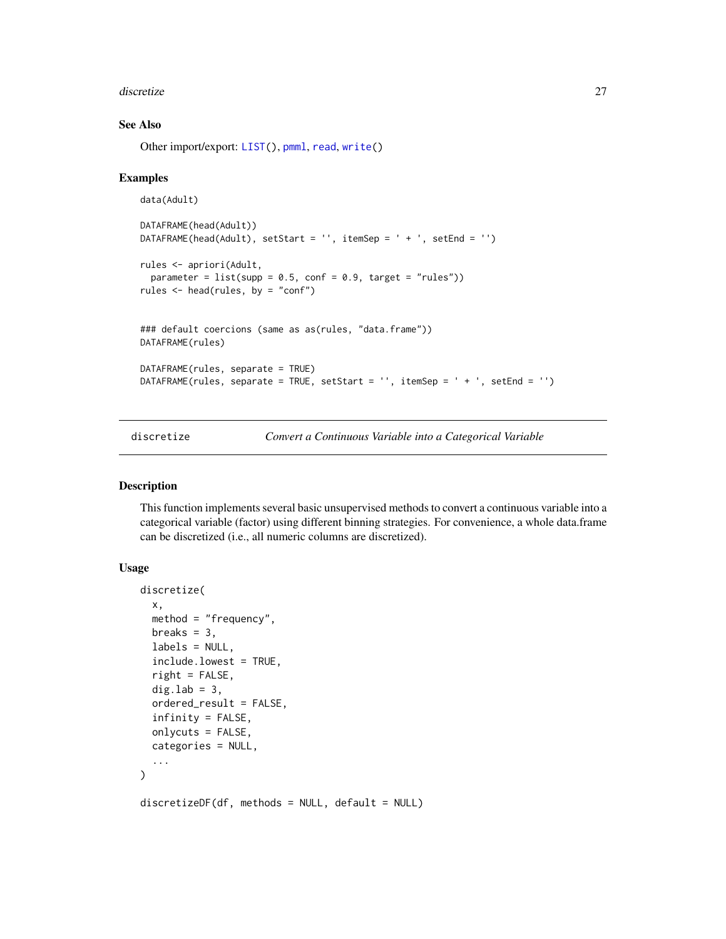#### <span id="page-26-0"></span>discretize 27

# See Also

Other import/export: [LIST\(](#page-79-1)), [pmml](#page-84-1), [read](#page-89-1), [write\(](#page-120-1))

# Examples

```
data(Adult)
DATAFRAME(head(Adult))
DATAFRAME(head(Adult), setStart = '', itemSep = ' + ', setEnd = '')
rules <- apriori(Adult,
  parameter = list(supp = 0.5, conf = 0.9, target = "rules"))rules <- head(rules, by = "conf")
### default coercions (same as as(rules, "data.frame"))
DATAFRAME(rules)
DATAFRAME(rules, separate = TRUE)
DATAFRAME(rules, separate = TRUE, setStart = '', itemSep = ' + ', setEnd = '')
```
discretize *Convert a Continuous Variable into a Categorical Variable*

# <span id="page-26-1"></span>Description

This function implements several basic unsupervised methods to convert a continuous variable into a categorical variable (factor) using different binning strategies. For convenience, a whole data.frame can be discretized (i.e., all numeric columns are discretized).

# Usage

```
discretize(
  x,
  method = "frequency",
 breaks = 3,
  labels = NULL,include.lowest = TRUE,
  right = FALSE,
  dig.lab = 3,
  ordered_result = FALSE,
  infinity = FALSE,
  onlycuts = FALSE,
  categories = NULL,
  ...
)
discretizeDF(df, methods = NULL, default = NULL)
```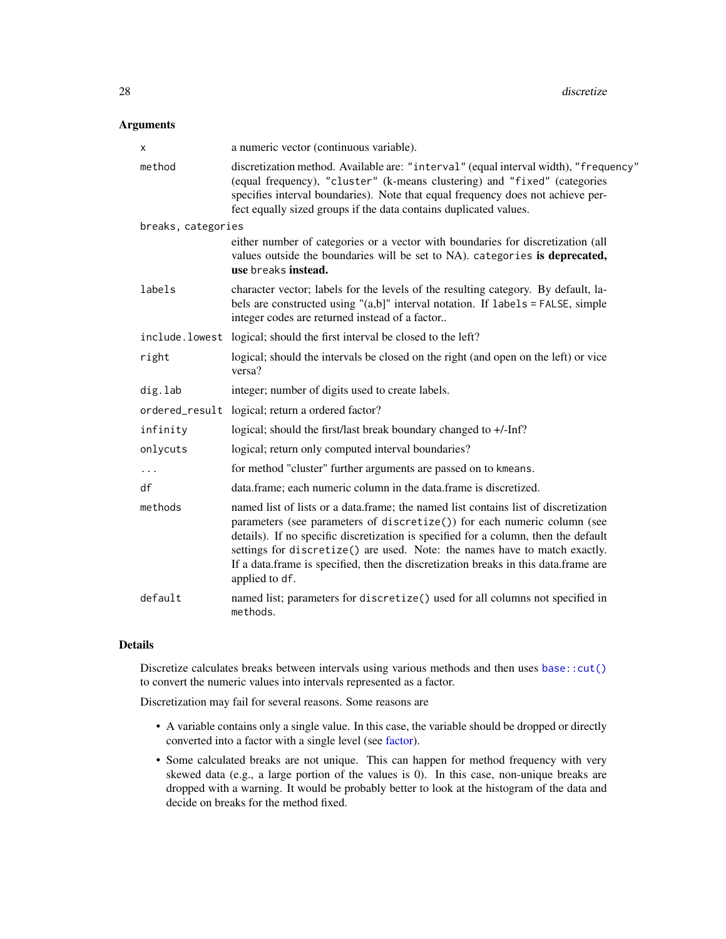# Arguments

| X                  | a numeric vector (continuous variable).                                                                                                                                                                                                                                                                                                                                                                                                       |  |
|--------------------|-----------------------------------------------------------------------------------------------------------------------------------------------------------------------------------------------------------------------------------------------------------------------------------------------------------------------------------------------------------------------------------------------------------------------------------------------|--|
| method             | discretization method. Available are: "interval" (equal interval width), "frequency"<br>(equal frequency), "cluster" (k-means clustering) and "fixed" (categories<br>specifies interval boundaries). Note that equal frequency does not achieve per-<br>fect equally sized groups if the data contains duplicated values.                                                                                                                     |  |
| breaks, categories |                                                                                                                                                                                                                                                                                                                                                                                                                                               |  |
|                    | either number of categories or a vector with boundaries for discretization (all<br>values outside the boundaries will be set to NA). categories is deprecated,<br>use breaks instead.                                                                                                                                                                                                                                                         |  |
| labels             | character vector; labels for the levels of the resulting category. By default, la-<br>bels are constructed using " $(a,b)$ " interval notation. If labels = FALSE, simple<br>integer codes are returned instead of a factor                                                                                                                                                                                                                   |  |
|                    | include. lowest logical; should the first interval be closed to the left?                                                                                                                                                                                                                                                                                                                                                                     |  |
| right              | logical; should the intervals be closed on the right (and open on the left) or vice<br>versa?                                                                                                                                                                                                                                                                                                                                                 |  |
| dig.lab            | integer; number of digits used to create labels.                                                                                                                                                                                                                                                                                                                                                                                              |  |
|                    | ordered_result logical; return a ordered factor?                                                                                                                                                                                                                                                                                                                                                                                              |  |
| infinity           | logical; should the first/last break boundary changed to +/-Inf?                                                                                                                                                                                                                                                                                                                                                                              |  |
| onlycuts           | logical; return only computed interval boundaries?                                                                                                                                                                                                                                                                                                                                                                                            |  |
| $\ddotsc$          | for method "cluster" further arguments are passed on to kmeans.                                                                                                                                                                                                                                                                                                                                                                               |  |
| df                 | data.frame; each numeric column in the data.frame is discretized.                                                                                                                                                                                                                                                                                                                                                                             |  |
| methods            | named list of lists or a data.frame; the named list contains list of discretization<br>parameters (see parameters of discretize()) for each numeric column (see<br>details). If no specific discretization is specified for a column, then the default<br>settings for discretize() are used. Note: the names have to match exactly.<br>If a data.frame is specified, then the discretization breaks in this data.frame are<br>applied to df. |  |
| default            | named list; parameters for discretize() used for all columns not specified in<br>methods.                                                                                                                                                                                                                                                                                                                                                     |  |

# Details

Discretize calculates breaks between intervals using various methods and then uses [base::cut\(\)](#page-0-0) to convert the numeric values into intervals represented as a factor.

Discretization may fail for several reasons. Some reasons are

- A variable contains only a single value. In this case, the variable should be dropped or directly converted into a factor with a single level (see [factor\)](#page-0-0).
- Some calculated breaks are not unique. This can happen for method frequency with very skewed data (e.g., a large portion of the values is 0). In this case, non-unique breaks are dropped with a warning. It would be probably better to look at the histogram of the data and decide on breaks for the method fixed.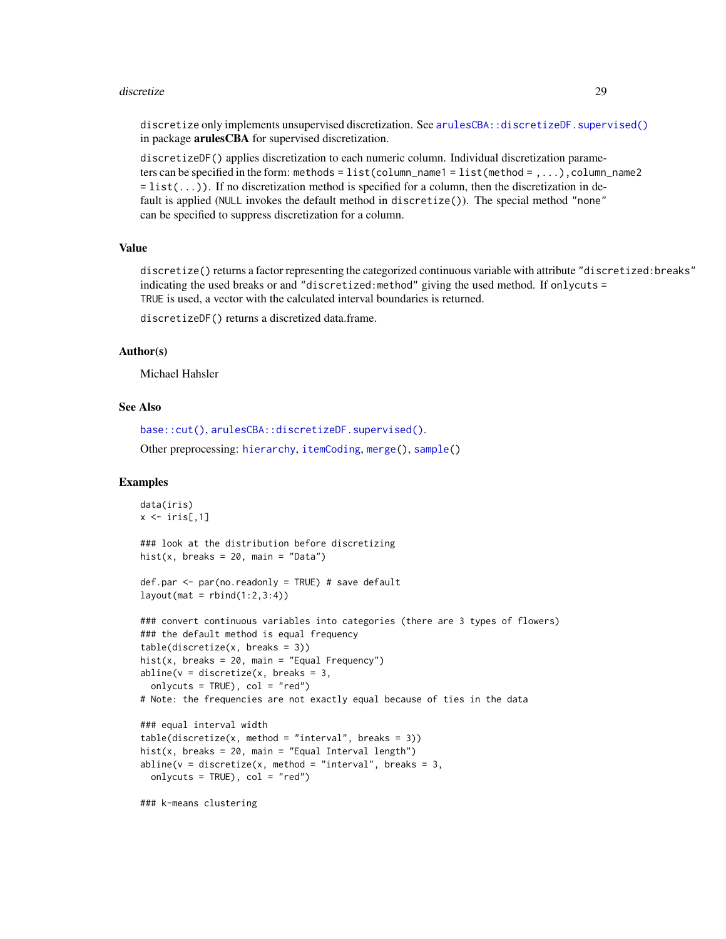#### discretize 29

discretize only implements unsupervised discretization. See [arulesCBA::discretizeDF.supervised\(\)](#page-0-0) in package arulesCBA for supervised discretization.

discretizeDF() applies discretization to each numeric column. Individual discretization parameters can be specified in the form: methods = list(column\_name1 = list(method = ,...),column\_name2  $=$  list(...)). If no discretization method is specified for a column, then the discretization in default is applied (NULL invokes the default method in discretize()). The special method "none" can be specified to suppress discretization for a column.

# Value

discretize() returns a factor representing the categorized continuous variable with attribute "discretized:breaks" indicating the used breaks or and "discretized:method" giving the used method. If onlycuts = TRUE is used, a vector with the calculated interval boundaries is returned.

discretizeDF() returns a discretized data.frame.

#### Author(s)

Michael Hahsler

# See Also

[base::cut\(\)](#page-0-0), [arulesCBA::discretizeDF.supervised\(\)](#page-0-0).

Other preprocessing: [hierarchy](#page-40-1), [itemCoding](#page-62-1), [merge\(](#page-82-1)), [sample\(](#page-98-1))

#### Examples

```
data(iris)
x \leftarrow \text{iris}[, 1]### look at the distribution before discretizing
hist(x, breaks = 20, main = "Data")
def.par <- par(no.readonly = TRUE) # save default
layout(mat = rbind(1:2,3:4))
### convert continuous variables into categories (there are 3 types of flowers)
### the default method is equal frequency
table(discretize(x, breaks = 3))hist(x, breaks = 20, main = "Equal Frequency")
abline(v = discrete(x, breaks = 3,onlycuts = TRUE), col = "red")
# Note: the frequencies are not exactly equal because of ties in the data
### equal interval width
table(discretize(x, method = "interval", breaks = 3))hist(x, breaks = 20, main = "Equal Interval length")
abline(v = discrete(x, method = "interval", breaks = 3,onlycuts = TRUE), col = "red")
### k-means clustering
```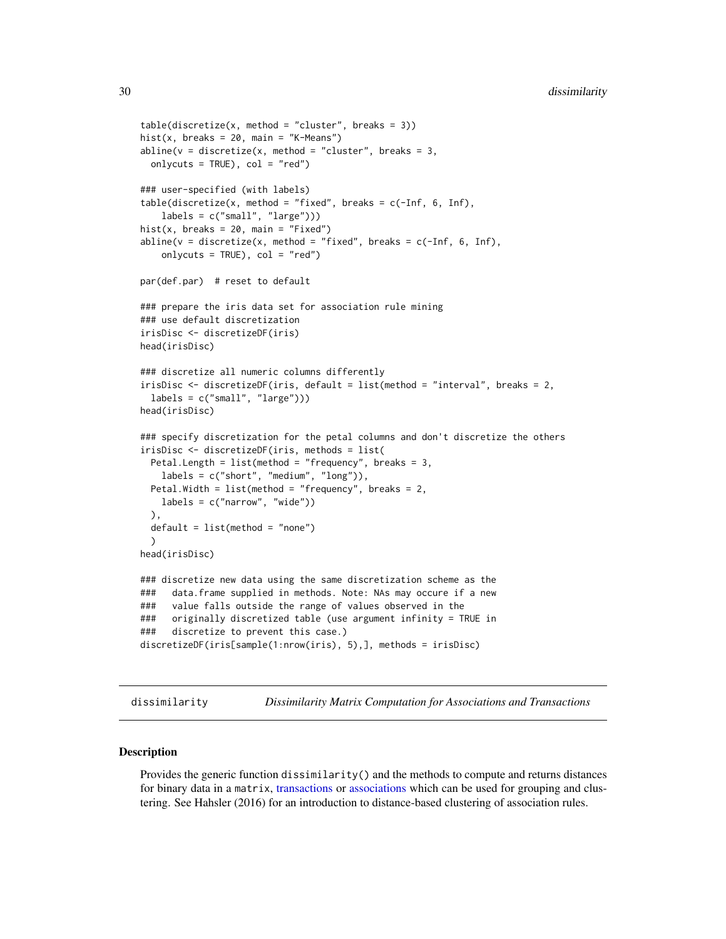```
table(discretize(x, method = "cluster", breaks = 3))hist(x, breaks = 20, main = "K-Means")
abline(v = discrete(x, method = "cluster", breaks = 3,onlycuts = TRUE), col = "red")
### user-specified (with labels)
table(discretize(x, method = "fixed", breaks = c(-Inf, 6, Inf),labels = c("small", "large"))hist(x, breaks = 20, main = "Fixed")
abline(v = discrete(x, method = "fixed", breaks = c(-Inf, 6, Inf),onlycuts = TRUE), col = "red")par(def.par) # reset to default
### prepare the iris data set for association rule mining
### use default discretization
irisDisc <- discretizeDF(iris)
head(irisDisc)
### discretize all numeric columns differently
irisDisc <- discretizeDF(iris, default = list(method = "interval", breaks = 2,
 labels = c("small", "large"))head(irisDisc)
### specify discretization for the petal columns and don't discretize the others
irisDisc <- discretizeDF(iris, methods = list(
 Petal.Length = list(method = "frequency", breaks = 3,labels = c("short", "medium", "long")),
 Petal.Width = list(method = "frequency", breaks = 2,
   labels = c("narrow", "wide"))
 ),
 default = list(method = "none"))
head(irisDisc)
### discretize new data using the same discretization scheme as the
### data.frame supplied in methods. Note: NAs may occure if a new
### value falls outside the range of values observed in the
### originally discretized table (use argument infinity = TRUE in
### discretize to prevent this case.)
discretizeDF(iris[sample(1:nrow(iris), 5),], methods = irisDisc)
```
<span id="page-29-1"></span>dissimilarity *Dissimilarity Matrix Computation for Associations and Transactions*

#### **Description**

Provides the generic function dissimilarity() and the methods to compute and returns distances for binary data in a matrix, [transactions](#page-112-1) or [associations](#page-16-2) which can be used for grouping and clustering. See Hahsler (2016) for an introduction to distance-based clustering of association rules.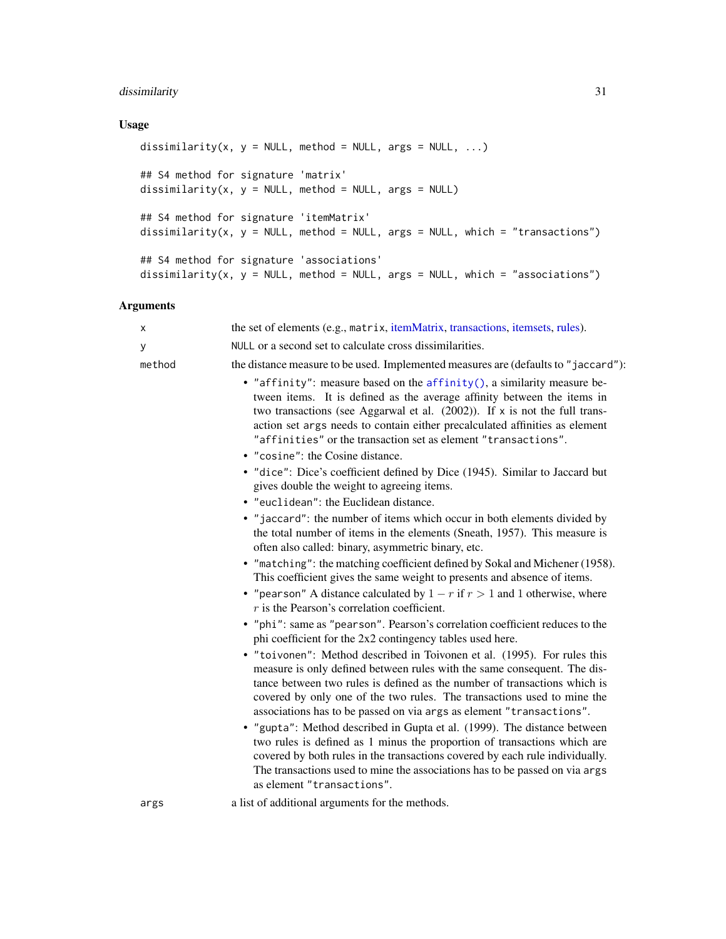# dissimilarity 31

# Usage

```
dissimilarity(x, y = NULL, method = NULL, args = NULL, ...)
## S4 method for signature 'matrix'
dissimilarity(x, y = NULL, method = NULL, args = NULL)
## S4 method for signature 'itemMatrix'
dissimilarity(x, y = NULL, method = NULL, args = NULL, which = "transactions")
## S4 method for signature 'associations'
dissimilarity(x, y = NULL, method = NULL, args = NULL, which = "associations")
```
# Arguments

| х      | the set of elements (e.g., matrix, itemMatrix, transactions, itemsets, rules).                                                                                                                                                                                                                                                                                                                                                                                                                                                                                                                                               |
|--------|------------------------------------------------------------------------------------------------------------------------------------------------------------------------------------------------------------------------------------------------------------------------------------------------------------------------------------------------------------------------------------------------------------------------------------------------------------------------------------------------------------------------------------------------------------------------------------------------------------------------------|
| У      | NULL or a second set to calculate cross dissimilarities.                                                                                                                                                                                                                                                                                                                                                                                                                                                                                                                                                                     |
| method | the distance measure to be used. Implemented measures are (defaults to "jaccard"):                                                                                                                                                                                                                                                                                                                                                                                                                                                                                                                                           |
|        | • "affinity": measure based on the affinity(), a similarity measure be-<br>tween items. It is defined as the average affinity between the items in<br>two transactions (see Aggarwal et al. $(2002)$ ). If x is not the full trans-<br>action set args needs to contain either precalculated affinities as element<br>"affinities" or the transaction set as element "transactions".<br>• "cosine": the Cosine distance.                                                                                                                                                                                                     |
|        | · "dice": Dice's coefficient defined by Dice (1945). Similar to Jaccard but<br>gives double the weight to agreeing items.                                                                                                                                                                                                                                                                                                                                                                                                                                                                                                    |
|        | • "euclidean": the Euclidean distance.                                                                                                                                                                                                                                                                                                                                                                                                                                                                                                                                                                                       |
|        | • "jaccard": the number of items which occur in both elements divided by<br>the total number of items in the elements (Sneath, 1957). This measure is<br>often also called: binary, asymmetric binary, etc.                                                                                                                                                                                                                                                                                                                                                                                                                  |
|        | • "matching": the matching coefficient defined by Sokal and Michener (1958).<br>This coefficient gives the same weight to presents and absence of items.                                                                                                                                                                                                                                                                                                                                                                                                                                                                     |
|        | • "pearson" A distance calculated by $1 - r$ if $r > 1$ and 1 otherwise, where<br>$r$ is the Pearson's correlation coefficient.                                                                                                                                                                                                                                                                                                                                                                                                                                                                                              |
|        | • "phi": same as "pearson". Pearson's correlation coefficient reduces to the<br>phi coefficient for the 2x2 contingency tables used here.                                                                                                                                                                                                                                                                                                                                                                                                                                                                                    |
|        | • "toivonen": Method described in Toivonen et al. (1995). For rules this<br>measure is only defined between rules with the same consequent. The dis-<br>tance between two rules is defined as the number of transactions which is<br>covered by only one of the two rules. The transactions used to mine the<br>associations has to be passed on via args as element "transactions".<br>• "gupta": Method described in Gupta et al. (1999). The distance between<br>two rules is defined as 1 minus the proportion of transactions which are<br>covered by both rules in the transactions covered by each rule individually. |
|        | The transactions used to mine the associations has to be passed on via args<br>as element "transactions".                                                                                                                                                                                                                                                                                                                                                                                                                                                                                                                    |
| args   | a list of additional arguments for the methods.                                                                                                                                                                                                                                                                                                                                                                                                                                                                                                                                                                              |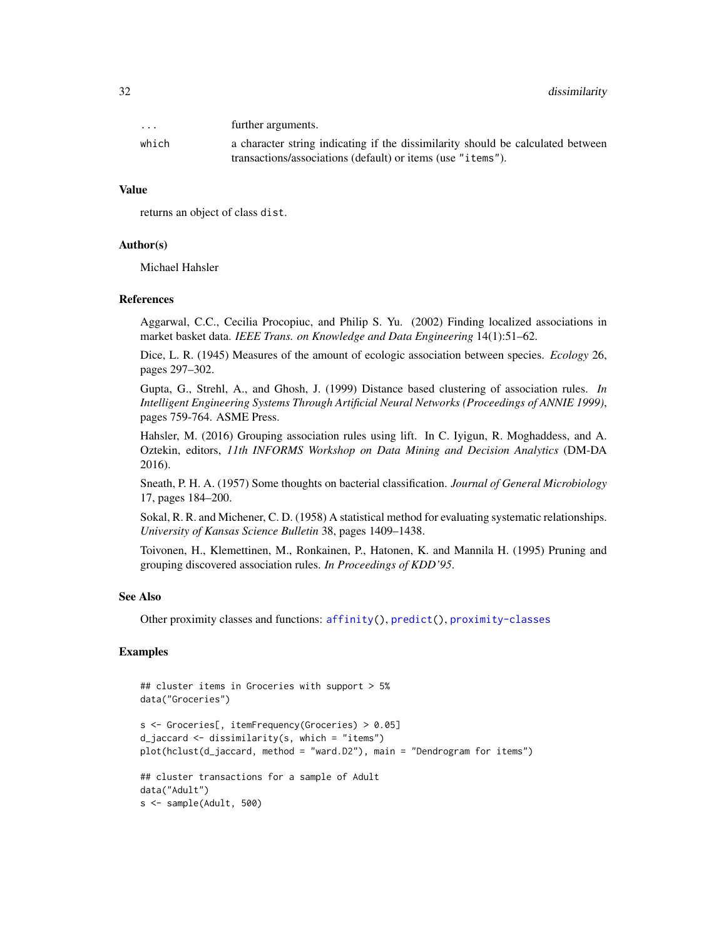| $\cdot$ $\cdot$ $\cdot$ | further arguments.                                                              |
|-------------------------|---------------------------------------------------------------------------------|
| which                   | a character string indicating if the dissimilarity should be calculated between |
|                         | transactions/associations (default) or items (use "items").                     |

#### Value

returns an object of class dist.

# Author(s)

Michael Hahsler

# References

Aggarwal, C.C., Cecilia Procopiuc, and Philip S. Yu. (2002) Finding localized associations in market basket data. *IEEE Trans. on Knowledge and Data Engineering* 14(1):51–62.

Dice, L. R. (1945) Measures of the amount of ecologic association between species. *Ecology* 26, pages 297–302.

Gupta, G., Strehl, A., and Ghosh, J. (1999) Distance based clustering of association rules. *In Intelligent Engineering Systems Through Artificial Neural Networks (Proceedings of ANNIE 1999)*, pages 759-764. ASME Press.

Hahsler, M. (2016) Grouping association rules using lift. In C. Iyigun, R. Moghaddess, and A. Oztekin, editors, *11th INFORMS Workshop on Data Mining and Decision Analytics* (DM-DA 2016).

Sneath, P. H. A. (1957) Some thoughts on bacterial classification. *Journal of General Microbiology* 17, pages 184–200.

Sokal, R. R. and Michener, C. D. (1958) A statistical method for evaluating systematic relationships. *University of Kansas Science Bulletin* 38, pages 1409–1438.

Toivonen, H., Klemettinen, M., Ronkainen, P., Hatonen, K. and Mannila H. (1995) Pruning and grouping discovered association rules. *In Proceedings of KDD'95*.

# See Also

Other proximity classes and functions: [affinity\(](#page-7-1)), [predict\(](#page-85-1)), [proximity-classes](#page-86-2)

# Examples

```
## cluster items in Groceries with support > 5%
data("Groceries")
s <- Groceries[, itemFrequency(Groceries) > 0.05]
d_jaccard <- dissimilarity(s, which = "items")
plot(hclust(d_jaccard, method = "ward.D2"), main = "Dendrogram for items")
## cluster transactions for a sample of Adult
data("Adult")
s <- sample(Adult, 500)
```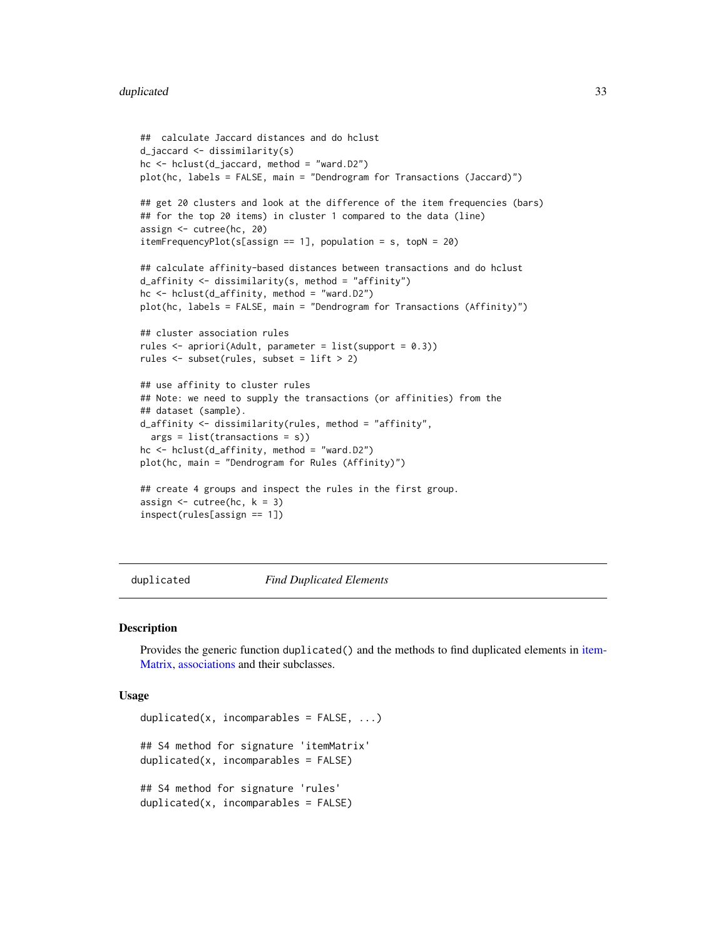#### <span id="page-32-0"></span>duplicated 33

```
## calculate Jaccard distances and do hclust
d_jaccard <- dissimilarity(s)
hc <- hclust(d_jaccard, method = "ward.D2")
plot(hc, labels = FALSE, main = "Dendrogram for Transactions (Jaccard)")
## get 20 clusters and look at the difference of the item frequencies (bars)
## for the top 20 items) in cluster 1 compared to the data (line)
assign <- cutree(hc, 20)
itemFrequencyPlot(s[assign == 1], population = s, topN = 20)
## calculate affinity-based distances between transactions and do hclust
d_affinity <- dissimilarity(s, method = "affinity")
hc \leq hclust(d_affinity, method = "ward.D2")plot(hc, labels = FALSE, main = "Dendrogram for Transactions (Affinity)")
## cluster association rules
rules <- apriori(Adult, parameter = list(support = 0.3))
rules <- subset(rules, subset = lift > 2)
## use affinity to cluster rules
## Note: we need to supply the transactions (or affinities) from the
## dataset (sample).
d_affinity <- dissimilarity(rules, method = "affinity",
 args = list(transactions = s))
hc <- hclust(d_affinity, method = "ward.D2")
plot(hc, main = "Dendrogram for Rules (Affinity)")
## create 4 groups and inspect the rules in the first group.
assign \leq cutree(hc, k = 3)
inspect(rules[assign == 1])
```
<span id="page-32-1"></span>duplicated *Find Duplicated Elements*

#### Description

Provides the generic function duplicated() and the methods to find duplicated elements in [item-](#page-70-1)[Matrix,](#page-70-1) [associations](#page-16-2) and their subclasses.

#### Usage

```
duplicated(x, incomparables = FALSE, ...)
## S4 method for signature 'itemMatrix'
duplicated(x, incomparables = FALSE)
## S4 method for signature 'rules'
duplicated(x, incomparables = FALSE)
```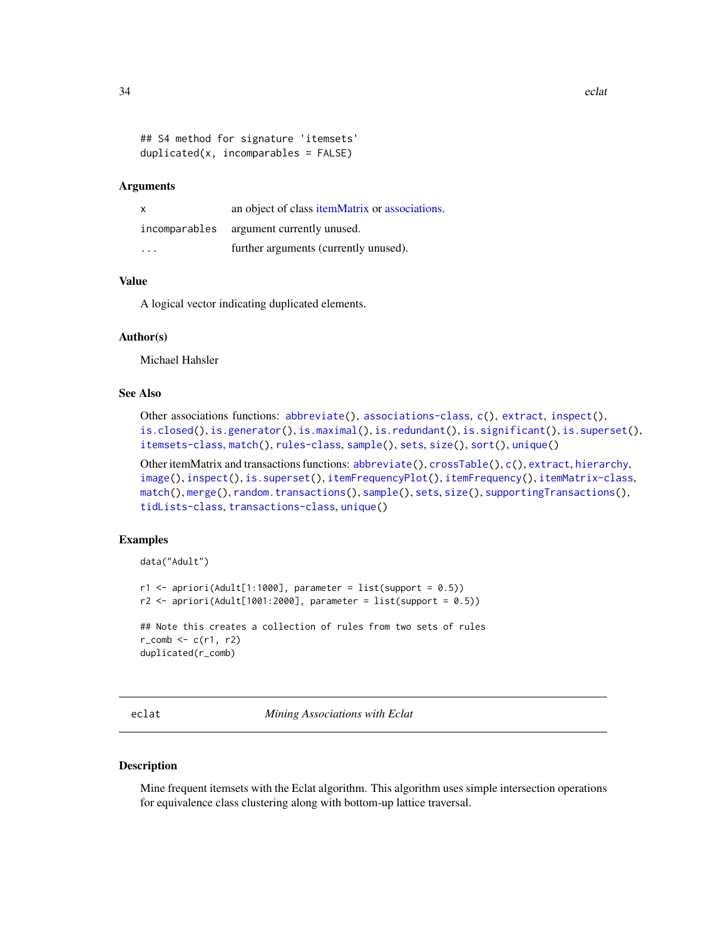```
## S4 method for signature 'itemsets'
duplicated(x, incomparables = FALSE)
```
#### Arguments

| $\mathsf{x}$  | an object of class itemMatrix or associations. |
|---------------|------------------------------------------------|
| incomparables | argument currently unused.                     |
| .             | further arguments (currently unused).          |

# Value

A logical vector indicating duplicated elements.

#### Author(s)

Michael Hahsler

# See Also

```
Other associations functions: abbreviate(), associations-class, c(), extract, inspect(),
is.closed(), is.generator(), is.maximal(), is.redundant(), is.significant(), is.superset(),
itemsets-class, match(), rules-class, sample(), sets, size(), sort(), unique()
```
Other itemMatrix and transactions functions: [abbreviate\(](#page-2-1)), [crossTable\(](#page-23-1)), [c\(](#page-18-1)), [extract](#page-36-1), [hierarchy](#page-40-1), [image\(](#page-44-1)), [inspect\(](#page-47-1)), [is.superset\(](#page-61-1)), [itemFrequencyPlot\(](#page-68-1)), [itemFrequency\(](#page-67-1)), [itemMatrix-class](#page-70-2), [match\(](#page-80-1)), [merge\(](#page-82-1)), [random.transactions\(](#page-87-1)), [sample\(](#page-98-1)), [sets](#page-99-1), [size\(](#page-101-1)), [supportingTransactions\(](#page-108-1)), [tidLists-class](#page-109-2), [transactions-class](#page-112-2), [unique\(](#page-117-1))

# Examples

```
data("Adult")
```

```
r1 \leq - apriori(Adult[1:1000], parameter = list(support = 0.5))
r2 \leq - apriori(Adult[1001:2000], parameter = list(support = 0.5))
```

```
## Note this creates a collection of rules from two sets of rules
r_{\text{1}}comb <- c(r1, r2)
duplicated(r_comb)
```
<span id="page-33-1"></span>eclat *Mining Associations with Eclat*

# Description

Mine frequent itemsets with the Eclat algorithm. This algorithm uses simple intersection operations for equivalence class clustering along with bottom-up lattice traversal.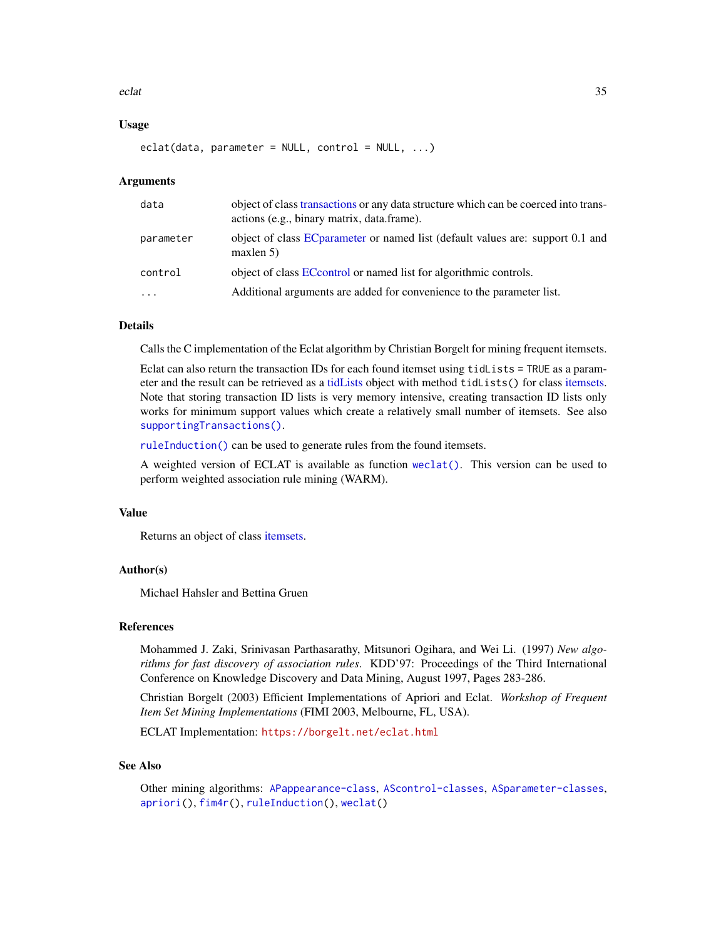#### eclat 35

# Usage

 $eclat(data, parameter = NULL, control = NULL, ...)$ 

# Arguments

| data                | object of class transactions or any data structure which can be coerced into trans-<br>actions (e.g., binary matrix, data.frame). |
|---------------------|-----------------------------------------------------------------------------------------------------------------------------------|
| parameter           | object of class EC parameter or named list (default values are: support 0.1 and<br>maxlen 5                                       |
| control             | object of class EC control or named list for algorithmic controls.                                                                |
| $\cdot \cdot \cdot$ | Additional arguments are added for convenience to the parameter list.                                                             |

# Details

Calls the C implementation of the Eclat algorithm by Christian Borgelt for mining frequent itemsets.

Eclat can also return the transaction IDs for each found itemset using tidLists = TRUE as a parameter and the result can be retrieved as a [tidLists](#page-109-1) object with method tidLists() for class [itemsets.](#page-75-1) Note that storing transaction ID lists is very memory intensive, creating transaction ID lists only works for minimum support values which create a relatively small number of itemsets. See also [supportingTransactions\(\)](#page-108-1).

[ruleInduction\(\)](#page-92-1) can be used to generate rules from the found itemsets.

A weighted version of ECLAT is available as function [weclat\(\)](#page-118-1). This version can be used to perform weighted association rule mining (WARM).

# Value

Returns an object of class [itemsets.](#page-75-1)

# Author(s)

Michael Hahsler and Bettina Gruen

# References

Mohammed J. Zaki, Srinivasan Parthasarathy, Mitsunori Ogihara, and Wei Li. (1997) *New algorithms for fast discovery of association rules*. KDD'97: Proceedings of the Third International Conference on Knowledge Discovery and Data Mining, August 1997, Pages 283-286.

Christian Borgelt (2003) Efficient Implementations of Apriori and Eclat. *Workshop of Frequent Item Set Mining Implementations* (FIMI 2003, Melbourne, FL, USA).

ECLAT Implementation: <https://borgelt.net/eclat.html>

#### See Also

Other mining algorithms: [APappearance-class](#page-9-2), [AScontrol-classes](#page-13-1), [ASparameter-classes](#page-14-1), [apriori\(](#page-10-1)), [fim4r\(](#page-37-1)), [ruleInduction\(](#page-92-1)), [weclat\(](#page-118-1))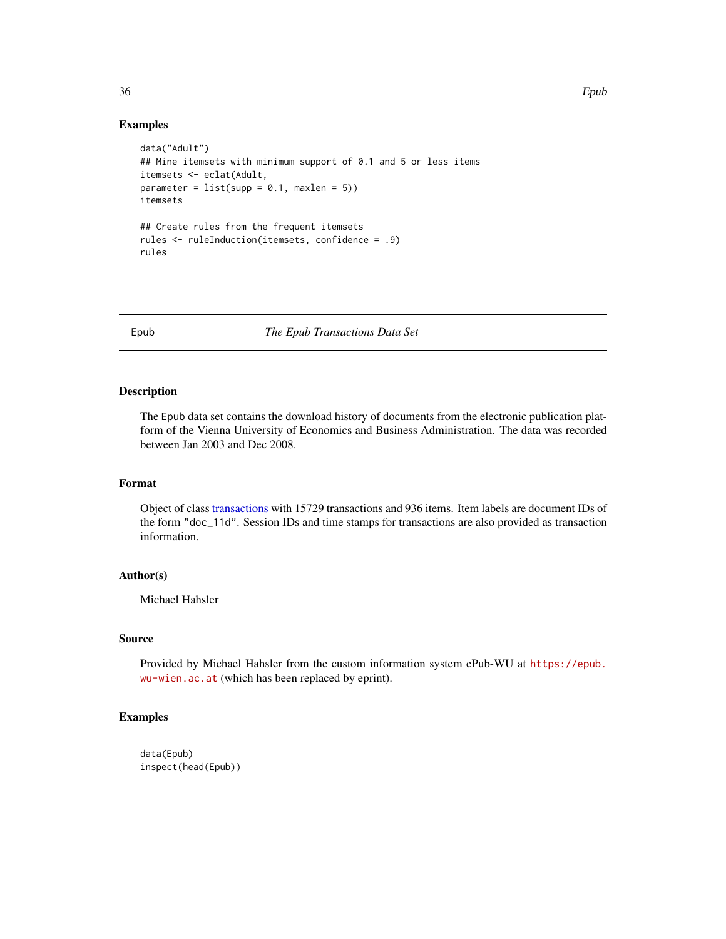# Examples

```
data("Adult")
## Mine itemsets with minimum support of 0.1 and 5 or less items
itemsets <- eclat(Adult,
parameter = list(supp = 0.1, maxlen = 5))itemsets
## Create rules from the frequent itemsets
rules <- ruleInduction(itemsets, confidence = .9)
rules
```
# Epub *The Epub Transactions Data Set*

# Description

The Epub data set contains the download history of documents from the electronic publication platform of the Vienna University of Economics and Business Administration. The data was recorded between Jan 2003 and Dec 2008.

# Format

Object of class [transactions](#page-112-1) with 15729 transactions and 936 items. Item labels are document IDs of the form "doc\_11d". Session IDs and time stamps for transactions are also provided as transaction information.

# Author(s)

Michael Hahsler

# Source

Provided by Michael Hahsler from the custom information system ePub-WU at [https://epub.](https://epub.wu-wien.ac.at) [wu-wien.ac.at](https://epub.wu-wien.ac.at) (which has been replaced by eprint).

# Examples

data(Epub) inspect(head(Epub))

<span id="page-35-0"></span>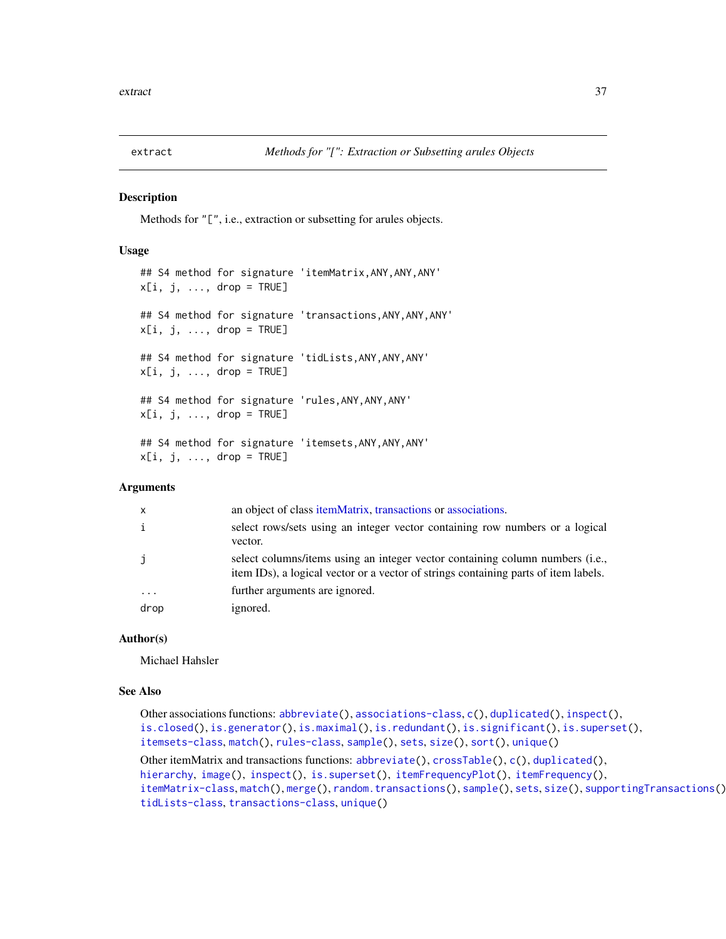<span id="page-36-0"></span>

#### **Description**

Methods for "[", i.e., extraction or subsetting for arules objects.

### Usage

```
## S4 method for signature 'itemMatrix,ANY,ANY,ANY'
x[i, j, \ldots, drop = TRUE]## S4 method for signature 'transactions,ANY,ANY,ANY'
x[i, j, ..., drop = TRUE]## S4 method for signature 'tidLists,ANY,ANY,ANY'
x[i, j, ..., drop = TRUE]## S4 method for signature 'rules,ANY,ANY,ANY'
x[i, j, ..., drop = TRUE]## S4 method for signature 'itemsets,ANY,ANY,ANY'
x[i, j, ..., drop = TRUE]
```
### Arguments

| $\mathsf{x}$            | an object of class itemMatrix, transactions or associations.                                                                                                         |
|-------------------------|----------------------------------------------------------------------------------------------------------------------------------------------------------------------|
| i                       | select rows/sets using an integer vector containing row numbers or a logical<br>vector.                                                                              |
| j                       | select columns/items using an integer vector containing column numbers (i.e.,<br>item IDs), a logical vector or a vector of strings containing parts of item labels. |
| $\cdot$ $\cdot$ $\cdot$ | further arguments are ignored.                                                                                                                                       |
| drop                    | ignored.                                                                                                                                                             |

### Author(s)

Michael Hahsler

#### See Also

Other associations functions: [abbreviate\(](#page-2-0)), [associations-class](#page-16-1), [c\(](#page-18-0)), [duplicated\(](#page-32-0)), [inspect\(](#page-47-0)), [is.closed\(](#page-53-0)), [is.generator\(](#page-54-0)), [is.maximal\(](#page-55-0)), [is.redundant\(](#page-57-0)), [is.significant\(](#page-59-0)), [is.superset\(](#page-61-0)), [itemsets-class](#page-75-0), [match\(](#page-80-0)), [rules-class](#page-94-0), [sample\(](#page-98-0)), [sets](#page-99-0), [size\(](#page-101-0)), [sort\(](#page-102-0)), [unique\(](#page-117-0)) Other itemMatrix and transactions functions: [abbreviate\(](#page-2-0)), [crossTable\(](#page-23-0)), [c\(](#page-18-0)), [duplicated\(](#page-32-0)), [hierarchy](#page-40-0), [image\(](#page-44-0)), [inspect\(](#page-47-0)), [is.superset\(](#page-61-0)), [itemFrequencyPlot\(](#page-68-0)), [itemFrequency\(](#page-67-0)), [itemMatrix-class](#page-70-1), [match\(](#page-80-0)), [merge\(](#page-82-0)), [random.transactions\(](#page-87-0)), [sample\(](#page-98-0)), [sets](#page-99-0), [size\(](#page-101-0)), [supportingTransactions\(](#page-108-0)), [tidLists-class](#page-109-0), [transactions-class](#page-112-1), [unique\(](#page-117-0))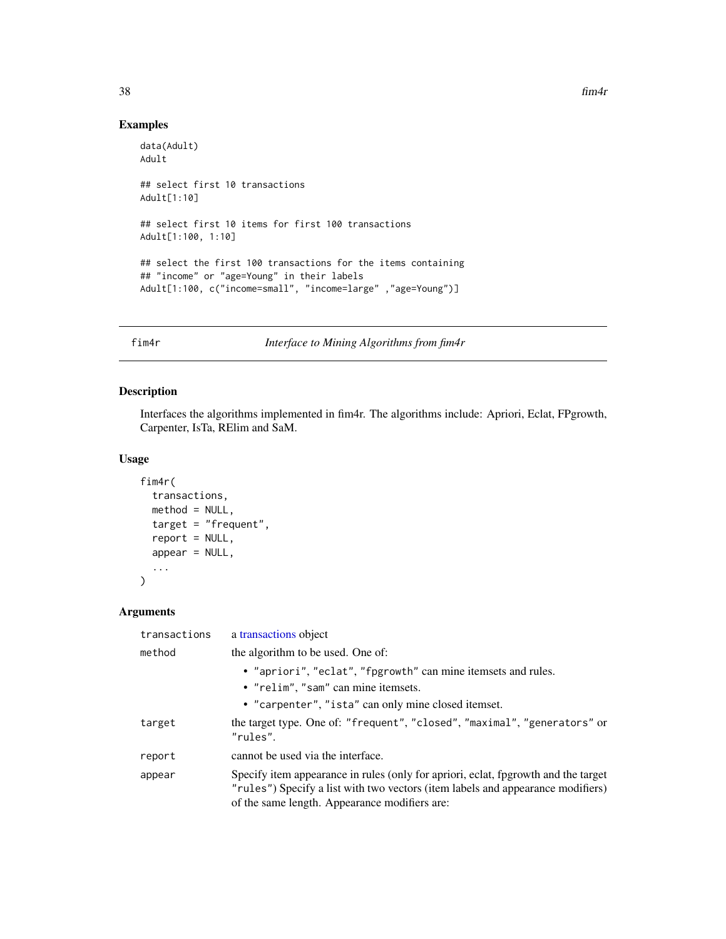## Examples

```
data(Adult)
Adult
## select first 10 transactions
Adult[1:10]
## select first 10 items for first 100 transactions
Adult[1:100, 1:10]
## select the first 100 transactions for the items containing
## "income" or "age=Young" in their labels
Adult[1:100, c("income=small", "income=large" ,"age=Young")]
```
fim4r *Interface to Mining Algorithms from fim4r*

## Description

Interfaces the algorithms implemented in fim4r. The algorithms include: Apriori, Eclat, FPgrowth, Carpenter, IsTa, RElim and SaM.

## Usage

```
fim4r(
  transactions,
  method = NULL,target = "frequent",
  report = NULL,appear = NULL,...
\mathcal{L}
```
## Arguments

| transactions | a transactions object                                                                                                                                                                                                  |
|--------------|------------------------------------------------------------------------------------------------------------------------------------------------------------------------------------------------------------------------|
| method       | the algorithm to be used. One of:                                                                                                                                                                                      |
|              | • "apriori", "eclat", "fpgrowth" can mine itemsets and rules.<br>• "relim", "sam" can mine itemsets.<br>• "carpenter", "ista" can only mine closed itemset.                                                            |
| target       | the target type. One of: "frequent", "closed", "maximal", "generators" or<br>"rules".                                                                                                                                  |
| report       | cannot be used via the interface.                                                                                                                                                                                      |
| appear       | Specify item appearance in rules (only for apriori, eclat, fpgrowth and the target<br>"rules") Specify a list with two vectors (item labels and appearance modifiers)<br>of the same length. Appearance modifiers are: |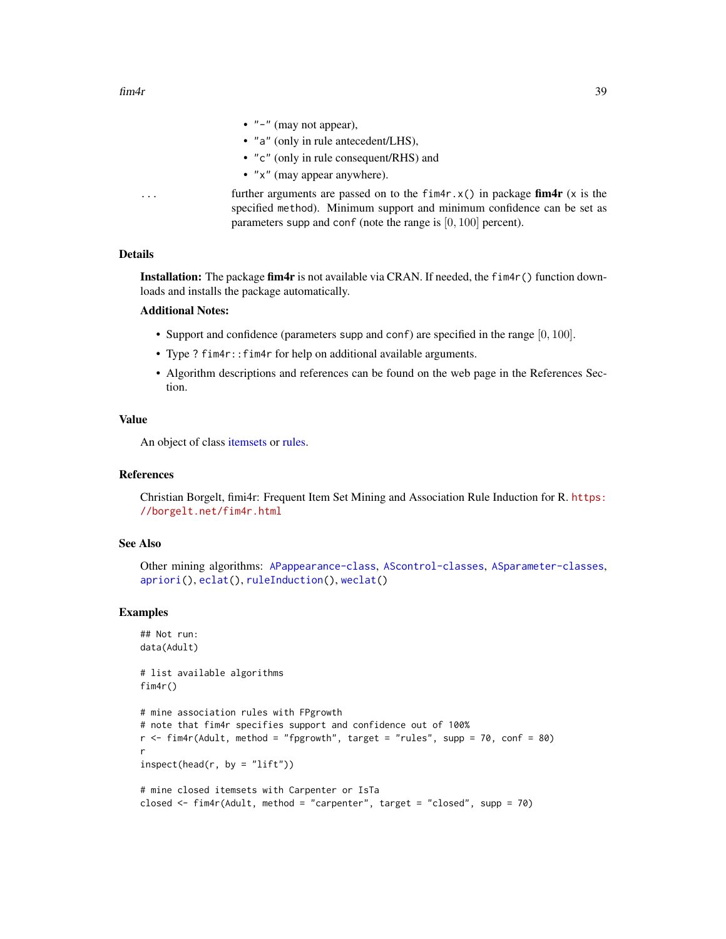- $\bullet$  "-" (may not appear),
- "a" (only in rule antecedent/LHS),
- "c" (only in rule consequent/RHS) and
- "x" (may appear anywhere).

... further arguments are passed on to the fim4r.x() in package fim4r (x is the specified method). Minimum support and minimum confidence can be set as parameters supp and conf (note the range is [0, 100] percent).

## Details

**Installation:** The package fim4r is not available via CRAN. If needed, the  $\text{fim4r}()$  function downloads and installs the package automatically.

#### Additional Notes:

- Support and confidence (parameters supp and conf) are specified in the range [0, 100].
- Type ? fim4r::fim4r for help on additional available arguments.
- Algorithm descriptions and references can be found on the web page in the References Section.

#### Value

An object of class [itemsets](#page-75-1) or [rules.](#page-94-1)

## References

Christian Borgelt, fimi4r: Frequent Item Set Mining and Association Rule Induction for R. [https:](https://borgelt.net/fim4r.html) [//borgelt.net/fim4r.html](https://borgelt.net/fim4r.html)

### See Also

Other mining algorithms: [APappearance-class](#page-9-0), [AScontrol-classes](#page-13-0), [ASparameter-classes](#page-14-0), [apriori\(](#page-10-0)), [eclat\(](#page-33-0)), [ruleInduction\(](#page-92-0)), [weclat\(](#page-118-0))

#### Examples

```
## Not run:
data(Adult)
# list available algorithms
fim4r()
# mine association rules with FPgrowth
# note that fim4r specifies support and confidence out of 100%
r <- fim4r(Adult, method = "fpgrowth", target = "rules", supp = 70, conf = 80)
r
inspect(head(r, by = "lift")# mine closed itemsets with Carpenter or IsTa
closed <- fim4r(Adult, method = "carpenter", target = "closed", supp = 70)
```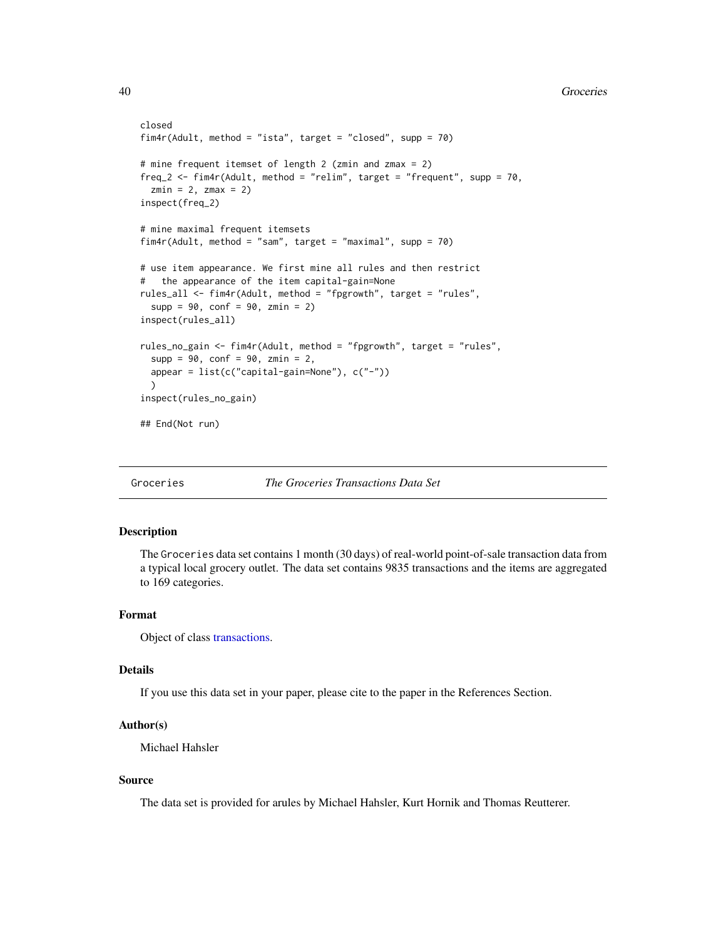```
closed
fim4r(Adult, method = "ista", target = "closed", supp = 70)
# mine frequent itemset of length 2 (zmin and zmax = 2)
freq_2 <- fim4r(Adult, method = "relim", target = "frequent", supp = 70,
 zmin = 2, zmax = 2)
inspect(freq_2)
# mine maximal frequent itemsets
fim4r(Adult, method = "sam", target = "maximal", supp = 70)
# use item appearance. We first mine all rules and then restrict
# the appearance of the item capital-gain=None
rules_all <- fim4r(Adult, method = "fpgrowth", target = "rules",
 supp = 90, conf = 90, zmin = 2)
inspect(rules_all)
rules_no_gain <- fim4r(Adult, method = "fpgrowth", target = "rules",
 supp = 90, conf = 90, zmin = 2,
 appear = list(c("capital-gain=None"), c("-"))
 \lambdainspect(rules_no_gain)
## End(Not run)
```
Groceries *The Groceries Transactions Data Set*

### Description

The Groceries data set contains 1 month (30 days) of real-world point-of-sale transaction data from a typical local grocery outlet. The data set contains 9835 transactions and the items are aggregated to 169 categories.

#### Format

Object of class [transactions.](#page-112-0)

#### Details

If you use this data set in your paper, please cite to the paper in the References Section.

#### Author(s)

Michael Hahsler

### Source

The data set is provided for arules by Michael Hahsler, Kurt Hornik and Thomas Reutterer.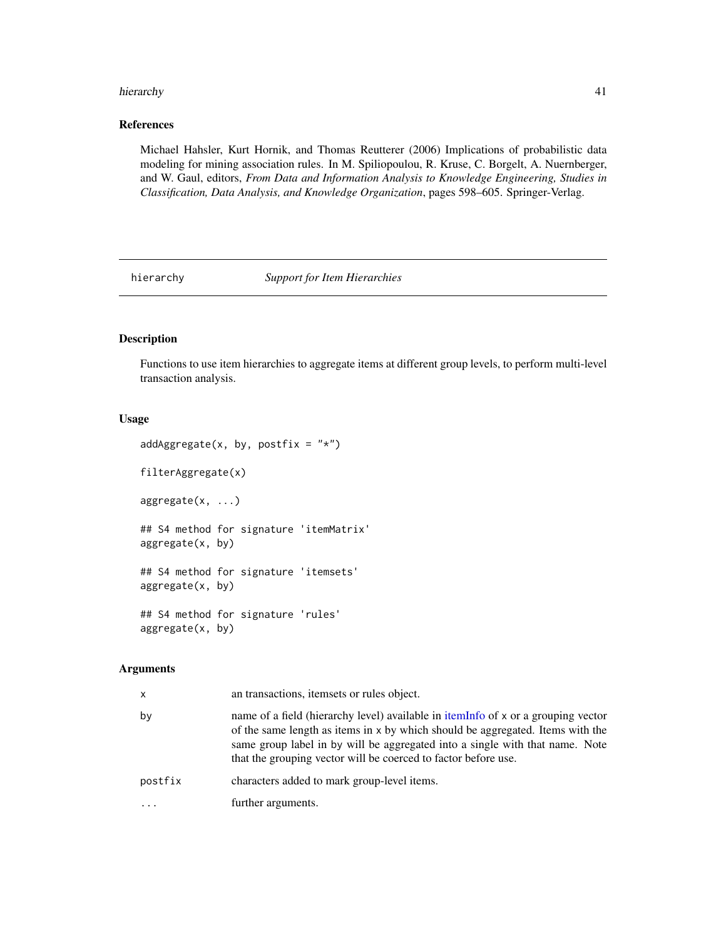#### hierarchy **41**

## References

Michael Hahsler, Kurt Hornik, and Thomas Reutterer (2006) Implications of probabilistic data modeling for mining association rules. In M. Spiliopoulou, R. Kruse, C. Borgelt, A. Nuernberger, and W. Gaul, editors, *From Data and Information Analysis to Knowledge Engineering, Studies in Classification, Data Analysis, and Knowledge Organization*, pages 598–605. Springer-Verlag.

<span id="page-40-0"></span>hierarchy *Support for Item Hierarchies*

## Description

Functions to use item hierarchies to aggregate items at different group levels, to perform multi-level transaction analysis.

### Usage

```
addAggregate(x, by, postfix = "*")filterAggregate(x)
aggregate(x, ...)
## S4 method for signature 'itemMatrix'
aggregate(x, by)
## S4 method for signature 'itemsets'
aggregate(x, by)
## S4 method for signature 'rules'
aggregate(x, by)
```
#### Arguments

| $\mathsf{x}$ | an transactions, itemsets or rules object.                                                                                                                                                                                                                                                                            |
|--------------|-----------------------------------------------------------------------------------------------------------------------------------------------------------------------------------------------------------------------------------------------------------------------------------------------------------------------|
| by           | name of a field (hierarchy level) available in itemInfo of x or a grouping vector<br>of the same length as items in x by which should be aggregated. Items with the<br>same group label in by will be aggregated into a single with that name. Note<br>that the grouping vector will be coerced to factor before use. |
| postfix      | characters added to mark group-level items.                                                                                                                                                                                                                                                                           |
| $\cdots$     | further arguments.                                                                                                                                                                                                                                                                                                    |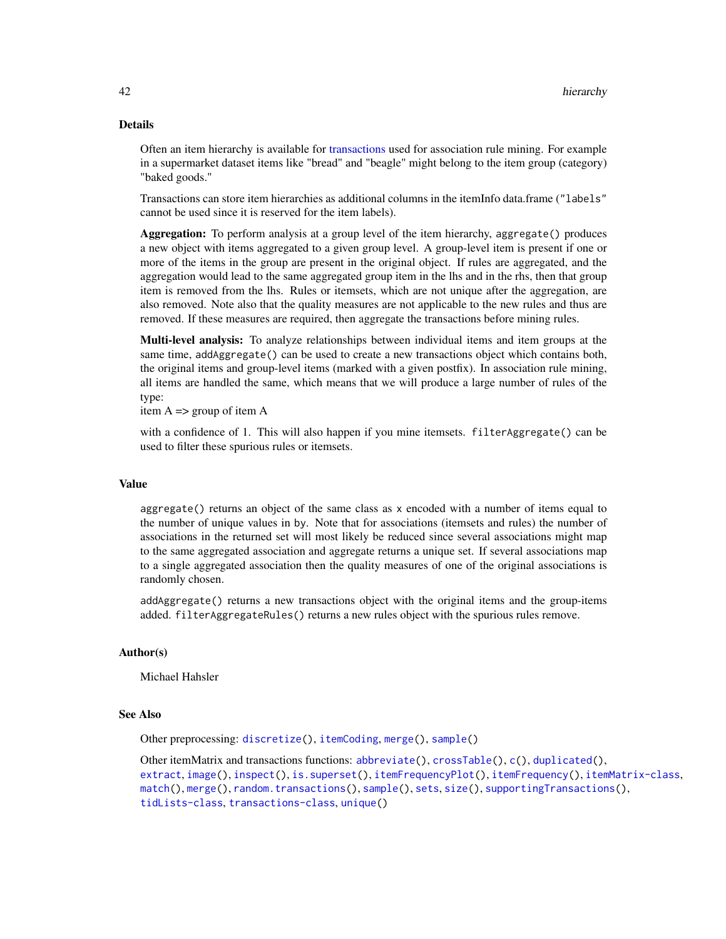## Details

Often an item hierarchy is available for [transactions](#page-112-0) used for association rule mining. For example in a supermarket dataset items like "bread" and "beagle" might belong to the item group (category) "baked goods."

Transactions can store item hierarchies as additional columns in the itemInfo data.frame ("labels" cannot be used since it is reserved for the item labels).

Aggregation: To perform analysis at a group level of the item hierarchy, aggregate() produces a new object with items aggregated to a given group level. A group-level item is present if one or more of the items in the group are present in the original object. If rules are aggregated, and the aggregation would lead to the same aggregated group item in the lhs and in the rhs, then that group item is removed from the lhs. Rules or itemsets, which are not unique after the aggregation, are also removed. Note also that the quality measures are not applicable to the new rules and thus are removed. If these measures are required, then aggregate the transactions before mining rules.

Multi-level analysis: To analyze relationships between individual items and item groups at the same time, addAggregate() can be used to create a new transactions object which contains both, the original items and group-level items (marked with a given postfix). In association rule mining, all items are handled the same, which means that we will produce a large number of rules of the type:

item  $A \Rightarrow$  group of item  $A$ 

with a confidence of 1. This will also happen if you mine itemsets. filterAggregate() can be used to filter these spurious rules or itemsets.

#### Value

aggregate() returns an object of the same class as x encoded with a number of items equal to the number of unique values in by. Note that for associations (itemsets and rules) the number of associations in the returned set will most likely be reduced since several associations might map to the same aggregated association and aggregate returns a unique set. If several associations map to a single aggregated association then the quality measures of one of the original associations is randomly chosen.

addAggregate() returns a new transactions object with the original items and the group-items added. filterAggregateRules() returns a new rules object with the spurious rules remove.

#### Author(s)

Michael Hahsler

#### See Also

Other preprocessing: [discretize\(](#page-26-0)), [itemCoding](#page-62-0), [merge\(](#page-82-0)), [sample\(](#page-98-0))

Other itemMatrix and transactions functions:  $abbrevate()$ , [crossTable\(](#page-23-0)), [c\(](#page-18-0)), [duplicated\(](#page-32-0)), [extract](#page-36-0), [image\(](#page-44-0)), [inspect\(](#page-47-0)), [is.superset\(](#page-61-0)), [itemFrequencyPlot\(](#page-68-0)), [itemFrequency\(](#page-67-0)), [itemMatrix-class](#page-70-1), [match\(](#page-80-0)), [merge\(](#page-82-0)), [random.transactions\(](#page-87-0)), [sample\(](#page-98-0)), [sets](#page-99-0), [size\(](#page-101-0)), [supportingTransactions\(](#page-108-0)), [tidLists-class](#page-109-0), [transactions-class](#page-112-1), [unique\(](#page-117-0))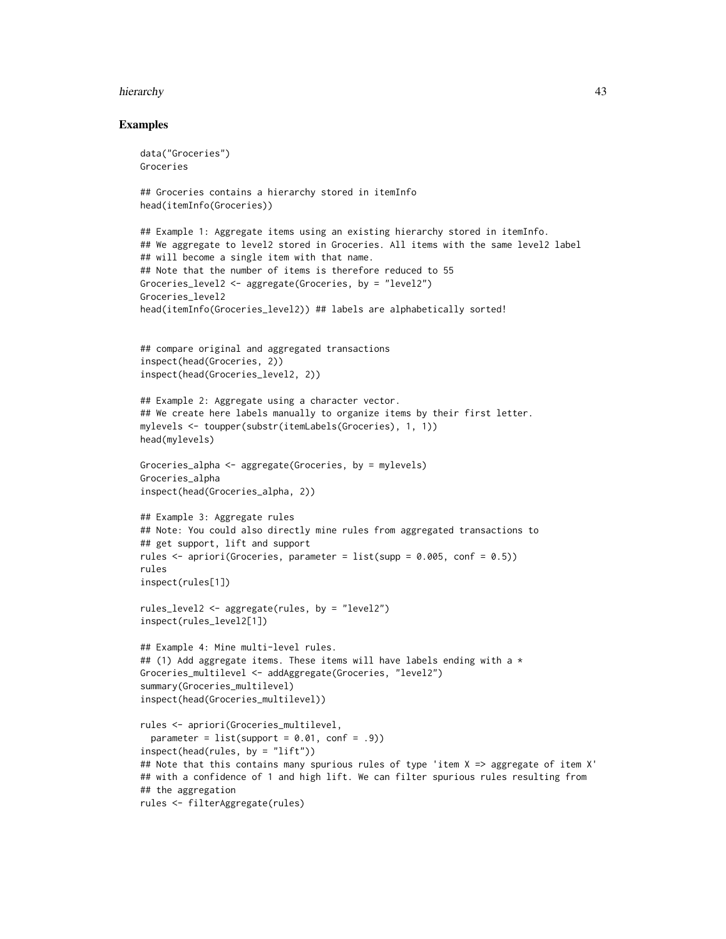#### hierarchy and the state of the state of the state of the state of the state of the state of the state of the state of the state of the state of the state of the state of the state of the state of the state of the state of

#### Examples

```
data("Groceries")
Groceries
## Groceries contains a hierarchy stored in itemInfo
head(itemInfo(Groceries))
## Example 1: Aggregate items using an existing hierarchy stored in itemInfo.
## We aggregate to level2 stored in Groceries. All items with the same level2 label
## will become a single item with that name.
## Note that the number of items is therefore reduced to 55
Groceries_level2 <- aggregate(Groceries, by = "level2")
Groceries_level2
head(itemInfo(Groceries_level2)) ## labels are alphabetically sorted!
## compare original and aggregated transactions
inspect(head(Groceries, 2))
inspect(head(Groceries_level2, 2))
## Example 2: Aggregate using a character vector.
## We create here labels manually to organize items by their first letter.
mylevels <- toupper(substr(itemLabels(Groceries), 1, 1))
head(mylevels)
Groceries_alpha <- aggregate(Groceries, by = mylevels)
Groceries_alpha
inspect(head(Groceries_alpha, 2))
## Example 3: Aggregate rules
## Note: You could also directly mine rules from aggregated transactions to
## get support, lift and support
rules \leq apriori(Groceries, parameter = list(supp = 0.005, conf = 0.5))
rules
inspect(rules[1])
rules_level2 <- aggregate(rules, by = "level2")
inspect(rules_level2[1])
## Example 4: Mine multi-level rules.
## (1) Add aggregate items. These items will have labels ending with a *Groceries_multilevel <- addAggregate(Groceries, "level2")
summary(Groceries_multilevel)
inspect(head(Groceries_multilevel))
rules <- apriori(Groceries_multilevel,
 parameter = list(support = 0.01, conf = .9))inspect(head(rules, by = "lift"))
## Note that this contains many spurious rules of type 'item X => aggregate of item X'
## with a confidence of 1 and high lift. We can filter spurious rules resulting from
## the aggregation
rules <- filterAggregate(rules)
```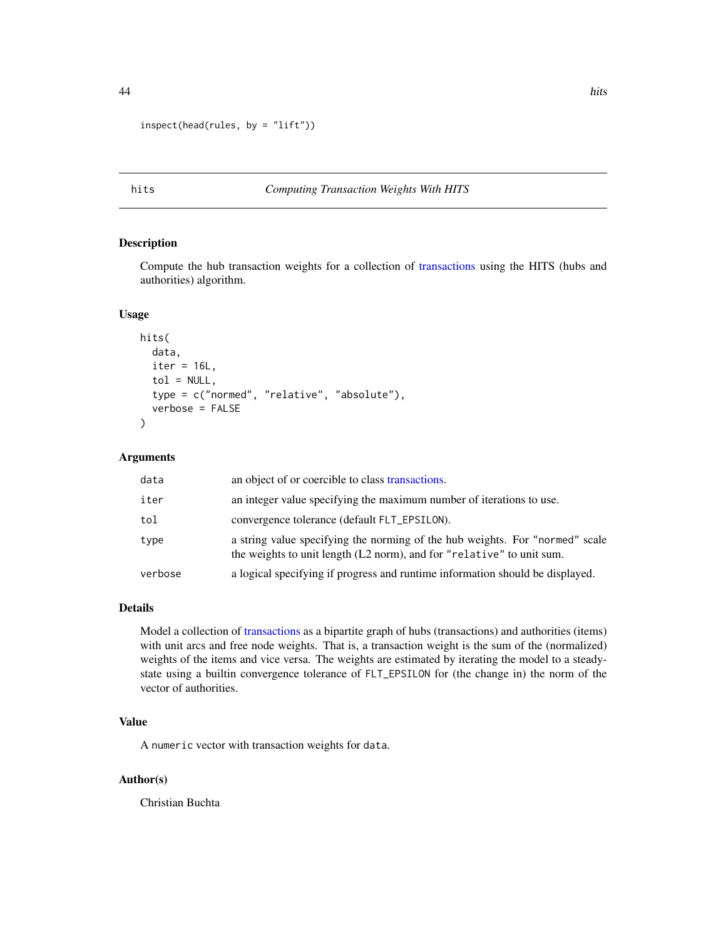```
inspect(head(rules, by = "lift"))
```
## hits *Computing Transaction Weights With HITS*

#### Description

Compute the hub transaction weights for a collection of [transactions](#page-112-0) using the HITS (hubs and authorities) algorithm.

## Usage

```
hits(
  data,
  iter = 16L,tol = NULL,type = c("normed", "relative", "absolute"),
  verbose = FALSE
)
```
### Arguments

| data    | an object of or coercible to class transactions.                                                                                                      |
|---------|-------------------------------------------------------------------------------------------------------------------------------------------------------|
| iter    | an integer value specifying the maximum number of iterations to use.                                                                                  |
| tol     | convergence tolerance (default FLT_EPSILON).                                                                                                          |
| type    | a string value specifying the norming of the hub weights. For "normed" scale<br>the weights to unit length (L2 norm), and for "relative" to unit sum. |
| verbose | a logical specifying if progress and runtime information should be displayed.                                                                         |

## Details

Model a collection of [transactions](#page-112-0) as a bipartite graph of hubs (transactions) and authorities (items) with unit arcs and free node weights. That is, a transaction weight is the sum of the (normalized) weights of the items and vice versa. The weights are estimated by iterating the model to a steadystate using a builtin convergence tolerance of FLT\_EPSILON for (the change in) the norm of the vector of authorities.

## Value

A numeric vector with transaction weights for data.

## Author(s)

Christian Buchta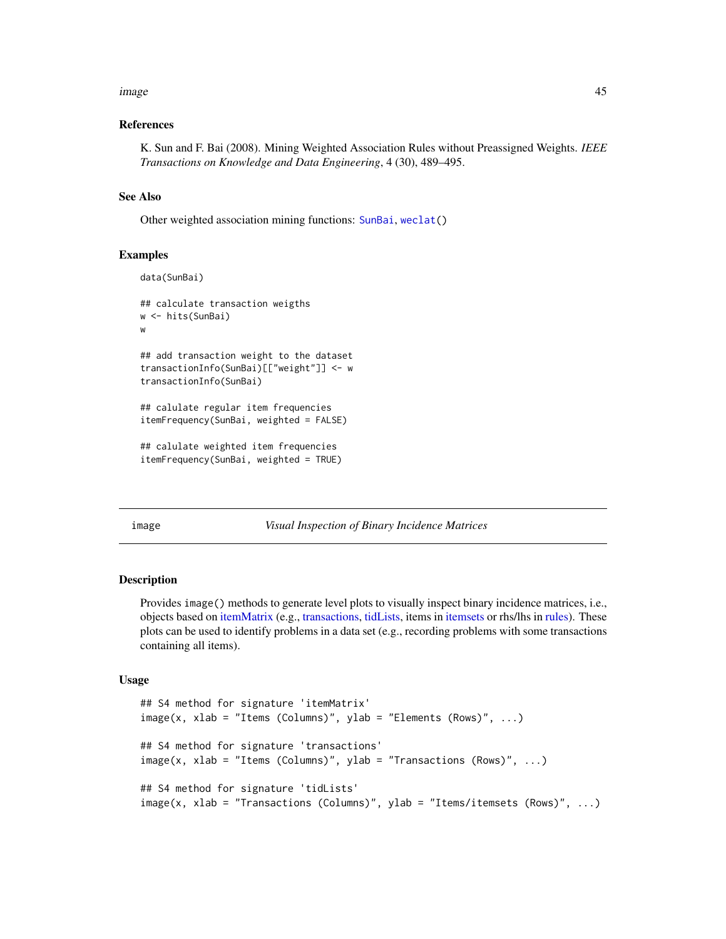#### image and the contract of the contract of the contract of the contract of the contract of the contract of the contract of the contract of the contract of the contract of the contract of the contract of the contract of the

### References

K. Sun and F. Bai (2008). Mining Weighted Association Rules without Preassigned Weights. *IEEE Transactions on Knowledge and Data Engineering*, 4 (30), 489–495.

#### See Also

Other weighted association mining functions: [SunBai](#page-105-0), [weclat\(](#page-118-0))

#### Examples

```
data(SunBai)
## calculate transaction weigths
w <- hits(SunBai)
w
## add transaction weight to the dataset
transactionInfo(SunBai)[["weight"]] <- w
transactionInfo(SunBai)
## calulate regular item frequencies
itemFrequency(SunBai, weighted = FALSE)
## calulate weighted item frequencies
itemFrequency(SunBai, weighted = TRUE)
```
<span id="page-44-0"></span>image *Visual Inspection of Binary Incidence Matrices*

## **Description**

Provides image() methods to generate level plots to visually inspect binary incidence matrices, i.e., objects based on [itemMatrix](#page-70-0) (e.g., [transactions,](#page-112-0) [tidLists,](#page-109-1) items in [itemsets](#page-75-1) or rhs/lhs in [rules\)](#page-94-1). These plots can be used to identify problems in a data set (e.g., recording problems with some transactions containing all items).

#### Usage

```
## S4 method for signature 'itemMatrix'
image(x, xlab = "Items (Columns)", ylab = "Elements (Rows)", ...)## S4 method for signature 'transactions'
image(x, xlab = "Items (Columns)", ylab = "Transactions (Rows)", ...)## S4 method for signature 'tidLists'
image(x, xlab = "Transactions (Columns)", ylab = "Items/itemsets (Rows)", ...)
```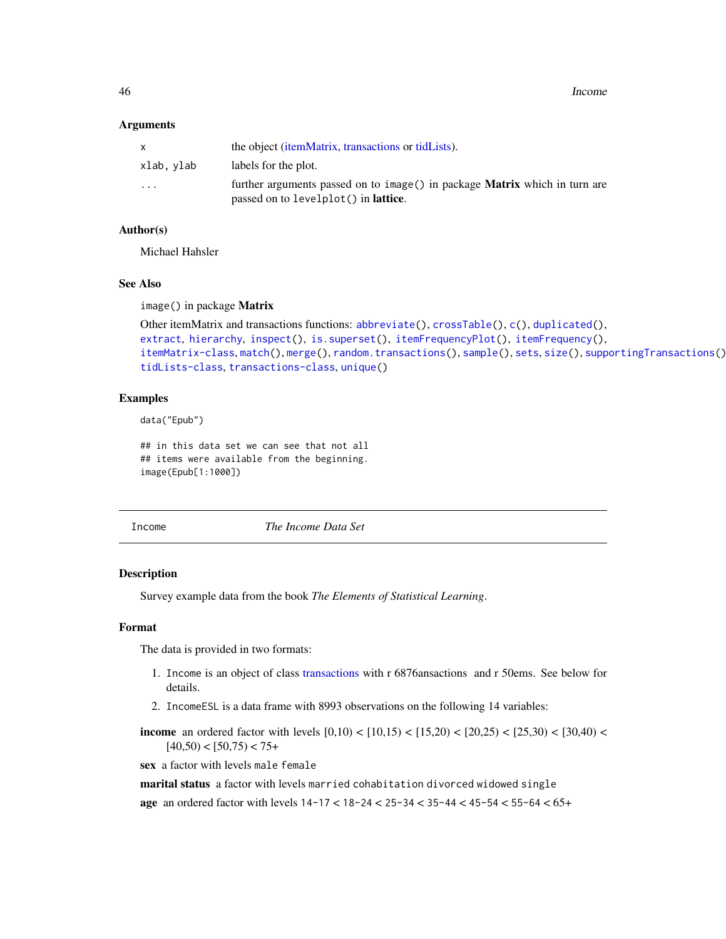46 Income

#### **Arguments**

|                         | the object ( <i>itemMatrix</i> , <i>transactions</i> or <i>tidLists</i> ).                                                         |
|-------------------------|------------------------------------------------------------------------------------------------------------------------------------|
| xlab, ylab              | labels for the plot.                                                                                                               |
| $\cdot$ $\cdot$ $\cdot$ | further arguments passed on to image () in package <b>Matrix</b> which in turn are<br>passed on to levelplot() in <b>lattice</b> . |

## Author(s)

Michael Hahsler

## See Also

image() in package Matrix

```
Other itemMatrix and transactions functions: abbreviate(), crossTable(), c(), duplicated(),
extract, hierarchy, inspect(), is.superset(), itemFrequencyPlot(), itemFrequency(),
itemMatrix-class, match(), merge(), random.transactions(), sample(), sets, size(), supportingTransactions(),
tidLists-class, transactions-class, unique()
```
## Examples

data("Epub")

## in this data set we can see that not all ## items were available from the beginning. image(Epub[1:1000])

Income *The Income Data Set*

### Description

Survey example data from the book *The Elements of Statistical Learning*.

## Format

The data is provided in two formats:

- 1. Income is an object of class [transactions](#page-112-0) with r 6876ansactions and r 50ems. See below for details.
- 2. IncomeESL is a data frame with 8993 observations on the following 14 variables:

income an ordered factor with levels  $[0,10) < [10,15) < [15,20) < [20,25) < [25,30) < [30,40) <$  $[40,50)$  <  $[50,75)$  < 75+

sex a factor with levels male female

marital status a factor with levels married cohabitation divorced widowed single

age an ordered factor with levels 14-17 < 18-24 < 25-34 < 35-44 < 45-54 < 55-64 < 65+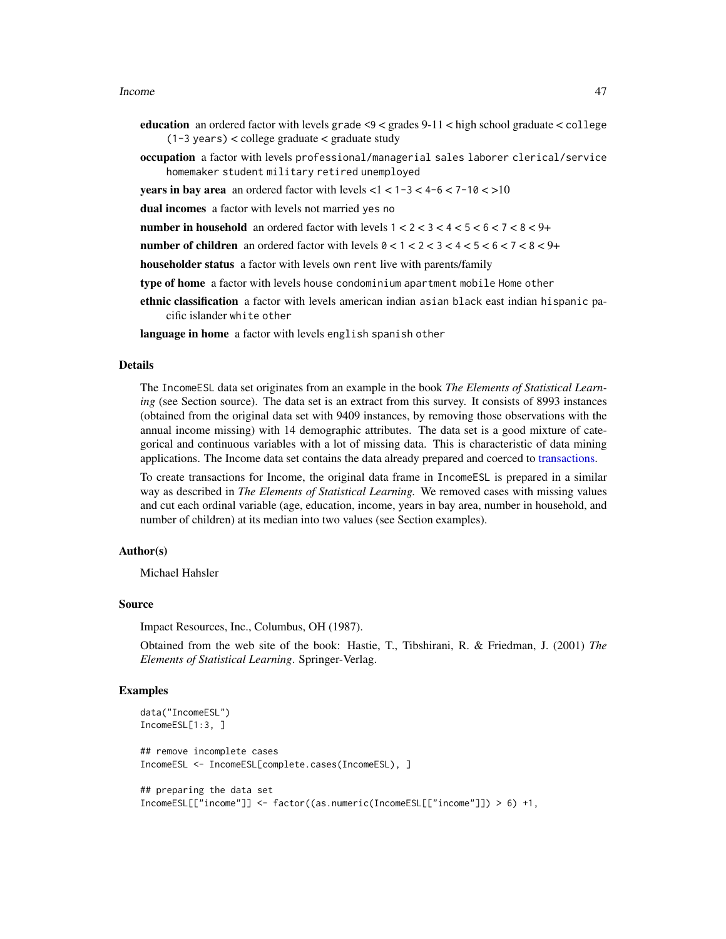#### Income **47**

- education an ordered factor with levels grade  $\leq 9 \leq$  grades 9-11  $\leq$  high school graduate  $\leq$  college (1-3 years) < college graduate < graduate study
- occupation a factor with levels professional/managerial sales laborer clerical/service homemaker student military retired unemployed

years in bay area an ordered factor with levels  $< 1 < 1 - 3 < 4 - 6 < 7 - 10 < 10$ 

dual incomes a factor with levels not married yes no

number in household an ordered factor with levels  $1 < 2 < 3 < 4 < 5 < 6 < 7 < 8 < 9+$ 

number of children an ordered factor with levels  $0 < 1 < 2 < 3 < 4 < 5 < 6 < 7 < 8 < 9+$ 

**householder status** a factor with levels own rent live with parents/family

- type of home a factor with levels house condominium apartment mobile Home other
- ethnic classification a factor with levels american indian asian black east indian hispanic pacific islander white other

language in home a factor with levels english spanish other

#### Details

The IncomeESL data set originates from an example in the book *The Elements of Statistical Learning* (see Section source). The data set is an extract from this survey. It consists of 8993 instances (obtained from the original data set with 9409 instances, by removing those observations with the annual income missing) with 14 demographic attributes. The data set is a good mixture of categorical and continuous variables with a lot of missing data. This is characteristic of data mining applications. The Income data set contains the data already prepared and coerced to [transactions.](#page-112-0)

To create transactions for Income, the original data frame in IncomeESL is prepared in a similar way as described in *The Elements of Statistical Learning.* We removed cases with missing values and cut each ordinal variable (age, education, income, years in bay area, number in household, and number of children) at its median into two values (see Section examples).

## Author(s)

Michael Hahsler

## Source

Impact Resources, Inc., Columbus, OH (1987).

Obtained from the web site of the book: Hastie, T., Tibshirani, R. & Friedman, J. (2001) *The Elements of Statistical Learning*. Springer-Verlag.

## Examples

```
data("IncomeESL")
IncomeESL[1:3, ]
## remove incomplete cases
IncomeESL <- IncomeESL[complete.cases(IncomeESL), ]
## preparing the data set
IncomeESL[["income"]] <- factor((as.numeric(IncomeESL[["income"]]) > 6) +1,
```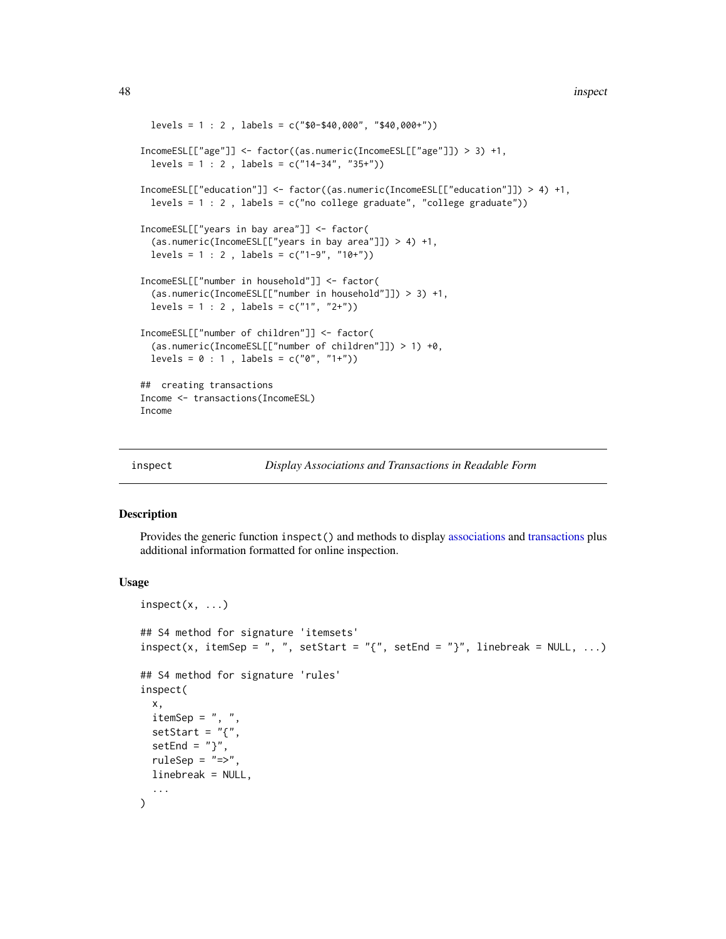```
levels = 1 : 2, labels = c("$0-$40,000", "$40,000+")IncomeESL[["age"]] <- factor((as.numeric(IncomeESL[["age"]]) > 3) +1,
 levels = 1 : 2, labels = c("14-34", "35+"))IncomeESL[["education"]] <- factor((as.numeric(IncomeESL[["education"]]) > 4) +1,
 levels = 1 : 2, labels = c("no college graduate", "college graduate"))IncomeESL[["years in bay area"]] <- factor(
  (as.numeric(IncomeESL[["years in bay area"]]) > 4) +1,
 levels = 1 : 2 , labels = c("1-9", "10+"))
IncomeESL[["number in household"]] <- factor(
  (as.numeric(IncomeESL[["number in household"]]) > 3) +1,
 levels = 1 : 2, labels = c("1", "2+")IncomeESL[["number of children"]] <- factor(
  (as.numeric(IncomeESL[["number of children"]]) > 1) +0,
 levels = 0 : 1, labels = c("0", "1+")## creating transactions
Income <- transactions(IncomeESL)
Income
```
<span id="page-47-0"></span>

inspect *Display Associations and Transactions in Readable Form*

## Description

Provides the generic function inspect() and methods to display [associations](#page-16-0) and [transactions](#page-112-0) plus additional information formatted for online inspection.

### Usage

```
insect(x, ...)## S4 method for signature 'itemsets'
inspect(x, itemSep = ", ", setStart = "{", setEnd = "}", linebreak = NULL, ...)
## S4 method for signature 'rules'
inspect(
  x,
  itemSep = ", ".
  setStart = "{''}.setEnd = "}',
  ruleSep = "=>".linebreak = NULL,
  ...
)
```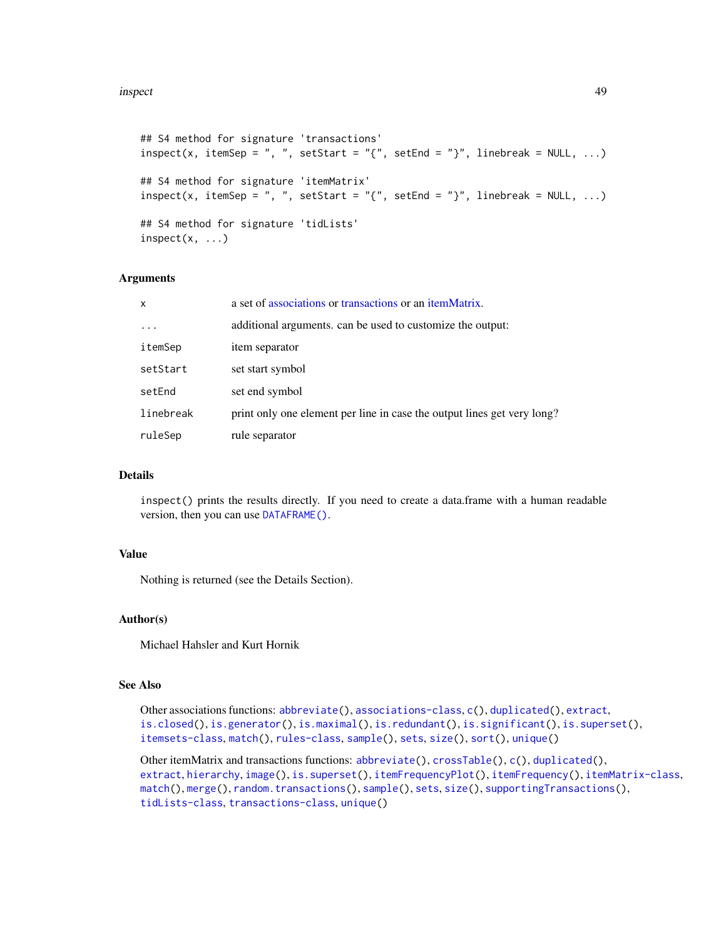#### inspect 49

```
## S4 method for signature 'transactions'
inspect(x, itemSep = ", ", .setStart = "{'", setEnd = "'}", \\ intel = "1" , then set = "1" , then set = "1" , then set = "1" , then set = "1" , then set = "1" , then set = "1" , then set = "1" , then set = "1" , then set = "1" , then set = "1" , then set = "1" , then set = "1" , then set = "1" , then set = "1" , then set = "2" , then set = "2" , then set = "3" , then set = "3" , then set = "3" , then set = "3" , then set = "3" , then set = "3" , then set = "3" , then set = "3" , then set = "3" , then set = "3" , then set = "3" , then## S4 method for signature 'itemMatrix'
inspect(x, itemSep = ", ", setStart = "{", setEnd = "}", linebreak = NULL, ...)
## S4 method for signature 'tidLists'
insect(x, \ldots)
```
#### Arguments

| x         | a set of associations or transactions or an itemMatrix.                 |
|-----------|-------------------------------------------------------------------------|
| $\cdots$  | additional arguments, can be used to customize the output:              |
| itemSep   | item separator                                                          |
| setStart  | set start symbol                                                        |
| setEnd    | set end symbol                                                          |
| linebreak | print only one element per line in case the output lines get very long? |
| ruleSep   | rule separator                                                          |

### Details

inspect() prints the results directly. If you need to create a data.frame with a human readable version, then you can use [DATAFRAME\(\)](#page-25-0).

## Value

Nothing is returned (see the Details Section).

### Author(s)

Michael Hahsler and Kurt Hornik

### See Also

```
Other associations functions: abbreviate(), associations-class, c(), duplicated(), extract,
is.closed(), is.generator(), is.maximal(), is.redundant(), is.significant(), is.superset(),
itemsets-class, match(), rules-class, sample(), sets, size(), sort(), unique()
```
Other itemMatrix and transactions functions: [abbreviate\(](#page-2-0)), [crossTable\(](#page-23-0)), [c\(](#page-18-0)), [duplicated\(](#page-32-0)), [extract](#page-36-0), [hierarchy](#page-40-0), [image\(](#page-44-0)), [is.superset\(](#page-61-0)), [itemFrequencyPlot\(](#page-68-0)), [itemFrequency\(](#page-67-0)), [itemMatrix-class](#page-70-1), [match\(](#page-80-0)), [merge\(](#page-82-0)), [random.transactions\(](#page-87-0)), [sample\(](#page-98-0)), [sets](#page-99-0), [size\(](#page-101-0)), [supportingTransactions\(](#page-108-0)), [tidLists-class](#page-109-0), [transactions-class](#page-112-1), [unique\(](#page-117-0))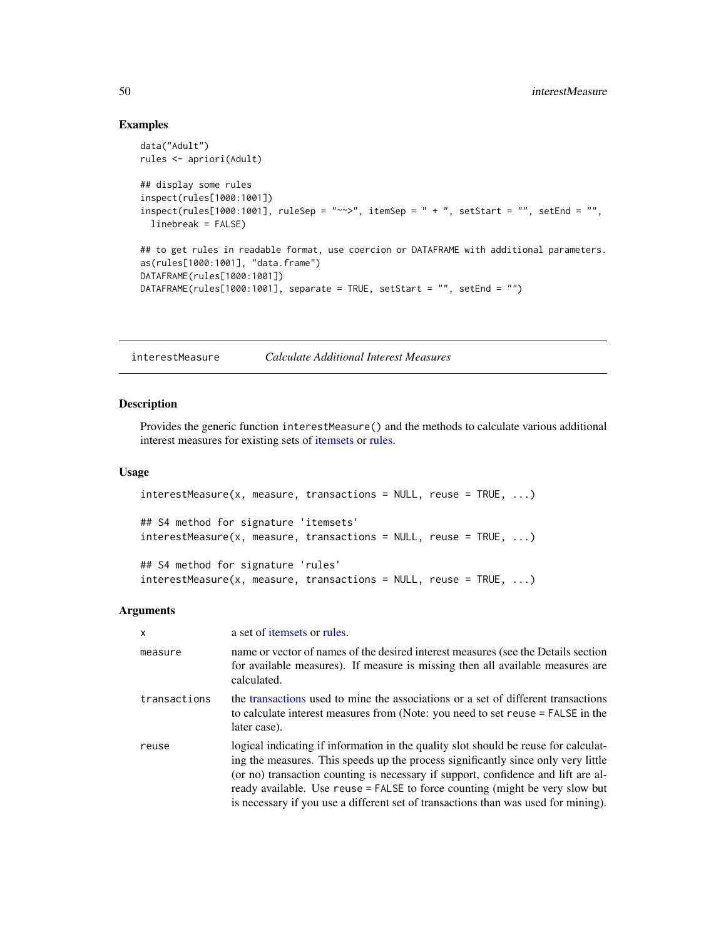### Examples

```
data("Adult")
rules <- apriori(Adult)
## display some rules
inspect(rules[1000:1001])
inspect(rules[1000:1001], ruleSep = "~\sim~\sim~", itemSep = " + ", setStart = "", setEnd = "",linebreak = FALSE)
## to get rules in readable format, use coercion or DATAFRAME with additional parameters.
as(rules[1000:1001], "data.frame")
DATAFRAME(rules[1000:1001])
DATAFRAME(rules[1000:1001], separate = TRUE, setStart = "", setEnd = "")
```
<span id="page-49-0"></span>interestMeasure *Calculate Additional Interest Measures*

## Description

Provides the generic function interestMeasure() and the methods to calculate various additional interest measures for existing sets of [itemsets](#page-75-1) or [rules.](#page-94-1)

#### Usage

```
interestMeasure(x, measure, transactions = NULL, reuse = TRUE, ...)## S4 method for signature 'itemsets'
interestMeasure(x, measure, transactions = NULL, reuse = TRUE, ...)## S4 method for signature 'rules'
interestMeasure(x, measure, transactions = NULL, reuse = TRUE, ...)
```
#### Arguments

| $\mathsf{x}$ | a set of <i>itemsets</i> or rules.                                                                                                                                                                                                                                                                                                                                                                                                  |
|--------------|-------------------------------------------------------------------------------------------------------------------------------------------------------------------------------------------------------------------------------------------------------------------------------------------------------------------------------------------------------------------------------------------------------------------------------------|
| measure      | name or vector of names of the desired interest measures (see the Details section<br>for available measures). If measure is missing then all available measures are<br>calculated.                                                                                                                                                                                                                                                  |
| transactions | the transactions used to mine the associations or a set of different transactions<br>to calculate interest measures from (Note: you need to set reuse = FALSE in the<br>later case).                                                                                                                                                                                                                                                |
| reuse        | logical indicating if information in the quality slot should be reuse for calculat-<br>ing the measures. This speeds up the process significantly since only very little<br>(or no) transaction counting is necessary if support, confidence and lift are al-<br>ready available. Use reuse = FALSE to force counting (might be very slow but<br>is necessary if you use a different set of transactions than was used for mining). |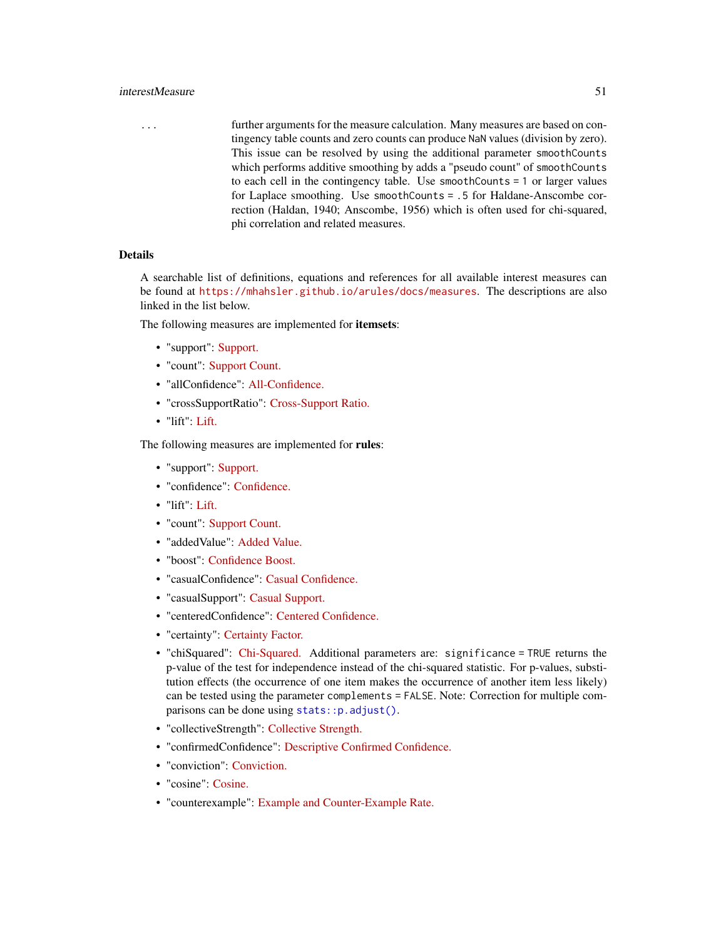## interestMeasure 51

... further arguments for the measure calculation. Many measures are based on contingency table counts and zero counts can produce NaN values (division by zero). This issue can be resolved by using the additional parameter smoothCounts which performs additive smoothing by adds a "pseudo count" of smoothCounts to each cell in the contingency table. Use smoothCounts = 1 or larger values for Laplace smoothing. Use smoothCounts = .5 for Haldane-Anscombe correction (Haldan, 1940; Anscombe, 1956) which is often used for chi-squared, phi correlation and related measures.

## Details

A searchable list of definitions, equations and references for all available interest measures can be found at <https://mhahsler.github.io/arules/docs/measures>. The descriptions are also linked in the list below.

The following measures are implemented for itemsets:

- "support": [Support.](https://mhahsler.github.io/arules/docs/measures#support)
- "count": [Support Count.](https://mhahsler.github.io/arules/docs/measures#count)
- "allConfidence": [All-Confidence.](https://mhahsler.github.io/arules/docs/measures#allconfidence)
- "crossSupportRatio": [Cross-Support Ratio.](https://mhahsler.github.io/arules/docs/measures#crosssupportratio)
- "lift": [Lift.](https://mhahsler.github.io/arules/docs/measures#lift)

The following measures are implemented for rules:

- "support": [Support.](https://mhahsler.github.io/arules/docs/measures#support)
- "confidence": [Confidence.](https://mhahsler.github.io/arules/docs/measures#confidence)
- "lift": [Lift.](https://mhahsler.github.io/arules/docs/measures#lift)
- "count": [Support Count.](https://mhahsler.github.io/arules/docs/measures#count)
- "addedValue": [Added Value.](https://mhahsler.github.io/arules/docs/measures#addedvalue)
- "boost": [Confidence Boost.](https://mhahsler.github.io/arules/docs/measures#boost)
- "casualConfidence": [Casual Confidence.](https://mhahsler.github.io/arules/docs/measures#casualconfidence)
- "casualSupport": [Casual Support.](https://mhahsler.github.io/arules/docs/measures#casualsupport)
- "centeredConfidence": [Centered Confidence.](https://mhahsler.github.io/arules/docs/measures#centeredconfidence)
- "certainty": [Certainty Factor.](https://mhahsler.github.io/arules/docs/measures#certainty)
- "chiSquared": [Chi-Squared.](https://mhahsler.github.io/arules/docs/measures#chisquared) Additional parameters are: significance = TRUE returns the p-value of the test for independence instead of the chi-squared statistic. For p-values, substitution effects (the occurrence of one item makes the occurrence of another item less likely) can be tested using the parameter complements = FALSE. Note: Correction for multiple comparisons can be done using [stats::p.adjust\(\)](#page-0-0).
- "collectiveStrength": [Collective Strength.](https://mhahsler.github.io/arules/docs/measures#collectivestrength)
- "confirmedConfidence": [Descriptive Confirmed Confidence.](https://mhahsler.github.io/arules/docs/measures#confirmedconfidence)
- "conviction": [Conviction.](https://mhahsler.github.io/arules/docs/measures#conviction)
- "cosine": [Cosine.](https://mhahsler.github.io/arules/docs/measures#cosine)
- "counterexample": [Example and Counter-Example Rate.](https://mhahsler.github.io/arules/docs/measures#counterexample)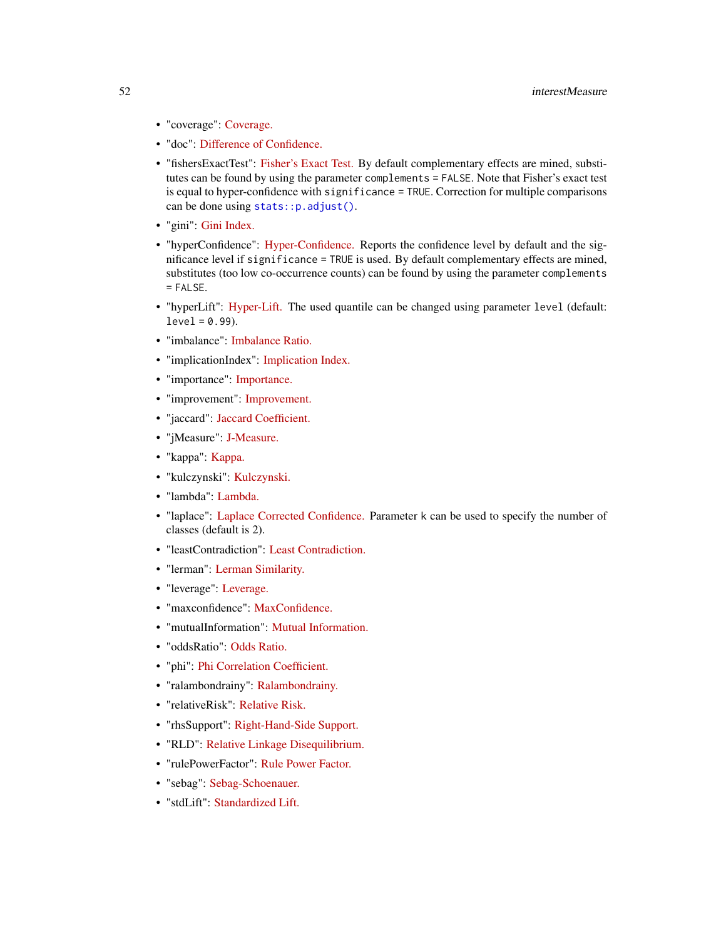- "coverage": [Coverage.](https://mhahsler.github.io/arules/docs/measures#coverage)
- "doc": [Difference of Confidence.](https://mhahsler.github.io/arules/docs/measures#doc)
- "fishersExactTest": [Fisher's Exact Test.](https://mhahsler.github.io/arules/docs/measures#fishersexacttest) By default complementary effects are mined, substitutes can be found by using the parameter complements = FALSE. Note that Fisher's exact test is equal to hyper-confidence with significance = TRUE. Correction for multiple comparisons can be done using [stats::p.adjust\(\)](#page-0-0).
- "gini": [Gini Index.](https://mhahsler.github.io/arules/docs/measures#gini)
- "hyperConfidence": [Hyper-Confidence.](https://mhahsler.github.io/arules/docs/measures#hyperconfidence) Reports the confidence level by default and the significance level if significance = TRUE is used. By default complementary effects are mined, substitutes (too low co-occurrence counts) can be found by using the parameter complements  $=$  FALSE.
- "hyperLift": [Hyper-Lift.](https://mhahsler.github.io/arules/docs/measures#hyperlift) The used quantile can be changed using parameter level (default:  $level = 0.99$ ).
- "imbalance": [Imbalance Ratio.](https://mhahsler.github.io/arules/docs/measures#imbalance)
- "implicationIndex": [Implication Index.](https://mhahsler.github.io/arules/docs/measures#implicationindex)
- "importance": [Importance.](https://mhahsler.github.io/arules/docs/measures#importance)
- "improvement": [Improvement.](https://mhahsler.github.io/arules/docs/measures#improvement)
- "jaccard": [Jaccard Coefficient.](https://mhahsler.github.io/arules/docs/measures#jaccard)
- "jMeasure": [J-Measure.](https://mhahsler.github.io/arules/docs/measures#jmeasure)
- "kappa": [Kappa.](https://mhahsler.github.io/arules/docs/measures#kappa)
- "kulczynski": [Kulczynski.](https://mhahsler.github.io/arules/docs/measures#kulczynski)
- "lambda": [Lambda.](https://mhahsler.github.io/arules/docs/measures#lambda)
- "laplace": [Laplace Corrected Confidence.](https://mhahsler.github.io/arules/docs/measures#laplace) Parameter k can be used to specify the number of classes (default is 2).
- "leastContradiction": [Least Contradiction.](https://mhahsler.github.io/arules/docs/measures#leastcontradiction)
- "lerman": [Lerman Similarity.](https://mhahsler.github.io/arules/docs/measures#lerman)
- "leverage": [Leverage.](https://mhahsler.github.io/arules/docs/measures#leverage)
- "maxconfidence": [MaxConfidence.](https://mhahsler.github.io/arules/docs/measures#maxconfidence)
- "mutualInformation": [Mutual Information.](https://mhahsler.github.io/arules/docs/measures#mutualinformation)
- "oddsRatio": [Odds Ratio.](https://mhahsler.github.io/arules/docs/measures#oddsratio)
- "phi": [Phi Correlation Coefficient.](https://mhahsler.github.io/arules/docs/measures#phi)
- "ralambondrainy": [Ralambondrainy.](https://mhahsler.github.io/arules/docs/measures#ralambondrainy)
- "relativeRisk": [Relative Risk.](https://mhahsler.github.io/arules/docs/measures#relativerisk)
- "rhsSupport": [Right-Hand-Side Support.](https://mhahsler.github.io/arules/docs/measures#rhssupport)
- "RLD": [Relative Linkage Disequilibrium.](https://mhahsler.github.io/arules/docs/measures#rld)
- "rulePowerFactor": [Rule Power Factor.](https://mhahsler.github.io/arules/docs/measures#rulepowerfactor)
- "sebag": [Sebag-Schoenauer.](https://mhahsler.github.io/arules/docs/measures#sebag)
- "stdLift": [Standardized Lift.](https://mhahsler.github.io/arules/docs/measures#stdlift)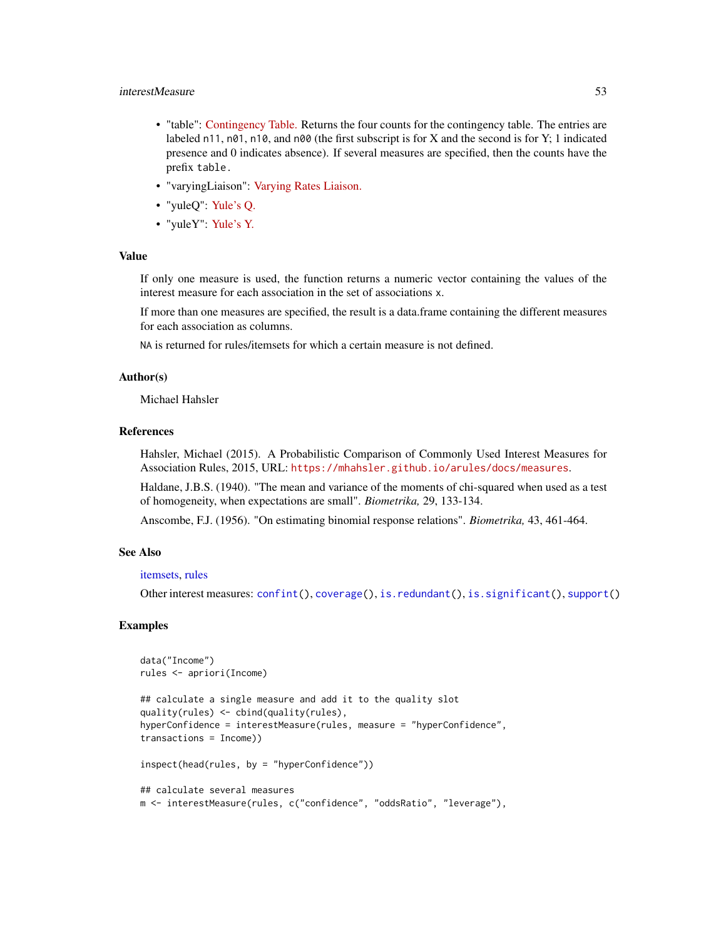## interestMeasure 53

- "table": [Contingency Table.](https://mhahsler.github.io/arules/docs/measures#table) Returns the four counts for the contingency table. The entries are labeled n11, n01, n10, and n00 (the first subscript is for X and the second is for Y; 1 indicated presence and 0 indicates absence). If several measures are specified, then the counts have the prefix table.
- "varyingLiaison": [Varying Rates Liaison.](https://mhahsler.github.io/arules/docs/measures#varyingliaison)
- "yuleQ": [Yule's Q.](https://mhahsler.github.io/arules/docs/measures#yuleq)
- "yuleY": [Yule's Y.](https://mhahsler.github.io/arules/docs/measures#yuley)

## Value

If only one measure is used, the function returns a numeric vector containing the values of the interest measure for each association in the set of associations x.

If more than one measures are specified, the result is a data.frame containing the different measures for each association as columns.

NA is returned for rules/itemsets for which a certain measure is not defined.

### Author(s)

Michael Hahsler

#### References

Hahsler, Michael (2015). A Probabilistic Comparison of Commonly Used Interest Measures for Association Rules, 2015, URL: <https://mhahsler.github.io/arules/docs/measures>.

Haldane, J.B.S. (1940). "The mean and variance of the moments of chi-squared when used as a test of homogeneity, when expectations are small". *Biometrika,* 29, 133-134.

Anscombe, F.J. (1956). "On estimating binomial response relations". *Biometrika,* 43, 461-464.

#### See Also

#### [itemsets,](#page-75-1) [rules](#page-94-1)

Other interest measures: [confint\(](#page-20-0)), [coverage\(](#page-22-0)), [is.redundant\(](#page-57-0)), [is.significant\(](#page-59-0)), [support\(](#page-106-0))

### Examples

```
data("Income")
rules <- apriori(Income)
## calculate a single measure and add it to the quality slot
quality(rules) <- cbind(quality(rules),
hyperConfidence = interestMeasure(rules, measure = "hyperConfidence",
transactions = Income))
inspect(head(rules, by = "hyperConfidence"))
## calculate several measures
m <- interestMeasure(rules, c("confidence", "oddsRatio", "leverage"),
```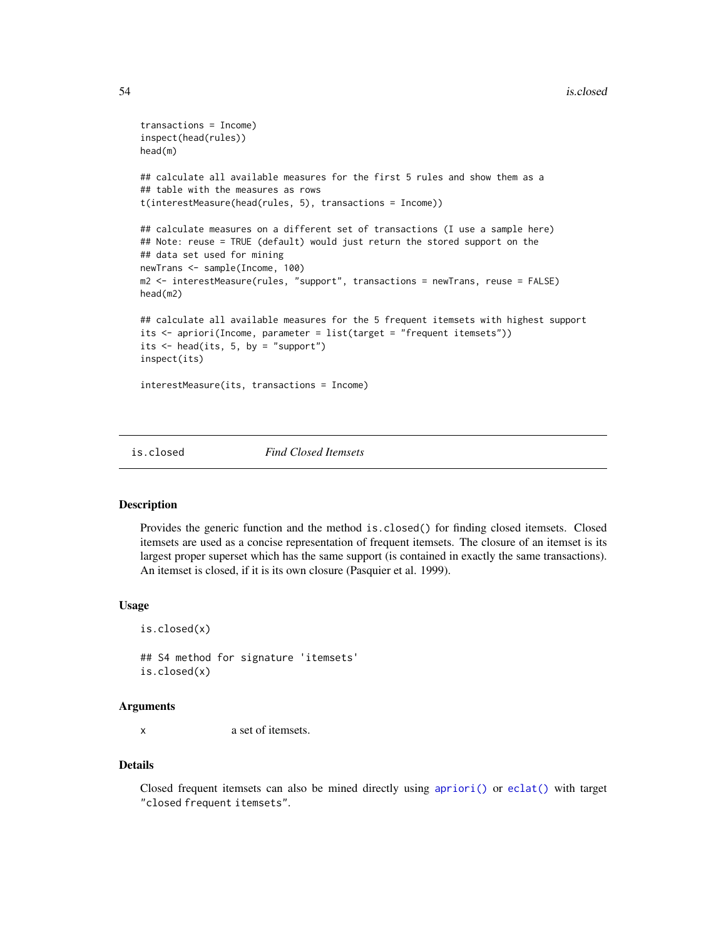```
transactions = Income)
inspect(head(rules))
head(m)
## calculate all available measures for the first 5 rules and show them as a
## table with the measures as rows
t(interestMeasure(head(rules, 5), transactions = Income))
## calculate measures on a different set of transactions (I use a sample here)
## Note: reuse = TRUE (default) would just return the stored support on the
## data set used for mining
newTrans <- sample(Income, 100)
m2 <- interestMeasure(rules, "support", transactions = newTrans, reuse = FALSE)
head(m2)
## calculate all available measures for the 5 frequent itemsets with highest support
its <- apriori(Income, parameter = list(target = "frequent itemsets"))
its \leq head(its, 5, by = "support")
inspect(its)
interestMeasure(its, transactions = Income)
```
<span id="page-53-0"></span>

```
is.closed Find Closed Itemsets
```
#### Description

Provides the generic function and the method is.closed() for finding closed itemsets. Closed itemsets are used as a concise representation of frequent itemsets. The closure of an itemset is its largest proper superset which has the same support (is contained in exactly the same transactions). An itemset is closed, if it is its own closure (Pasquier et al. 1999).

## Usage

is.closed(x)

## S4 method for signature 'itemsets' is.closed(x)

#### Arguments

x a set of itemsets.

#### Details

Closed frequent itemsets can also be mined directly using [apriori\(\)](#page-10-0) or [eclat\(\)](#page-33-0) with target "closed frequent itemsets".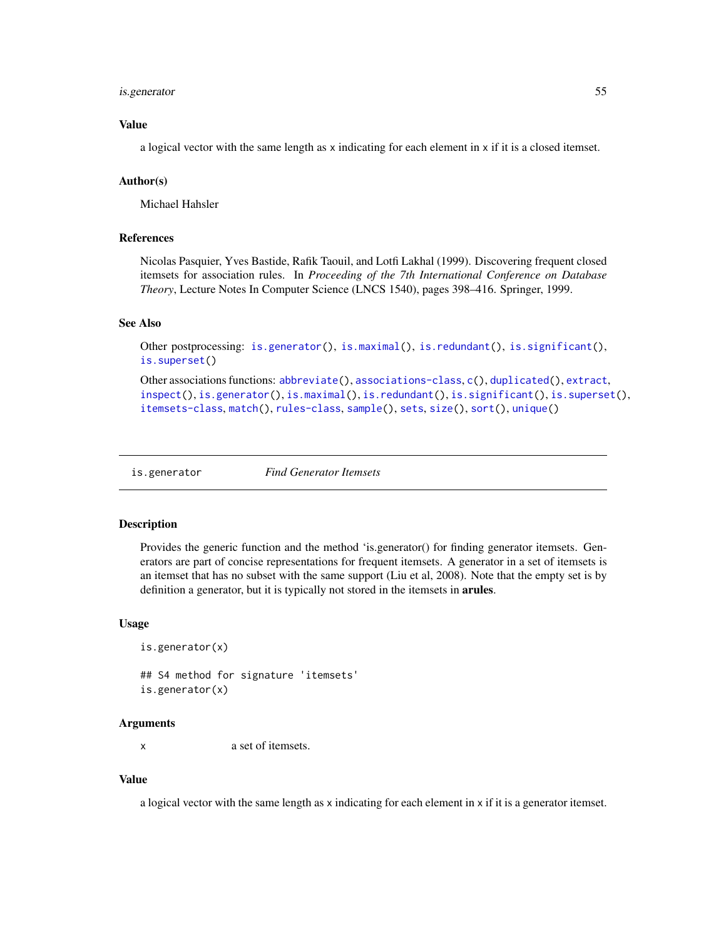#### is.generator 55

## Value

a logical vector with the same length as x indicating for each element in x if it is a closed itemset.

## Author(s)

Michael Hahsler

## References

Nicolas Pasquier, Yves Bastide, Rafik Taouil, and Lotfi Lakhal (1999). Discovering frequent closed itemsets for association rules. In *Proceeding of the 7th International Conference on Database Theory*, Lecture Notes In Computer Science (LNCS 1540), pages 398–416. Springer, 1999.

### See Also

```
Other postprocessing: is.generator(), is.maximal(), is.redundant(), is.significant(),
is.superset()
```

```
Other associations functions: abbreviate(), associations-class, c(), duplicated(), extract,
inspect(), is.generator(), is.maximal(), is.redundant(), is.significant(), is.superset(),
itemsets-class, match(), rules-class, sample(), sets, size(), sort(), unique()
```
<span id="page-54-0"></span>is.generator *Find Generator Itemsets*

#### Description

Provides the generic function and the method 'is.generator() for finding generator itemsets. Generators are part of concise representations for frequent itemsets. A generator in a set of itemsets is an itemset that has no subset with the same support (Liu et al, 2008). Note that the empty set is by definition a generator, but it is typically not stored in the itemsets in **arules**.

### Usage

```
is.generator(x)
## S4 method for signature 'itemsets'
is.generator(x)
```
### Arguments

x a set of itemsets.

## Value

a logical vector with the same length as x indicating for each element in x if it is a generator itemset.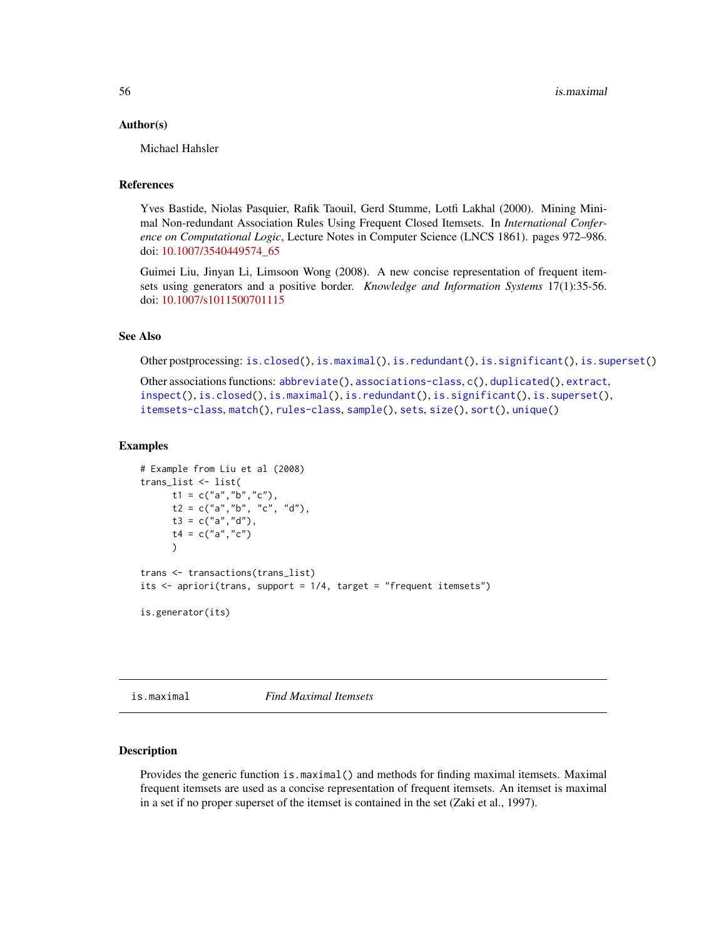#### Author(s)

Michael Hahsler

### References

Yves Bastide, Niolas Pasquier, Rafik Taouil, Gerd Stumme, Lotfi Lakhal (2000). Mining Minimal Non-redundant Association Rules Using Frequent Closed Itemsets. In *International Conference on Computational Logic*, Lecture Notes in Computer Science (LNCS 1861). pages 972–986. doi: [10.1007/3540449574\\_65](https://doi.org/10.1007/3-540-44957-4_65)

Guimei Liu, Jinyan Li, Limsoon Wong (2008). A new concise representation of frequent itemsets using generators and a positive border. *Knowledge and Information Systems* 17(1):35-56. doi: [10.1007/s1011500701115](https://doi.org/10.1007/s10115-007-0111-5)

#### See Also

Other postprocessing: [is.closed\(](#page-53-0)), [is.maximal\(](#page-55-0)), [is.redundant\(](#page-57-0)), [is.significant\(](#page-59-0)), [is.superset\(](#page-61-0))

```
Other associations functions: abbreviate(), associations-class, c(), duplicated(), extract,
inspect(), is.closed(), is.maximal(), is.redundant(), is.significant(), is.superset(),
itemsets-class, match(), rules-class, sample(), sets, size(), sort(), unique()
```
#### Examples

```
# Example from Liu et al (2008)
trans_list <- list(
      t1 = c("a", "b", "c"),t2 = c("a", "b", "c", "d"),
      t3 = c("a", "d"),
      t4 = c("a", "c")\mathcal{L}trans <- transactions(trans_list)
its <- apriori(trans, support = 1/4, target = "frequent itemsets")
is.generator(its)
```
<span id="page-55-0"></span>is.maximal *Find Maximal Itemsets*

#### Description

Provides the generic function is.maximal() and methods for finding maximal itemsets. Maximal frequent itemsets are used as a concise representation of frequent itemsets. An itemset is maximal in a set if no proper superset of the itemset is contained in the set (Zaki et al., 1997).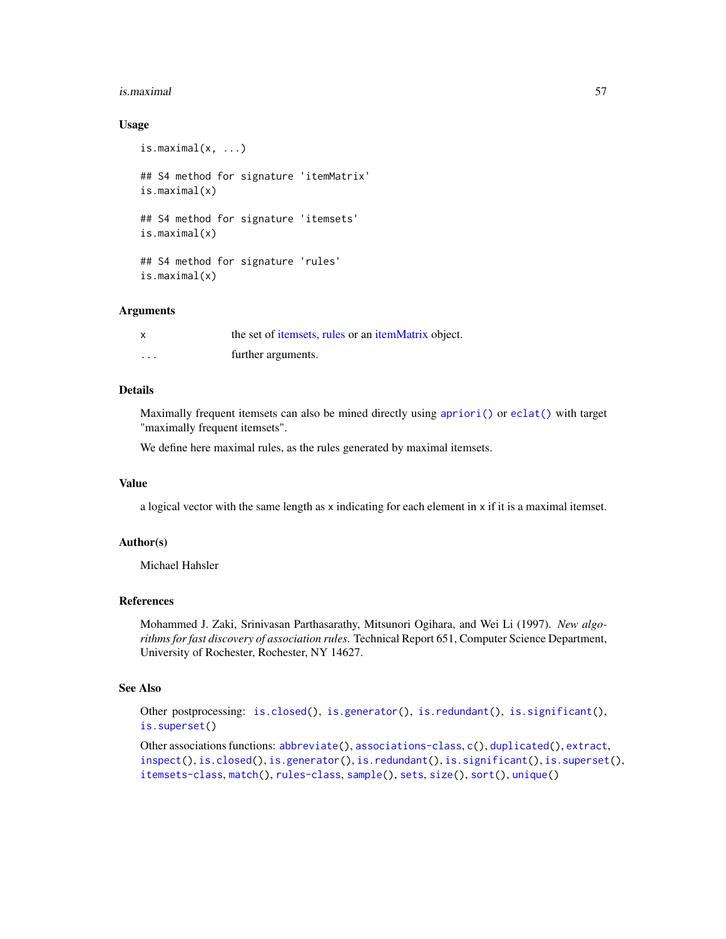#### is.maximal 57

### Usage

```
is.maximal(x, \ldots)## S4 method for signature 'itemMatrix'
is.maximal(x)
## S4 method for signature 'itemsets'
is.maximal(x)
## S4 method for signature 'rules'
is.maximal(x)
```
### Arguments

|          | the set of <i>itemsets</i> , rules or an <i>itemMatrix</i> object. |
|----------|--------------------------------------------------------------------|
| $\cdots$ | further arguments.                                                 |

## Details

Maximally frequent itemsets can also be mined directly using [apriori\(\)](#page-10-0) or [eclat\(\)](#page-33-0) with target "maximally frequent itemsets".

We define here maximal rules, as the rules generated by maximal itemsets.

## Value

a logical vector with the same length as x indicating for each element in x if it is a maximal itemset.

## Author(s)

Michael Hahsler

## References

Mohammed J. Zaki, Srinivasan Parthasarathy, Mitsunori Ogihara, and Wei Li (1997). *New algorithms for fast discovery of association rules*. Technical Report 651, Computer Science Department, University of Rochester, Rochester, NY 14627.

## See Also

Other postprocessing: [is.closed\(](#page-53-0)), [is.generator\(](#page-54-0)), [is.redundant\(](#page-57-0)), [is.significant\(](#page-59-0)), [is.superset\(](#page-61-0))

Other associations functions: [abbreviate\(](#page-2-0)), [associations-class](#page-16-1), [c\(](#page-18-0)), [duplicated\(](#page-32-0)), [extract](#page-36-0), [inspect\(](#page-47-0)), [is.closed\(](#page-53-0)), [is.generator\(](#page-54-0)), [is.redundant\(](#page-57-0)), [is.significant\(](#page-59-0)), [is.superset\(](#page-61-0)), [itemsets-class](#page-75-0), [match\(](#page-80-0)), [rules-class](#page-94-0), [sample\(](#page-98-0)), [sets](#page-99-0), [size\(](#page-101-0)), [sort\(](#page-102-0)), [unique\(](#page-117-0))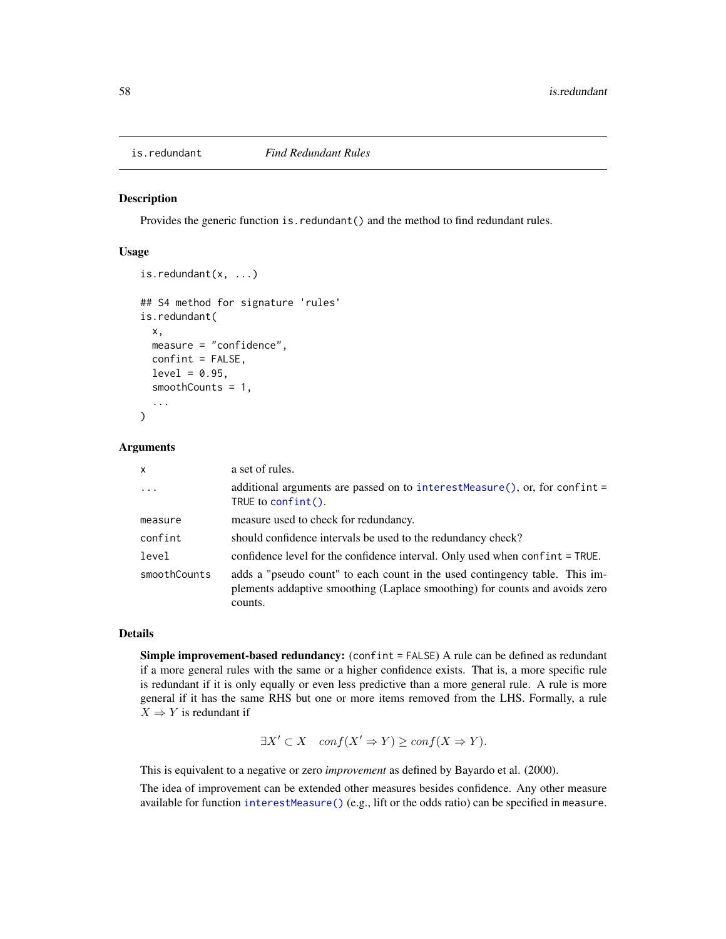<span id="page-57-0"></span>

#### Description

Provides the generic function is. redundant () and the method to find redundant rules.

### Usage

```
is.redundant(x, ...)
## S4 method for signature 'rules'
is.redundant(
  x,
 measure = "confidence",
 confint = FALSE,
  level = 0.95,smoothCounts = 1,
  ...
)
```
## Arguments

| $\mathsf{x}$ | a set of rules.                                                                                                                                                       |
|--------------|-----------------------------------------------------------------------------------------------------------------------------------------------------------------------|
| $\cdots$     | additional arguments are passed on to interest Measure $()$ , or, for confint =<br>TRUE to confint().                                                                 |
| measure      | measure used to check for redundancy.                                                                                                                                 |
| confint      | should confidence intervals be used to the redundancy check?                                                                                                          |
| level        | confidence level for the confidence interval. Only used when confint = TRUE.                                                                                          |
| smoothCounts | adds a "pseudo count" to each count in the used contingency table. This im-<br>plements addaptive smoothing (Laplace smoothing) for counts and avoids zero<br>counts. |

## Details

Simple improvement-based redundancy: (confint = FALSE) A rule can be defined as redundant if a more general rules with the same or a higher confidence exists. That is, a more specific rule is redundant if it is only equally or even less predictive than a more general rule. A rule is more general if it has the same RHS but one or more items removed from the LHS. Formally, a rule  $X \Rightarrow Y$  is redundant if

$$
\exists X' \subset X \quad conf(X' \Rightarrow Y) \ge conf(X \Rightarrow Y).
$$

This is equivalent to a negative or zero *improvement* as defined by Bayardo et al. (2000).

The idea of improvement can be extended other measures besides confidence. Any other measure available for function [interestMeasure\(\)](#page-49-0) (e.g., lift or the odds ratio) can be specified in measure.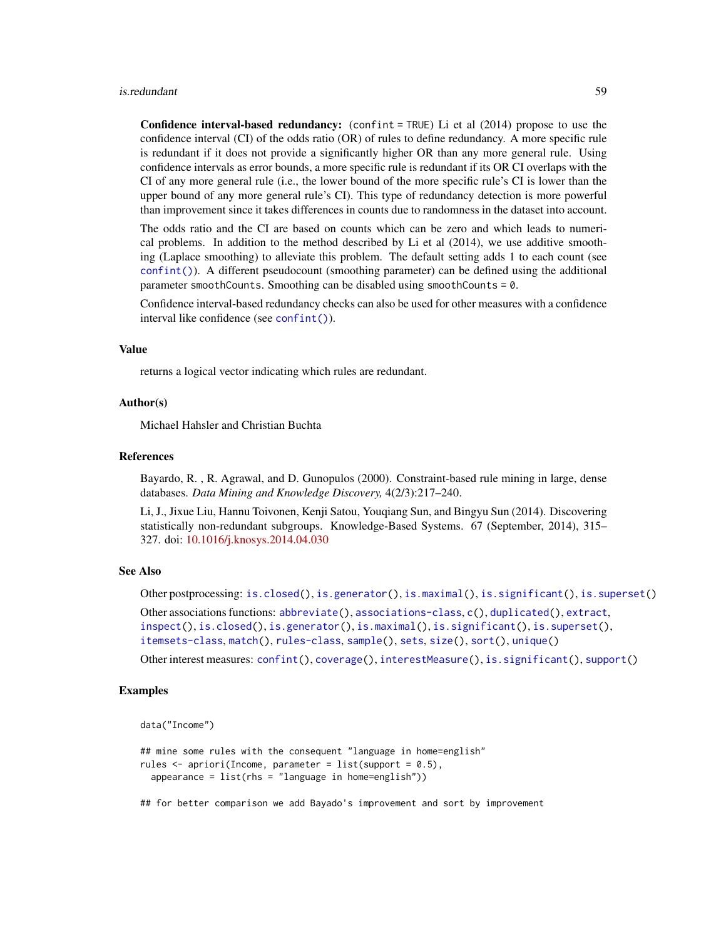#### is.redundant 59

Confidence interval-based redundancy: (confint = TRUE) Li et al (2014) propose to use the confidence interval (CI) of the odds ratio (OR) of rules to define redundancy. A more specific rule is redundant if it does not provide a significantly higher OR than any more general rule. Using confidence intervals as error bounds, a more specific rule is redundant if its OR CI overlaps with the CI of any more general rule (i.e., the lower bound of the more specific rule's CI is lower than the upper bound of any more general rule's CI). This type of redundancy detection is more powerful than improvement since it takes differences in counts due to randomness in the dataset into account.

The odds ratio and the CI are based on counts which can be zero and which leads to numerical problems. In addition to the method described by Li et al (2014), we use additive smoothing (Laplace smoothing) to alleviate this problem. The default setting adds 1 to each count (see [confint\(\)](#page-20-0)). A different pseudocount (smoothing parameter) can be defined using the additional parameter smoothCounts. Smoothing can be disabled using smoothCounts = 0.

Confidence interval-based redundancy checks can also be used for other measures with a confidence interval like confidence (see [confint\(\)](#page-20-0)).

#### Value

returns a logical vector indicating which rules are redundant.

### Author(s)

Michael Hahsler and Christian Buchta

### References

Bayardo, R. , R. Agrawal, and D. Gunopulos (2000). Constraint-based rule mining in large, dense databases. *Data Mining and Knowledge Discovery,* 4(2/3):217–240.

Li, J., Jixue Liu, Hannu Toivonen, Kenji Satou, Youqiang Sun, and Bingyu Sun (2014). Discovering statistically non-redundant subgroups. Knowledge-Based Systems. 67 (September, 2014), 315– 327. doi: [10.1016/j.knosys.2014.04.030](https://doi.org/10.1016/j.knosys.2014.04.030)

#### See Also

Other postprocessing: [is.closed\(](#page-53-0)), [is.generator\(](#page-54-0)), [is.maximal\(](#page-55-0)), [is.significant\(](#page-59-0)), [is.superset\(](#page-61-0))

Other associations functions: [abbreviate\(](#page-2-0)), [associations-class](#page-16-1), [c\(](#page-18-0)), [duplicated\(](#page-32-0)), [extract](#page-36-0), [inspect\(](#page-47-0)), [is.closed\(](#page-53-0)), [is.generator\(](#page-54-0)), [is.maximal\(](#page-55-0)), [is.significant\(](#page-59-0)), [is.superset\(](#page-61-0)), [itemsets-class](#page-75-0), [match\(](#page-80-0)), [rules-class](#page-94-0), [sample\(](#page-98-0)), [sets](#page-99-0), [size\(](#page-101-0)), [sort\(](#page-102-0)), [unique\(](#page-117-0))

Other interest measures: [confint\(](#page-20-0)), [coverage\(](#page-22-0)), [interestMeasure\(](#page-49-0)), [is.significant\(](#page-59-0)), [support\(](#page-106-0))

## Examples

```
data("Income")
```

```
## mine some rules with the consequent "language in home=english"
rules \leq apriori(Income, parameter = list(support = 0.5),
 appearance = list(rhs = "language in home=english"))
```
## for better comparison we add Bayado's improvement and sort by improvement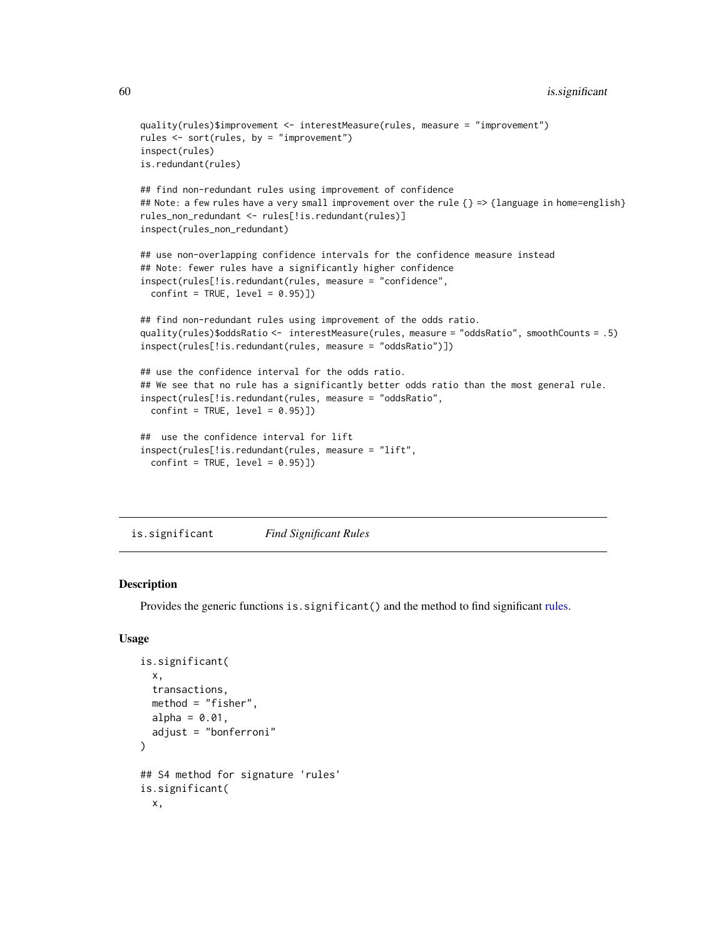```
quality(rules)$improvement <- interestMeasure(rules, measure = "improvement")
rules <- sort(rules, by = "improvement")
inspect(rules)
is.redundant(rules)
## find non-redundant rules using improvement of confidence
## Note: a few rules have a very small improvement over the rule \{\} \Rightarrow \{\text{language in home=english}\}rules_non_redundant <- rules[!is.redundant(rules)]
inspect(rules_non_redundant)
## use non-overlapping confidence intervals for the confidence measure instead
## Note: fewer rules have a significantly higher confidence
inspect(rules[!is.redundant(rules, measure = "confidence",
 confint = TRUE, level = 0.95])
## find non-redundant rules using improvement of the odds ratio.
quality(rules)$oddsRatio <- interestMeasure(rules, measure = "oddsRatio", smoothCounts = .5)
inspect(rules[!is.redundant(rules, measure = "oddsRatio")])
## use the confidence interval for the odds ratio.
## We see that no rule has a significantly better odds ratio than the most general rule.
inspect(rules[!is.redundant(rules, measure = "oddsRatio",
 confint = TRUE, level = 0.95])
## use the confidence interval for lift
inspect(rules[!is.redundant(rules, measure = "lift",
 confint = TRUE, level = 0.95])
```
<span id="page-59-0"></span>is.significant *Find Significant Rules*

#### Description

Provides the generic functions is significant () and the method to find significant [rules.](#page-94-1)

#### Usage

```
is.significant(
  x,
  transactions,
  method = "fisher",
  alpha = 0.01,
  adjust = "bonferroni"
)
## S4 method for signature 'rules'
is.significant(
 x,
```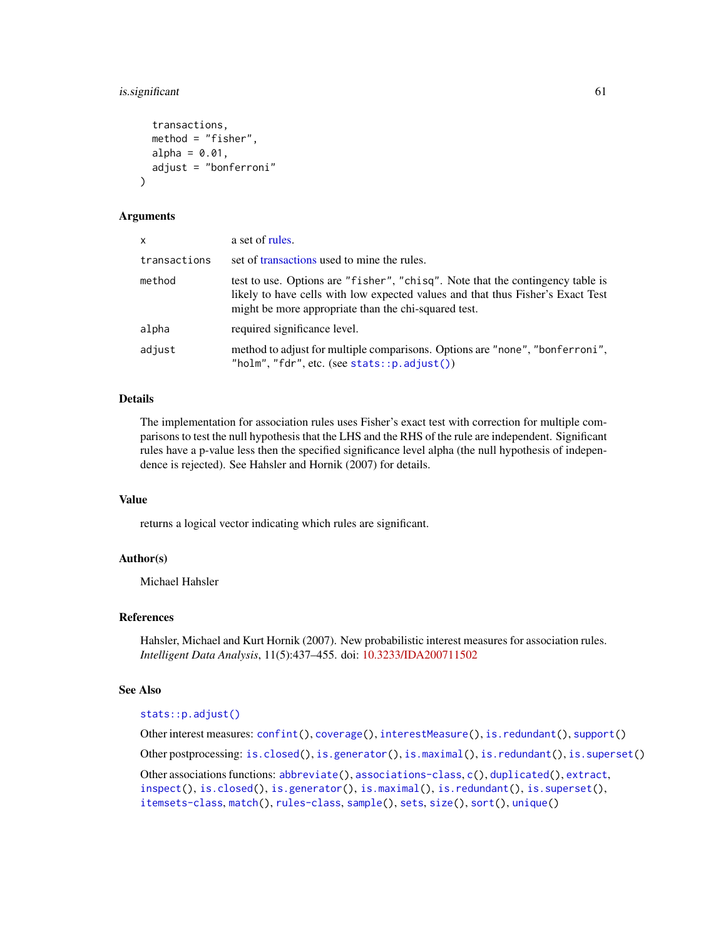## is.significant 61

```
transactions,
 method = "fisher",
 alpha = 0.01,
 adjust = "bonferroni"
)
```
## Arguments

| x            | a set of rules.                                                                                                                                                                                                           |
|--------------|---------------------------------------------------------------------------------------------------------------------------------------------------------------------------------------------------------------------------|
| transactions | set of transactions used to mine the rules.                                                                                                                                                                               |
| method       | test to use. Options are "fisher", "chisq". Note that the contingency table is<br>likely to have cells with low expected values and that thus Fisher's Exact Test<br>might be more appropriate than the chi-squared test. |
| alpha        | required significance level.                                                                                                                                                                                              |
| adjust       | method to adjust for multiple comparisons. Options are "none", "bonferroni",<br>"holm", "fdr", etc. (see stats:: $p.addjust()$ )                                                                                          |

## Details

The implementation for association rules uses Fisher's exact test with correction for multiple comparisons to test the null hypothesis that the LHS and the RHS of the rule are independent. Significant rules have a p-value less then the specified significance level alpha (the null hypothesis of independence is rejected). See Hahsler and Hornik (2007) for details.

### Value

returns a logical vector indicating which rules are significant.

## Author(s)

Michael Hahsler

### References

Hahsler, Michael and Kurt Hornik (2007). New probabilistic interest measures for association rules. *Intelligent Data Analysis*, 11(5):437–455. doi: [10.3233/IDA200711502](https://doi.org/10.3233/IDA-2007-11502)

#### See Also

### [stats::p.adjust\(\)](#page-0-0)

Other interest measures: [confint\(](#page-20-0)), [coverage\(](#page-22-0)), [interestMeasure\(](#page-49-0)), [is.redundant\(](#page-57-0)), [support\(](#page-106-0)) Other postprocessing: [is.closed\(](#page-53-0)), [is.generator\(](#page-54-0)), [is.maximal\(](#page-55-0)), [is.redundant\(](#page-57-0)), [is.superset\(](#page-61-0)) Other associations functions: [abbreviate\(](#page-2-0)), [associations-class](#page-16-1), [c\(](#page-18-0)), [duplicated\(](#page-32-0)), [extract](#page-36-0), [inspect\(](#page-47-0)), [is.closed\(](#page-53-0)), [is.generator\(](#page-54-0)), [is.maximal\(](#page-55-0)), [is.redundant\(](#page-57-0)), [is.superset\(](#page-61-0)), [itemsets-class](#page-75-0), [match\(](#page-80-0)), [rules-class](#page-94-0), [sample\(](#page-98-0)), [sets](#page-99-0), [size\(](#page-101-0)), [sort\(](#page-102-0)), [unique\(](#page-117-0))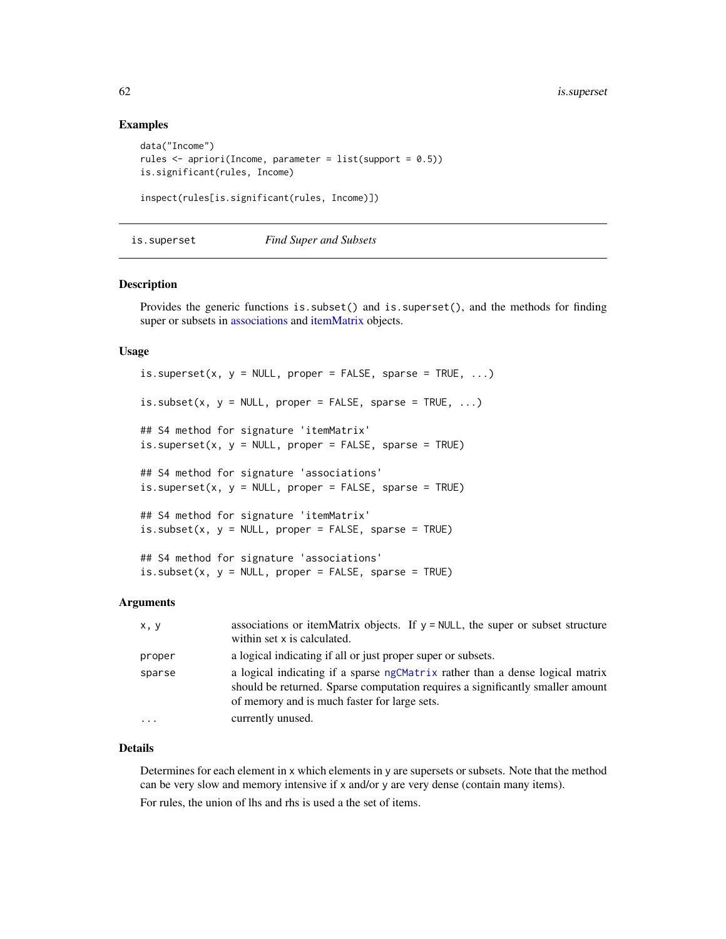## Examples

```
data("Income")
rules \leq apriori(Income, parameter = list(support = 0.5))
is.significant(rules, Income)
```

```
inspect(rules[is.significant(rules, Income)])
```
<span id="page-61-0"></span>is.superset *Find Super and Subsets*

#### Description

Provides the generic functions is.subset() and is.superset(), and the methods for finding super or subsets in [associations](#page-16-0) and [itemMatrix](#page-70-0) objects.

#### Usage

```
is.superset(x, y = NULL, proper = FALSE, sparse = TRUE, ...)
is.subset(x, y = NULL, proper = FALSE, sparse = TRUE, ...)## S4 method for signature 'itemMatrix'
is.superset(x, y = NULL, proper = FALSE, sparse = TRUE)## S4 method for signature 'associations'
is.superset(x, y = NULL, proper = FALSE, sparse = TRUE)## S4 method for signature 'itemMatrix'
is.subset(x, y = NULL, proper = FALSE, sparse = TRUE)## S4 method for signature 'associations'
is.subset(x, y = NULL, proper = FALSE, sparse = TRUE)
```
### Arguments

| x, y     | associations or itemMatrix objects. If $y = NULL$ , the super or subset structure<br>within set x is calculated.                                                                                                |
|----------|-----------------------------------------------------------------------------------------------------------------------------------------------------------------------------------------------------------------|
| proper   | a logical indicating if all or just proper super or subsets.                                                                                                                                                    |
| sparse   | a logical indicating if a sparse ngCMatrix rather than a dense logical matrix<br>should be returned. Sparse computation requires a significantly smaller amount<br>of memory and is much faster for large sets. |
| $\cdots$ | currently unused.                                                                                                                                                                                               |

### Details

Determines for each element in x which elements in y are supersets or subsets. Note that the method can be very slow and memory intensive if x and/or y are very dense (contain many items). For rules, the union of lhs and rhs is used a the set of items.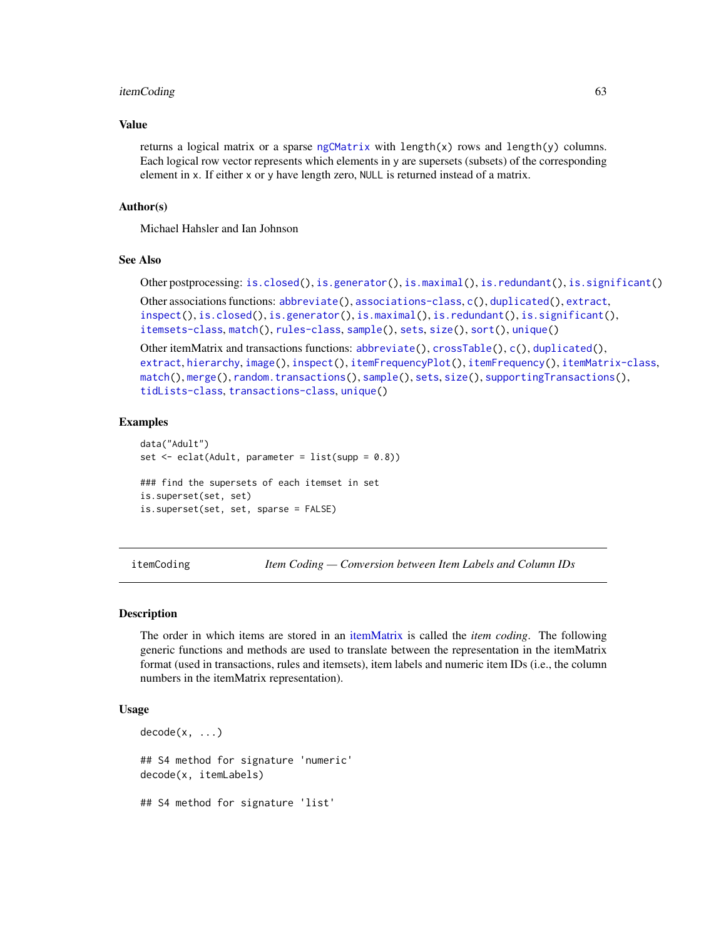### itemCoding 63

#### Value

returns a logical matrix or a sparse [ngCMatrix](#page-0-0) with length(x) rows and length(y) columns. Each logical row vector represents which elements in y are supersets (subsets) of the corresponding element in x. If either x or y have length zero, NULL is returned instead of a matrix.

### Author(s)

Michael Hahsler and Ian Johnson

## See Also

```
is.closed(is.generator(is.maximal(is.redundant(is.significant()
Other associations functions: abbreviate(), associations-class, c(), duplicated(), extract,
inspect(), is.closed(), is.generator(), is.maximal(), is.redundant(), is.significant(),
```
[itemsets-class](#page-75-0), [match\(](#page-80-0)), [rules-class](#page-94-0), [sample\(](#page-98-0)), [sets](#page-99-0), [size\(](#page-101-0)), [sort\(](#page-102-0)), [unique\(](#page-117-0))

Other itemMatrix and transactions functions: [abbreviate\(](#page-2-0)), [crossTable\(](#page-23-0)), [c\(](#page-18-0)), [duplicated\(](#page-32-0)), [extract](#page-36-0), [hierarchy](#page-40-0), [image\(](#page-44-0)), [inspect\(](#page-47-0)), [itemFrequencyPlot\(](#page-68-0)), [itemFrequency\(](#page-67-0)), [itemMatrix-class](#page-70-1), [match\(](#page-80-0)), [merge\(](#page-82-0)), [random.transactions\(](#page-87-0)), [sample\(](#page-98-0)), [sets](#page-99-0), [size\(](#page-101-0)), [supportingTransactions\(](#page-108-0)), [tidLists-class](#page-109-0), [transactions-class](#page-112-1), [unique\(](#page-117-0))

#### Examples

```
data("Adult")
set \leq eclat(Adult, parameter = list(supp = 0.8))
### find the supersets of each itemset in set
is.superset(set, set)
is.superset(set, set, sparse = FALSE)
```
<span id="page-62-0"></span>itemCoding *Item Coding — Conversion between Item Labels and Column IDs*

#### Description

The order in which items are stored in an [itemMatrix](#page-70-0) is called the *item coding*. The following generic functions and methods are used to translate between the representation in the itemMatrix format (used in transactions, rules and itemsets), item labels and numeric item IDs (i.e., the column numbers in the itemMatrix representation).

## Usage

```
decode(x, ...)
## S4 method for signature 'numeric'
decode(x, itemLabels)
## S4 method for signature 'list'
```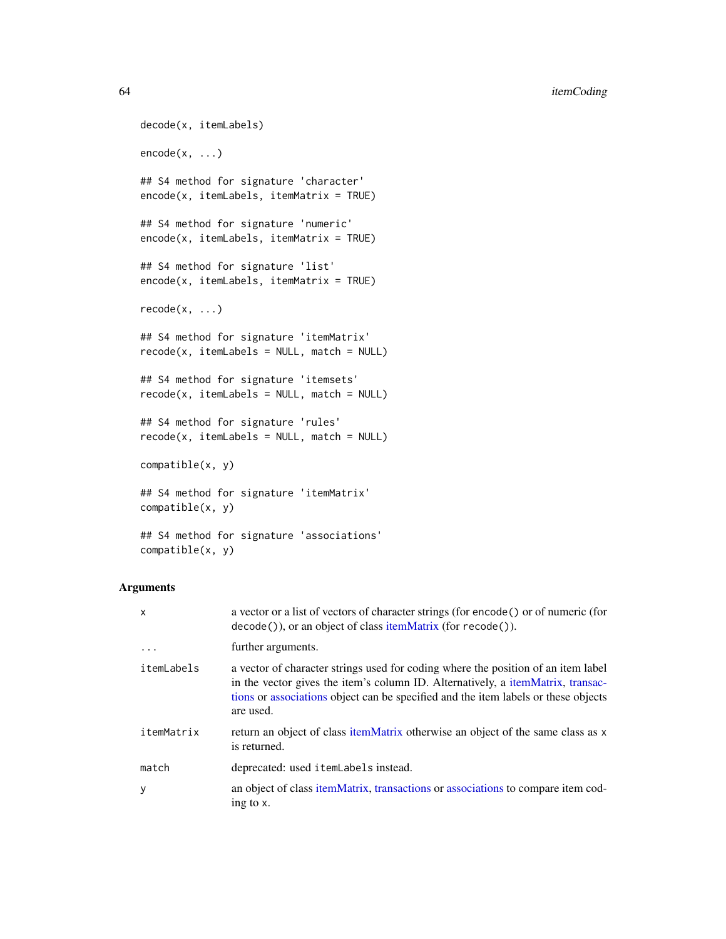```
decode(x, itemLabels)
encode(x, \ldots)## S4 method for signature 'character'
encode(x, itemLabels, itemMatrix = TRUE)
## S4 method for signature 'numeric'
encode(x, itemLabels, itemMatrix = TRUE)
## S4 method for signature 'list'
encode(x, itemLabels, itemMatrix = TRUE)
recode(x, ...)
## S4 method for signature 'itemMatrix'
recode(x, itemLabels = NULL, match = NULL)
## S4 method for signature 'itemsets'
recode(x, itemLabels = NULL, match = NULL)## S4 method for signature 'rules'
recode(x, itemLabels = NULL, match = NULL)
compatible(x, y)
## S4 method for signature 'itemMatrix'
compatible(x, y)
## S4 method for signature 'associations'
```
# Arguments

compatible(x, y)

| $\boldsymbol{\mathsf{x}}$ | a vector or a list of vectors of character strings (for encode () or of numeric (for<br>decode()), or an object of class itemMatrix (for recode()).                                                                                                                             |
|---------------------------|---------------------------------------------------------------------------------------------------------------------------------------------------------------------------------------------------------------------------------------------------------------------------------|
| $\cdots$                  | further arguments.                                                                                                                                                                                                                                                              |
| itemLabels                | a vector of character strings used for coding where the position of an item label<br>in the vector gives the item's column ID. Alternatively, a <i>itemMatrix</i> , transac-<br>tions or associations object can be specified and the item labels or these objects<br>are used. |
| itemMatrix                | return an object of class itemMatrix otherwise an object of the same class as x<br>is returned.                                                                                                                                                                                 |
| match                     | deprecated: used itemLabels instead.                                                                                                                                                                                                                                            |
| У                         | an object of class itemMatrix, transactions or associations to compare item cod-<br>ing to x.                                                                                                                                                                                   |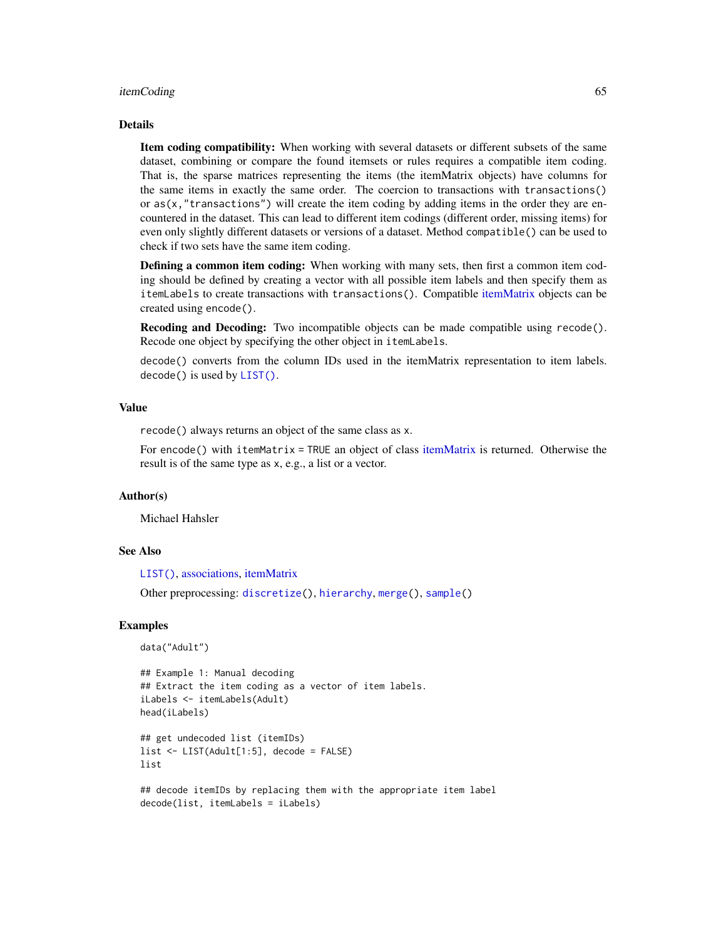#### itemCoding 65

#### Details

Item coding compatibility: When working with several datasets or different subsets of the same dataset, combining or compare the found itemsets or rules requires a compatible item coding. That is, the sparse matrices representing the items (the itemMatrix objects) have columns for the same items in exactly the same order. The coercion to transactions with transactions() or  $as(x, "transactions")$  will create the item coding by adding items in the order they are encountered in the dataset. This can lead to different item codings (different order, missing items) for even only slightly different datasets or versions of a dataset. Method compatible() can be used to check if two sets have the same item coding.

Defining a common item coding: When working with many sets, then first a common item coding should be defined by creating a vector with all possible item labels and then specify them as itemLabels to create transactions with transactions(). Compatible [itemMatrix](#page-70-0) objects can be created using encode().

Recoding and Decoding: Two incompatible objects can be made compatible using recode(). Recode one object by specifying the other object in itemLabels.

decode() converts from the column IDs used in the itemMatrix representation to item labels. decode() is used by [LIST\(\)](#page-79-0).

#### Value

recode() always returns an object of the same class as x.

For encode() with itemMatrix = TRUE an object of class [itemMatrix](#page-70-0) is returned. Otherwise the result is of the same type as x, e.g., a list or a vector.

## Author(s)

Michael Hahsler

#### See Also

[LIST\(\)](#page-79-0), [associations,](#page-16-0) [itemMatrix](#page-70-0)

Other preprocessing: [discretize\(](#page-26-0)), [hierarchy](#page-40-0), [merge\(](#page-82-0)), [sample\(](#page-98-0))

### Examples

```
data("Adult")
```

```
## Example 1: Manual decoding
## Extract the item coding as a vector of item labels.
iLabels <- itemLabels(Adult)
head(iLabels)
```

```
## get undecoded list (itemIDs)
list <- LIST(Adult[1:5], decode = FALSE)
list
```

```
## decode itemIDs by replacing them with the appropriate item label
decode(list, itemLabels = iLabels)
```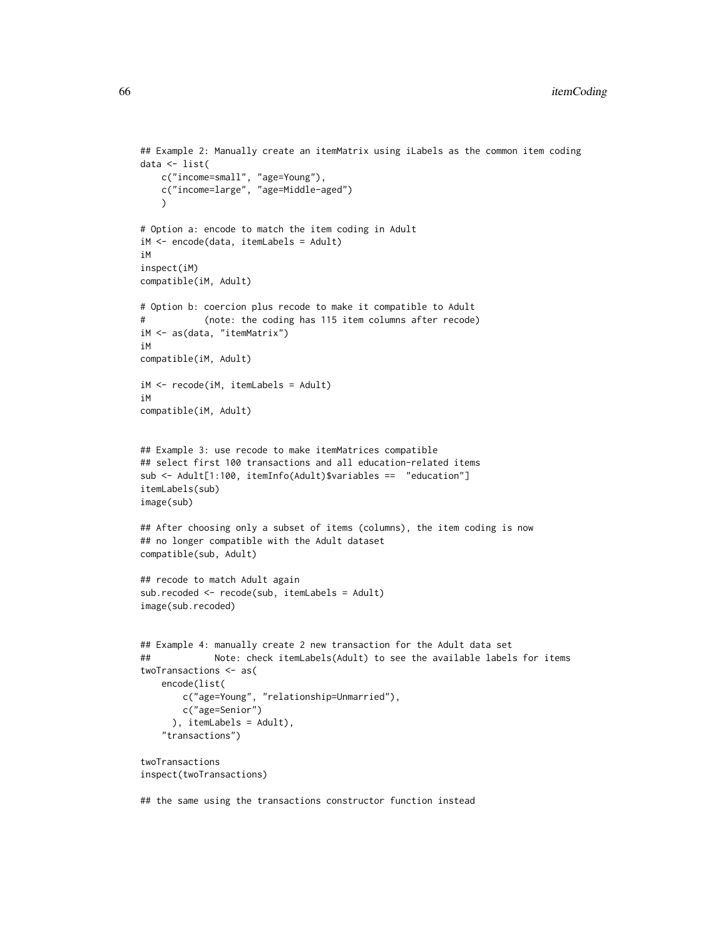```
## Example 2: Manually create an itemMatrix using iLabels as the common item coding
data <- list(
   c("income=small", "age=Young"),
   c("income=large", "age=Middle-aged")
   )
# Option a: encode to match the item coding in Adult
iM <- encode(data, itemLabels = Adult)
iM
inspect(iM)
compatible(iM, Adult)
# Option b: coercion plus recode to make it compatible to Adult
# (note: the coding has 115 item columns after recode)
iM <- as(data, "itemMatrix")
iM
compatible(iM, Adult)
iM <- recode(iM, itemLabels = Adult)
iM
compatible(iM, Adult)
## Example 3: use recode to make itemMatrices compatible
## select first 100 transactions and all education-related items
sub <- Adult[1:100, itemInfo(Adult)$variables == "education"]
itemLabels(sub)
image(sub)
## After choosing only a subset of items (columns), the item coding is now
## no longer compatible with the Adult dataset
compatible(sub, Adult)
## recode to match Adult again
sub.recoded <- recode(sub, itemLabels = Adult)
image(sub.recoded)
## Example 4: manually create 2 new transaction for the Adult data set
## Note: check itemLabels(Adult) to see the available labels for items
twoTransactions <- as(
   encode(list(
       c("age=Young", "relationship=Unmarried"),
       c("age=Senior")
     ), itemLabels = Adult),
    "transactions")
twoTransactions
inspect(twoTransactions)
```
## the same using the transactions constructor function instead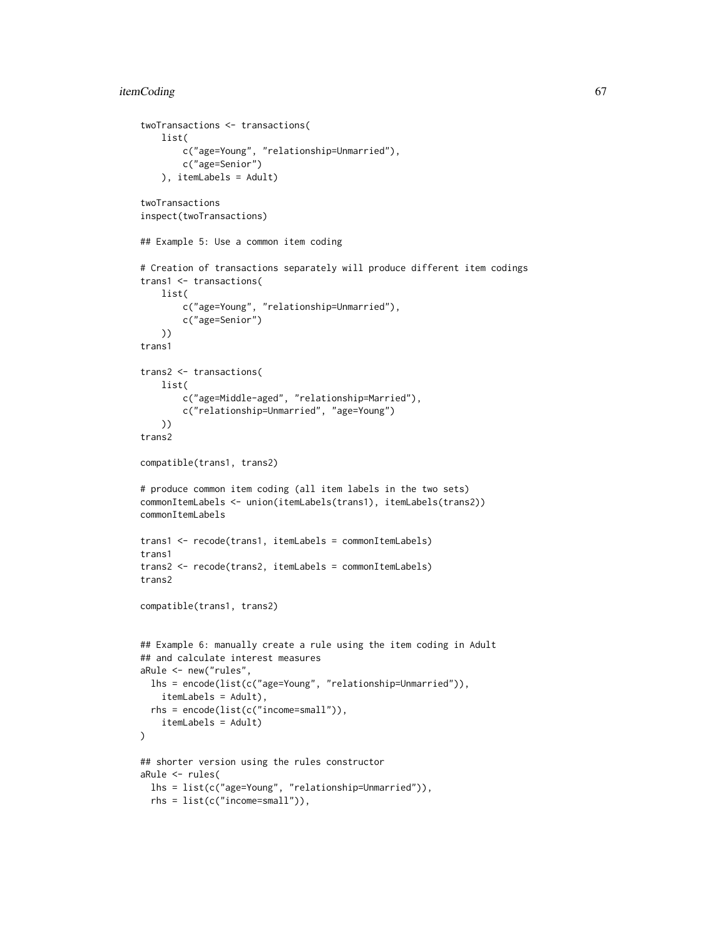## itemCoding 67

```
twoTransactions <- transactions(
    list(
        c("age=Young", "relationship=Unmarried"),
        c("age=Senior")
   ), itemLabels = Adult)
twoTransactions
inspect(twoTransactions)
## Example 5: Use a common item coding
# Creation of transactions separately will produce different item codings
trans1 <- transactions(
   list(
        c("age=Young", "relationship=Unmarried"),
        c("age=Senior")
   ))
trans1
trans2 <- transactions(
   list(
        c("age=Middle-aged", "relationship=Married"),
        c("relationship=Unmarried", "age=Young")
   ))
trans2
compatible(trans1, trans2)
# produce common item coding (all item labels in the two sets)
commonItemLabels <- union(itemLabels(trans1), itemLabels(trans2))
commonItemLabels
trans1 <- recode(trans1, itemLabels = commonItemLabels)
trans1
trans2 <- recode(trans2, itemLabels = commonItemLabels)
trans2
compatible(trans1, trans2)
## Example 6: manually create a rule using the item coding in Adult
## and calculate interest measures
aRule <- new("rules",
 lhs = encode(list(c("age=Young", "relationship=Unmarried")),
    itemLabels = Adult),
 rhs = encode(list(c("income=small")),
    itemLabels = Adult)
\mathcal{L}## shorter version using the rules constructor
aRule <- rules(
 lhs = list(c("age=Young", "relationship=Unmarried")),
 rhs = list(c("income=small")),
```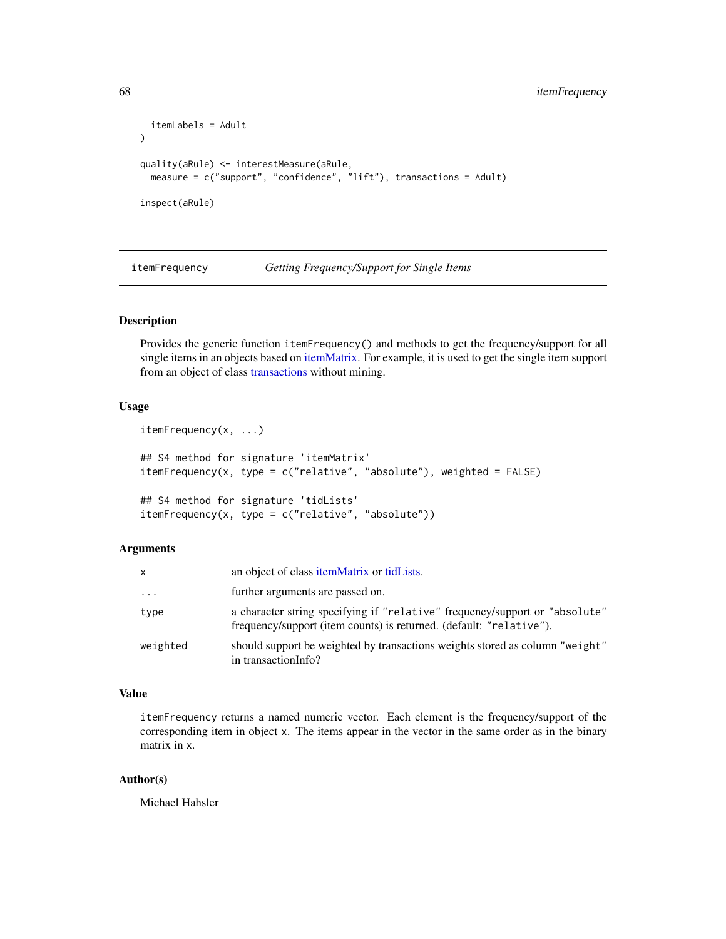```
itemLabels = Adult
)
quality(aRule) <- interestMeasure(aRule,
 measure = c("support", "confidence", "lift"), transactions = Adult)
inspect(aRule)
```
<span id="page-67-0"></span>itemFrequency *Getting Frequency/Support for Single Items*

## Description

Provides the generic function itemFrequency() and methods to get the frequency/support for all single items in an objects based on [itemMatrix.](#page-70-0) For example, it is used to get the single item support from an object of class [transactions](#page-112-0) without mining.

### Usage

```
itemFrequency(x, ...)
## S4 method for signature 'itemMatrix'
itemFrequency(x, type = c("relative", "absolute"), weighted = FALSE)
## S4 method for signature 'tidLists'
itemFrequency(x, type = c("relative", "absolute"))
```
## Arguments

| x        | an object of class itemMatrix or tidLists.                                                                                                         |
|----------|----------------------------------------------------------------------------------------------------------------------------------------------------|
| $\ddots$ | further arguments are passed on.                                                                                                                   |
| type     | a character string specifying if "relative" frequency/support or "absolute"<br>frequency/support (item counts) is returned. (default: "relative"). |
| weighted | should support be weighted by transactions weights stored as column "weight"<br>in transactionInfo?                                                |

#### Value

itemFrequency returns a named numeric vector. Each element is the frequency/support of the corresponding item in object x. The items appear in the vector in the same order as in the binary matrix in x.

## Author(s)

Michael Hahsler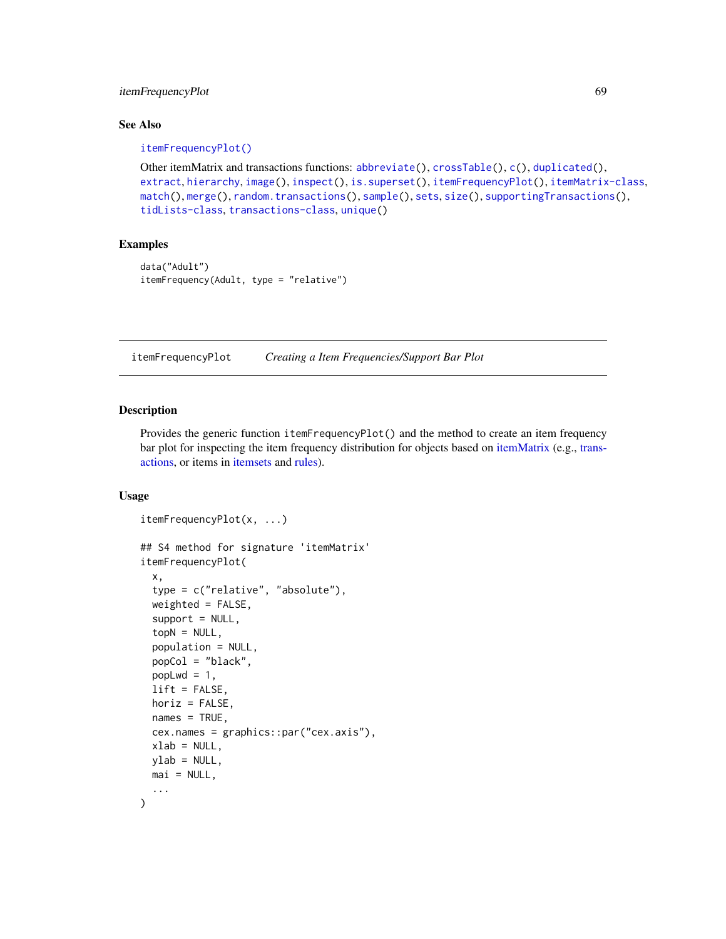## itemFrequencyPlot 69

### See Also

#### [itemFrequencyPlot\(\)](#page-68-0)

```
Other itemMatrix and transactions functions: abbreviate(), crossTable(), c(), duplicated(),
extract, hierarchy, image(), inspect(), is.superset(), itemFrequencyPlot(), itemMatrix-class,
match(), merge(), random.transactions(), sample(), sets, size(), supportingTransactions(),
tidLists-class, transactions-class, unique()
```
### Examples

```
data("Adult")
itemFrequency(Adult, type = "relative")
```
<span id="page-68-0"></span>itemFrequencyPlot *Creating a Item Frequencies/Support Bar Plot*

## Description

Provides the generic function itemFrequencyPlot() and the method to create an item frequency bar plot for inspecting the item frequency distribution for objects based on [itemMatrix](#page-70-0) (e.g., [trans](#page-112-0)[actions,](#page-112-0) or items in [itemsets](#page-75-1) and [rules\)](#page-94-1).

## Usage

```
itemFrequencyPlot(x, ...)
## S4 method for signature 'itemMatrix'
itemFrequencyPlot(
  x,
  type = c("relative", "absolute"),
  weighted = FALSE,support = NULL,topN = NULL,population = NULL,
 popCol = "black",
  popLwd = 1,
  lift = FALSE,horiz = FALSE,names = TRUE,cex.names = graphics::par("cex.axis"),
 xlab = NULL,
 ylab = NULL,
 mail = NULL,...
)
```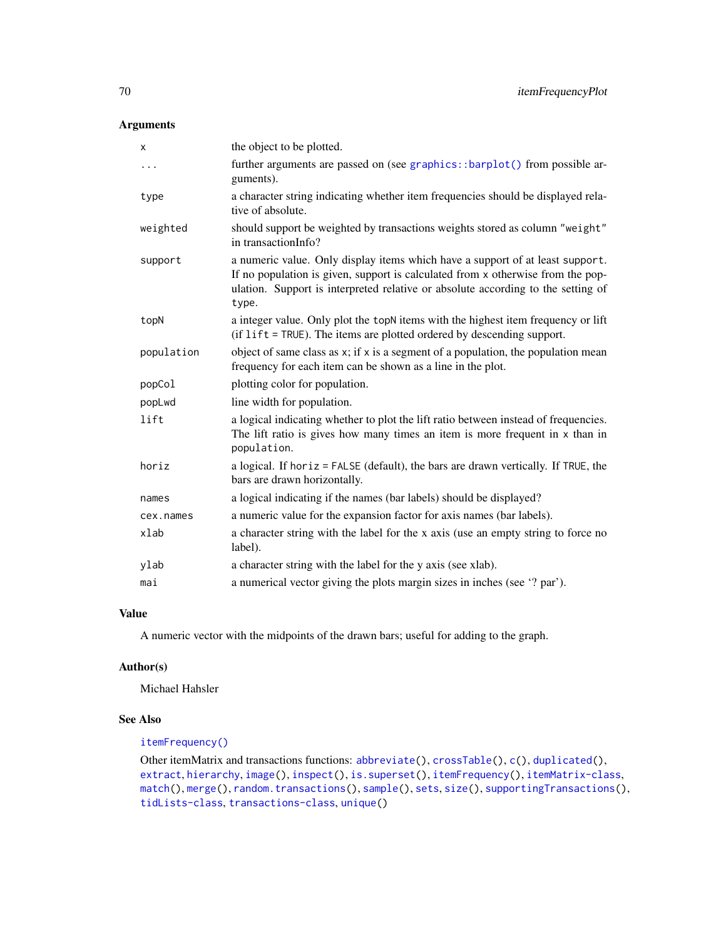## Arguments

| X          | the object to be plotted.                                                                                                                                                                                                                                     |
|------------|---------------------------------------------------------------------------------------------------------------------------------------------------------------------------------------------------------------------------------------------------------------|
| $\cdots$   | further arguments are passed on (see graphics::barplot() from possible ar-<br>guments).                                                                                                                                                                       |
| type       | a character string indicating whether item frequencies should be displayed rela-<br>tive of absolute.                                                                                                                                                         |
| weighted   | should support be weighted by transactions weights stored as column "weight"<br>in transactionInfo?                                                                                                                                                           |
| support    | a numeric value. Only display items which have a support of at least support.<br>If no population is given, support is calculated from x otherwise from the pop-<br>ulation. Support is interpreted relative or absolute according to the setting of<br>type. |
| topN       | a integer value. Only plot the topN items with the highest item frequency or lift<br>$(i$ f lift = TRUE). The items are plotted ordered by descending support.                                                                                                |
| population | object of same class as $x$ ; if $x$ is a segment of a population, the population mean<br>frequency for each item can be shown as a line in the plot.                                                                                                         |
| popCol     | plotting color for population.                                                                                                                                                                                                                                |
| popLwd     | line width for population.                                                                                                                                                                                                                                    |
| lift       | a logical indicating whether to plot the lift ratio between instead of frequencies.<br>The lift ratio is gives how many times an item is more frequent in $x$ than in<br>population.                                                                          |
| horiz      | a logical. If horiz = FALSE (default), the bars are drawn vertically. If TRUE, the<br>bars are drawn horizontally.                                                                                                                                            |
| names      | a logical indicating if the names (bar labels) should be displayed?                                                                                                                                                                                           |
| cex.names  | a numeric value for the expansion factor for axis names (bar labels).                                                                                                                                                                                         |
| xlab       | a character string with the label for the x axis (use an empty string to force no<br>label).                                                                                                                                                                  |
| ylab       | a character string with the label for the y axis (see xlab).                                                                                                                                                                                                  |
| mai        | a numerical vector giving the plots margin sizes in inches (see '? par').                                                                                                                                                                                     |

## Value

A numeric vector with the midpoints of the drawn bars; useful for adding to the graph.

## Author(s)

Michael Hahsler

## See Also

## [itemFrequency\(\)](#page-67-0)

Other itemMatrix and transactions functions: [abbreviate\(](#page-2-0)), [crossTable\(](#page-23-0)), [c\(](#page-18-0)), [duplicated\(](#page-32-0)), [extract](#page-36-0), [hierarchy](#page-40-0), [image\(](#page-44-0)), [inspect\(](#page-47-0)), [is.superset\(](#page-61-0)), [itemFrequency\(](#page-67-0)), [itemMatrix-class](#page-70-1), [match\(](#page-80-0)), [merge\(](#page-82-0)), [random.transactions\(](#page-87-0)), [sample\(](#page-98-0)), [sets](#page-99-0), [size\(](#page-101-0)), [supportingTransactions\(](#page-108-0)), [tidLists-class](#page-109-0), [transactions-class](#page-112-1), [unique\(](#page-117-0))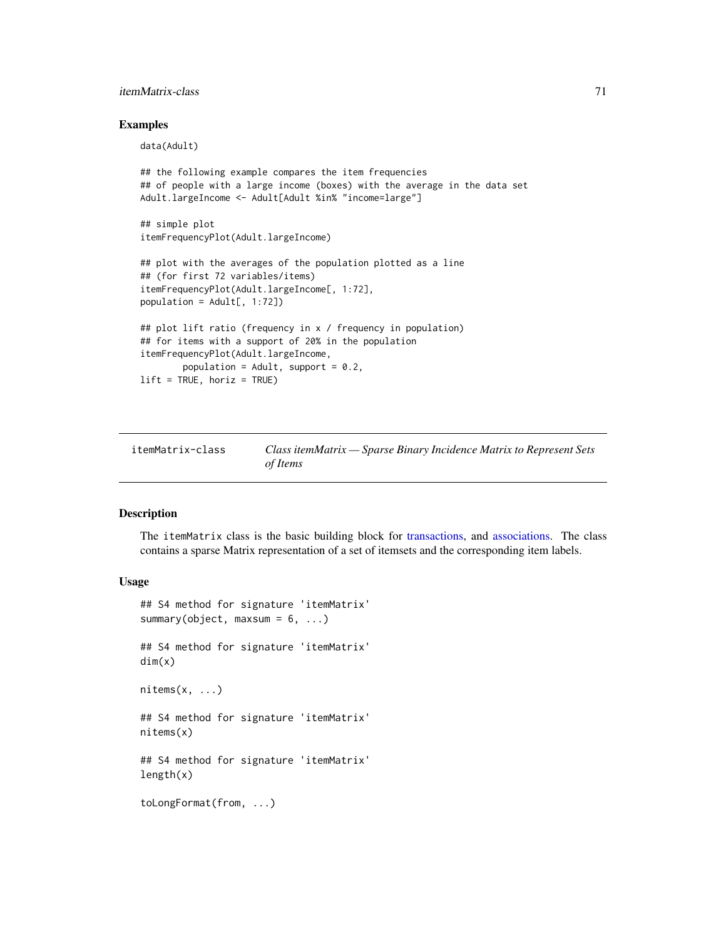## itemMatrix-class 71

#### Examples

data(Adult)

```
## the following example compares the item frequencies
## of people with a large income (boxes) with the average in the data set
Adult.largeIncome <- Adult[Adult %in% "income=large"]
## simple plot
itemFrequencyPlot(Adult.largeIncome)
## plot with the averages of the population plotted as a line
## (for first 72 variables/items)
itemFrequencyPlot(Adult.largeIncome[, 1:72],
population = Adult[, 1:72]## plot lift ratio (frequency in x / frequency in population)
## for items with a support of 20% in the population
itemFrequencyPlot(Adult.largeIncome,
       population = Adult, support = 0.2,
lift = TRUE, horiz = TRUE)
```
<span id="page-70-1"></span>itemMatrix-class *Class itemMatrix — Sparse Binary Incidence Matrix to Represent Sets of Items*

#### <span id="page-70-0"></span>Description

The itemMatrix class is the basic building block for [transactions,](#page-112-0) and [associations.](#page-16-0) The class contains a sparse Matrix representation of a set of itemsets and the corresponding item labels.

#### Usage

```
## S4 method for signature 'itemMatrix'
summary(object, maxsum = 6, ...)
## S4 method for signature 'itemMatrix'
dim(x)
nitems(x, \ldots)## S4 method for signature 'itemMatrix'
nitems(x)
## S4 method for signature 'itemMatrix'
length(x)
toLongFormat(from, ...)
```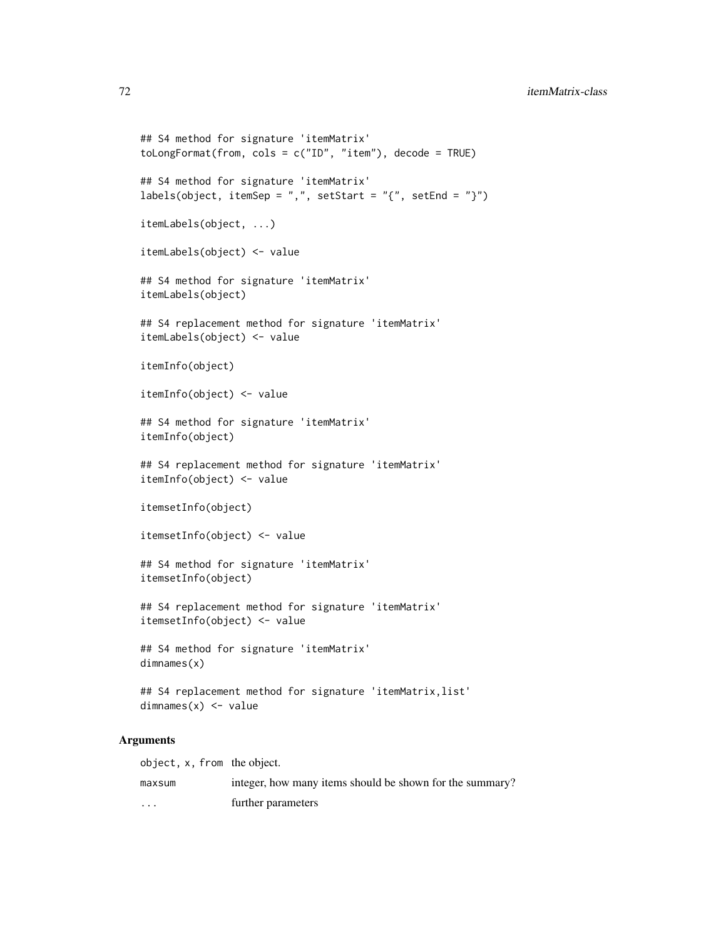```
## S4 method for signature 'itemMatrix'
toLongFormat(from, cols = c("ID", "item"), decode = TRUE)
## S4 method for signature 'itemMatrix'
labels(object, itemSep = ",", setStart = "{", setEnd = "}")
itemLabels(object, ...)
itemLabels(object) <- value
## S4 method for signature 'itemMatrix'
itemLabels(object)
## S4 replacement method for signature 'itemMatrix'
itemLabels(object) <- value
itemInfo(object)
itemInfo(object) <- value
## S4 method for signature 'itemMatrix'
itemInfo(object)
## S4 replacement method for signature 'itemMatrix'
itemInfo(object) <- value
itemsetInfo(object)
itemsetInfo(object) <- value
## S4 method for signature 'itemMatrix'
itemsetInfo(object)
## S4 replacement method for signature 'itemMatrix'
itemsetInfo(object) <- value
## S4 method for signature 'itemMatrix'
dimnames(x)
## S4 replacement method for signature 'itemMatrix, list'
dimnames(x) <- value
```
### Arguments

| object, x, from the object. |                                                          |
|-----------------------------|----------------------------------------------------------|
| maxsum                      | integer, how many items should be shown for the summary? |
| $\cdot$                     | further parameters                                       |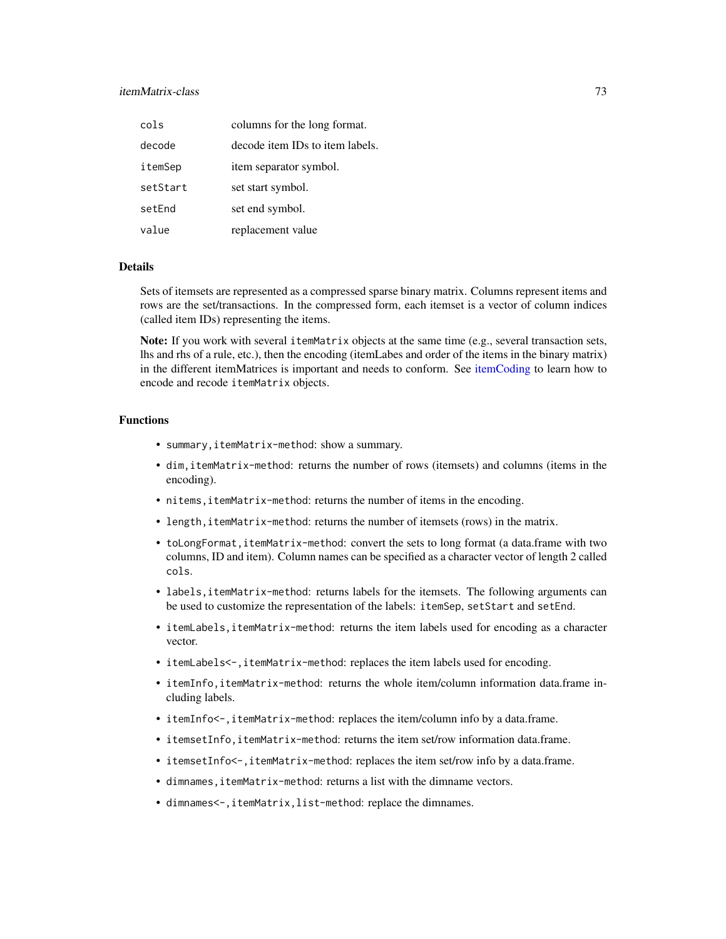## itemMatrix-class 73

| cols     | columns for the long format.    |
|----------|---------------------------------|
| decode   | decode item IDs to item labels. |
| itemSep  | item separator symbol.          |
| setStart | set start symbol.               |
| setEnd   | set end symbol.                 |
| value    | replacement value               |

## Details

Sets of itemsets are represented as a compressed sparse binary matrix. Columns represent items and rows are the set/transactions. In the compressed form, each itemset is a vector of column indices (called item IDs) representing the items.

Note: If you work with several itemMatrix objects at the same time (e.g., several transaction sets, lhs and rhs of a rule, etc.), then the encoding (itemLabes and order of the items in the binary matrix) in the different itemMatrices is important and needs to conform. See [itemCoding](#page-62-0) to learn how to encode and recode itemMatrix objects.

## Functions

- summary,itemMatrix-method: show a summary.
- dim,itemMatrix-method: returns the number of rows (itemsets) and columns (items in the encoding).
- nitems,itemMatrix-method: returns the number of items in the encoding.
- length, itemMatrix-method: returns the number of itemsets (rows) in the matrix.
- toLongFormat,itemMatrix-method: convert the sets to long format (a data.frame with two columns, ID and item). Column names can be specified as a character vector of length 2 called cols.
- labels, itemMatrix-method: returns labels for the itemsets. The following arguments can be used to customize the representation of the labels: itemSep, setStart and setEnd.
- itemLabels,itemMatrix-method: returns the item labels used for encoding as a character vector.
- itemLabels<-,itemMatrix-method: replaces the item labels used for encoding.
- itemInfo,itemMatrix-method: returns the whole item/column information data.frame including labels.
- itemInfo<-,itemMatrix-method: replaces the item/column info by a data.frame.
- itemsetInfo, itemMatrix-method: returns the item set/row information data.frame.
- itemsetInfo<-,itemMatrix-method: replaces the item set/row info by a data.frame.
- dimnames,itemMatrix-method: returns a list with the dimname vectors.
- dimnames<-,itemMatrix,list-method: replace the dimnames.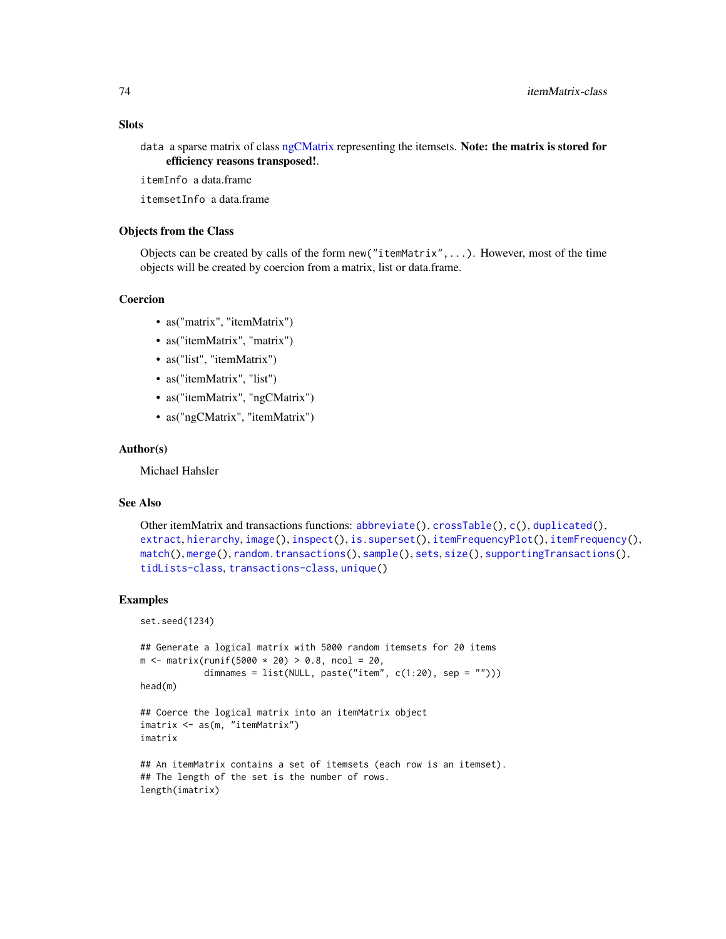## **Slots**

data a sparse matrix of class [ngCMatrix](#page-0-0) representing the itemsets. Note: the matrix is stored for efficiency reasons transposed!.

itemInfo a data.frame

itemsetInfo a data.frame

## Objects from the Class

Objects can be created by calls of the form new("itemMatrix",...). However, most of the time objects will be created by coercion from a matrix, list or data.frame.

## Coercion

- as("matrix", "itemMatrix")
- as("itemMatrix", "matrix")
- as("list", "itemMatrix")
- as("itemMatrix", "list")
- as("itemMatrix", "ngCMatrix")
- as("ngCMatrix", "itemMatrix")

## Author(s)

Michael Hahsler

## See Also

```
Other itemMatrix and transactions functions: abbreviate(), crossTable(), c(), duplicated(),
extract, hierarchy, image(), inspect(), is.superset(), itemFrequencyPlot(), itemFrequency(),
match(), merge(), random.transactions(), sample(), sets, size(), supportingTransactions(),
tidLists-class, transactions-class, unique()
```
#### Examples

```
set.seed(1234)
```

```
## Generate a logical matrix with 5000 random itemsets for 20 items
m <- matrix(runif(5000 * 20) > 0.8, ncol = 20,
           dimnames = list(NULL, paste("item", c(1:20), sep = ""))head(m)
## Coerce the logical matrix into an itemMatrix object
imatrix <- as(m, "itemMatrix")
imatrix
## An itemMatrix contains a set of itemsets (each row is an itemset).
## The length of the set is the number of rows.
length(imatrix)
```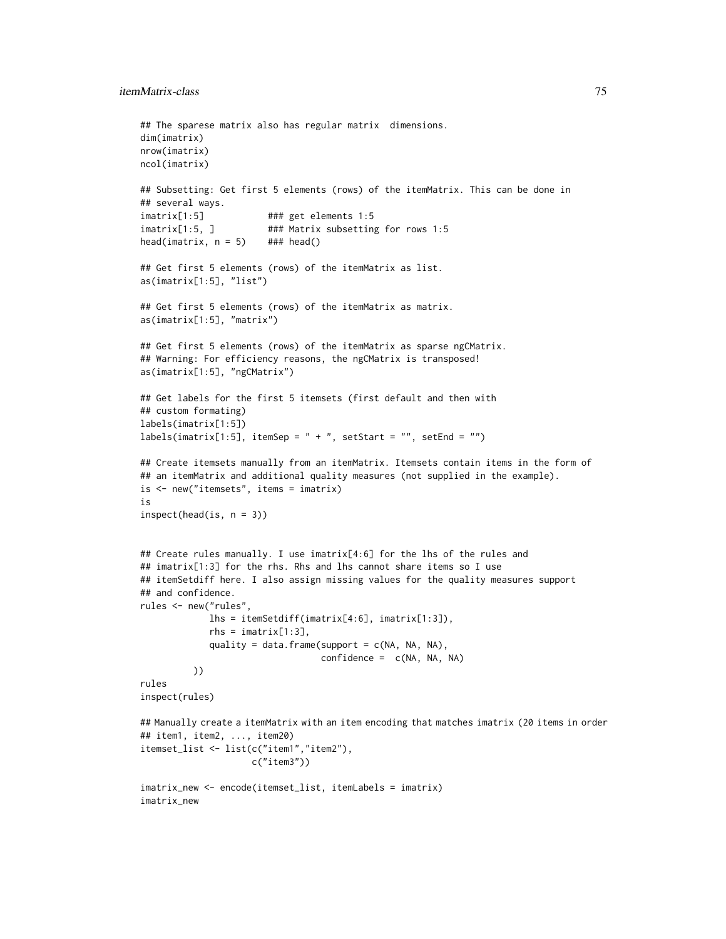## itemMatrix-class 75

```
## The sparese matrix also has regular matrix dimensions.
dim(imatrix)
nrow(imatrix)
ncol(imatrix)
## Subsetting: Get first 5 elements (rows) of the itemMatrix. This can be done in
## several ways.
imatrix[1:5] ### get elements 1:5
imatrix[1:5, ] ### Matrix subsetting for rows 1:5
head(imatrix, n = 5) ### head()
## Get first 5 elements (rows) of the itemMatrix as list.
as(imatrix[1:5], "list")
## Get first 5 elements (rows) of the itemMatrix as matrix.
as(imatrix[1:5], "matrix")
## Get first 5 elements (rows) of the itemMatrix as sparse ngCMatrix.
## Warning: For efficiency reasons, the ngCMatrix is transposed!
as(imatrix[1:5], "ngCMatrix")
## Get labels for the first 5 itemsets (first default and then with
## custom formating)
labels(imatrix[1:5])
labels(imatrix[1:5], itemSep = " + ", setStart = "", setEnd = "")
## Create itemsets manually from an itemMatrix. Itemsets contain items in the form of
## an itemMatrix and additional quality measures (not supplied in the example).
is <- new("itemsets", items = imatrix)
is
inspect(head(is, n = 3))
## Create rules manually. I use imatrix[4:6] for the lhs of the rules and
## imatrix[1:3] for the rhs. Rhs and lhs cannot share items so I use
## itemSetdiff here. I also assign missing values for the quality measures support
## and confidence.
rules <- new("rules",
             lhs = itemSetdiff(imatrix[4:6], imatrix[1:3]),
             rhs = imatrix[1:3],quality = data.frame(support = c(NA, NA, NA),
                                 confidence = c(NA, NA, NA)
          ))
rules
inspect(rules)
## Manually create a itemMatrix with an item encoding that matches imatrix (20 items in order
## item1, item2, ..., item20)
itemset_list <- list(c("item1","item2"),
                    c("item3"))
imatrix_new <- encode(itemset_list, itemLabels = imatrix)
imatrix_new
```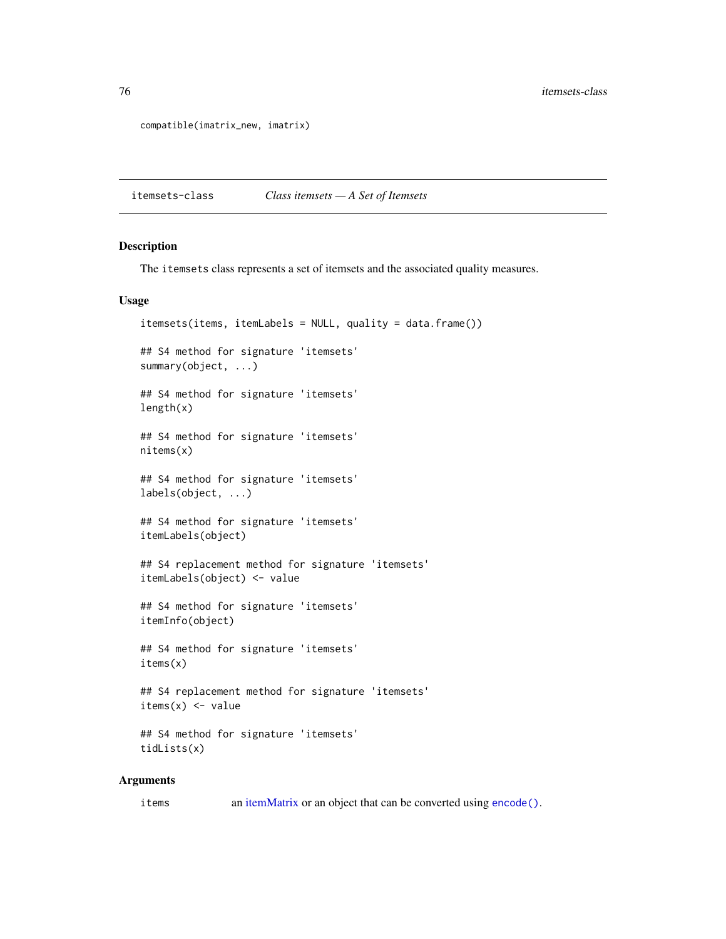```
compatible(imatrix_new, imatrix)
```
<span id="page-75-0"></span>itemsets-class *Class itemsets — A Set of Itemsets*

#### <span id="page-75-1"></span>Description

The itemsets class represents a set of itemsets and the associated quality measures.

#### Usage

```
itemsets(items, itemLabels = NULL, quality = data.frame())
## S4 method for signature 'itemsets'
summary(object, ...)
## S4 method for signature 'itemsets'
length(x)
## S4 method for signature 'itemsets'
nitems(x)
## S4 method for signature 'itemsets'
labels(object, ...)
## S4 method for signature 'itemsets'
itemLabels(object)
## S4 replacement method for signature 'itemsets'
itemLabels(object) <- value
## S4 method for signature 'itemsets'
itemInfo(object)
## S4 method for signature 'itemsets'
items(x)
## S4 replacement method for signature 'itemsets'
items(x) \leftarrow value## S4 method for signature 'itemsets'
tidLists(x)
```
## Arguments

items an [itemMatrix](#page-70-0) or an object that can be converted using [encode\(\)](#page-62-1).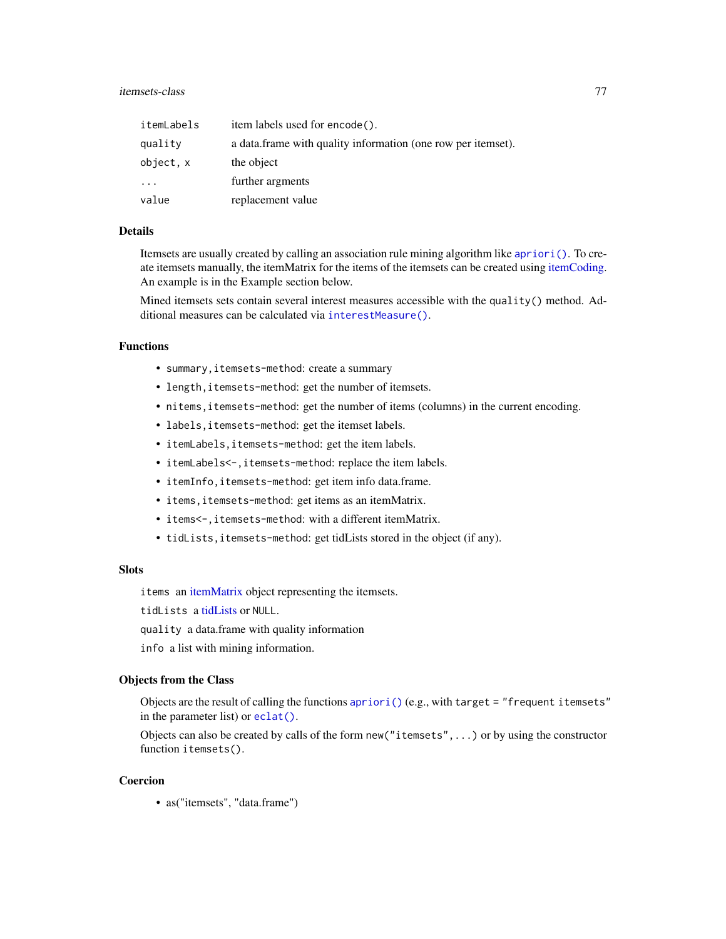## itemsets-class 77

| itemLabels | item labels used for encode().                               |
|------------|--------------------------------------------------------------|
| quality    | a data frame with quality information (one row per itemset). |
| object, x  | the object                                                   |
| .          | further argments                                             |
| value      | replacement value                                            |

#### Details

Itemsets are usually created by calling an association rule mining algorithm like [apriori\(\)](#page-10-0). To create itemsets manually, the itemMatrix for the items of the itemsets can be created using [itemCoding.](#page-62-0) An example is in the Example section below.

Mined itemsets sets contain several interest measures accessible with the quality() method. Additional measures can be calculated via [interestMeasure\(\)](#page-49-0).

## Functions

- summary,itemsets-method: create a summary
- length, itemsets-method: get the number of itemsets.
- nitems,itemsets-method: get the number of items (columns) in the current encoding.
- labels,itemsets-method: get the itemset labels.
- itemLabels,itemsets-method: get the item labels.
- itemLabels<-, itemsets-method: replace the item labels.
- itemInfo, itemsets-method: get item info data.frame.
- items,itemsets-method: get items as an itemMatrix.
- items<-, itemsets-method: with a different itemMatrix.
- tidLists,itemsets-method: get tidLists stored in the object (if any).

#### **Slots**

items an [itemMatrix](#page-70-0) object representing the itemsets.

tidLists a [tidLists](#page-109-1) or NULL.

quality a data.frame with quality information

info a list with mining information.

## Objects from the Class

Objects are the result of calling the functions [apriori\(\)](#page-10-0) (e.g., with target = "frequent itemsets" in the parameter list) or [eclat\(\)](#page-33-0).

Objects can also be created by calls of the form new("itemsets",...) or by using the constructor function itemsets().

## Coercion

• as("itemsets", "data.frame")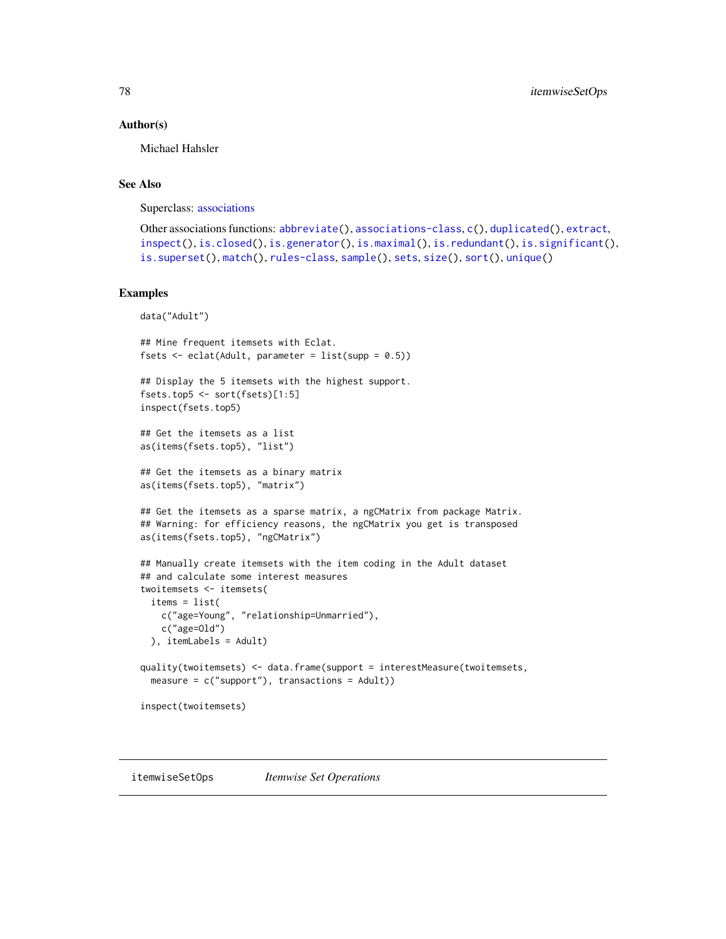#### Author(s)

Michael Hahsler

### See Also

Superclass: [associations](#page-16-0)

```
Other associations functions: abbreviate(), associations-class, c(), duplicated(), extract,
inspect(), is.closed(), is.generator(), is.maximal(), is.redundant(), is.significant(),
is.superset(), match(), rules-class, sample(), sets, size(), sort(), unique()
```
## Examples

data("Adult")

```
## Mine frequent itemsets with Eclat.
fsets \leq eclat(Adult, parameter = list(supp = 0.5))
## Display the 5 itemsets with the highest support.
fsets.top5 <- sort(fsets)[1:5]
inspect(fsets.top5)
## Get the itemsets as a list
as(items(fsets.top5), "list")
## Get the itemsets as a binary matrix
as(items(fsets.top5), "matrix")
## Get the itemsets as a sparse matrix, a ngCMatrix from package Matrix.
## Warning: for efficiency reasons, the ngCMatrix you get is transposed
as(items(fsets.top5), "ngCMatrix")
## Manually create itemsets with the item coding in the Adult dataset
## and calculate some interest measures
twoitemsets <- itemsets(
 items = list(
   c("age=Young", "relationship=Unmarried"),
   c("age=Old")
 ), itemLabels = Adult)
quality(twoitemsets) <- data.frame(support = interestMeasure(twoitemsets,
 measure = c("support"), transactions = Adult))
inspect(twoitemsets)
```
itemwiseSetOps *Itemwise Set Operations*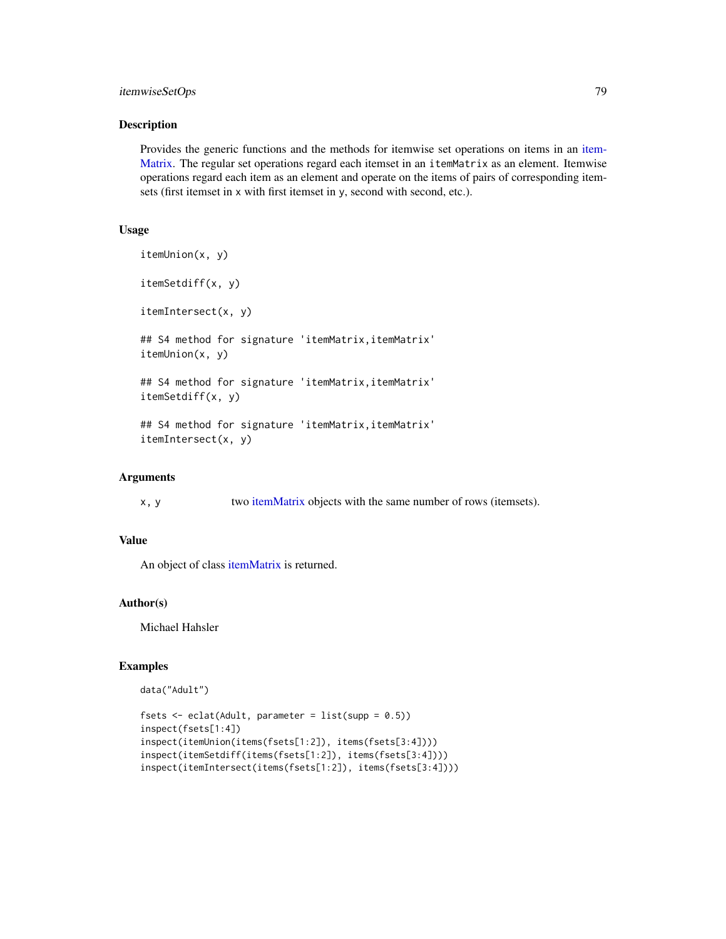## itemwiseSetOps 79

#### Description

Provides the generic functions and the methods for itemwise set operations on items in an [item-](#page-70-0)[Matrix.](#page-70-0) The regular set operations regard each itemset in an itemMatrix as an element. Itemwise operations regard each item as an element and operate on the items of pairs of corresponding itemsets (first itemset in x with first itemset in y, second with second, etc.).

## Usage

```
itemUnion(x, y)
itemSetdiff(x, y)
itemIntersect(x, y)
## S4 method for signature 'itemMatrix,itemMatrix'
itemUnion(x, y)
## S4 method for signature 'itemMatrix,itemMatrix'
itemSetdiff(x, y)
## S4 method for signature 'itemMatrix,itemMatrix'
itemIntersect(x, y)
```
## Arguments

x, y two [itemMatrix](#page-70-0) objects with the same number of rows (itemsets).

## Value

An object of class [itemMatrix](#page-70-0) is returned.

## Author(s)

Michael Hahsler

#### Examples

```
data("Adult")
```

```
fsets \leq eclat(Adult, parameter = list(supp = 0.5))
inspect(fsets[1:4])
inspect(itemUnion(items(fsets[1:2]), items(fsets[3:4])))
inspect(itemSetdiff(items(fsets[1:2]), items(fsets[3:4])))
inspect(itemIntersect(items(fsets[1:2]), items(fsets[3:4])))
```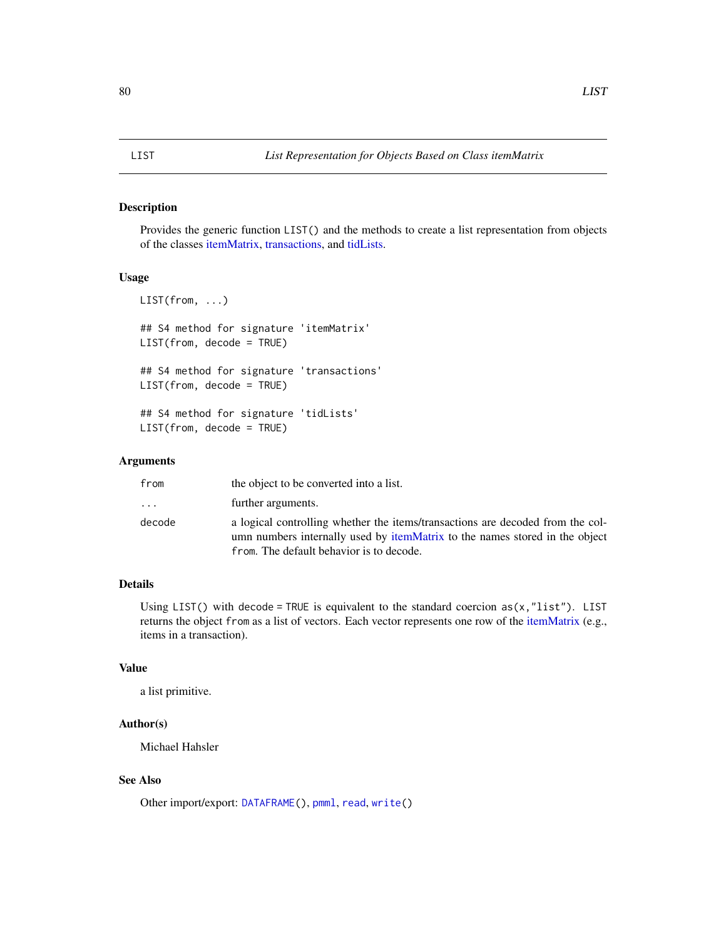## <span id="page-79-0"></span>Description

Provides the generic function LIST() and the methods to create a list representation from objects of the classes [itemMatrix,](#page-70-0) [transactions,](#page-112-1) and [tidLists.](#page-109-1)

#### Usage

```
LIST(from, ...)
## S4 method for signature 'itemMatrix'
LIST(from, decode = TRUE)
## S4 method for signature 'transactions'
LIST(from, decode = TRUE)
## S4 method for signature 'tidLists'
LIST(from, decode = TRUE)
```
#### Arguments

| from   | the object to be converted into a list.                                                                                                                                                                   |
|--------|-----------------------------------------------------------------------------------------------------------------------------------------------------------------------------------------------------------|
| .      | further arguments.                                                                                                                                                                                        |
| decode | a logical controlling whether the items/transactions are decoded from the col-<br>umn numbers internally used by itemMatrix to the names stored in the object<br>from. The default behavior is to decode. |

## Details

Using LIST() with decode = TRUE is equivalent to the standard coercion  $as(x, "list")$ . LIST returns the object from as a list of vectors. Each vector represents one row of the [itemMatrix](#page-70-0) (e.g., items in a transaction).

## Value

a list primitive.

## Author(s)

Michael Hahsler

# See Also

Other import/export: [DATAFRAME\(](#page-25-0)), [pmml](#page-84-0), [read](#page-89-0), [write\(](#page-120-0))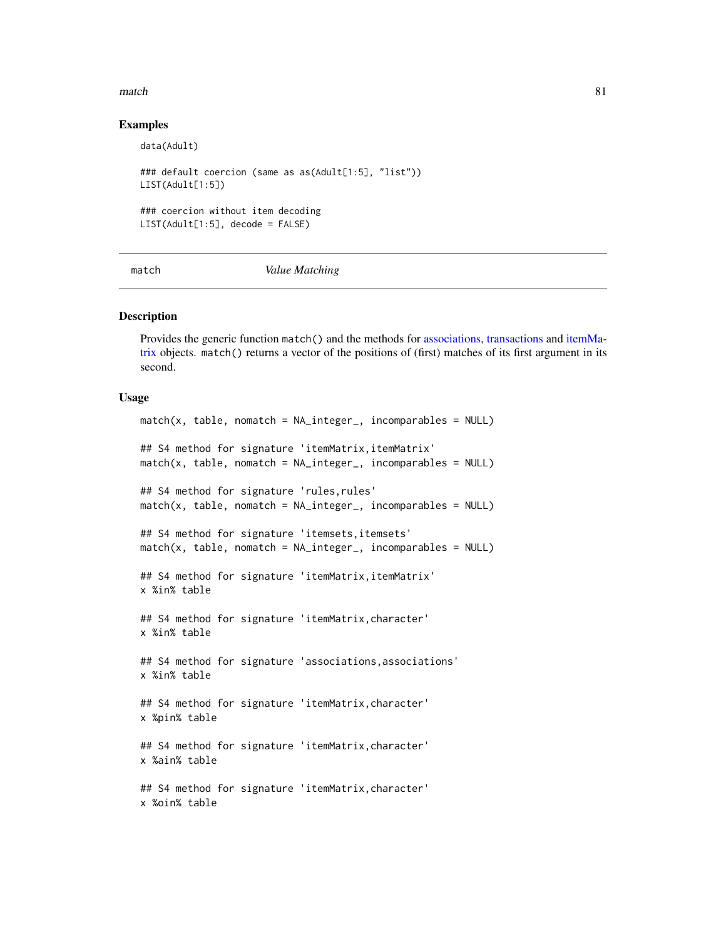#### $match$  81

## Examples

```
data(Adult)
### default coercion (same as as(Adult[1:5], "list"))
LIST(Adult[1:5])
### coercion without item decoding
LIST(Adult[1:5], decode = FALSE)
```
<span id="page-80-0"></span>match *Value Matching*

### <span id="page-80-1"></span>Description

Provides the generic function match() and the methods for [associations,](#page-16-0) [transactions](#page-112-1) and [itemMa](#page-70-0)[trix](#page-70-0) objects. match() returns a vector of the positions of (first) matches of its first argument in its second.

## Usage

```
match(x, table, momenth = NA_interest_p, incomehals = NULL)## S4 method for signature 'itemMatrix,itemMatrix'
match(x, table, nomatch = NA_integer_, incomparables = NULL)
## S4 method for signature 'rules,rules'
match(x, table, nomatch = NA_integer_, incomparables = NULL)
## S4 method for signature 'itemsets, itemsets'
match(x, table, nomatch = NA_integer_, incomparables = NULL)
## S4 method for signature 'itemMatrix,itemMatrix'
x %in% table
## S4 method for signature 'itemMatrix, character'
x %in% table
## S4 method for signature 'associations,associations'
x %in% table
## S4 method for signature 'itemMatrix,character'
x %pin% table
## S4 method for signature 'itemMatrix, character'
x %ain% table
## S4 method for signature 'itemMatrix, character'
x %oin% table
```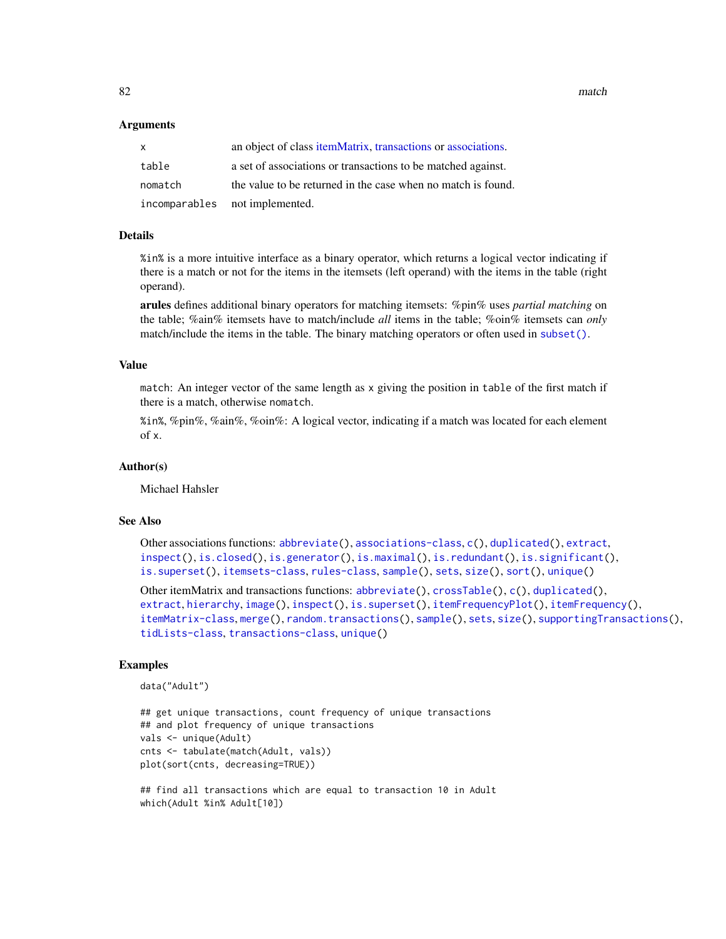82 match

#### Arguments

| x.      | an object of class <i>itemMatrix</i> , <i>transactions</i> or <i>associations</i> . |  |
|---------|-------------------------------------------------------------------------------------|--|
| table   | a set of associations or transactions to be matched against.                        |  |
| nomatch | the value to be returned in the case when no match is found.                        |  |
|         | incomparables not implemented.                                                      |  |

## Details

%in% is a more intuitive interface as a binary operator, which returns a logical vector indicating if there is a match or not for the items in the itemsets (left operand) with the items in the table (right operand).

arules defines additional binary operators for matching itemsets: %pin% uses *partial matching* on the table; %ain% itemsets have to match/include *all* items in the table; %oin% itemsets can *only* match/include the items in the table. The binary matching operators or often used in [subset\(\)](#page-104-0).

#### Value

match: An integer vector of the same length as x giving the position in table of the first match if there is a match, otherwise nomatch.

%in%, %pin%, %ain%, %oin%: A logical vector, indicating if a match was located for each element of x.

## Author(s)

Michael Hahsler

## See Also

Other associations functions: [abbreviate\(](#page-2-0)), [associations-class](#page-16-1), [c\(](#page-18-0)), [duplicated\(](#page-32-0)), [extract](#page-36-0), [inspect\(](#page-47-0)), [is.closed\(](#page-53-0)), [is.generator\(](#page-54-0)), [is.maximal\(](#page-55-0)), [is.redundant\(](#page-57-0)), [is.significant\(](#page-59-0)), [is.superset\(](#page-61-0)), [itemsets-class](#page-75-0), [rules-class](#page-94-0), [sample\(](#page-98-0)), [sets](#page-99-0), [size\(](#page-101-0)), [sort\(](#page-102-0)), [unique\(](#page-117-0))

Other itemMatrix and transactions functions: [abbreviate\(](#page-2-0)), [crossTable\(](#page-23-0)), [c\(](#page-18-0)), [duplicated\(](#page-32-0)), [extract](#page-36-0), [hierarchy](#page-40-0), [image\(](#page-44-0)), [inspect\(](#page-47-0)), [is.superset\(](#page-61-0)), [itemFrequencyPlot\(](#page-68-0)), [itemFrequency\(](#page-67-0)), [itemMatrix-class](#page-70-1), [merge\(](#page-82-0)), [random.transactions\(](#page-87-0)), [sample\(](#page-98-0)), [sets](#page-99-0), [size\(](#page-101-0)), [supportingTransactions\(](#page-108-0)), [tidLists-class](#page-109-0), [transactions-class](#page-112-0), [unique\(](#page-117-0))

## Examples

```
data("Adult")
```

```
## get unique transactions, count frequency of unique transactions
## and plot frequency of unique transactions
vals <- unique(Adult)
cnts <- tabulate(match(Adult, vals))
plot(sort(cnts, decreasing=TRUE))
## find all transactions which are equal to transaction 10 in Adult
```
which(Adult %in% Adult[10])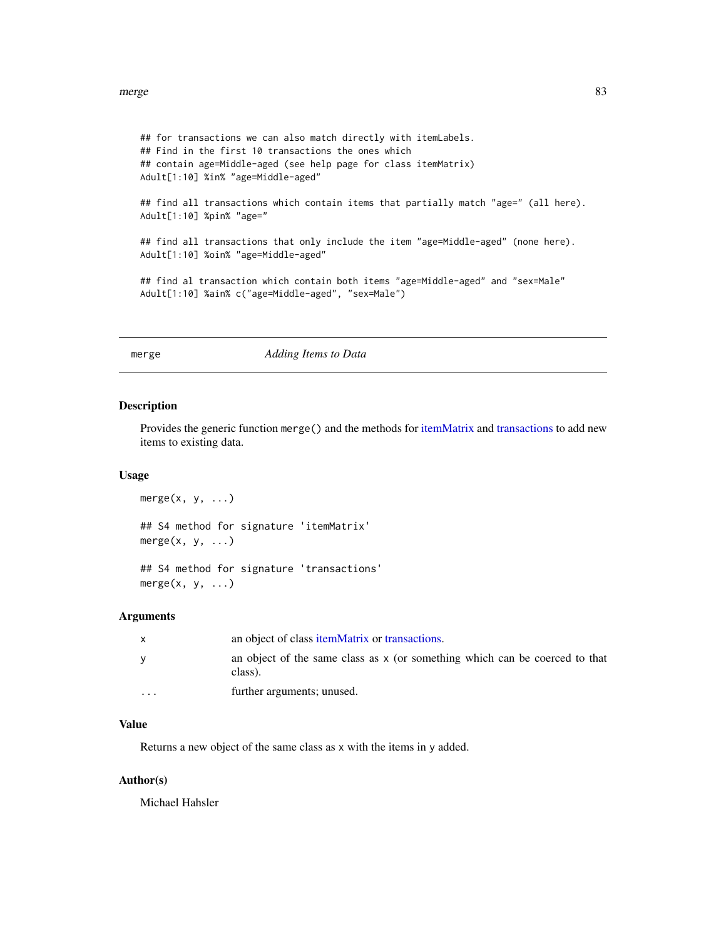#### merge 83

```
## for transactions we can also match directly with itemLabels.
## Find in the first 10 transactions the ones which
## contain age=Middle-aged (see help page for class itemMatrix)
Adult[1:10] %in% "age=Middle-aged"
## find all transactions which contain items that partially match "age=" (all here).
Adult[1:10] %pin% "age="
## find all transactions that only include the item "age=Middle-aged" (none here).
Adult[1:10] %oin% "age=Middle-aged"
## find al transaction which contain both items "age=Middle-aged" and "sex=Male"
Adult[1:10] %ain% c("age=Middle-aged", "sex=Male")
```
<span id="page-82-0"></span>

merge *Adding Items to Data*

## Description

Provides the generic function merge() and the methods for [itemMatrix](#page-70-0) and [transactions](#page-112-1) to add new items to existing data.

#### Usage

```
merge(x, y, \ldots)## S4 method for signature 'itemMatrix'
merge(x, y, \ldots)## S4 method for signature 'transactions'
```
merge $(x, y, \ldots)$ 

## Arguments

| X        | an object of class <i>itemMatrix</i> or transactions.                                  |
|----------|----------------------------------------------------------------------------------------|
| <b>V</b> | an object of the same class as x (or something which can be coerced to that<br>class). |
| $\cdot$  | further arguments; unused.                                                             |

## Value

Returns a new object of the same class as x with the items in y added.

## Author(s)

Michael Hahsler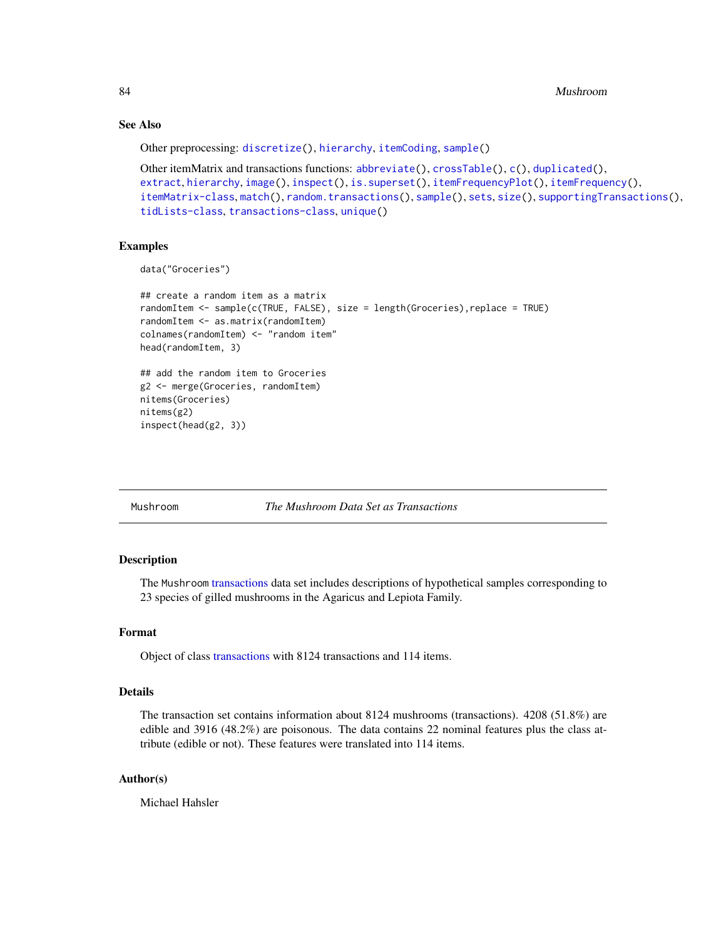## See Also

Other preprocessing: [discretize\(](#page-26-0)), [hierarchy](#page-40-0), [itemCoding](#page-62-0), [sample\(](#page-98-0))

```
Other itemMatrix and transactions functions: abbreviate(), crossTable(), c(), duplicated(),
extract, hierarchy, image(), inspect(), is.superset(), itemFrequencyPlot(), itemFrequency(),
itemMatrix-class, match(), random.transactions(), sample(), sets, size(), supportingTransactions(),
tidLists-class, transactions-class, unique()
```
## Examples

```
data("Groceries")
```

```
## create a random item as a matrix
randomItem <- sample(c(TRUE, FALSE), size = length(Groceries),replace = TRUE)
randomItem <- as.matrix(randomItem)
colnames(randomItem) <- "random item"
head(randomItem, 3)
## add the random item to Groceries
g2 <- merge(Groceries, randomItem)
nitems(Groceries)
nitems(g2)
inspect(head(g2, 3))
```
Mushroom *The Mushroom Data Set as Transactions*

## Description

The Mushroom [transactions](#page-112-1) data set includes descriptions of hypothetical samples corresponding to 23 species of gilled mushrooms in the Agaricus and Lepiota Family.

## Format

Object of class [transactions](#page-112-1) with 8124 transactions and 114 items.

### Details

The transaction set contains information about 8124 mushrooms (transactions). 4208 (51.8%) are edible and 3916 (48.2%) are poisonous. The data contains 22 nominal features plus the class attribute (edible or not). These features were translated into 114 items.

## Author(s)

Michael Hahsler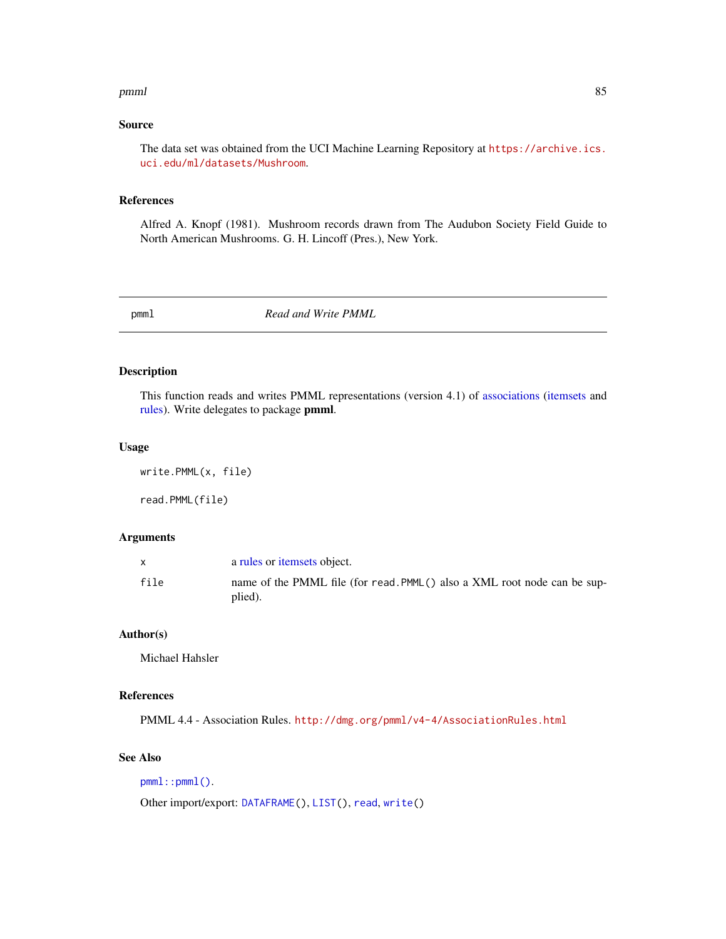#### pmml 85

## Source

The data set was obtained from the UCI Machine Learning Repository at [https://archive.ics.](https://archive.ics.uci.edu/ml/datasets/Mushroom) [uci.edu/ml/datasets/Mushroom](https://archive.ics.uci.edu/ml/datasets/Mushroom).

#### References

Alfred A. Knopf (1981). Mushroom records drawn from The Audubon Society Field Guide to North American Mushrooms. G. H. Lincoff (Pres.), New York.

<span id="page-84-0"></span>pmml *Read and Write PMML*

## Description

This function reads and writes PMML representations (version 4.1) of [associations](#page-16-0) [\(itemsets](#page-75-1) and [rules\)](#page-94-1). Write delegates to package pmml.

## Usage

write.PMML(x, file) read.PMML(file)

## Arguments

|      | a rules or itemsets object.                                                          |
|------|--------------------------------------------------------------------------------------|
| file | name of the PMML file (for read. PMML () also a XML root node can be sup-<br>plied). |

## Author(s)

Michael Hahsler

## References

PMML 4.4 - Association Rules. <http://dmg.org/pmml/v4-4/AssociationRules.html>

## See Also

[pmml::pmml\(\)](#page-0-0).

Other import/export: [DATAFRAME\(](#page-25-0)), [LIST\(](#page-79-0)), [read](#page-89-0), [write\(](#page-120-0))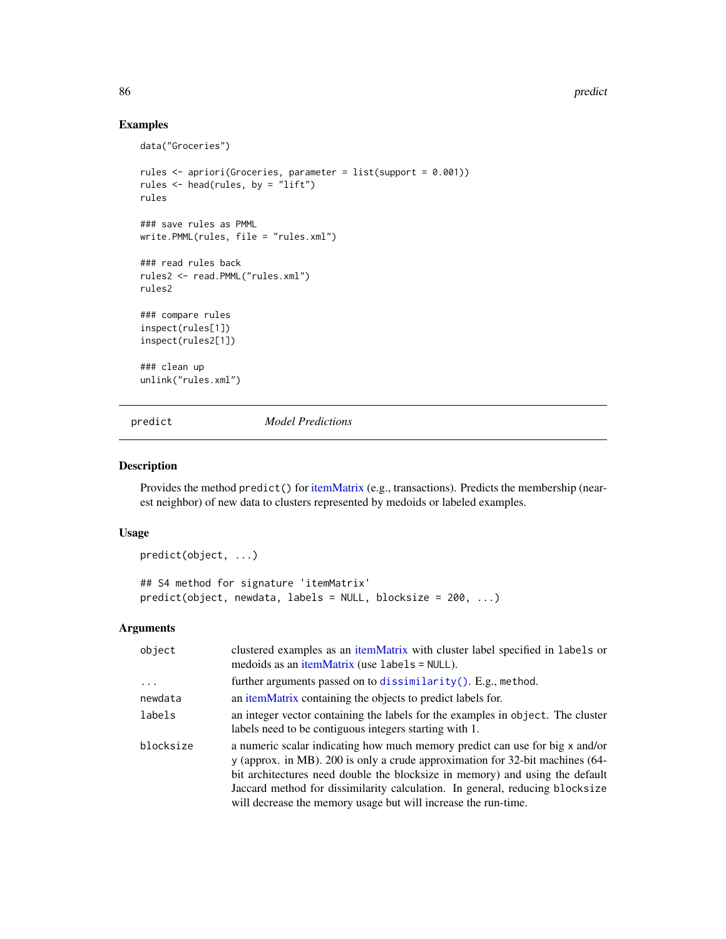## Examples

```
data("Groceries")
rules <- apriori(Groceries, parameter = list(support = 0.001))
rules <- head(rules, by = "lift")
rules
### save rules as PMML
write.PMML(rules, file = "rules.xml")
### read rules back
rules2 <- read.PMML("rules.xml")
rules2
### compare rules
inspect(rules[1])
inspect(rules2[1])
### clean up
unlink("rules.xml")
```
<span id="page-85-0"></span>predict *Model Predictions*

#### Description

Provides the method predict() for [itemMatrix](#page-70-0) (e.g., transactions). Predicts the membership (nearest neighbor) of new data to clusters represented by medoids or labeled examples.

## Usage

```
predict(object, ...)
## S4 method for signature 'itemMatrix'
predict(object, newdata, labels = NULL, blocksize = 200, ...)
```
#### Arguments

| object    | clustered examples as an itemMatrix with cluster label specified in labels or<br>medoids as an itemMatrix (use $labels = NULL$ ).                                                                                                                                                                                                                                                                 |
|-----------|---------------------------------------------------------------------------------------------------------------------------------------------------------------------------------------------------------------------------------------------------------------------------------------------------------------------------------------------------------------------------------------------------|
| $\cdot$   | further arguments passed on to dissimilarity(). E.g., method.                                                                                                                                                                                                                                                                                                                                     |
| newdata   | an <i>itemMatrix</i> containing the objects to predict labels for.                                                                                                                                                                                                                                                                                                                                |
| labels    | an integer vector containing the labels for the examples in object. The cluster<br>labels need to be contiguous integers starting with 1.                                                                                                                                                                                                                                                         |
| blocksize | a numeric scalar indicating how much memory predict can use for big x and/or<br>y (approx. in MB). 200 is only a crude approximation for 32-bit machines $(64-$<br>bit architectures need double the blocksize in memory) and using the default<br>Jaccard method for dissimilarity calculation. In general, reducing blocksize<br>will decrease the memory usage but will increase the run-time. |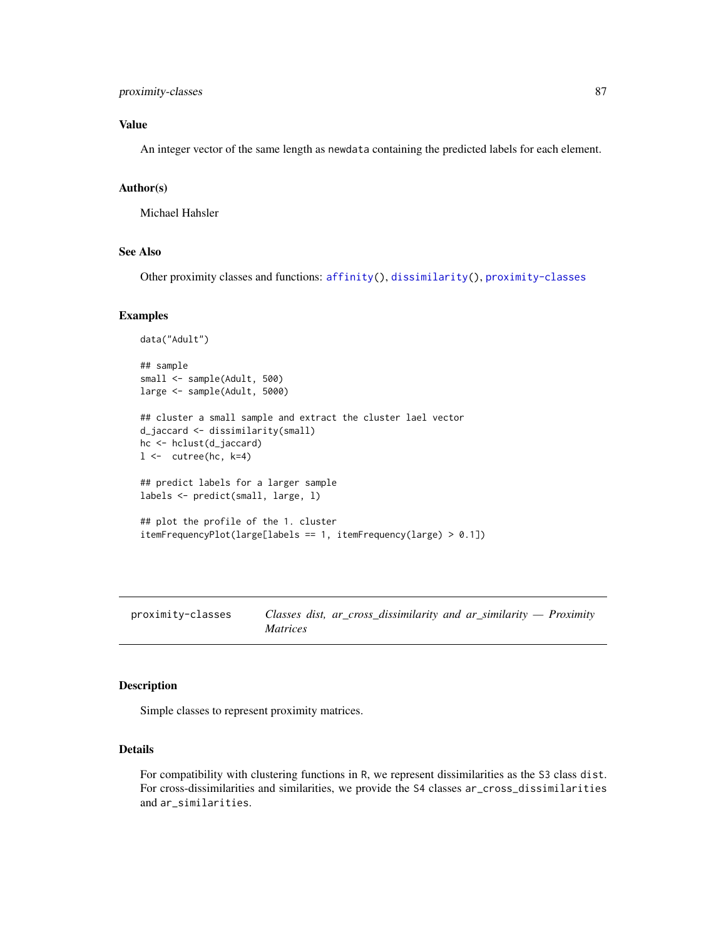## proximity-classes 87

## Value

An integer vector of the same length as newdata containing the predicted labels for each element.

## Author(s)

Michael Hahsler

## See Also

Other proximity classes and functions: [affinity\(](#page-7-0)), [dissimilarity\(](#page-29-0)), [proximity-classes](#page-86-0)

#### Examples

```
data("Adult")
## sample
small <- sample(Adult, 500)
large <- sample(Adult, 5000)
## cluster a small sample and extract the cluster lael vector
d_jaccard <- dissimilarity(small)
hc <- hclust(d_jaccard)
l \leftarrow cutree(hc, k=4)
## predict labels for a larger sample
labels <- predict(small, large, l)
## plot the profile of the 1. cluster
itemFrequencyPlot(large[labels == 1, itemFrequency(large) > 0.1])
```
<span id="page-86-0"></span>proximity-classes *Classes dist, ar\_cross\_dissimilarity and ar\_similarity — Proximity Matrices*

## Description

Simple classes to represent proximity matrices.

## Details

For compatibility with clustering functions in R, we represent dissimilarities as the S3 class dist. For cross-dissimilarities and similarities, we provide the S4 classes ar\_cross\_dissimilarities and ar\_similarities.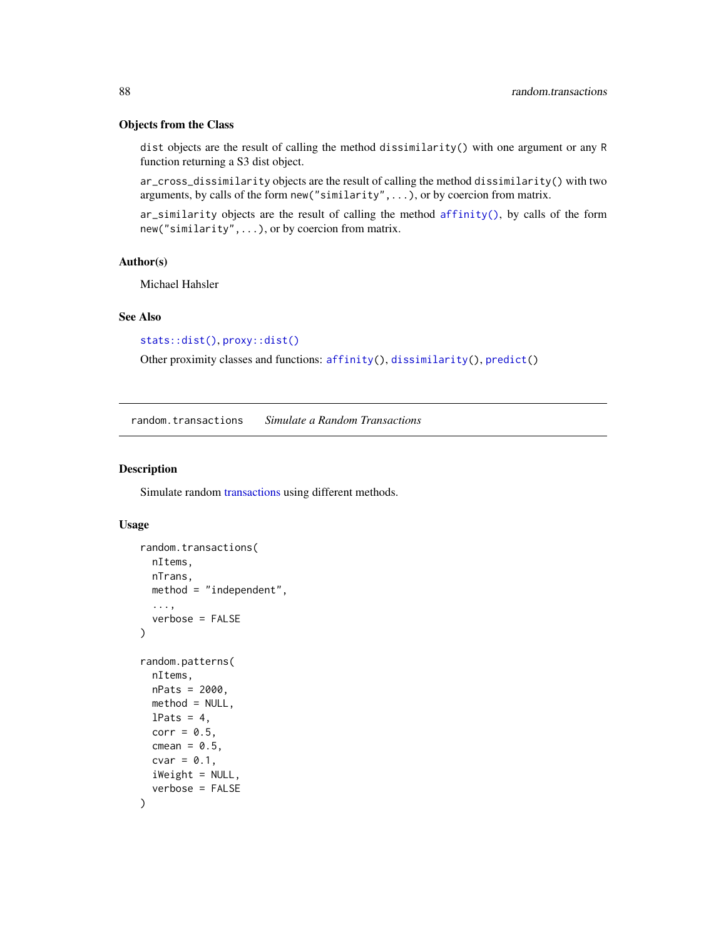## Objects from the Class

dist objects are the result of calling the method dissimilarity() with one argument or any R function returning a S3 dist object.

ar\_cross\_dissimilarity objects are the result of calling the method dissimilarity() with two arguments, by calls of the form new("similarity",...), or by coercion from matrix.

ar\_similarity objects are the result of calling the method [affinity\(\)](#page-7-0), by calls of the form new("similarity",...), or by coercion from matrix.

#### Author(s)

Michael Hahsler

#### See Also

[stats::dist\(\)](#page-0-0), [proxy::dist\(\)](#page-0-0)

Other proximity classes and functions: [affinity\(](#page-7-0)), [dissimilarity\(](#page-29-0)), [predict\(](#page-85-0))

<span id="page-87-0"></span>random.transactions *Simulate a Random Transactions*

## Description

Simulate random [transactions](#page-112-1) using different methods.

## Usage

```
random.transactions(
 nItems,
 nTrans,
 method = "independent",
  ...,
  verbose = FALSE
)
random.patterns(
  nItems,
 nPats = 2000,
 method = NULL,lPats = 4,
  corr = 0.5,
  cmean = 0.5,
  cvar = 0.1,
  iWeight = NULL,verbose = FALSE
)
```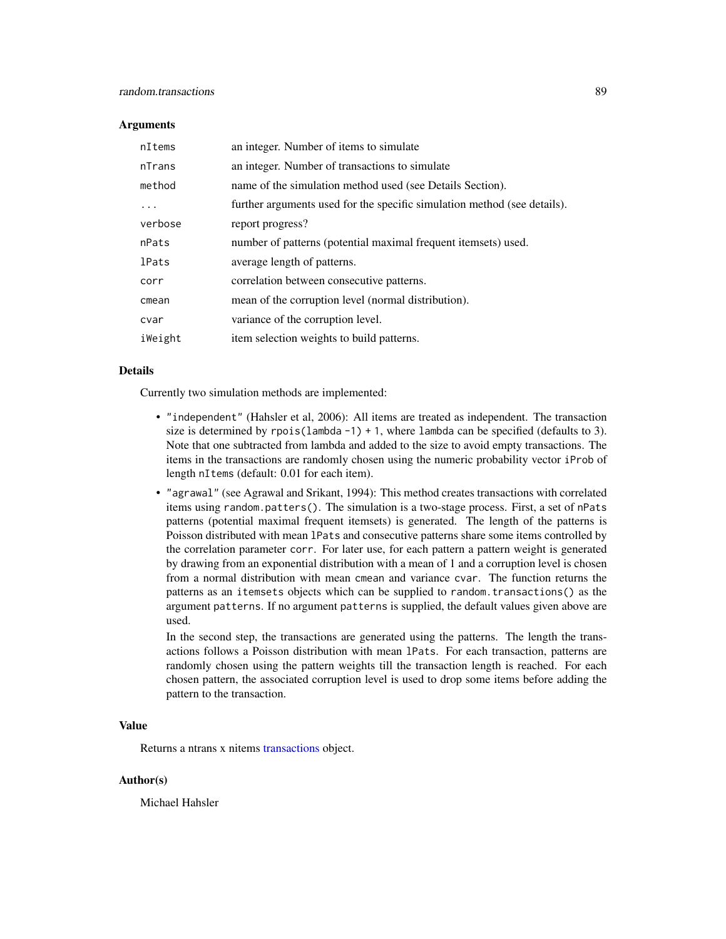#### **Arguments**

| nItems       | an integer. Number of items to simulate                                  |
|--------------|--------------------------------------------------------------------------|
| nTrans       | an integer. Number of transactions to simulate                           |
| method       | name of the simulation method used (see Details Section).                |
| .            | further arguments used for the specific simulation method (see details). |
| verbose      | report progress?                                                         |
| nPats        | number of patterns (potential maximal frequent itemsets) used.           |
| <b>lPats</b> | average length of patterns.                                              |
| corr         | correlation between consecutive patterns.                                |
| cmean        | mean of the corruption level (normal distribution).                      |
| cvar         | variance of the corruption level.                                        |
| iWeight      | item selection weights to build patterns.                                |

## Details

Currently two simulation methods are implemented:

- "independent" (Hahsler et al, 2006): All items are treated as independent. The transaction size is determined by rpois(lambda  $-1$ ) + 1, where lambda can be specified (defaults to 3). Note that one subtracted from lambda and added to the size to avoid empty transactions. The items in the transactions are randomly chosen using the numeric probability vector iProb of length nItems (default: 0.01 for each item).
- "agrawal" (see Agrawal and Srikant, 1994): This method creates transactions with correlated items using random.patters(). The simulation is a two-stage process. First, a set of nPats patterns (potential maximal frequent itemsets) is generated. The length of the patterns is Poisson distributed with mean lPats and consecutive patterns share some items controlled by the correlation parameter corr. For later use, for each pattern a pattern weight is generated by drawing from an exponential distribution with a mean of 1 and a corruption level is chosen from a normal distribution with mean cmean and variance cvar. The function returns the patterns as an itemsets objects which can be supplied to random.transactions() as the argument patterns. If no argument patterns is supplied, the default values given above are used.

In the second step, the transactions are generated using the patterns. The length the transactions follows a Poisson distribution with mean lPats. For each transaction, patterns are randomly chosen using the pattern weights till the transaction length is reached. For each chosen pattern, the associated corruption level is used to drop some items before adding the pattern to the transaction.

#### Value

Returns a ntrans x nitems [transactions](#page-112-1) object.

## Author(s)

Michael Hahsler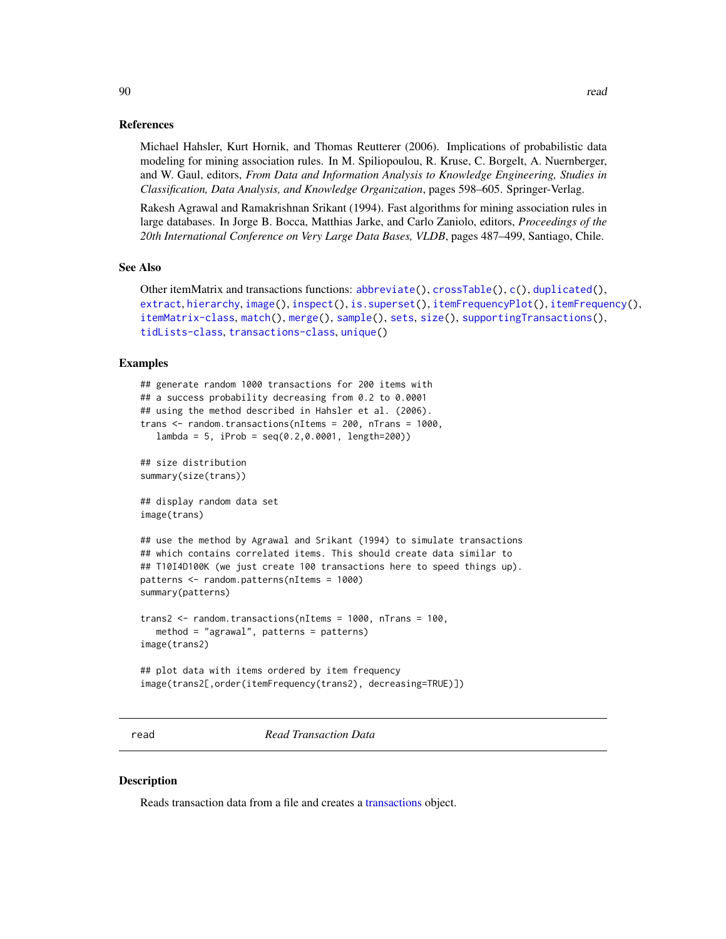## References

Michael Hahsler, Kurt Hornik, and Thomas Reutterer (2006). Implications of probabilistic data modeling for mining association rules. In M. Spiliopoulou, R. Kruse, C. Borgelt, A. Nuernberger, and W. Gaul, editors, *From Data and Information Analysis to Knowledge Engineering, Studies in Classification, Data Analysis, and Knowledge Organization*, pages 598–605. Springer-Verlag.

Rakesh Agrawal and Ramakrishnan Srikant (1994). Fast algorithms for mining association rules in large databases. In Jorge B. Bocca, Matthias Jarke, and Carlo Zaniolo, editors, *Proceedings of the 20th International Conference on Very Large Data Bases, VLDB*, pages 487–499, Santiago, Chile.

#### See Also

```
Other itemMatrix and transactions functions: abbreviate(), crossTable(), c(), duplicated(),
extract, hierarchy, image(), inspect(), is.superset(), itemFrequencyPlot(), itemFrequency(),
itemMatrix-class, match(), merge(), sample(), sets, size(), supportingTransactions(),
tidLists-class, transactions-class, unique()
```
## Examples

```
## generate random 1000 transactions for 200 items with
## a success probability decreasing from 0.2 to 0.0001
## using the method described in Hahsler et al. (2006).
trans <- random.transactions(nItems = 200, nTrans = 1000,
  lambda = 5, iProb = seq(0.2, 0.0001, length=200)## size distribution
summary(size(trans))
## display random data set
image(trans)
## use the method by Agrawal and Srikant (1994) to simulate transactions
## which contains correlated items. This should create data similar to
## T10I4D100K (we just create 100 transactions here to speed things up).
patterns <- random.patterns(nItems = 1000)
summary(patterns)
trans2 <- random.transactions(nItems = 1000, nTrans = 100,
  method = "agrawal", patterns = patterns)
image(trans2)
## plot data with items ordered by item frequency
image(trans2[,order(itemFrequency(trans2), decreasing=TRUE)])
```
<span id="page-89-0"></span>read *Read Transaction Data*

## **Description**

Reads transaction data from a file and creates a [transactions](#page-112-1) object.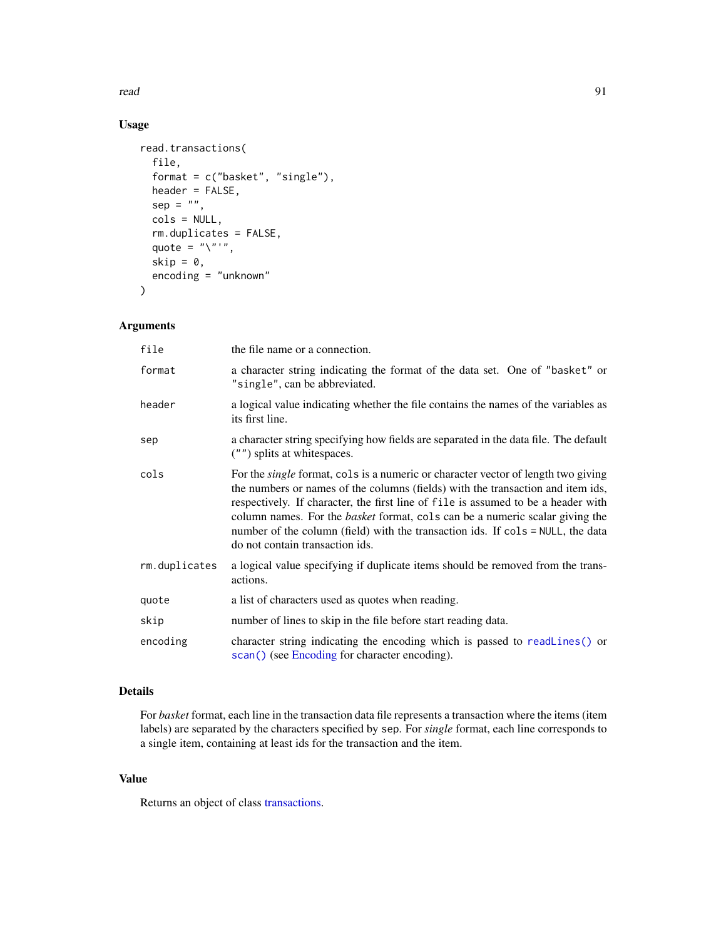read 91

# Usage

```
read.transactions(
  file,
  format = c("basket", "single"),
 header = FALSE,
  sep = "",cols = NULL,
  rm.duplicates = FALSE,
 quote = "\rangle".
  skip = 0,encoding = "unknown"
)
```
## Arguments

| file          | the file name or a connection.                                                                                                                                                                                                                                                                                                                                                                                                                                                |
|---------------|-------------------------------------------------------------------------------------------------------------------------------------------------------------------------------------------------------------------------------------------------------------------------------------------------------------------------------------------------------------------------------------------------------------------------------------------------------------------------------|
| format        | a character string indicating the format of the data set. One of "basket" or<br>"single", can be abbreviated.                                                                                                                                                                                                                                                                                                                                                                 |
| header        | a logical value indicating whether the file contains the names of the variables as<br>its first line.                                                                                                                                                                                                                                                                                                                                                                         |
| sep           | a character string specifying how fields are separated in the data file. The default<br>("") splits at whitespaces.                                                                                                                                                                                                                                                                                                                                                           |
| cols          | For the <i>single</i> format, cols is a numeric or character vector of length two giving<br>the numbers or names of the columns (fields) with the transaction and item ids,<br>respectively. If character, the first line of file is assumed to be a header with<br>column names. For the <i>basket</i> format, cols can be a numeric scalar giving the<br>number of the column (field) with the transaction ids. If cols = NULL, the data<br>do not contain transaction ids. |
| rm.duplicates | a logical value specifying if duplicate items should be removed from the trans-<br>actions.                                                                                                                                                                                                                                                                                                                                                                                   |
| quote         | a list of characters used as quotes when reading.                                                                                                                                                                                                                                                                                                                                                                                                                             |
| skip          | number of lines to skip in the file before start reading data.                                                                                                                                                                                                                                                                                                                                                                                                                |
| encoding      | character string indicating the encoding which is passed to readLines() or<br>scan() (see Encoding for character encoding).                                                                                                                                                                                                                                                                                                                                                   |

## Details

For *basket* format, each line in the transaction data file represents a transaction where the items (item labels) are separated by the characters specified by sep. For *single* format, each line corresponds to a single item, containing at least ids for the transaction and the item.

## Value

Returns an object of class [transactions.](#page-112-1)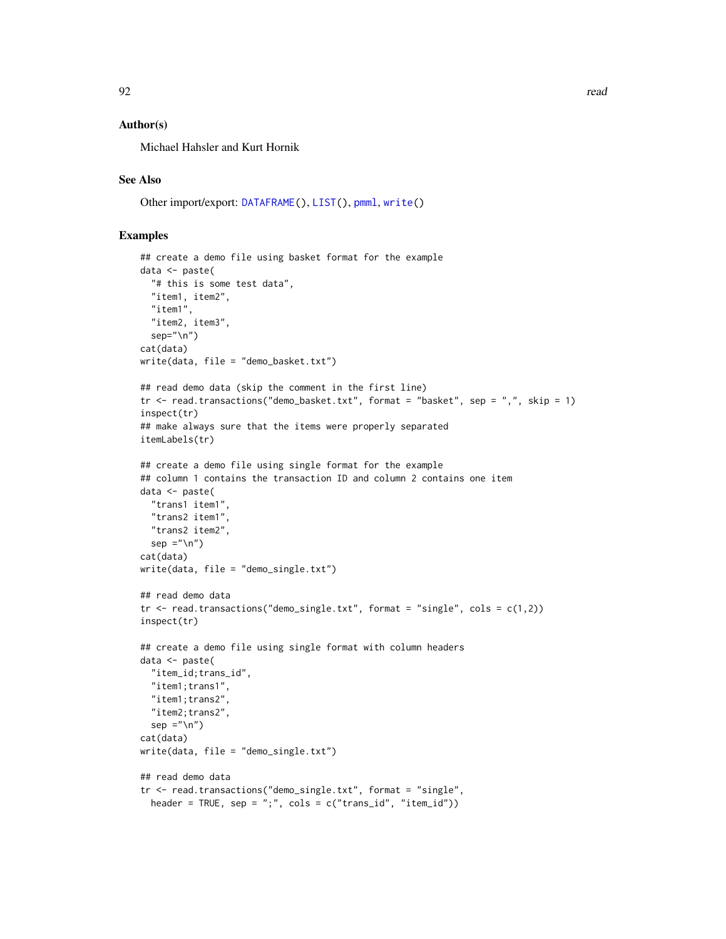## Author(s)

Michael Hahsler and Kurt Hornik

## See Also

Other import/export: [DATAFRAME\(](#page-25-0)), [LIST\(](#page-79-0)), [pmml](#page-84-0), [write\(](#page-120-0))

## Examples

```
## create a demo file using basket format for the example
data <- paste(
  "# this is some test data",
  "item1, item2",
  "item1",
  "item2, item3",
  sep="\n")
cat(data)
write(data, file = "demo_basket.txt")
## read demo data (skip the comment in the first line)
tr \le read.transactions("demo_basket.txt", format = "basket", sep = ",", skip = 1)
inspect(tr)
## make always sure that the items were properly separated
itemLabels(tr)
## create a demo file using single format for the example
## column 1 contains the transaction ID and column 2 contains one item
data <- paste(
  "trans1 item1",
  "trans2 item1",
  "trans2 item2",
  sep = "n")cat(data)
write(data, file = "demo_single.txt")
## read demo data
tr < - read.transactions("demo_single.txt", format = "single", cols = c(1,2))
inspect(tr)
## create a demo file using single format with column headers
data <- paste(
  "item_id;trans_id",
  "item1;trans1",
  "item1;trans2",
  "item2;trans2",
  sep = "n")cat(data)
write(data, file = "demo_single.txt")
## read demo data
tr <- read.transactions("demo_single.txt", format = "single",
 header = TRUE, sep = ";", cols = c("trans_id", "item_id"))
```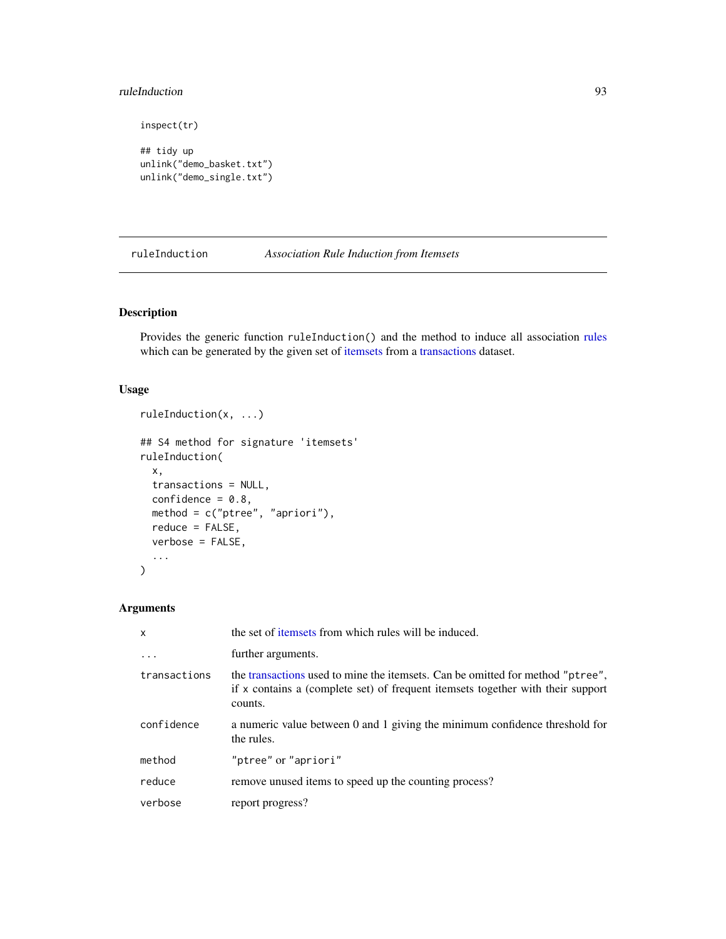## ruleInduction 93

```
inspect(tr)
## tidy up
unlink("demo_basket.txt")
unlink("demo_single.txt")
```
ruleInduction *Association Rule Induction from Itemsets*

# Description

Provides the generic function ruleInduction() and the method to induce all association [rules](#page-94-1) which can be generated by the given set of [itemsets](#page-75-1) from a [transactions](#page-112-1) dataset.

## Usage

```
ruleInduction(x, ...)
## S4 method for signature 'itemsets'
ruleInduction(
 x,
  transactions = NULL,
 confidence = 0.8,
 method = c("ptree", "apriori"),
 reduce = FALSE,
 verbose = FALSE,
  ...
)
```
## Arguments

| $\mathsf{x}$ | the set of <i>itemsets</i> from which rules will be induced.                                                                                                                 |
|--------------|------------------------------------------------------------------------------------------------------------------------------------------------------------------------------|
|              | further arguments.                                                                                                                                                           |
| transactions | the transactions used to mine the itemsets. Can be omitted for method "ptree",<br>if x contains a (complete set) of frequent itemsets together with their support<br>counts. |
| confidence   | a numeric value between 0 and 1 giving the minimum confidence threshold for<br>the rules.                                                                                    |
| method       | "ptree" or "apriori"                                                                                                                                                         |
| reduce       | remove unused items to speed up the counting process?                                                                                                                        |
| verbose      | report progress?                                                                                                                                                             |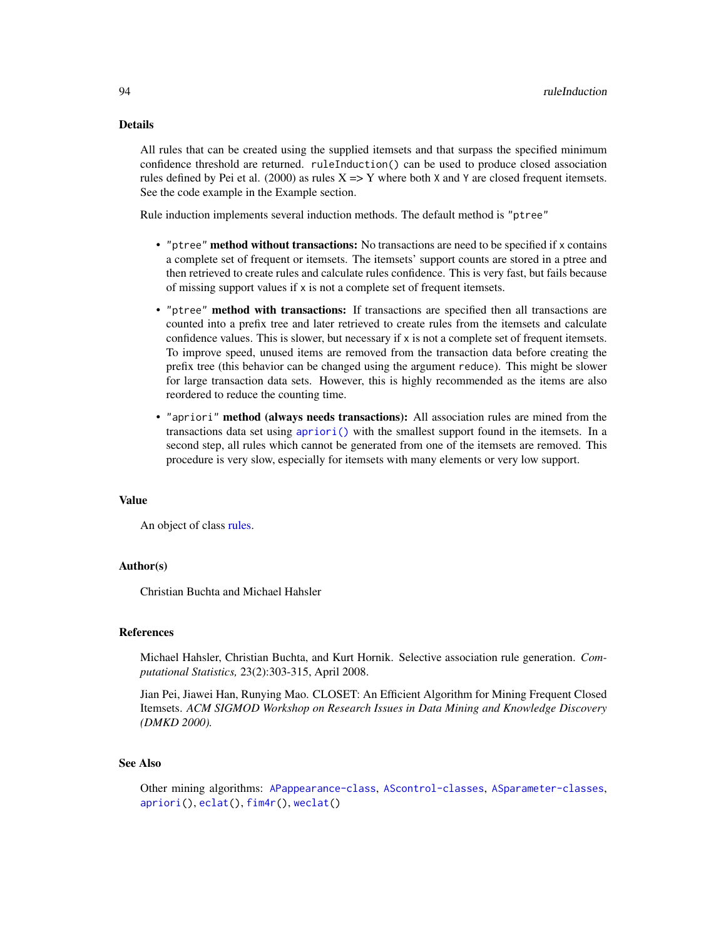## Details

All rules that can be created using the supplied itemsets and that surpass the specified minimum confidence threshold are returned. ruleInduction() can be used to produce closed association rules defined by Pei et al. (2000) as rules  $X = Y$  where both X and Y are closed frequent itemsets. See the code example in the Example section.

Rule induction implements several induction methods. The default method is "ptree"

- "ptree" method without transactions: No transactions are need to be specified if x contains a complete set of frequent or itemsets. The itemsets' support counts are stored in a ptree and then retrieved to create rules and calculate rules confidence. This is very fast, but fails because of missing support values if x is not a complete set of frequent itemsets.
- "ptree" method with transactions: If transactions are specified then all transactions are counted into a prefix tree and later retrieved to create rules from the itemsets and calculate confidence values. This is slower, but necessary if x is not a complete set of frequent itemsets. To improve speed, unused items are removed from the transaction data before creating the prefix tree (this behavior can be changed using the argument reduce). This might be slower for large transaction data sets. However, this is highly recommended as the items are also reordered to reduce the counting time.
- "apriori" method (always needs transactions): All association rules are mined from the transactions data set using [apriori\(\)](#page-10-0) with the smallest support found in the itemsets. In a second step, all rules which cannot be generated from one of the itemsets are removed. This procedure is very slow, especially for itemsets with many elements or very low support.

#### Value

An object of class [rules.](#page-94-1)

#### Author(s)

Christian Buchta and Michael Hahsler

## References

Michael Hahsler, Christian Buchta, and Kurt Hornik. Selective association rule generation. *Computational Statistics,* 23(2):303-315, April 2008.

Jian Pei, Jiawei Han, Runying Mao. CLOSET: An Efficient Algorithm for Mining Frequent Closed Itemsets. *ACM SIGMOD Workshop on Research Issues in Data Mining and Knowledge Discovery (DMKD 2000).*

#### See Also

Other mining algorithms: [APappearance-class](#page-9-0), [AScontrol-classes](#page-13-0), [ASparameter-classes](#page-14-0), [apriori\(](#page-10-0)), [eclat\(](#page-33-0)), [fim4r\(](#page-37-0)), [weclat\(](#page-118-0))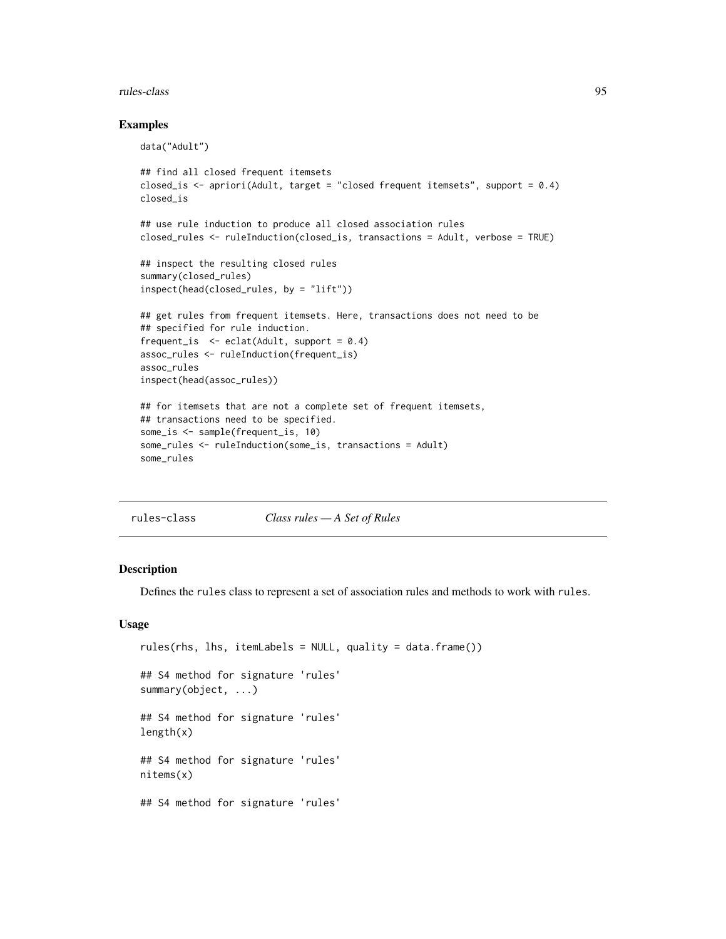#### rules-class 95

#### Examples

```
data("Adult")
## find all closed frequent itemsets
closed_is <- apriori(Adult, target = "closed frequent itemsets", support = 0.4)
closed_is
## use rule induction to produce all closed association rules
closed_rules <- ruleInduction(closed_is, transactions = Adult, verbose = TRUE)
## inspect the resulting closed rules
summary(closed_rules)
inspect(head(closed_rules, by = "lift"))
## get rules from frequent itemsets. Here, transactions does not need to be
## specified for rule induction.
frequent_is < - eclat(Adult, support = 0.4)
assoc_rules <- ruleInduction(frequent_is)
assoc_rules
inspect(head(assoc_rules))
## for itemsets that are not a complete set of frequent itemsets,
## transactions need to be specified.
some_is <- sample(frequent_is, 10)
some_rules <- ruleInduction(some_is, transactions = Adult)
some_rules
```
<span id="page-94-0"></span>

| rules-class | Class rules $-A$ Set of Rules |
|-------------|-------------------------------|
|-------------|-------------------------------|

## <span id="page-94-1"></span>**Description**

Defines the rules class to represent a set of association rules and methods to work with rules.

#### Usage

```
rules(rhs, lhs, itemLabels = NULL, quality = data.frame())
## S4 method for signature 'rules'
summary(object, ...)
## S4 method for signature 'rules'
length(x)## S4 method for signature 'rules'
nitems(x)
## S4 method for signature 'rules'
```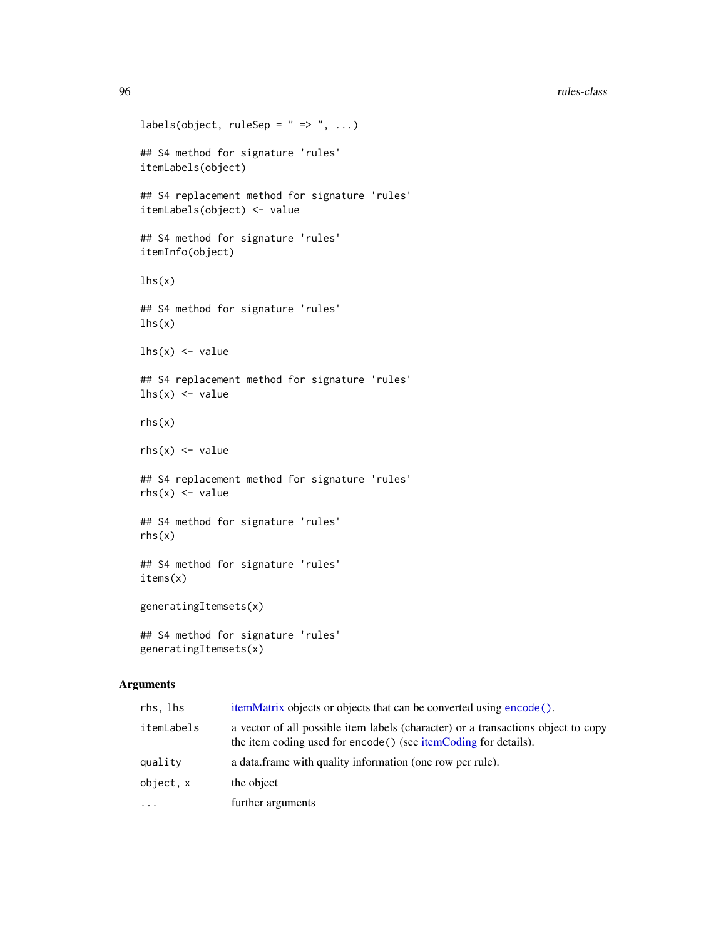#### experience of the contract of the contract of the contract of the contract of the contract of the contract of the contract of the contract of the contract of the contract of the contract of the contract of the contract of

```
labels(object, ruleSep = " => ", ...)
## S4 method for signature 'rules'
itemLabels(object)
## S4 replacement method for signature 'rules'
itemLabels(object) <- value
## S4 method for signature 'rules'
itemInfo(object)
lhs(x)## S4 method for signature 'rules'
lhs(x)
lhs(x) \leftarrow value## S4 replacement method for signature 'rules'
\ln s(x) <- value
rhs(x)
rhs(x) \leq value## S4 replacement method for signature 'rules'
rhs(x) \leq value## S4 method for signature 'rules'
rhs(x)
## S4 method for signature 'rules'
items(x)
generatingItemsets(x)
## S4 method for signature 'rules'
generatingItemsets(x)
```
## Arguments

| rhs.lhs    | itemMatrix objects or objects that can be converted using encode().                                                                                   |
|------------|-------------------------------------------------------------------------------------------------------------------------------------------------------|
| itemLabels | a vector of all possible item labels (character) or a transactions object to copy<br>the item coding used for encode () (see itemCoding for details). |
| quality    | a data.frame with quality information (one row per rule).                                                                                             |
| object, x  | the object                                                                                                                                            |
| $\cdots$   | further arguments                                                                                                                                     |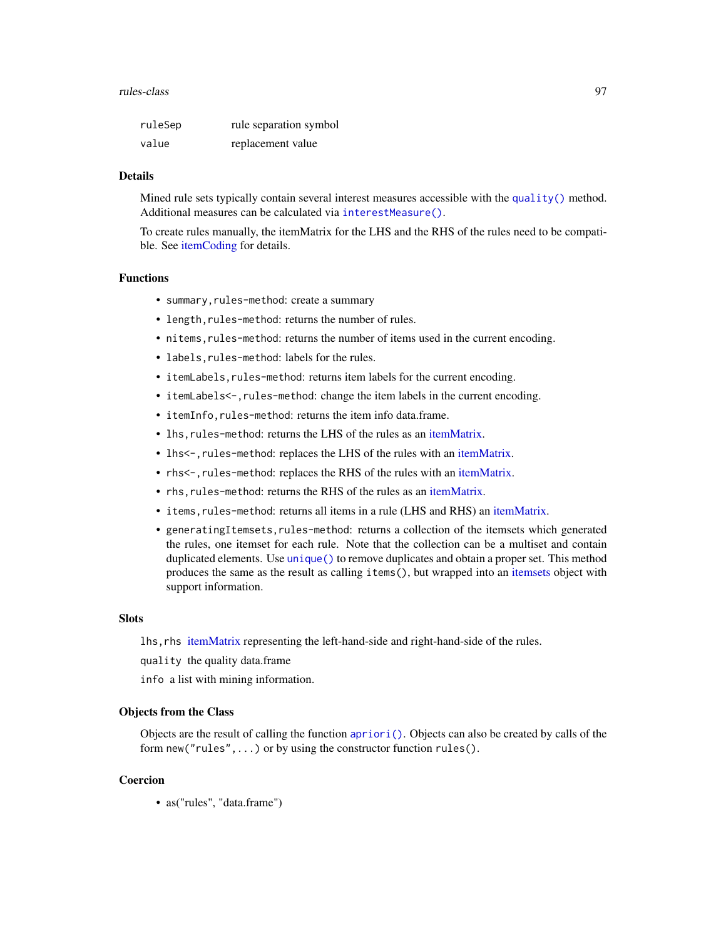#### rules-class 97

| ruleSep | rule separation symbol |
|---------|------------------------|
| value   | replacement value      |

## Details

Mined rule sets typically contain several interest measures accessible with the [quality\(\)](#page-16-0) method. Additional measures can be calculated via [interestMeasure\(\)](#page-49-0).

To create rules manually, the itemMatrix for the LHS and the RHS of the rules need to be compatible. See [itemCoding](#page-62-0) for details.

## Functions

- summary,rules-method: create a summary
- length, rules-method: returns the number of rules.
- nitems, rules-method: returns the number of items used in the current encoding.
- labels,rules-method: labels for the rules.
- itemLabels, rules-method: returns item labels for the current encoding.
- itemLabels<-, rules-method: change the item labels in the current encoding.
- itemInfo,rules-method: returns the item info data.frame.
- lhs, rules-method: returns the LHS of the rules as an [itemMatrix.](#page-70-0)
- lhs<-, rules-method: replaces the LHS of the rules with an [itemMatrix.](#page-70-0)
- rhs<-, rules-method: replaces the RHS of the rules with an [itemMatrix.](#page-70-0)
- rhs, rules-method: returns the RHS of the rules as an [itemMatrix.](#page-70-0)
- items,rules-method: returns all items in a rule (LHS and RHS) an [itemMatrix.](#page-70-0)
- generatingItemsets, rules-method: returns a collection of the itemsets which generated the rules, one itemset for each rule. Note that the collection can be a multiset and contain duplicated elements. Use [unique\(\)](#page-117-0) to remove duplicates and obtain a proper set. This method produces the same as the result as calling items(), but wrapped into an [itemsets](#page-75-1) object with support information.

#### **Slots**

lhs,rhs [itemMatrix](#page-70-0) representing the left-hand-side and right-hand-side of the rules.

- quality the quality data.frame
- info a list with mining information.

#### Objects from the Class

Objects are the result of calling the function [apriori\(\)](#page-10-0). Objects can also be created by calls of the form new("rules",...) or by using the constructor function rules().

## Coercion

• as("rules", "data.frame")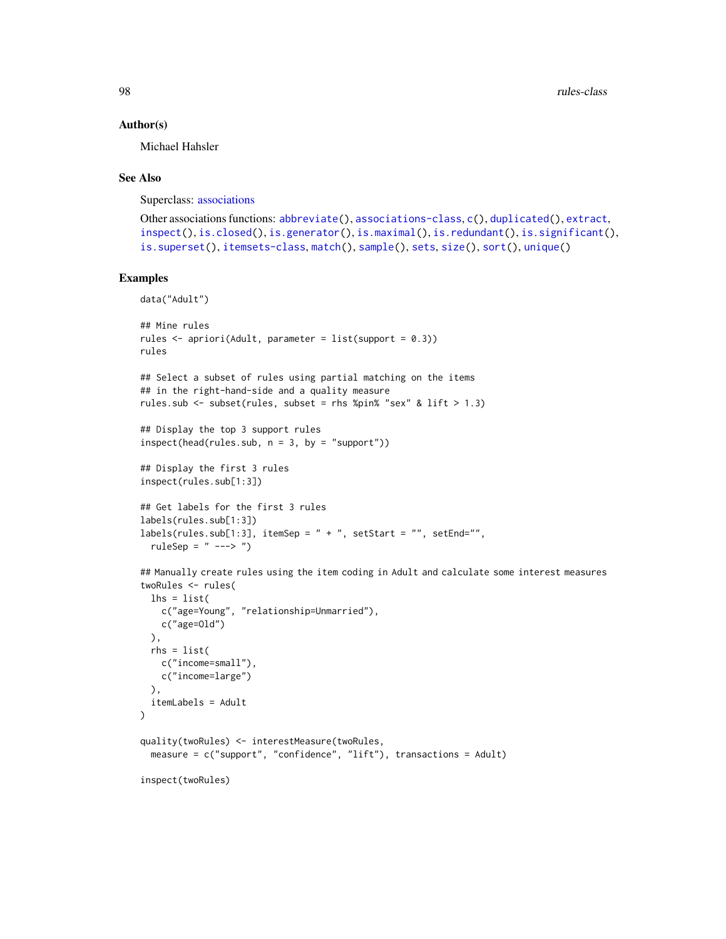#### Author(s)

Michael Hahsler

### See Also

Superclass: [associations](#page-16-0)

```
Other associations functions: abbreviate(), associations-class, c(), duplicated(), extract,
inspect(), is.closed(), is.generator(), is.maximal(), is.redundant(), is.significant(),
is.superset(), itemsets-class, match(), sample(), sets, size(), sort(), unique()
```
#### Examples

data("Adult")

```
## Mine rules
rules \leq apriori(Adult, parameter = list(support = 0.3))
rules
## Select a subset of rules using partial matching on the items
## in the right-hand-side and a quality measure
rules.sub \le subset(rules, subset = rhs %pin% "sex" & lift > 1.3)
## Display the top 3 support rules
inspect(head(rules.sub, n = 3, by = "support"))## Display the first 3 rules
inspect(rules.sub[1:3])
## Get labels for the first 3 rules
labels(rules.sub[1:3])
labels(rules.sub[1:3], itemSep = " + ", setStart = "", setEnd="",
  ruleSep = " --- > ")## Manually create rules using the item coding in Adult and calculate some interest measures
twoRules <- rules(
  lhs = list(c("age=Young", "relationship=Unmarried"),
    c("age=Old")
  ),
  rhs = list(
   c("income=small"),
   c("income=large")
  ),
  itemLabels = Adult
)
quality(twoRules) <- interestMeasure(twoRules,
  measure = c("support", "confidence", "lift"), transactions = Adult)
inspect(twoRules)
```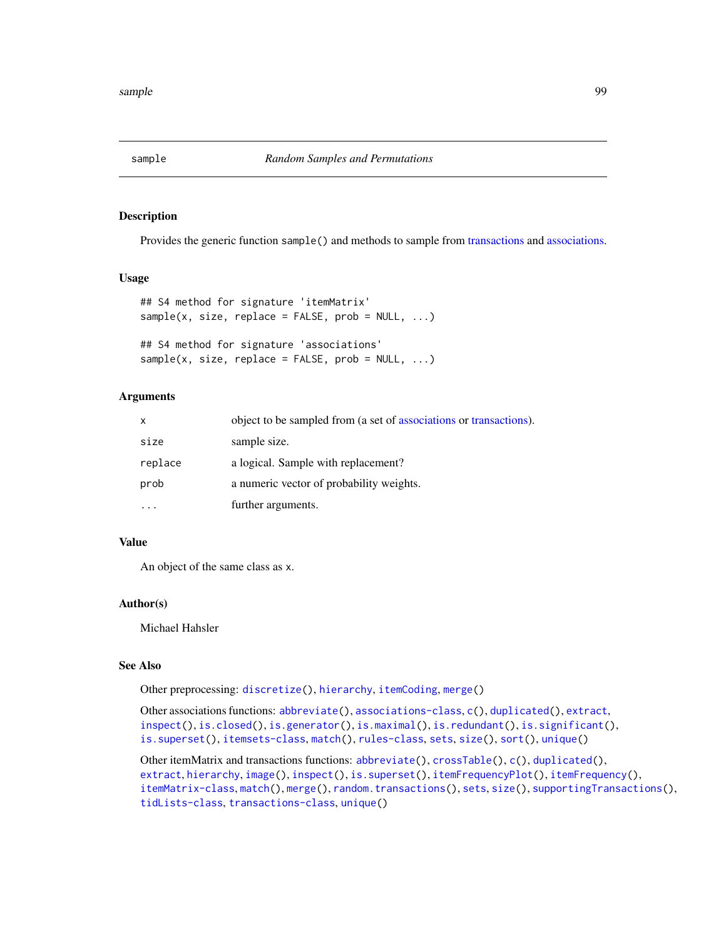<span id="page-98-0"></span>

## Description

Provides the generic function sample() and methods to sample from [transactions](#page-112-1) and [associations.](#page-16-0)

#### Usage

```
## S4 method for signature 'itemMatrix'
sample(x, size, replace = FALSE, prob = NULL, ...)
```

```
## S4 method for signature 'associations'
sample(x, size, replace = FALSE, prob = NULL, ...)
```
## Arguments

| X       | object to be sampled from (a set of associations or transactions). |
|---------|--------------------------------------------------------------------|
| size    | sample size.                                                       |
| replace | a logical. Sample with replacement?                                |
| prob    | a numeric vector of probability weights.                           |
|         | further arguments.                                                 |

## Value

An object of the same class as x.

## Author(s)

Michael Hahsler

#### See Also

Other preprocessing: [discretize\(](#page-26-0)), [hierarchy](#page-40-0), [itemCoding](#page-62-0), [merge\(](#page-82-0))

Other associations functions: [abbreviate\(](#page-2-0)), [associations-class](#page-16-1), [c\(](#page-18-0)), [duplicated\(](#page-32-0)), [extract](#page-36-0), [inspect\(](#page-47-0)), [is.closed\(](#page-53-0)), [is.generator\(](#page-54-0)), [is.maximal\(](#page-55-0)), [is.redundant\(](#page-57-0)), [is.significant\(](#page-59-0)), [is.superset\(](#page-61-0)), [itemsets-class](#page-75-0), [match\(](#page-80-0)), [rules-class](#page-94-0), [sets](#page-99-0), [size\(](#page-101-0)), [sort\(](#page-102-0)), [unique\(](#page-117-0))

Other itemMatrix and transactions functions: [abbreviate\(](#page-2-0)), [crossTable\(](#page-23-0)), [c\(](#page-18-0)), [duplicated\(](#page-32-0)), [extract](#page-36-0), [hierarchy](#page-40-0), [image\(](#page-44-0)), [inspect\(](#page-47-0)), [is.superset\(](#page-61-0)), [itemFrequencyPlot\(](#page-68-0)), [itemFrequency\(](#page-67-0)), [itemMatrix-class](#page-70-1), [match\(](#page-80-0)), [merge\(](#page-82-0)), [random.transactions\(](#page-87-0)), [sets](#page-99-0), [size\(](#page-101-0)), [supportingTransactions\(](#page-108-0)), [tidLists-class](#page-109-0), [transactions-class](#page-112-0), [unique\(](#page-117-0))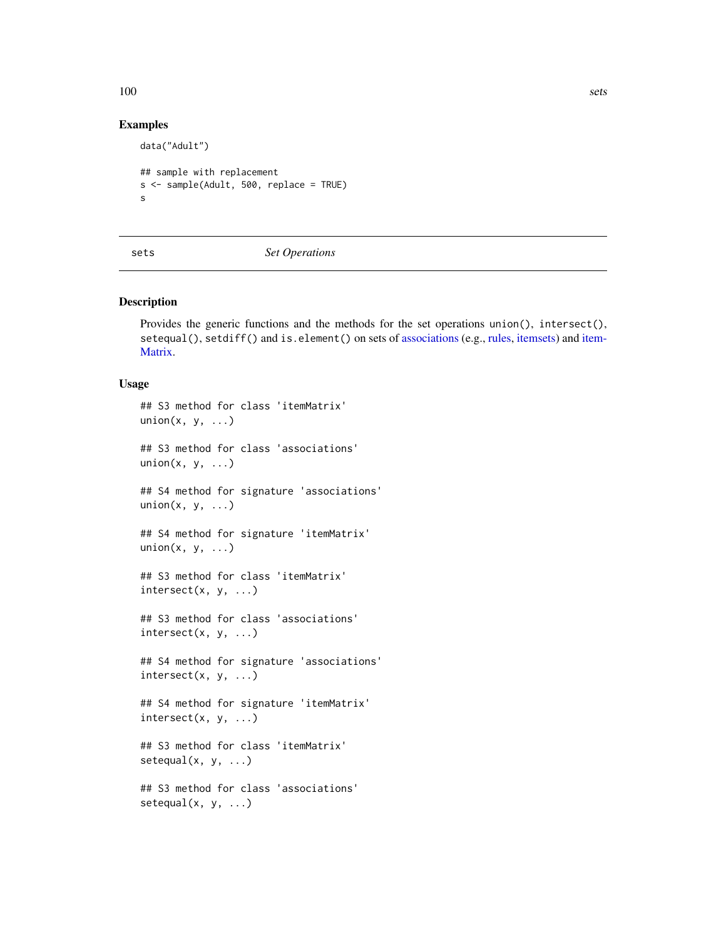## 100 sets

## Examples

data("Adult")

```
## sample with replacement
s <- sample(Adult, 500, replace = TRUE)
s
```
<span id="page-99-0"></span>

sets *Set Operations*

### Description

Provides the generic functions and the methods for the set operations union(), intersect(), setequal(), setdiff() and is.element() on sets of [associations](#page-16-0) (e.g., [rules,](#page-94-1) [itemsets\)](#page-75-1) and [item-](#page-70-0)[Matrix.](#page-70-0)

## Usage

```
## S3 method for class 'itemMatrix'
union(x, y, ...)## S3 method for class 'associations'
union(x, y, ...)## S4 method for signature 'associations'
union(x, y, ...)## S4 method for signature 'itemMatrix'
union(x, y, ...)## S3 method for class 'itemMatrix'
intersect(x, y, ...)## S3 method for class 'associations'
intersect(x, y, ...)## S4 method for signature 'associations'
intersect(x, y, ...)## S4 method for signature 'itemMatrix'
intersect(x, y, ...)## S3 method for class 'itemMatrix'
setequal(x, y, ...)## S3 method for class 'associations'
setequal(x, y, ...)
```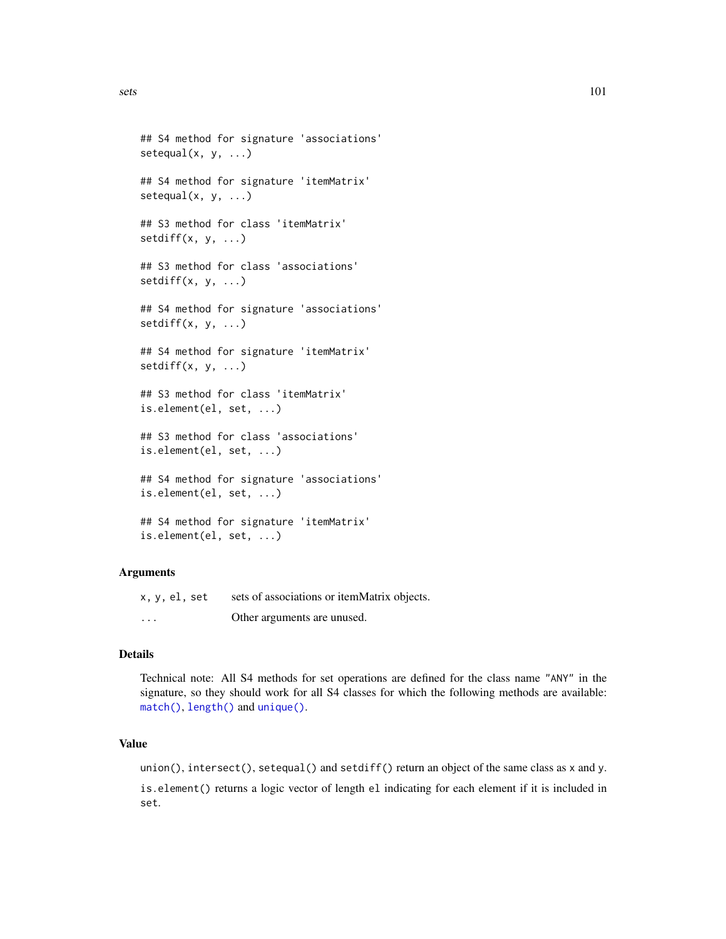```
## S4 method for signature 'associations'
setequal(x, y, ...)## S4 method for signature 'itemMatrix'
setequal(x, y, ...)## S3 method for class 'itemMatrix'
setdiff(x, y, \ldots)## S3 method for class 'associations'
setdiff(x, y, ...)## S4 method for signature 'associations'
setdiff(x, y, \ldots)## S4 method for signature 'itemMatrix'
setdiff(x, y, ...)
## S3 method for class 'itemMatrix'
is.element(el, set, ...)
## S3 method for class 'associations'
is.element(el, set, ...)
## S4 method for signature 'associations'
is.element(el, set, ...)
```

```
## S4 method for signature 'itemMatrix'
is.element(el, set, ...)
```
#### Arguments

| x, y, el, set | sets of associations or itemMatrix objects. |
|---------------|---------------------------------------------|
| $\cdots$      | Other arguments are unused.                 |

## Details

Technical note: All S4 methods for set operations are defined for the class name "ANY" in the signature, so they should work for all S4 classes for which the following methods are available: [match\(\)](#page-80-0), [length\(\)](#page-0-0) and [unique\(\)](#page-117-0).

#### Value

union(), intersect(), setequal() and setdiff() return an object of the same class as x and y.

is.element() returns a logic vector of length el indicating for each element if it is included in set.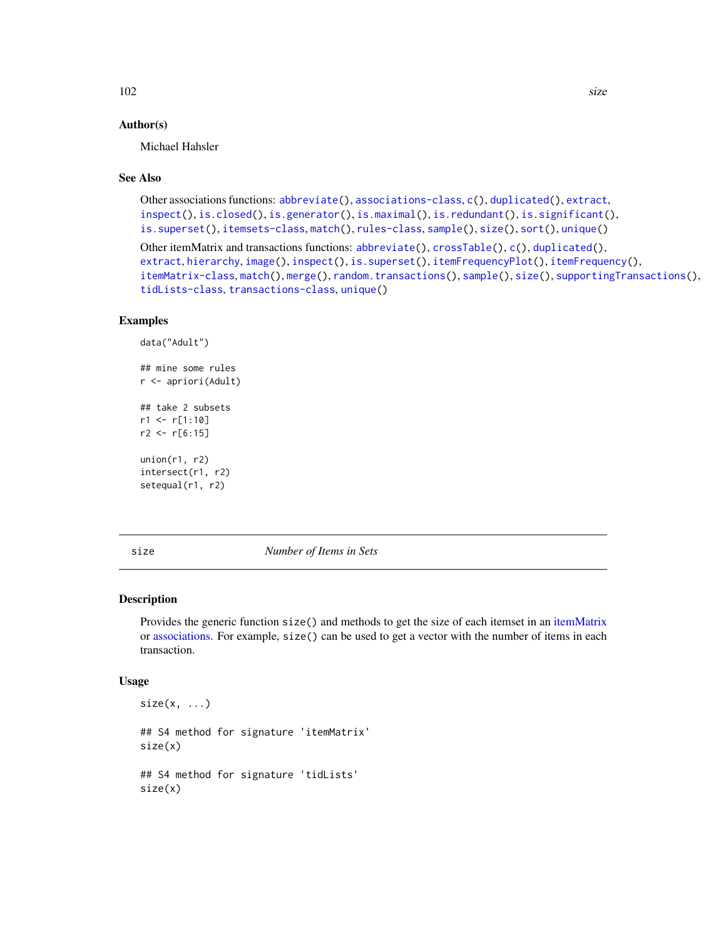## Author(s)

Michael Hahsler

### See Also

```
Other associations functions: abbreviate(), associations-class, c(), duplicated(), extract,
inspect(), is.closed(), is.generator(), is.maximal(), is.redundant(), is.significant(),
is.superset(), itemsets-class, match(), rules-class, sample(), size(), sort(), unique()
```

```
Other itemMatrix and transactions functions: abbreviate(), crossTable(), c(), duplicated(),
extract, hierarchy, image(), inspect(), is.superset(), itemFrequencyPlot(), itemFrequency(),
itemMatrix-class, match(), merge(), random.transactions(), sample(), size(), supportingTransactions(),
tidLists-class, transactions-class, unique()
```
## Examples

```
data("Adult")
## mine some rules
r <- apriori(Adult)
## take 2 subsets
r1 < -r[1:10]r2 <- r[6:15]
union(r1, r2)
intersect(r1, r2)
setequal(r1, r2)
```
<span id="page-101-0"></span>

size *Number of Items in Sets*

## Description

Provides the generic function size() and methods to get the size of each itemset in an [itemMatrix](#page-70-0) or [associations.](#page-16-0) For example, size() can be used to get a vector with the number of items in each transaction.

## Usage

```
size(x, \ldots)## S4 method for signature 'itemMatrix'
size(x)
## S4 method for signature 'tidLists'
size(x)
```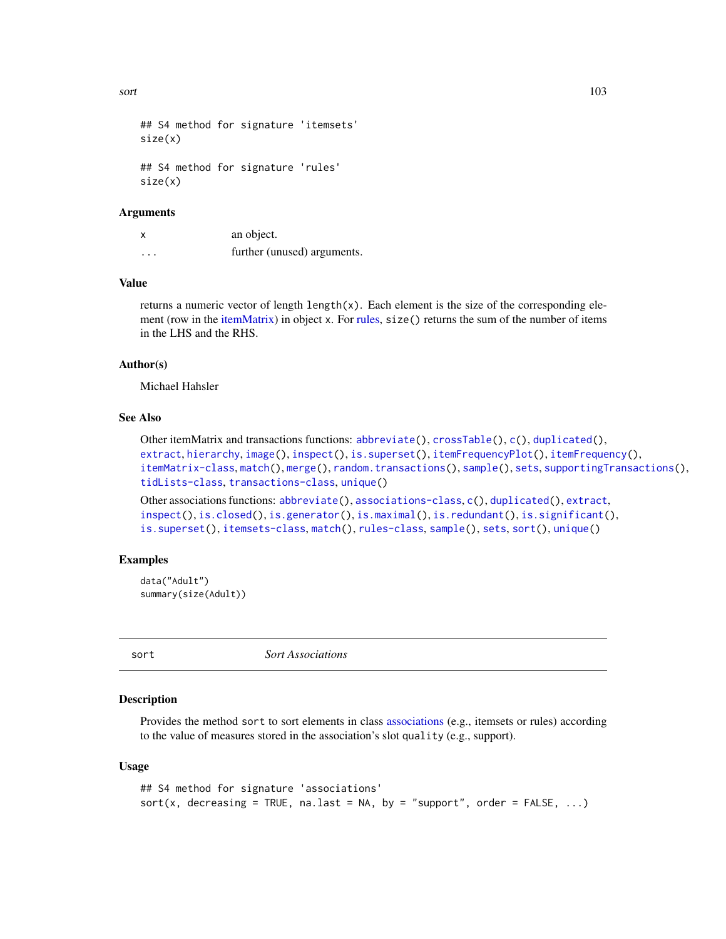sort and the state of the state of the state of the state of the state of the state of the state of the state of the state of the state of the state of the state of the state of the state of the state of the state of the s

```
## S4 method for signature 'itemsets'
size(x)
## S4 method for signature 'rules'
size(x)
```
#### Arguments

| X        | an object.                  |
|----------|-----------------------------|
| $\cdots$ | further (unused) arguments. |

## Value

returns a numeric vector of length length $(x)$ . Each element is the size of the corresponding element (row in the [itemMatrix\)](#page-70-0) in object x. For [rules,](#page-94-1) size() returns the sum of the number of items in the LHS and the RHS.

## Author(s)

Michael Hahsler

## See Also

```
Other itemMatrix and transactions functions: abbreviate(), crossTable(), c(), duplicated(),
extract, hierarchy, image(), inspect(), is.superset(), itemFrequencyPlot(), itemFrequency(),
itemMatrix-class, match(), merge(), random.transactions(), sample(), sets, supportingTransactions(),
tidLists-class, transactions-class, unique()
```

```
Other associations functions: abbreviate(), associations-class, c(), duplicated(), extract,
inspect(), is.closed(), is.generator(), is.maximal(), is.redundant(), is.significant(),
is.superset(), itemsets-class, match(), rules-class, sample(), sets, sort(), unique()
```
## Examples

```
data("Adult")
summary(size(Adult))
```
<span id="page-102-0"></span>sort *Sort Associations*

#### Description

Provides the method sort to sort elements in class [associations](#page-16-0) (e.g., itemsets or rules) according to the value of measures stored in the association's slot quality (e.g., support).

#### Usage

```
## S4 method for signature 'associations'
sort(x, decreasing = TRUE, na.last = NA, by = "support", order = FALSE, \dots)
```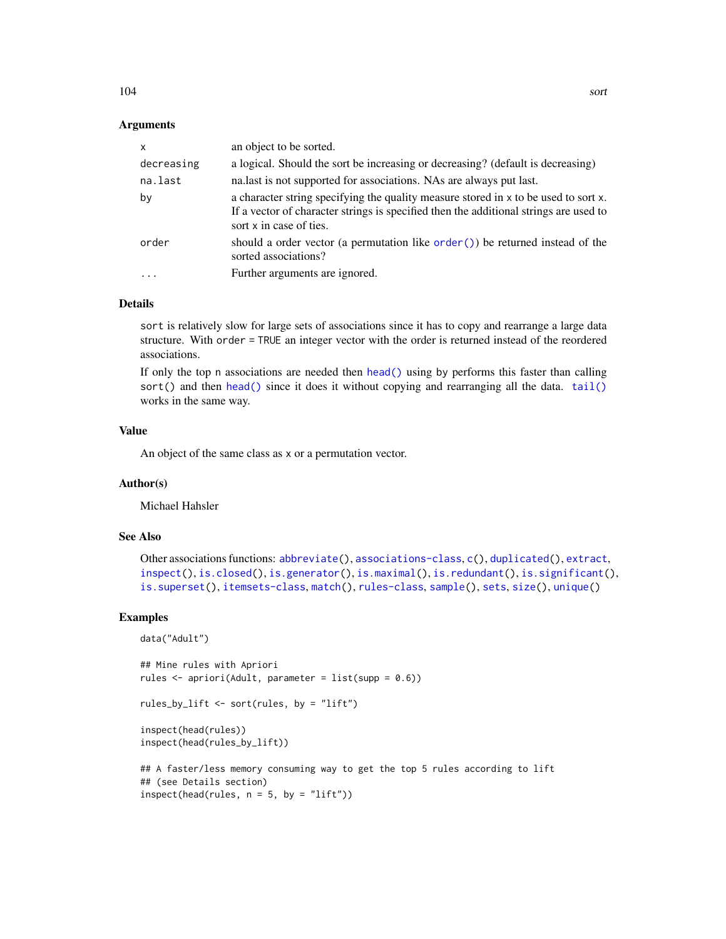## **Arguments**

| $\mathsf{x}$ | an object to be sorted.                                                                                                                                                                                 |
|--------------|---------------------------------------------------------------------------------------------------------------------------------------------------------------------------------------------------------|
| decreasing   | a logical. Should the sort be increasing or decreasing? (default is decreasing)                                                                                                                         |
| na.last      | nalast is not supported for associations. NAs are always put last.                                                                                                                                      |
| by           | a character string specifying the quality measure stored in x to be used to sort x.<br>If a vector of character strings is specified then the additional strings are used to<br>sort x in case of ties. |
| order        | should a order vector (a permutation like order $()$ ) be returned instead of the<br>sorted associations?                                                                                               |
|              | Further arguments are ignored.                                                                                                                                                                          |
|              |                                                                                                                                                                                                         |

## Details

sort is relatively slow for large sets of associations since it has to copy and rearrange a large data structure. With order = TRUE an integer vector with the order is returned instead of the reordered associations.

If only the top n associations are needed then [head\(\)](#page-16-0) using by performs this faster than calling sort() and then [head\(\)](#page-16-0) since it does it without copying and rearranging all the data. [tail\(\)](#page-16-0) works in the same way.

## Value

An object of the same class as x or a permutation vector.

## Author(s)

Michael Hahsler

## See Also

```
Other associations functions: abbreviate(), associations-class, c(), duplicated(), extract,
inspect(), is.closed(), is.generator(), is.maximal(), is.redundant(), is.significant(),
is.superset(), itemsets-class, match(), rules-class, sample(), sets, size(), unique()
```
### Examples

```
data("Adult")
```

```
## Mine rules with Apriori
rules <- apriori(Adult, parameter = list(supp = 0.6))
```

```
rules_by_lift <- sort(rules, by = "lift")
```

```
inspect(head(rules))
inspect(head(rules_by_lift))
```

```
## A faster/less memory consuming way to get the top 5 rules according to lift
## (see Details section)
inspect(head(rules, n = 5, by = "lift"))
```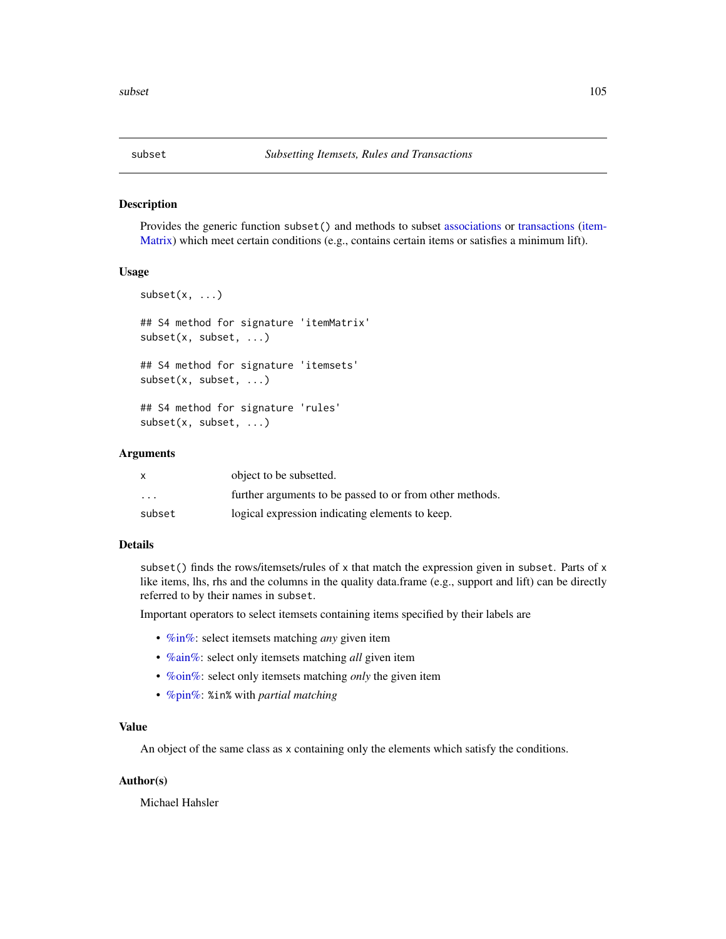<span id="page-104-0"></span>

#### Description

Provides the generic function subset() and methods to subset [associations](#page-16-0) or [transactions](#page-112-1) [\(item-](#page-70-0)[Matrix\)](#page-70-0) which meet certain conditions (e.g., contains certain items or satisfies a minimum lift).

#### Usage

```
subset(x, \ldots)## S4 method for signature 'itemMatrix'
subset(x, subset, ...)
## S4 method for signature 'itemsets'
subset(x, subset, ...)
## S4 method for signature 'rules'
subset(x, subset, ...)
```
#### Arguments

| x        | object to be subsetted.                                  |
|----------|----------------------------------------------------------|
| $\cdots$ | further arguments to be passed to or from other methods. |
| subset   | logical expression indicating elements to keep.          |

### Details

subset() finds the rows/itemsets/rules of x that match the expression given in subset. Parts of x like items, lhs, rhs and the columns in the quality data.frame (e.g., support and lift) can be directly referred to by their names in subset.

Important operators to select itemsets containing items specified by their labels are

- [%in%:](#page-80-1) select itemsets matching *any* given item
- [%ain%:](#page-80-1) select only itemsets matching *all* given item
- [%oin%:](#page-80-1) select only itemsets matching *only* the given item
- [%pin%:](#page-80-1) %in% with *partial matching*

## Value

An object of the same class as x containing only the elements which satisfy the conditions.

## Author(s)

Michael Hahsler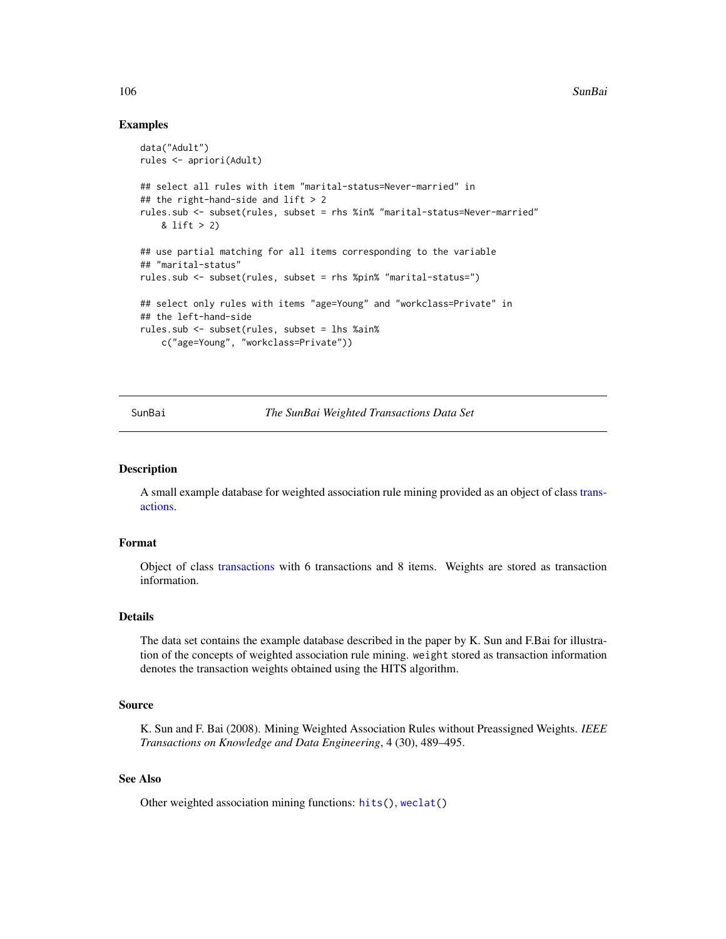## Examples

```
data("Adult")
rules <- apriori(Adult)
## select all rules with item "marital-status=Never-married" in
## the right-hand-side and lift > 2
rules.sub <- subset(rules, subset = rhs %in% "marital-status=Never-married"
    & lift > 2)
## use partial matching for all items corresponding to the variable
## "marital-status"
rules.sub <- subset(rules, subset = rhs %pin% "marital-status=")
## select only rules with items "age=Young" and "workclass=Private" in
## the left-hand-side
rules.sub <- subset(rules, subset = lhs %ain%
    c("age=Young", "workclass=Private"))
```
SunBai *The SunBai Weighted Transactions Data Set*

#### Description

A small example database for weighted association rule mining provided as an object of class [trans](#page-112-1)[actions.](#page-112-1)

#### Format

Object of class [transactions](#page-112-1) with 6 transactions and 8 items. Weights are stored as transaction information.

#### Details

The data set contains the example database described in the paper by K. Sun and F.Bai for illustration of the concepts of weighted association rule mining. weight stored as transaction information denotes the transaction weights obtained using the HITS algorithm.

## Source

K. Sun and F. Bai (2008). Mining Weighted Association Rules without Preassigned Weights. *IEEE Transactions on Knowledge and Data Engineering*, 4 (30), 489–495.

## See Also

Other weighted association mining functions: [hits\(](#page-43-0)), [weclat\(](#page-118-0))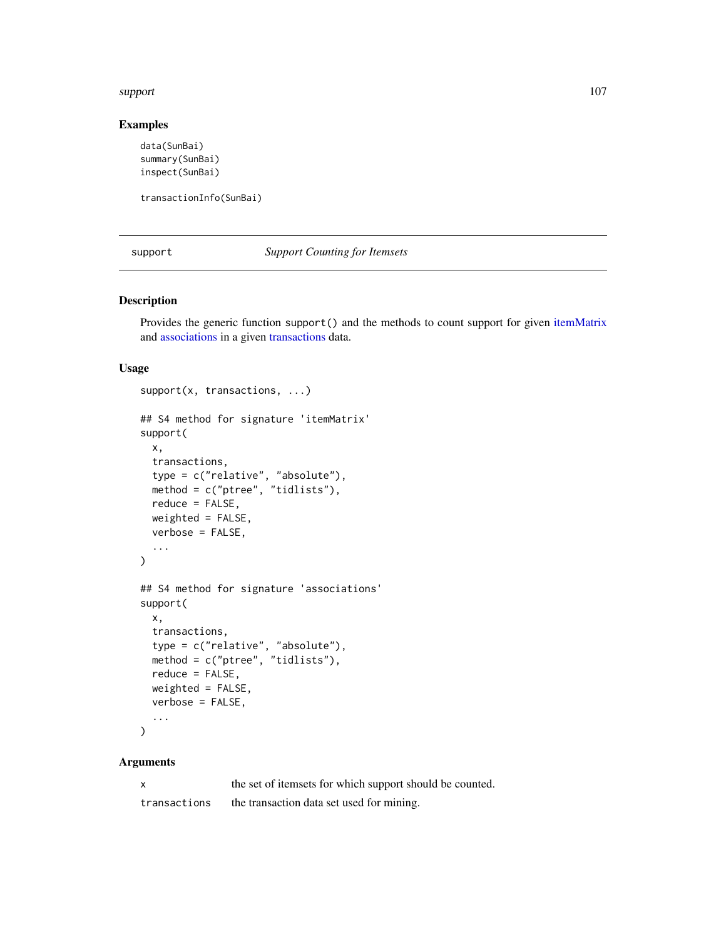#### support that the support of the support of the support of the support of the support of the support of the support of the support of the support of the support of the support of the support of the support of the support of

## Examples

```
data(SunBai)
summary(SunBai)
inspect(SunBai)
```
transactionInfo(SunBai)

support *Support Counting for Itemsets*

## Description

Provides the generic function support() and the methods to count support for given [itemMatrix](#page-70-0) and [associations](#page-16-0) in a given [transactions](#page-112-1) data.

## Usage

```
support(x, transactions, ...)
## S4 method for signature 'itemMatrix'
support(
 x,
 transactions,
  type = c("relative", "absolute"),
 method = c("ptree", "tidlists"),
 reduce = FALSE,
 weighted = FALSE,
 verbose = FALSE,
  ...
)
## S4 method for signature 'associations'
support(
 x,
  transactions,
  type = c("relative", "absolute"),
 method = c("ptree", "tidlists"),
 reduce = FALSE,
 weighted = FALSE,verbose = FALSE,
  ...
\mathcal{L}
```
## Arguments

| X            | the set of itemsets for which support should be counted. |
|--------------|----------------------------------------------------------|
| transactions | the transaction data set used for mining.                |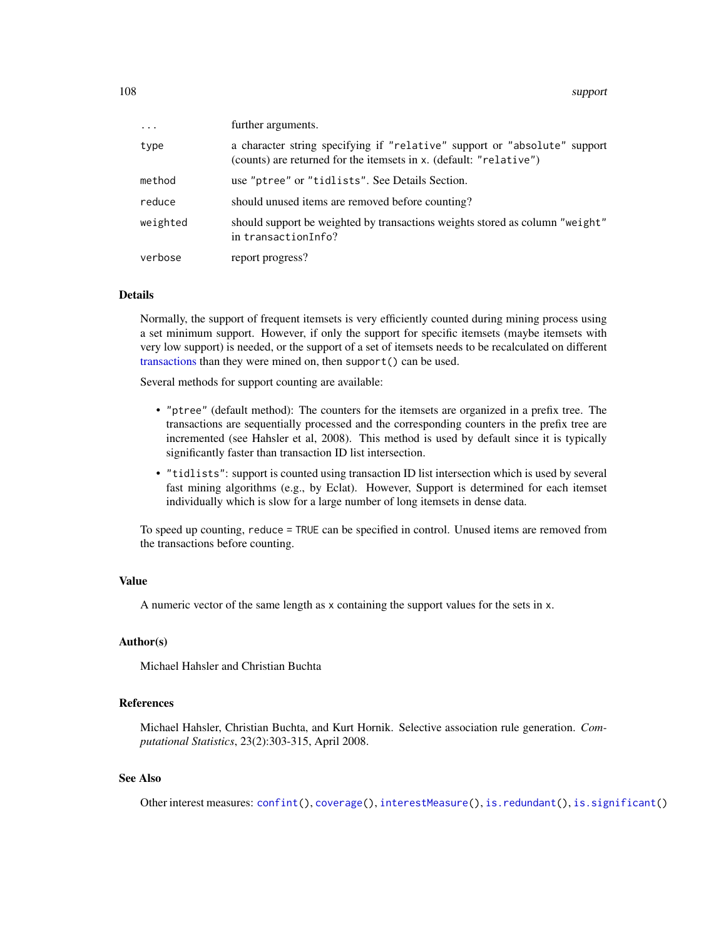| $\cdots$ | further arguments.                                                                                                                              |
|----------|-------------------------------------------------------------------------------------------------------------------------------------------------|
| type     | a character string specifying if "relative" support or "absolute" support<br>(counts) are returned for the itemsets in x. (default: "relative") |
| method   | use "ptree" or "tidlists". See Details Section.                                                                                                 |
| reduce   | should unused items are removed before counting?                                                                                                |
| weighted | should support be weighted by transactions weights stored as column "weight"<br>in transactionInfo?                                             |
| verbose  | report progress?                                                                                                                                |

## Details

Normally, the support of frequent itemsets is very efficiently counted during mining process using a set minimum support. However, if only the support for specific itemsets (maybe itemsets with very low support) is needed, or the support of a set of itemsets needs to be recalculated on different [transactions](#page-112-1) than they were mined on, then support() can be used.

Several methods for support counting are available:

- "ptree" (default method): The counters for the itemsets are organized in a prefix tree. The transactions are sequentially processed and the corresponding counters in the prefix tree are incremented (see Hahsler et al, 2008). This method is used by default since it is typically significantly faster than transaction ID list intersection.
- "tidlists": support is counted using transaction ID list intersection which is used by several fast mining algorithms (e.g., by Eclat). However, Support is determined for each itemset individually which is slow for a large number of long itemsets in dense data.

To speed up counting, reduce = TRUE can be specified in control. Unused items are removed from the transactions before counting.

## Value

A numeric vector of the same length as x containing the support values for the sets in x.

## Author(s)

Michael Hahsler and Christian Buchta

## References

Michael Hahsler, Christian Buchta, and Kurt Hornik. Selective association rule generation. *Computational Statistics*, 23(2):303-315, April 2008.

## See Also

Other interest measures: [confint\(](#page-20-0)), [coverage\(](#page-22-0)), [interestMeasure\(](#page-49-0)), [is.redundant\(](#page-57-0)), [is.significant\(](#page-59-0))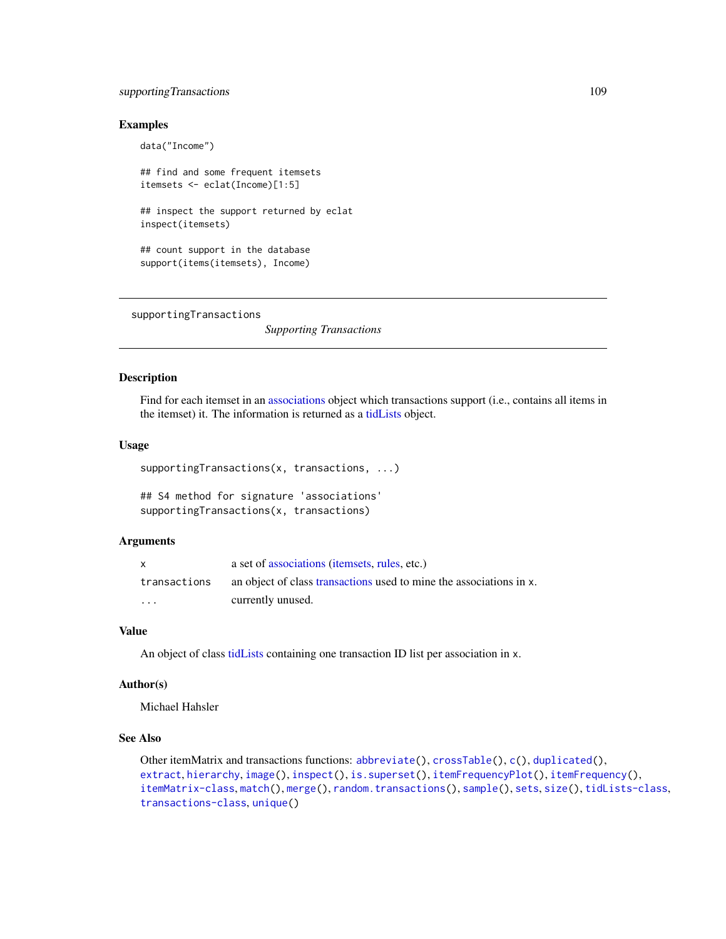# <span id="page-108-1"></span>supportingTransactions 109

# Examples

```
data("Income")
## find and some frequent itemsets
itemsets <- eclat(Income)[1:5]
## inspect the support returned by eclat
inspect(itemsets)
## count support in the database
support(items(itemsets), Income)
```

```
supportingTransactions
```
*Supporting Transactions*

# Description

Find for each itemset in an [associations](#page-16-0) object which transactions support (i.e., contains all items in the itemset) it. The information is returned as a [tidLists](#page-109-0) object.

# Usage

```
supportingTransactions(x, transactions, ...)
```
## S4 method for signature 'associations' supportingTransactions(x, transactions)

# Arguments

|              | a set of associations (itemsets, rules, etc.)                       |
|--------------|---------------------------------------------------------------------|
| transactions | an object of class transactions used to mine the associations in x. |
| $\cdot$      | currently unused.                                                   |

# Value

An object of class [tidLists](#page-109-0) containing one transaction ID list per association in x.

# Author(s)

Michael Hahsler

# See Also

```
Other itemMatrix and transactions functions: abbreviate(), crossTable(), c(), duplicated(),
extract, hierarchy, image(), inspect(), is.superset(), itemFrequencyPlot(), itemFrequency(),
itemMatrix-class, match(), merge(), random.transactions(), sample(), sets, size(), tidLists-class,
transactions-class, unique()
```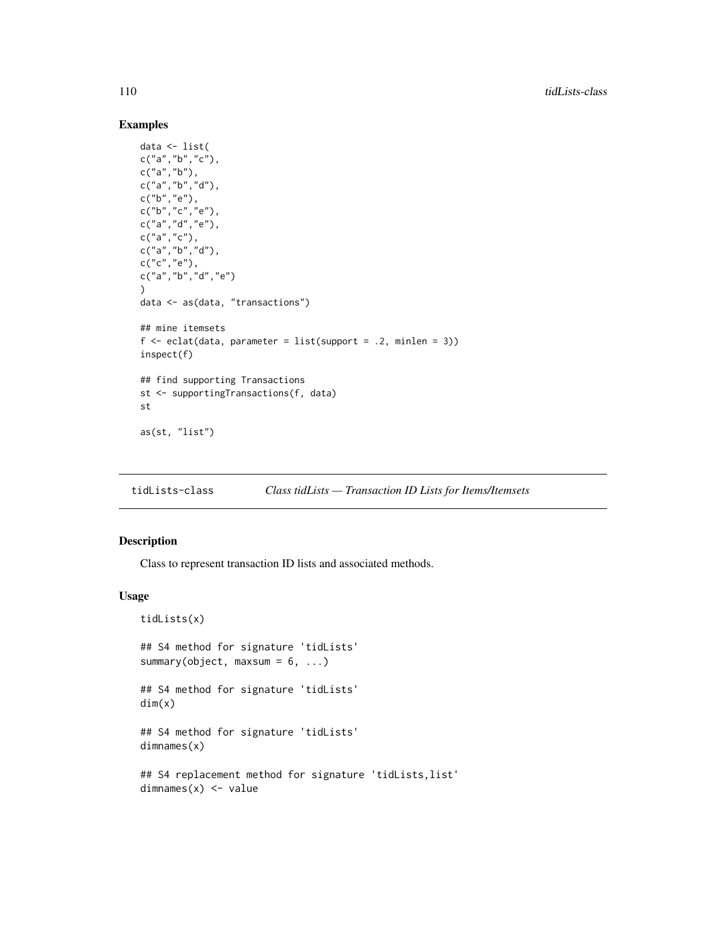# Examples

```
data <- list(
c("a", "b", "c"),
c("a","b"),
c("a","b","d"),
c("b","e"),
c("b","c","e"),
c("a","d","e"),
c("a","c"),
c("a","b","d"),
c("c","e"),
c("a","b","d","e")
)
data <- as(data, "transactions")
## mine itemsets
f \leftarrow \text{eclat}(data, parameter = list(support = .2, minlen = 3))inspect(f)
## find supporting Transactions
st <- supportingTransactions(f, data)
st
as(st, "list")
```
<span id="page-109-1"></span>tidLists-class *Class tidLists — Transaction ID Lists for Items/Itemsets*

# <span id="page-109-0"></span>Description

Class to represent transaction ID lists and associated methods.

#### Usage

```
tidLists(x)
## S4 method for signature 'tidLists'
summary(object, maxsum = 6, ...)
## S4 method for signature 'tidLists'
dim(x)
## S4 method for signature 'tidLists'
dimnames(x)
## S4 replacement method for signature 'tidLists,list'
dimnames(x) <- value
```
<span id="page-109-2"></span>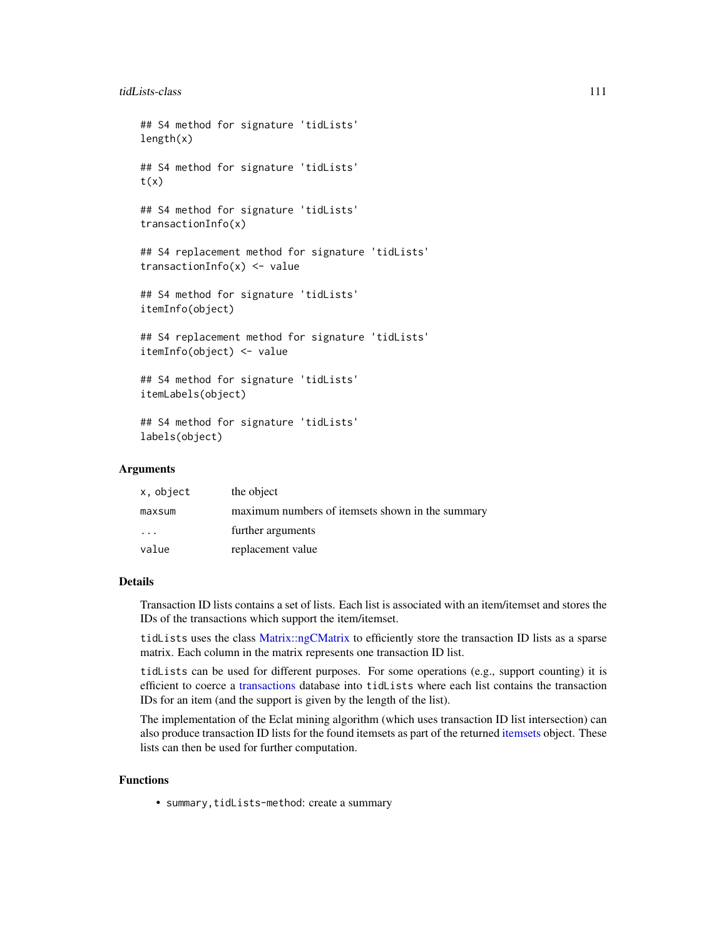#### <span id="page-110-0"></span>tidLists-class 111

```
## S4 method for signature 'tidLists'
length(x)
## S4 method for signature 'tidLists'
t(x)## S4 method for signature 'tidLists'
transactionInfo(x)
## S4 replacement method for signature 'tidLists'
transactionInfo(x) <- value
## S4 method for signature 'tidLists'
itemInfo(object)
## S4 replacement method for signature 'tidLists'
itemInfo(object) <- value
## S4 method for signature 'tidLists'
itemLabels(object)
## S4 method for signature 'tidLists'
labels(object)
```
# **Arguments**

| x, object         | the object                                       |
|-------------------|--------------------------------------------------|
| maxsum            | maximum numbers of itemsets shown in the summary |
| $\cdot\cdot\cdot$ | further arguments                                |
| value             | replacement value                                |

#### Details

Transaction ID lists contains a set of lists. Each list is associated with an item/itemset and stores the IDs of the transactions which support the item/itemset.

tidLists uses the class [Matrix::ngCMatrix](#page-0-0) to efficiently store the transaction ID lists as a sparse matrix. Each column in the matrix represents one transaction ID list.

tidLists can be used for different purposes. For some operations (e.g., support counting) it is efficient to coerce a [transactions](#page-112-0) database into tidLists where each list contains the transaction IDs for an item (and the support is given by the length of the list).

The implementation of the Eclat mining algorithm (which uses transaction ID list intersection) can also produce transaction ID lists for the found itemsets as part of the returned [itemsets](#page-75-0) object. These lists can then be used for further computation.

# Functions

• summary,tidLists-method: create a summary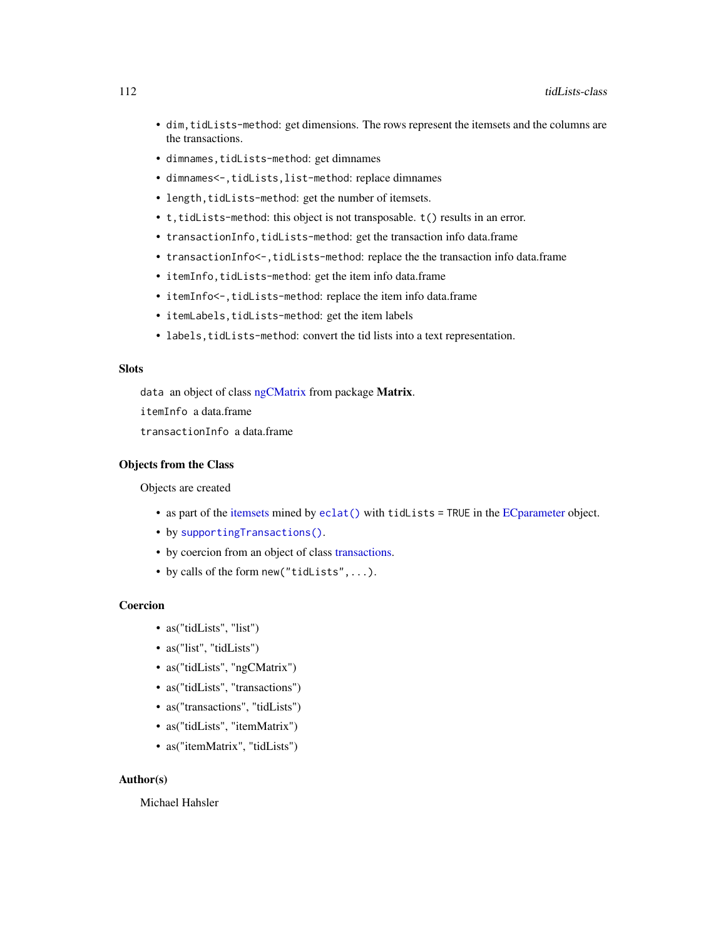- <span id="page-111-0"></span>• dim,tidLists-method: get dimensions. The rows represent the itemsets and the columns are the transactions.
- dimnames,tidLists-method: get dimnames
- dimnames<-,tidLists,list-method: replace dimnames
- length, tidLists-method: get the number of itemsets.
- t,tidLists-method: this object is not transposable. t() results in an error.
- transactionInfo, tidLists-method: get the transaction info data.frame
- transactionInfo<-,tidLists-method: replace the the transaction info data.frame
- itemInfo,tidLists-method: get the item info data.frame
- itemInfo<-,tidLists-method: replace the item info data.frame
- itemLabels, tidLists-method: get the item labels
- labels, tidLists-method: convert the tid lists into a text representation.

# **Slots**

data an object of class [ngCMatrix](#page-0-0) from package Matrix.

itemInfo a data.frame

transactionInfo a data.frame

# Objects from the Class

Objects are created

- as part of the [itemsets](#page-75-0) mined by [eclat\(\)](#page-33-0) with tidLists = TRUE in the [ECparameter](#page-14-0) object.
- by [supportingTransactions\(\)](#page-108-0).
- by coercion from an object of class [transactions.](#page-112-0)
- by calls of the form new("tidLists",...).

# Coercion

- as("tidLists", "list")
- as("list", "tidLists")
- as("tidLists", "ngCMatrix")
- as ("tidLists", "transactions")
- as ("transactions", "tidLists")
- as("tidLists", "itemMatrix")
- as("itemMatrix", "tidLists")

# Author(s)

Michael Hahsler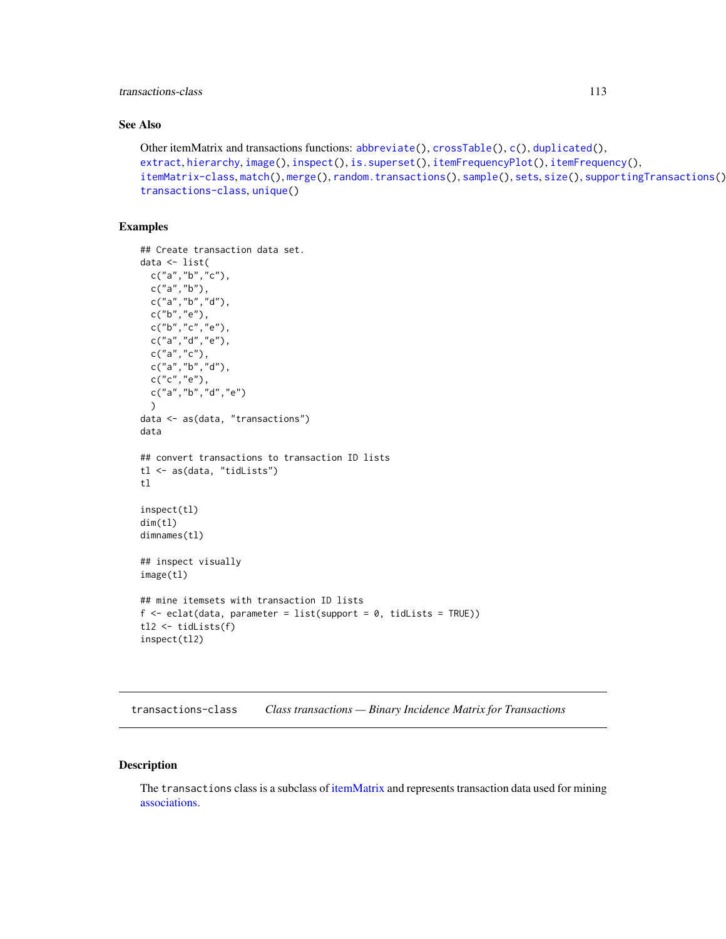# <span id="page-112-2"></span>transactions-class 113

# See Also

```
Other itemMatrix and transactions functions: abbreviate(), crossTable(), c(), duplicated(),
extract, hierarchy, image(), inspect(), is.superset(), itemFrequencyPlot(), itemFrequency(),
itemMatrix-class, match(), merge(), random.transactions(), sample(), sets, size(), supportingTransactions(),
transactions-class, unique()
```
# Examples

```
## Create transaction data set.
data <- list(
 c("a", "b", "c"),
 c("a", "b"),
 c("a","b","d"),
 c("b","e"),
 c("b", "c", "e"),
 c("a","d","e"),
 c("a", "c"),
 c("a","b","d"),
 c("c", "e"),
 c("a","b","d","e")
 \lambdadata <- as(data, "transactions")
data
## convert transactions to transaction ID lists
tl <- as(data, "tidLists")
tl
inspect(tl)
dim(tl)
dimnames(tl)
## inspect visually
image(tl)
## mine itemsets with transaction ID lists
f \leftarrow \text{eclat}(data, parameter = list(support = 0, tidLists = TRUE))tl2 <- tidLists(f)
inspect(tl2)
```
<span id="page-112-1"></span>transactions-class *Class transactions — Binary Incidence Matrix for Transactions*

# <span id="page-112-0"></span>Description

The transactions class is a subclass of [itemMatrix](#page-70-1) and represents transaction data used for mining [associations.](#page-16-0)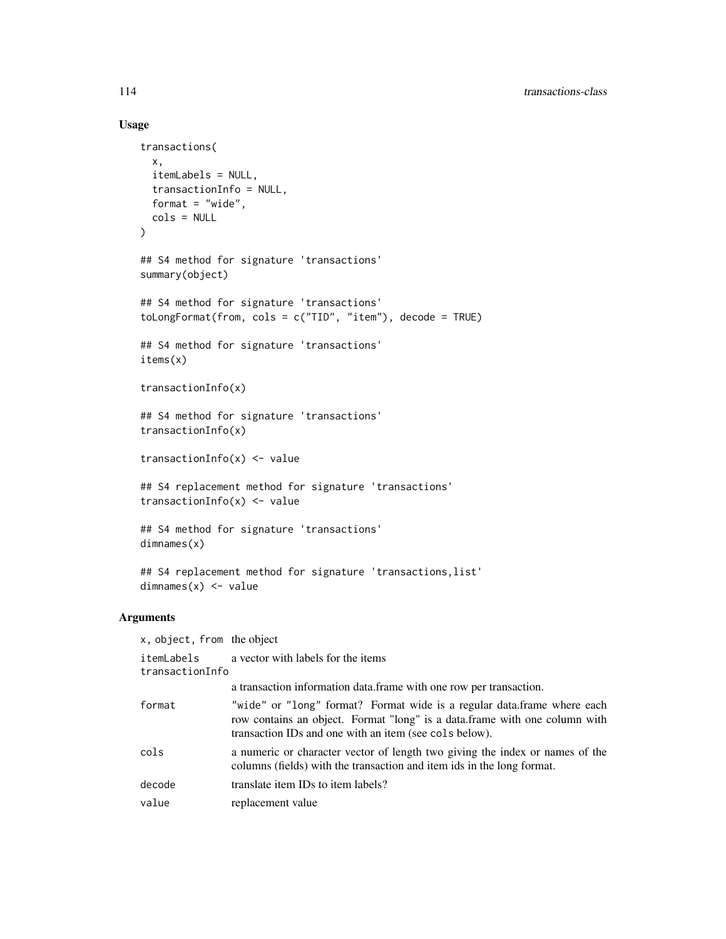# Usage

```
transactions(
  x,
  itemLabels = NULL,
  transactionInfo = NULL,
  format = "wide",
  cols = NULL
)
## S4 method for signature 'transactions'
summary(object)
## S4 method for signature 'transactions'
tolongFormat(from, <math>cols = c("TID", "item"), decode = TRUE)## S4 method for signature 'transactions'
items(x)
transactionInfo(x)
## S4 method for signature 'transactions'
transactionInfo(x)
transactionInfo(x) <- value
## S4 replacement method for signature 'transactions'
transactionInfo(x) <- value
## S4 method for signature 'transactions'
dimnames(x)
## S4 replacement method for signature 'transactions,list'
dimnames(x) <- value
```
#### Arguments

x, object, from the object itemLabels a vector with labels for the items transactionInfo a transaction information data.frame with one row per transaction. format "wide" or "long" format? Format wide is a regular data.frame where each row contains an object. Format "long" is a data.frame with one column with transaction IDs and one with an item (see cols below). cols a numeric or character vector of length two giving the index or names of the columns (fields) with the transaction and item ids in the long format. decode translate item IDs to item labels? value replacement value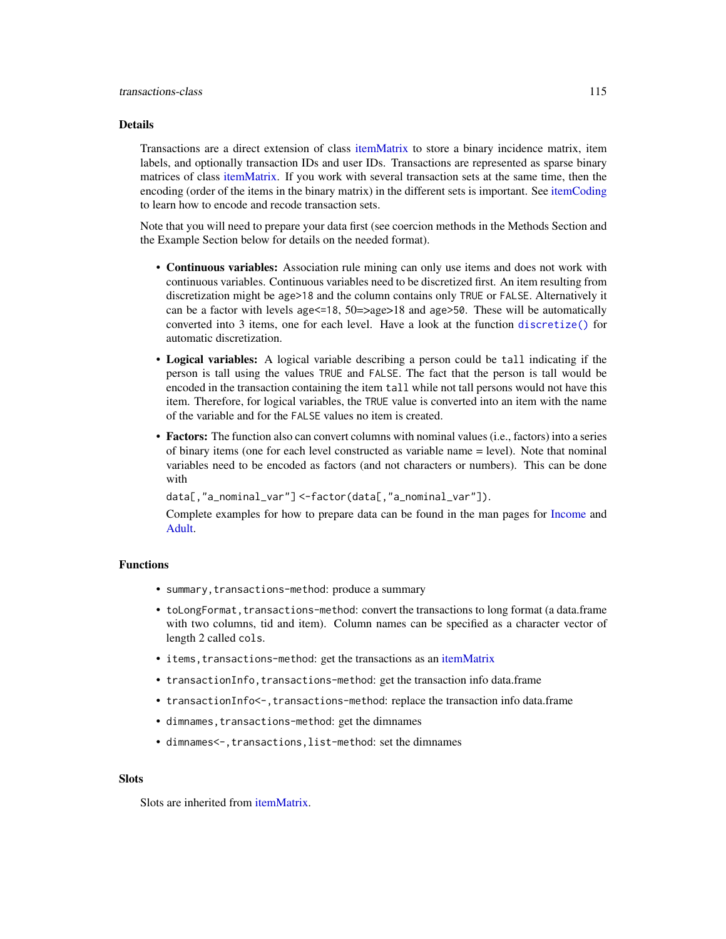#### <span id="page-114-0"></span>Details

Transactions are a direct extension of class [itemMatrix](#page-70-1) to store a binary incidence matrix, item labels, and optionally transaction IDs and user IDs. Transactions are represented as sparse binary matrices of class [itemMatrix.](#page-70-1) If you work with several transaction sets at the same time, then the encoding (order of the items in the binary matrix) in the different sets is important. See [itemCoding](#page-62-0) to learn how to encode and recode transaction sets.

Note that you will need to prepare your data first (see coercion methods in the Methods Section and the Example Section below for details on the needed format).

- Continuous variables: Association rule mining can only use items and does not work with continuous variables. Continuous variables need to be discretized first. An item resulting from discretization might be age>18 and the column contains only TRUE or FALSE. Alternatively it can be a factor with levels age $\leq$ =18, 50=>age>18 and age>50. These will be automatically converted into 3 items, one for each level. Have a look at the function [discretize\(\)](#page-26-0) for automatic discretization.
- Logical variables: A logical variable describing a person could be tall indicating if the person is tall using the values TRUE and FALSE. The fact that the person is tall would be encoded in the transaction containing the item tall while not tall persons would not have this item. Therefore, for logical variables, the TRUE value is converted into an item with the name of the variable and for the FALSE values no item is created.
- Factors: The function also can convert columns with nominal values (i.e., factors) into a series of binary items (one for each level constructed as variable name = level). Note that nominal variables need to be encoded as factors (and not characters or numbers). This can be done with

data[,"a\_nominal\_var"] <-factor(data[,"a\_nominal\_var"]).

Complete examples for how to prepare data can be found in the man pages for [Income](#page-45-0) and [Adult.](#page-5-0)

# Functions

- summary,transactions-method: produce a summary
- toLongFormat, transactions-method: convert the transactions to long format (a data.frame with two columns, tid and item). Column names can be specified as a character vector of length 2 called cols.
- items, transactions-method: get the transactions as an [itemMatrix](#page-70-1)
- transactionInfo,transactions-method: get the transaction info data.frame
- transactionInfo<-,transactions-method: replace the transaction info data.frame
- dimnames, transactions-method: get the dimnames
- dimnames<-,transactions,list-method: set the dimnames

# **Slots**

Slots are inherited from [itemMatrix.](#page-70-1)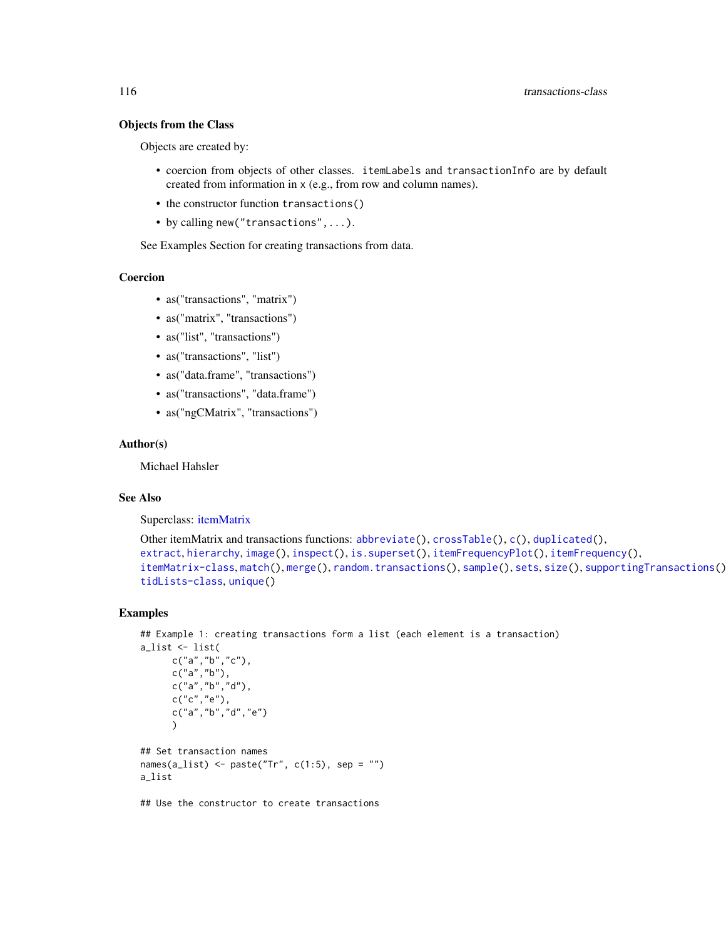# <span id="page-115-0"></span>Objects from the Class

Objects are created by:

- coercion from objects of other classes. itemLabels and transactionInfo are by default created from information in x (e.g., from row and column names).
- the constructor function transactions()
- by calling new("transactions",...).

See Examples Section for creating transactions from data.

#### Coercion

- as("transactions", "matrix")
- as("matrix", "transactions")
- as ("list", "transactions")
- as("transactions", "list")
- as("data.frame", "transactions")
- as("transactions", "data.frame")
- as("ngCMatrix", "transactions")

# Author(s)

Michael Hahsler

#### See Also

Superclass: [itemMatrix](#page-70-1)

```
Other itemMatrix and transactions functions: abbreviate(), crossTable(), c(), duplicated(),
extract, hierarchy, image(), inspect(), is.superset(), itemFrequencyPlot(), itemFrequency(),
itemMatrix-class, match(), merge(), random.transactions(), sample(), sets, size(), supportingTransactions(),
tidLists-class, unique()
```
# Examples

```
## Example 1: creating transactions form a list (each element is a transaction)
a_list <- list(
      c("a", "b", "c"),
      c("a", "b"),
      c("a","b","d"),
      c("c", "e"),
      c("a","b","d","e")
      \lambda## Set transaction names
names(a_list) <- paste("Tr", c(1:5), sep = "")
a_list
```
## Use the constructor to create transactions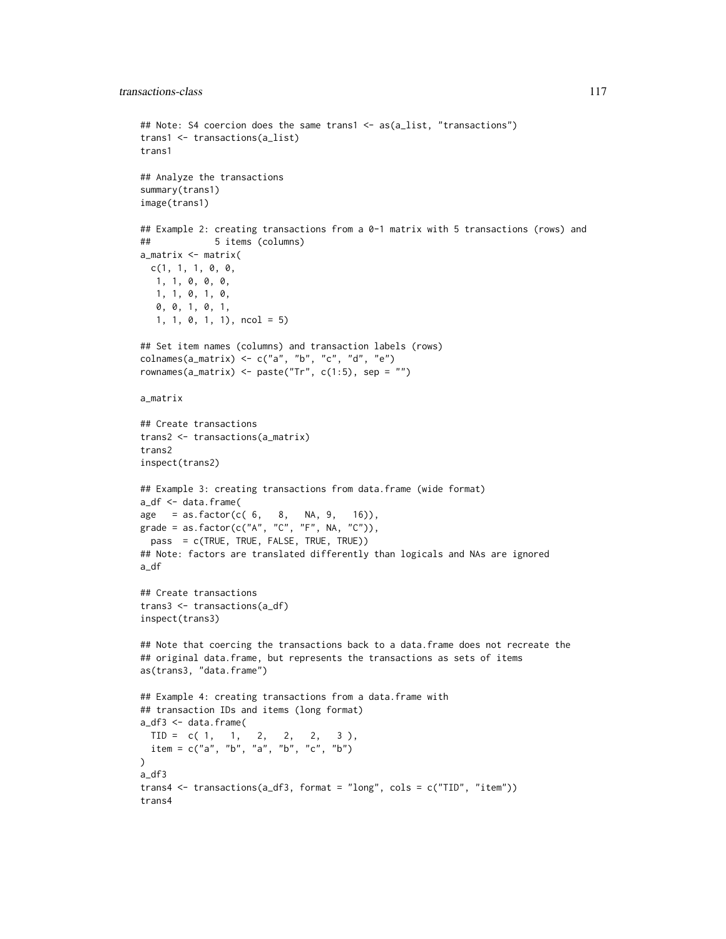```
## Note: S4 coercion does the same trans1 <- as(a_list, "transactions")
trans1 <- transactions(a_list)
trans1
## Analyze the transactions
summary(trans1)
image(trans1)
## Example 2: creating transactions from a 0-1 matrix with 5 transactions (rows) and
## 5 items (columns)
a_matrix <- matrix(
 c(1, 1, 1, 0, 0,1, 1, 0, 0, 0,
  1, 1, 0, 1, 0,
  0, 0, 1, 0, 1,
  1, 1, 0, 1, 1), ncol = 5)
## Set item names (columns) and transaction labels (rows)
colnames(a_matrix) <- c("a", "b", "c", "d", "e")
rownames(a_matrix) <- paste("Tr", c(1:5), sep = "")
a_matrix
## Create transactions
trans2 <- transactions(a_matrix)
trans2
inspect(trans2)
## Example 3: creating transactions from data.frame (wide format)
a_df <- data.frame(
age = as.factor(c( 6, 8, NA, 9, 16)),grade = as.factor(c("A", "C", "F", NA, "C")),
 pass = c(TRUE, TRUE, FALSE, TRUE, TRUE))
## Note: factors are translated differently than logicals and NAs are ignored
a_df
## Create transactions
trans3 <- transactions(a_df)
inspect(trans3)
## Note that coercing the transactions back to a data.frame does not recreate the
## original data.frame, but represents the transactions as sets of items
as(trans3, "data.frame")
## Example 4: creating transactions from a data.frame with
## transaction IDs and items (long format)
a_df3 <- data.frame(
 TID = c(1, 1, 2, 2, 2, 3),item = c("a", "b", "a", "b", "c", "b")
\lambdaa_df3
trans4 <- transactions(a_df3, format = "long", cols = c("TID", "item"))
trans4
```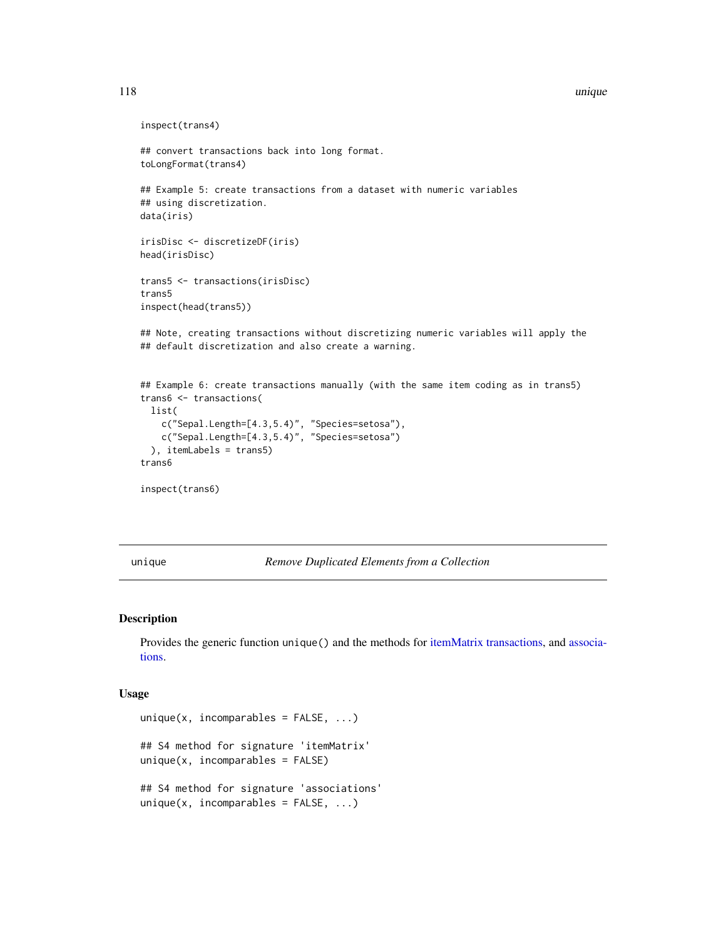#### <span id="page-117-1"></span>118 unique en la contradición de la contradición de la contradición de la contradición de la contradición de la contradición de la contradición de la contradición de la contradición de la contradición de la contradición de

```
inspect(trans4)
```

```
## convert transactions back into long format.
toLongFormat(trans4)
```
## Example 5: create transactions from a dataset with numeric variables ## using discretization. data(iris)

irisDisc <- discretizeDF(iris) head(irisDisc)

trans5 <- transactions(irisDisc) trans5 inspect(head(trans5))

## Note, creating transactions without discretizing numeric variables will apply the ## default discretization and also create a warning.

```
## Example 6: create transactions manually (with the same item coding as in trans5)
trans6 <- transactions(
 list(
   c("Sepal.Length=[4.3,5.4)", "Species=setosa"),
   c("Sepal.Length=[4.3,5.4)", "Species=setosa")
 ), itemLabels = trans5)
trans6
```
inspect(trans6)

<span id="page-117-0"></span>unique *Remove Duplicated Elements from a Collection*

# Description

Provides the generic function unique() and the methods for [itemMatrix](#page-70-1) [transactions,](#page-112-0) and [associa](#page-16-0)[tions.](#page-16-0)

#### Usage

```
unique(x, incomparables = FALSE, ...)
## S4 method for signature 'itemMatrix'
unique(x, incomparables = FALSE)## S4 method for signature 'associations'
unique(x, incomparables = FALSE, ...)
```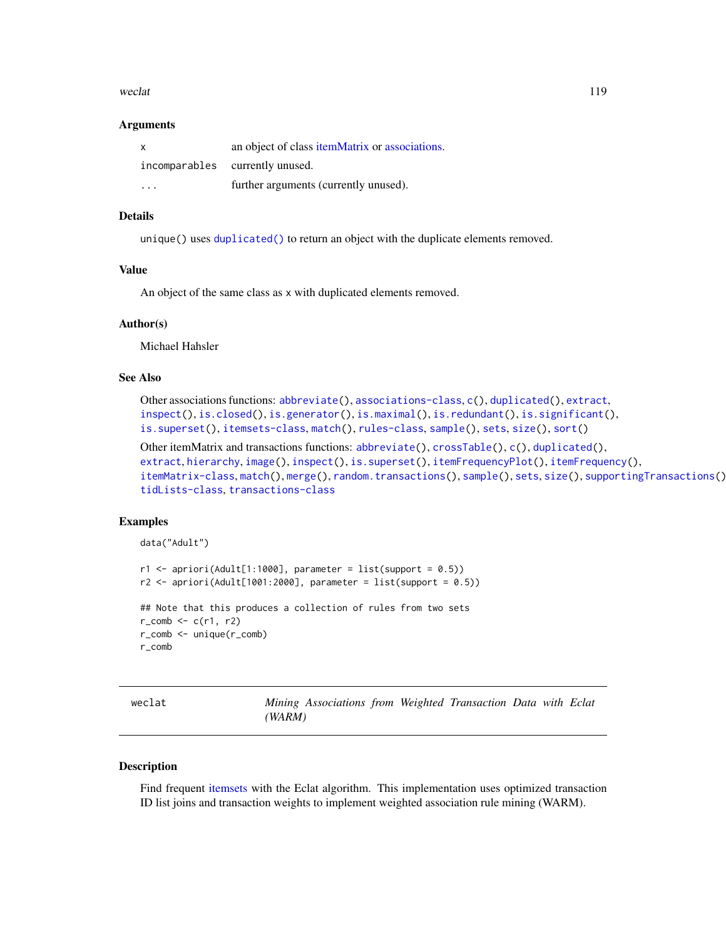#### <span id="page-118-0"></span>weclat 119

# **Arguments**

| $\mathsf{x}$            | an object of class itemMatrix or associations. |
|-------------------------|------------------------------------------------|
|                         | incomparables currently unused.                |
| $\cdot$ $\cdot$ $\cdot$ | further arguments (currently unused).          |

# Details

unique() uses [duplicated\(\)](#page-32-0) to return an object with the duplicate elements removed.

# Value

An object of the same class as x with duplicated elements removed.

#### Author(s)

Michael Hahsler

# See Also

Other associations functions: [abbreviate\(](#page-2-0)), [associations-class](#page-16-1), [c\(](#page-18-0)), [duplicated\(](#page-32-0)), [extract](#page-36-0), [inspect\(](#page-47-0)), [is.closed\(](#page-53-0)), [is.generator\(](#page-54-0)), [is.maximal\(](#page-55-0)), [is.redundant\(](#page-57-0)), [is.significant\(](#page-59-0)), [is.superset\(](#page-61-0)), [itemsets-class](#page-75-1), [match\(](#page-80-0)), [rules-class](#page-94-1), [sample\(](#page-98-0)), [sets](#page-99-0), [size\(](#page-101-0)), [sort\(](#page-102-0))

Other itemMatrix and transactions functions: [abbreviate\(](#page-2-0)), [crossTable\(](#page-23-0)), [c\(](#page-18-0)), [duplicated\(](#page-32-0)), [extract](#page-36-0), [hierarchy](#page-40-0), [image\(](#page-44-0)), [inspect\(](#page-47-0)), [is.superset\(](#page-61-0)), [itemFrequencyPlot\(](#page-68-0)), [itemFrequency\(](#page-67-0)), [itemMatrix-class](#page-70-0), [match\(](#page-80-0)), [merge\(](#page-82-0)), [random.transactions\(](#page-87-0)), [sample\(](#page-98-0)), [sets](#page-99-0), [size\(](#page-101-0)), [supportingTransactions\(](#page-108-0)), [tidLists-class](#page-109-1), [transactions-class](#page-112-1)

# Examples

```
data("Adult")
```

```
r1 \leq - apriori(Adult[1:1000], parameter = list(support = 0.5))
r2 \leq apriori(Adult[1001:2000], parameter = list(support = 0.5))
```

```
## Note that this produces a collection of rules from two sets
r_{\text{1}} comb \leq r_{\text{2}} c(r1, r2)
r_comb <- unique(r_comb)
r_comb
```

| weclat |       | Mining Associations from Weighted Transaction Data with Eclat |  |  |  |
|--------|-------|---------------------------------------------------------------|--|--|--|
|        | WARM) |                                                               |  |  |  |

# Description

Find frequent [itemsets](#page-75-0) with the Eclat algorithm. This implementation uses optimized transaction ID list joins and transaction weights to implement weighted association rule mining (WARM).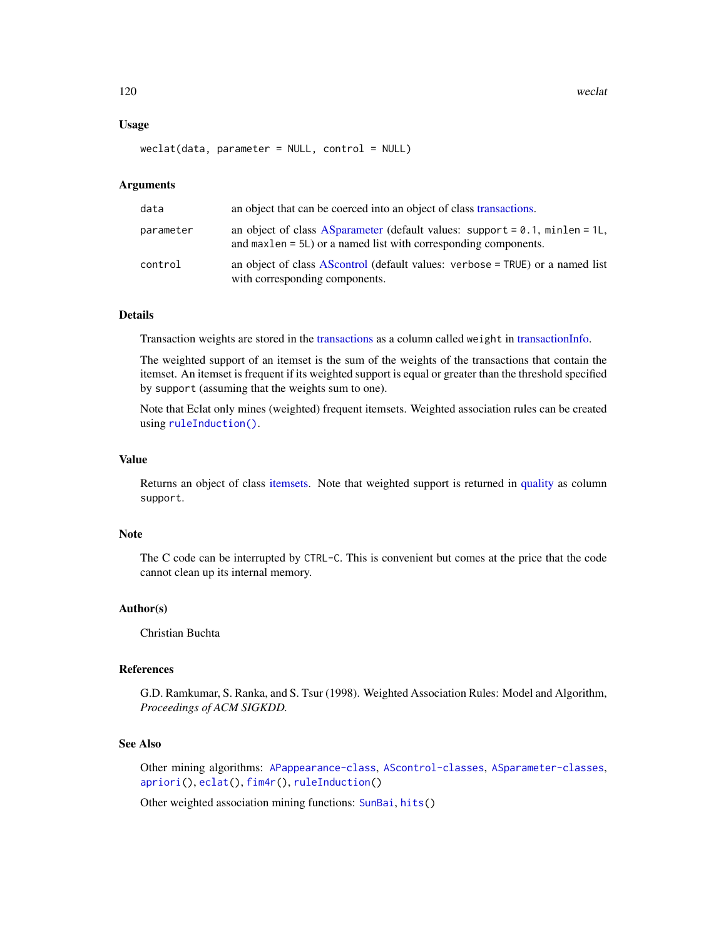<span id="page-119-0"></span>120 weclat

# Usage

weclat(data, parameter = NULL, control = NULL)

### Arguments

| data      | an object that can be coerced into an object of class transactions.                                                                                       |
|-----------|-----------------------------------------------------------------------------------------------------------------------------------------------------------|
| parameter | an object of class AS parameter (default values: support $= 0.1$ , minlen $= 1L$ ,<br>and max len $= 5L$ ) or a named list with corresponding components. |
| control   | an object of class AS control (default values: verbose = TRUE) or a named list<br>with corresponding components.                                          |

# Details

Transaction weights are stored in the [transactions](#page-112-0) as a column called weight in [transactionInfo.](#page-112-0)

The weighted support of an itemset is the sum of the weights of the transactions that contain the itemset. An itemset is frequent if its weighted support is equal or greater than the threshold specified by support (assuming that the weights sum to one).

Note that Eclat only mines (weighted) frequent itemsets. Weighted association rules can be created using [ruleInduction\(\)](#page-92-0).

### Value

Returns an object of class [itemsets.](#page-75-0) Note that weighted support is returned in [quality](#page-16-0) as column support.

# Note

The C code can be interrupted by CTRL-C. This is convenient but comes at the price that the code cannot clean up its internal memory.

# Author(s)

Christian Buchta

# References

G.D. Ramkumar, S. Ranka, and S. Tsur (1998). Weighted Association Rules: Model and Algorithm, *Proceedings of ACM SIGKDD.*

# See Also

Other mining algorithms: [APappearance-class](#page-9-0), [AScontrol-classes](#page-13-1), [ASparameter-classes](#page-14-1), [apriori\(](#page-10-0)), [eclat\(](#page-33-0)), [fim4r\(](#page-37-0)), [ruleInduction\(](#page-92-0))

Other weighted association mining functions: [SunBai](#page-105-0), [hits\(](#page-43-0))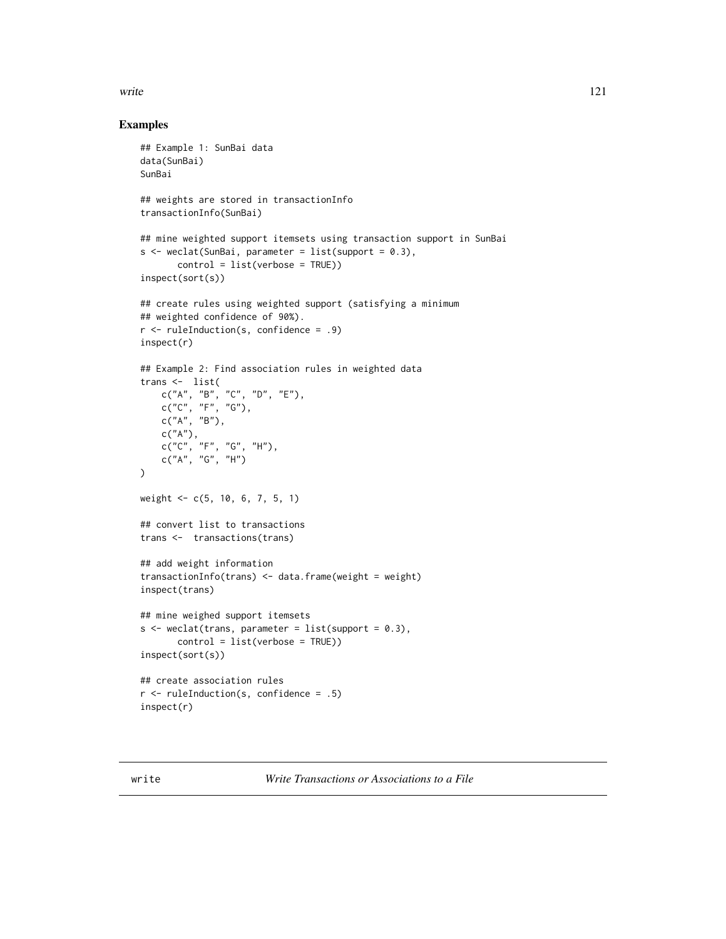<span id="page-120-0"></span>write the contract of the contract of the contract of the contract of the contract of the contract of the contract of the contract of the contract of the contract of the contract of the contract of the contract of the cont

# Examples

```
## Example 1: SunBai data
data(SunBai)
SunBai
## weights are stored in transactionInfo
transactionInfo(SunBai)
## mine weighted support itemsets using transaction support in SunBai
s <- weclat(SunBai, parameter = list(support = 0.3),
       control = list(verbose = TRUE))
inspect(sort(s))
## create rules using weighted support (satisfying a minimum
## weighted confidence of 90%).
r <- ruleInduction(s, confidence = .9)
inspect(r)
## Example 2: Find association rules in weighted data
trans <- list(
    c("A", "B", "C", "D", "E"),
    c("C", "F", "G"),
    c("A", "B"),
    c("A"),
    c("C", "F", "G", "H"),
   c("A", "G", "H")
\lambdaweight <- c(5, 10, 6, 7, 5, 1)
## convert list to transactions
trans <- transactions(trans)
## add weight information
transactionInfo(trans) <- data.frame(weight = weight)
inspect(trans)
## mine weighed support itemsets
s \le weclat(trans, parameter = list(support = 0.3),
       control = list(verbose = TRUE))
inspect(sort(s))
## create association rules
r <- ruleInduction(s, confidence = .5)
inspect(r)
```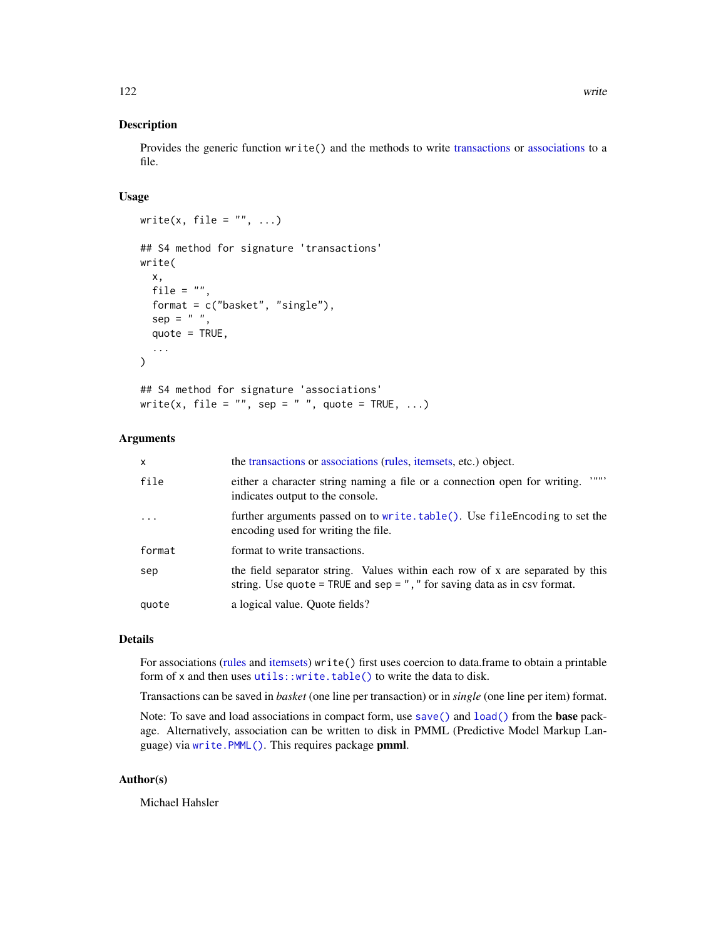# <span id="page-121-0"></span>Description

Provides the generic function write() and the methods to write [transactions](#page-112-0) or [associations](#page-16-0) to a file.

# Usage

```
write(x, file = ", ...)
## S4 method for signature 'transactions'
write(
 x,
  file = ",
  format = c("basket", "single"),
  sep = " " ,quote = TRUE,
  ...
)
## S4 method for signature 'associations'
write(x, file = "", sep = " ", quote = TRUE, \dots)
```
# Arguments

| X          | the transactions or associations (rules, itemsets, etc.) object.                                                                                                |
|------------|-----------------------------------------------------------------------------------------------------------------------------------------------------------------|
| file       | ,<br>either a character string naming a file or a connection open for writing.<br>indicates output to the console.                                              |
| $\ddots$ . | further arguments passed on to write.table(). Use file Encoding to set the<br>encoding used for writing the file.                                               |
| format     | format to write transactions.                                                                                                                                   |
| sep        | the field separator string. Values within each row of x are separated by this<br>string. Use quote = TRUE and sep = $"$ , $"$ for saving data as in csv format. |
| quote      | a logical value. Quote fields?                                                                                                                                  |

# Details

For associations [\(rules](#page-94-0) and [itemsets\)](#page-75-0) write() first uses coercion to data.frame to obtain a printable form of x and then uses [utils::write.table\(\)](#page-0-0) to write the data to disk.

Transactions can be saved in *basket* (one line per transaction) or in *single* (one line per item) format.

Note: To save and load associations in compact form, use [save\(\)](#page-0-0) and [load\(\)](#page-0-0) from the **base** package. Alternatively, association can be written to disk in PMML (Predictive Model Markup Language) via [write.PMML\(\)](#page-84-0). This requires package pmml.

# Author(s)

Michael Hahsler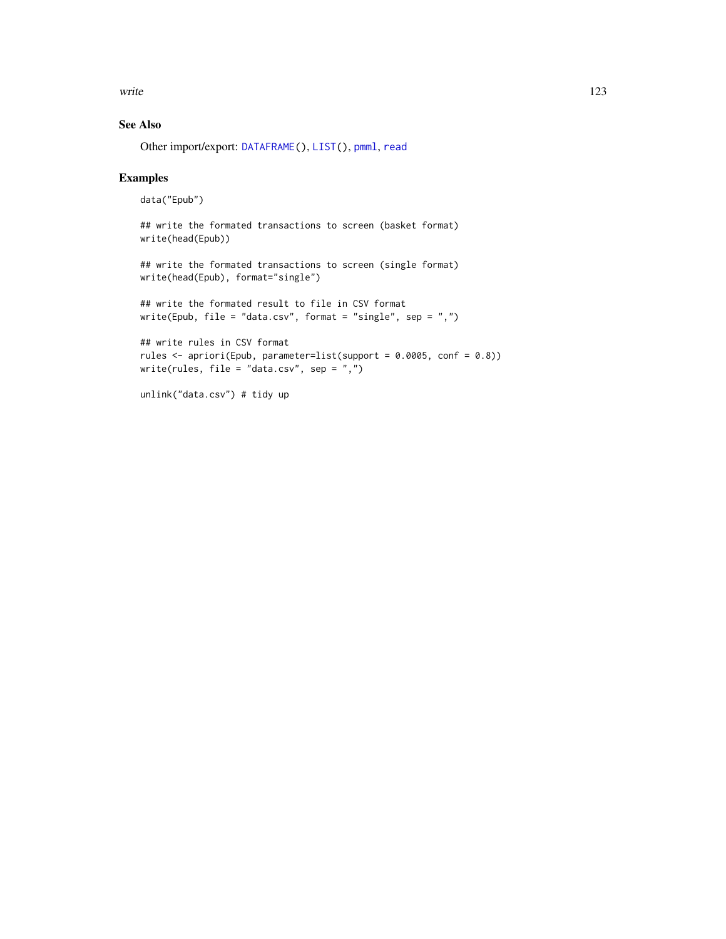<span id="page-122-0"></span>write the contract of the contract of the contract of the contract of the contract of the contract of the contract of the contract of the contract of the contract of the contract of the contract of the contract of the cont

# See Also

Other import/export: [DATAFRAME\(](#page-25-0)), [LIST\(](#page-79-0)), [pmml](#page-84-1), [read](#page-89-0)

# Examples

```
data("Epub")
```

```
## write the formated transactions to screen (basket format)
write(head(Epub))
```

```
## write the formated transactions to screen (single format)
write(head(Epub), format="single")
```

```
## write the formated result to file in CSV format
write(Epub, file = "data.csv", format = "single", sep = ",")
```

```
## write rules in CSV format
rules <- apriori(Epub, parameter=list(support = 0.0005, conf = 0.8))
write(rules, file = "data.csv", sep = ",")
```
unlink("data.csv") # tidy up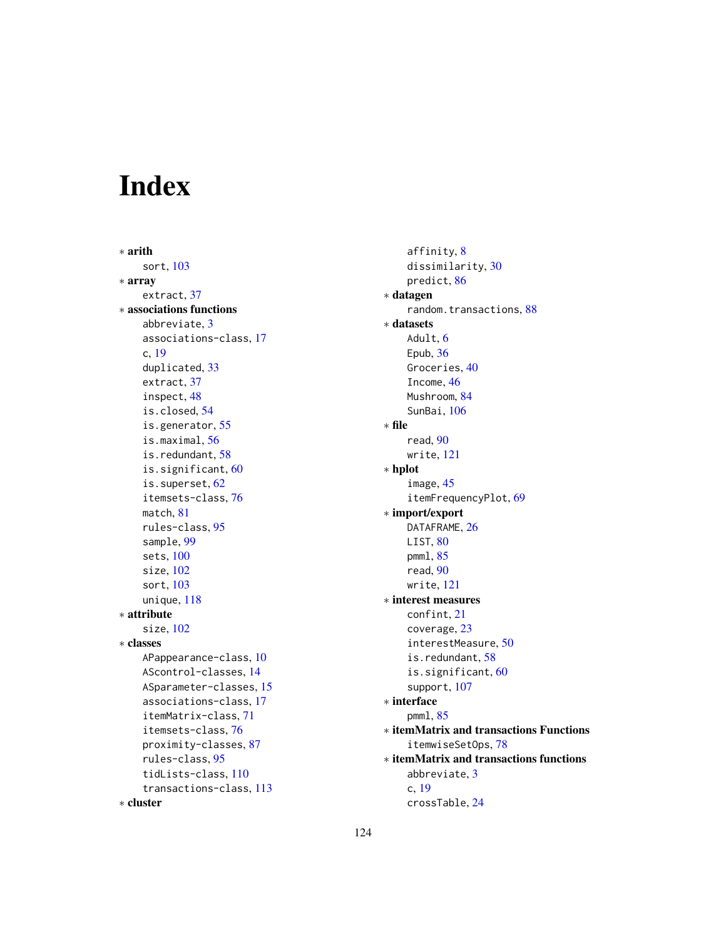# Index

∗ arith sort, [103](#page-102-1) ∗ array extract, [37](#page-36-1) ∗ associations functions abbreviate, [3](#page-2-1) associations-class, [17](#page-16-2) c, [19](#page-18-1) duplicated, [33](#page-32-1) extract, [37](#page-36-1) inspect, [48](#page-47-1) is.closed, [54](#page-53-1) is.generator, [55](#page-54-1) is.maximal, [56](#page-55-1) is.redundant, [58](#page-57-1) is.significant, [60](#page-59-1) is.superset, [62](#page-61-1) itemsets-class, [76](#page-75-2) match, [81](#page-80-1) rules-class, [95](#page-94-2) sample, [99](#page-98-1) sets, [100](#page-99-1) size, [102](#page-101-1) sort, [103](#page-102-1) unique, [118](#page-117-1) ∗ attribute size, [102](#page-101-1) ∗ classes APappearance-class, [10](#page-9-1) AScontrol-classes, [14](#page-13-2) ASparameter-classes, [15](#page-14-2) associations-class, [17](#page-16-2) itemMatrix-class, [71](#page-70-2) itemsets-class, [76](#page-75-2) proximity-classes, [87](#page-86-0) rules-class, [95](#page-94-2) tidLists-class, [110](#page-109-2) transactions-class, [113](#page-112-2) ∗ cluster

affinity, [8](#page-7-0) dissimilarity, [30](#page-29-0) predict, [86](#page-85-0) ∗ datagen random.transactions, [88](#page-87-1) ∗ datasets Adult, [6](#page-5-1) Epub, [36](#page-35-0) Groceries, [40](#page-39-0) Income, [46](#page-45-1) Mushroom, [84](#page-83-0) SunBai, [106](#page-105-1) ∗ file read, [90](#page-89-1) write, [121](#page-120-0) ∗ hplot image, [45](#page-44-1) itemFrequencyPlot, [69](#page-68-1) ∗ import/export DATAFRAME, [26](#page-25-1) LIST, [80](#page-79-1) pmml, [85](#page-84-2) read, [90](#page-89-1) write, [121](#page-120-0) ∗ interest measures confint, [21](#page-20-0) coverage, [23](#page-22-0) interestMeasure, [50](#page-49-0) is.redundant, [58](#page-57-1) is.significant, [60](#page-59-1) support, [107](#page-106-0) ∗ interface pmml, [85](#page-84-2) ∗ itemMatrix and transactions Functions itemwiseSetOps, [78](#page-77-0) ∗ itemMatrix and transactions functions abbreviate, [3](#page-2-1) c, [19](#page-18-1) crossTable, [24](#page-23-1)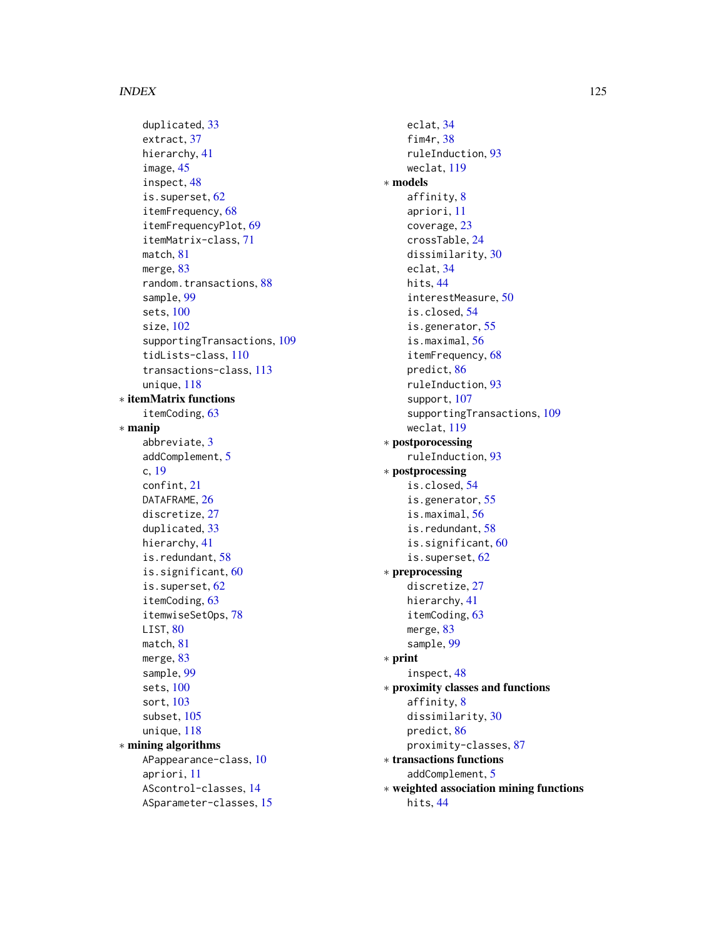duplicated, [33](#page-32-1) extract, [37](#page-36-1) hierarchy, [41](#page-40-1) image, [45](#page-44-1) inspect, [48](#page-47-1) is.superset, [62](#page-61-1) itemFrequency, [68](#page-67-1) itemFrequencyPlot, [69](#page-68-1) itemMatrix-class, [71](#page-70-2) match, [81](#page-80-1) merge, [83](#page-82-1) random.transactions, [88](#page-87-1) sample, [99](#page-98-1) sets, [100](#page-99-1) size, [102](#page-101-1) supportingTransactions, [109](#page-108-1) tidLists-class, [110](#page-109-2) transactions-class, [113](#page-112-2) unique, [118](#page-117-1) ∗ itemMatrix functions itemCoding, [63](#page-62-1) ∗ manip abbreviate, [3](#page-2-1) addComplement, [5](#page-4-0) c, [19](#page-18-1) confint, [21](#page-20-0) DATAFRAME, [26](#page-25-1) discretize, [27](#page-26-1) duplicated, [33](#page-32-1) hierarchy, [41](#page-40-1) is.redundant, [58](#page-57-1) is.significant, [60](#page-59-1) is.superset, [62](#page-61-1) itemCoding, [63](#page-62-1) itemwiseSetOps, [78](#page-77-0) LIST, [80](#page-79-1) match, [81](#page-80-1) merge, [83](#page-82-1) sample, [99](#page-98-1) sets, [100](#page-99-1) sort, [103](#page-102-1) subset, [105](#page-104-0) unique, [118](#page-117-1) ∗ mining algorithms APappearance-class, [10](#page-9-1) apriori, [11](#page-10-1) AScontrol-classes, [14](#page-13-2) ASparameter-classes, [15](#page-14-2)

eclat, [34](#page-33-1) fim4r, [38](#page-37-1) ruleInduction, [93](#page-92-1) weclat, [119](#page-118-0) ∗ models affinity, [8](#page-7-0) apriori, [11](#page-10-1) coverage, [23](#page-22-0) crossTable, [24](#page-23-1) dissimilarity, [30](#page-29-0) eclat, [34](#page-33-1) hits, [44](#page-43-1) interestMeasure, [50](#page-49-0) is.closed, [54](#page-53-1) is.generator, [55](#page-54-1) is.maximal, [56](#page-55-1) itemFrequency, [68](#page-67-1) predict, [86](#page-85-0) ruleInduction, [93](#page-92-1) support, [107](#page-106-0) supportingTransactions, [109](#page-108-1) weclat, [119](#page-118-0) ∗ postporocessing ruleInduction, [93](#page-92-1) ∗ postprocessing is.closed, [54](#page-53-1) is.generator, [55](#page-54-1) is.maximal, [56](#page-55-1) is.redundant, [58](#page-57-1) is.significant, [60](#page-59-1) is.superset, [62](#page-61-1) ∗ preprocessing discretize, [27](#page-26-1) hierarchy, [41](#page-40-1) itemCoding, [63](#page-62-1) merge, [83](#page-82-1) sample, [99](#page-98-1) ∗ print inspect, [48](#page-47-1) ∗ proximity classes and functions affinity, [8](#page-7-0) dissimilarity, [30](#page-29-0) predict, [86](#page-85-0) proximity-classes, [87](#page-86-0) ∗ transactions functions addComplement, [5](#page-4-0) ∗ weighted association mining functions hits, [44](#page-43-1)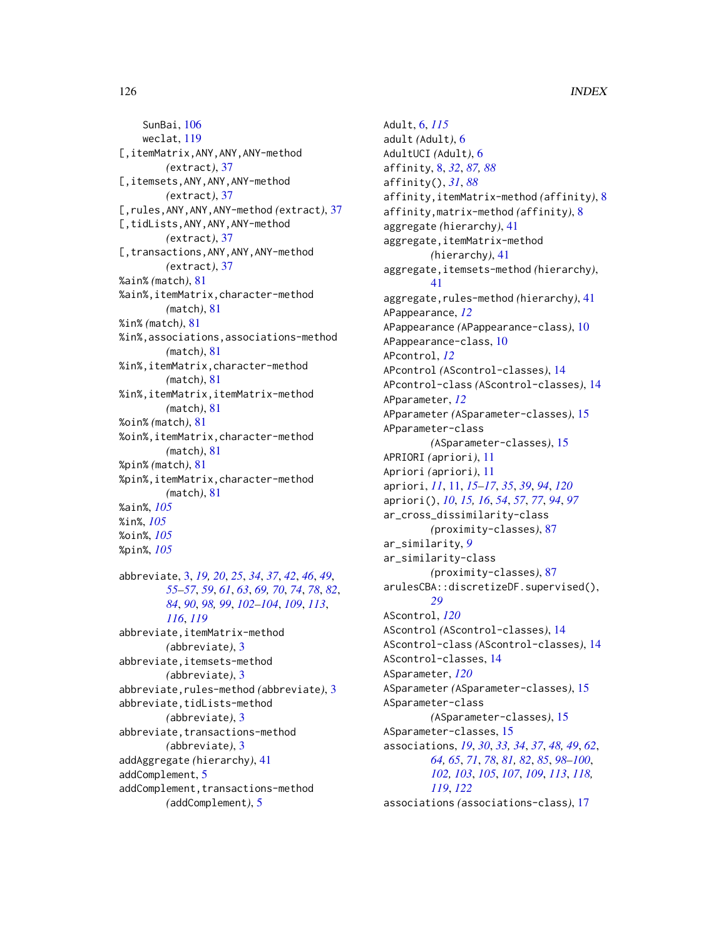SunBai, [106](#page-105-1) weclat, [119](#page-118-0) [,itemMatrix,ANY,ANY,ANY-method *(*extract*)*, [37](#page-36-1) [,itemsets,ANY,ANY,ANY-method *(*extract*)*, [37](#page-36-1) [,rules,ANY,ANY,ANY-method *(*extract*)*, [37](#page-36-1) [,tidLists,ANY,ANY,ANY-method *(*extract*)*, [37](#page-36-1) [, transactions, ANY, ANY, ANY-method *(*extract*)*, [37](#page-36-1) %ain% *(*match*)*, [81](#page-80-1) %ain%,itemMatrix,character-method *(*match*)*, [81](#page-80-1) %in% *(*match*)*, [81](#page-80-1) %in%,associations,associations-method *(*match*)*, [81](#page-80-1) %in%,itemMatrix,character-method *(*match*)*, [81](#page-80-1) %in%,itemMatrix,itemMatrix-method *(*match*)*, [81](#page-80-1) %oin% *(*match*)*, [81](#page-80-1) %oin%,itemMatrix,character-method *(*match*)*, [81](#page-80-1) %pin% *(*match*)*, [81](#page-80-1) %pin%,itemMatrix,character-method *(*match*)*, [81](#page-80-1) %ain%, *[105](#page-104-0)* %in%, *[105](#page-104-0)* %oin%, *[105](#page-104-0)*

abbreviate, [3,](#page-2-1) *[19,](#page-18-1) [20](#page-19-0)*, *[25](#page-24-0)*, *[34](#page-33-1)*, *[37](#page-36-1)*, *[42](#page-41-0)*, *[46](#page-45-1)*, *[49](#page-48-0)*, *[55](#page-54-1)[–57](#page-56-0)*, *[59](#page-58-0)*, *[61](#page-60-0)*, *[63](#page-62-1)*, *[69,](#page-68-1) [70](#page-69-0)*, *[74](#page-73-0)*, *[78](#page-77-0)*, *[82](#page-81-0)*, *[84](#page-83-0)*, *[90](#page-89-1)*, *[98,](#page-97-0) [99](#page-98-1)*, *[102–](#page-101-1)[104](#page-103-0)*, *[109](#page-108-1)*, *[113](#page-112-2)*, *[116](#page-115-0)*, *[119](#page-118-0)* abbreviate,itemMatrix-method *(*abbreviate*)*, [3](#page-2-1) abbreviate,itemsets-method *(*abbreviate*)*, [3](#page-2-1) abbreviate,rules-method *(*abbreviate*)*, [3](#page-2-1) abbreviate,tidLists-method *(*abbreviate*)*, [3](#page-2-1) abbreviate, transactions-method *(*abbreviate*)*, [3](#page-2-1) addAggregate *(*hierarchy*)*, [41](#page-40-1) addComplement, [5](#page-4-0) addComplement, transactions-method *(*addComplement*)*, [5](#page-4-0)

%pin%, *[105](#page-104-0)*

Adult, [6,](#page-5-1) *[115](#page-114-0)* adult *(*Adult*)*, [6](#page-5-1) AdultUCI *(*Adult*)*, [6](#page-5-1) affinity, [8,](#page-7-0) *[32](#page-31-0)*, *[87,](#page-86-0) [88](#page-87-1)* affinity(), *[31](#page-30-0)*, *[88](#page-87-1)* affinity,itemMatrix-method *(*affinity*)*, [8](#page-7-0) affinity,matrix-method *(*affinity*)*, [8](#page-7-0) aggregate *(*hierarchy*)*, [41](#page-40-1) aggregate,itemMatrix-method *(*hierarchy*)*, [41](#page-40-1) aggregate,itemsets-method *(*hierarchy*)*, [41](#page-40-1) aggregate,rules-method *(*hierarchy*)*, [41](#page-40-1) APappearance, *[12](#page-11-0)* APappearance *(*APappearance-class*)*, [10](#page-9-1) APappearance-class, [10](#page-9-1) APcontrol, *[12](#page-11-0)* APcontrol *(*AScontrol-classes*)*, [14](#page-13-2) APcontrol-class *(*AScontrol-classes*)*, [14](#page-13-2) APparameter, *[12](#page-11-0)* APparameter *(*ASparameter-classes*)*, [15](#page-14-2) APparameter-class *(*ASparameter-classes*)*, [15](#page-14-2) APRIORI *(*apriori*)*, [11](#page-10-1) Apriori *(*apriori*)*, [11](#page-10-1) apriori, *[11](#page-10-1)*, [11,](#page-10-1) *[15](#page-14-2)[–17](#page-16-2)*, *[35](#page-34-0)*, *[39](#page-38-0)*, *[94](#page-93-0)*, *[120](#page-119-0)* apriori(), *[10](#page-9-1)*, *[15,](#page-14-2) [16](#page-15-0)*, *[54](#page-53-1)*, *[57](#page-56-0)*, *[77](#page-76-0)*, *[94](#page-93-0)*, *[97](#page-96-0)* ar\_cross\_dissimilarity-class *(*proximity-classes*)*, [87](#page-86-0) ar\_similarity, *[9](#page-8-0)* ar\_similarity-class *(*proximity-classes*)*, [87](#page-86-0) arulesCBA::discretizeDF.supervised(), *[29](#page-28-0)* AScontrol, *[120](#page-119-0)* AScontrol *(*AScontrol-classes*)*, [14](#page-13-2) AScontrol-class *(*AScontrol-classes*)*, [14](#page-13-2) AScontrol-classes, [14](#page-13-2) ASparameter, *[120](#page-119-0)* ASparameter *(*ASparameter-classes*)*, [15](#page-14-2) ASparameter-class *(*ASparameter-classes*)*, [15](#page-14-2) ASparameter-classes, [15](#page-14-2) associations, *[19](#page-18-1)*, *[30](#page-29-0)*, *[33,](#page-32-1) [34](#page-33-1)*, *[37](#page-36-1)*, *[48,](#page-47-1) [49](#page-48-0)*, *[62](#page-61-1)*, *[64,](#page-63-0) [65](#page-64-0)*, *[71](#page-70-2)*, *[78](#page-77-0)*, *[81,](#page-80-1) [82](#page-81-0)*, *[85](#page-84-2)*, *[98](#page-97-0)[–100](#page-99-1)*, *[102,](#page-101-1) [103](#page-102-1)*, *[105](#page-104-0)*, *[107](#page-106-0)*, *[109](#page-108-1)*, *[113](#page-112-2)*, *[118,](#page-117-1) [119](#page-118-0)*, *[122](#page-121-0)* associations *(*associations-class*)*, [17](#page-16-2)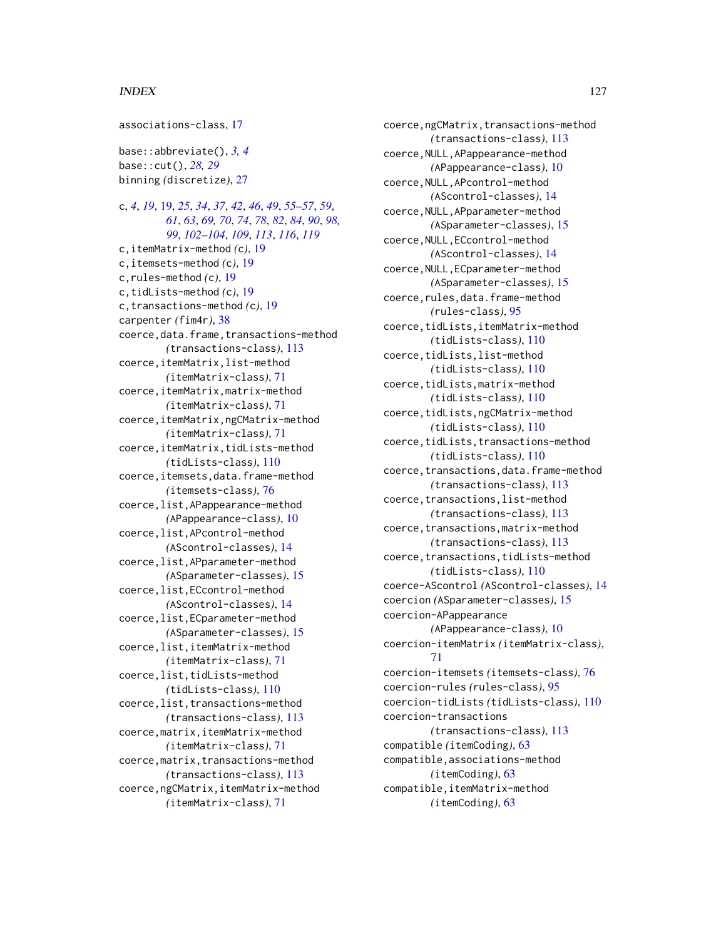associations-class, [17](#page-16-2) base::abbreviate(), *[3,](#page-2-1) [4](#page-3-0)* base::cut(), *[28,](#page-27-0) [29](#page-28-0)* binning *(*discretize*)*, [27](#page-26-1) c, *[4](#page-3-0)*, *[19](#page-18-1)*, [19,](#page-18-1) *[25](#page-24-0)*, *[34](#page-33-1)*, *[37](#page-36-1)*, *[42](#page-41-0)*, *[46](#page-45-1)*, *[49](#page-48-0)*, *[55–](#page-54-1)[57](#page-56-0)*, *[59](#page-58-0)*, *[61](#page-60-0)*, *[63](#page-62-1)*, *[69,](#page-68-1) [70](#page-69-0)*, *[74](#page-73-0)*, *[78](#page-77-0)*, *[82](#page-81-0)*, *[84](#page-83-0)*, *[90](#page-89-1)*, *[98,](#page-97-0) [99](#page-98-1)*, *[102](#page-101-1)[–104](#page-103-0)*, *[109](#page-108-1)*, *[113](#page-112-2)*, *[116](#page-115-0)*, *[119](#page-118-0)* c,itemMatrix-method *(*c*)*, [19](#page-18-1) c,itemsets-method *(*c*)*, [19](#page-18-1) c,rules-method *(*c*)*, [19](#page-18-1) c,tidLists-method *(*c*)*, [19](#page-18-1) c,transactions-method *(*c*)*, [19](#page-18-1) carpenter *(*fim4r*)*, [38](#page-37-1) coerce,data.frame,transactions-method *(*transactions-class*)*, [113](#page-112-2) coerce,itemMatrix,list-method *(*itemMatrix-class*)*, [71](#page-70-2) coerce,itemMatrix,matrix-method *(*itemMatrix-class*)*, [71](#page-70-2) coerce,itemMatrix,ngCMatrix-method *(*itemMatrix-class*)*, [71](#page-70-2) coerce,itemMatrix,tidLists-method *(*tidLists-class*)*, [110](#page-109-2) coerce,itemsets,data.frame-method *(*itemsets-class*)*, [76](#page-75-2) coerce,list,APappearance-method *(*APappearance-class*)*, [10](#page-9-1) coerce,list,APcontrol-method *(*AScontrol-classes*)*, [14](#page-13-2) coerce,list,APparameter-method *(*ASparameter-classes*)*, [15](#page-14-2) coerce,list,ECcontrol-method *(*AScontrol-classes*)*, [14](#page-13-2) coerce,list,ECparameter-method *(*ASparameter-classes*)*, [15](#page-14-2) coerce,list,itemMatrix-method *(*itemMatrix-class*)*, [71](#page-70-2) coerce,list,tidLists-method *(*tidLists-class*)*, [110](#page-109-2) coerce,list,transactions-method *(*transactions-class*)*, [113](#page-112-2) coerce,matrix,itemMatrix-method *(*itemMatrix-class*)*, [71](#page-70-2) coerce,matrix,transactions-method *(*transactions-class*)*, [113](#page-112-2) coerce,ngCMatrix,itemMatrix-method *(*itemMatrix-class*)*, [71](#page-70-2)

coerce,ngCMatrix,transactions-method *(*transactions-class*)*, [113](#page-112-2) coerce,NULL,APappearance-method *(*APappearance-class*)*, [10](#page-9-1) coerce,NULL,APcontrol-method *(*AScontrol-classes*)*, [14](#page-13-2) coerce,NULL,APparameter-method *(*ASparameter-classes*)*, [15](#page-14-2) coerce,NULL,ECcontrol-method *(*AScontrol-classes*)*, [14](#page-13-2) coerce,NULL,ECparameter-method *(*ASparameter-classes*)*, [15](#page-14-2) coerce,rules,data.frame-method *(*rules-class*)*, [95](#page-94-2) coerce,tidLists,itemMatrix-method *(*tidLists-class*)*, [110](#page-109-2) coerce,tidLists,list-method *(*tidLists-class*)*, [110](#page-109-2) coerce,tidLists,matrix-method *(*tidLists-class*)*, [110](#page-109-2) coerce,tidLists,ngCMatrix-method *(*tidLists-class*)*, [110](#page-109-2) coerce,tidLists,transactions-method *(*tidLists-class*)*, [110](#page-109-2) coerce,transactions,data.frame-method *(*transactions-class*)*, [113](#page-112-2) coerce,transactions,list-method *(*transactions-class*)*, [113](#page-112-2) coerce,transactions,matrix-method *(*transactions-class*)*, [113](#page-112-2) coerce,transactions,tidLists-method *(*tidLists-class*)*, [110](#page-109-2) coerce-AScontrol *(*AScontrol-classes*)*, [14](#page-13-2) coercion *(*ASparameter-classes*)*, [15](#page-14-2) coercion-APappearance *(*APappearance-class*)*, [10](#page-9-1) coercion-itemMatrix *(*itemMatrix-class*)*, [71](#page-70-2) coercion-itemsets *(*itemsets-class*)*, [76](#page-75-2) coercion-rules *(*rules-class*)*, [95](#page-94-2) coercion-tidLists *(*tidLists-class*)*, [110](#page-109-2) coercion-transactions *(*transactions-class*)*, [113](#page-112-2) compatible *(*itemCoding*)*, [63](#page-62-1) compatible,associations-method *(*itemCoding*)*, [63](#page-62-1) compatible,itemMatrix-method *(*itemCoding*)*, [63](#page-62-1)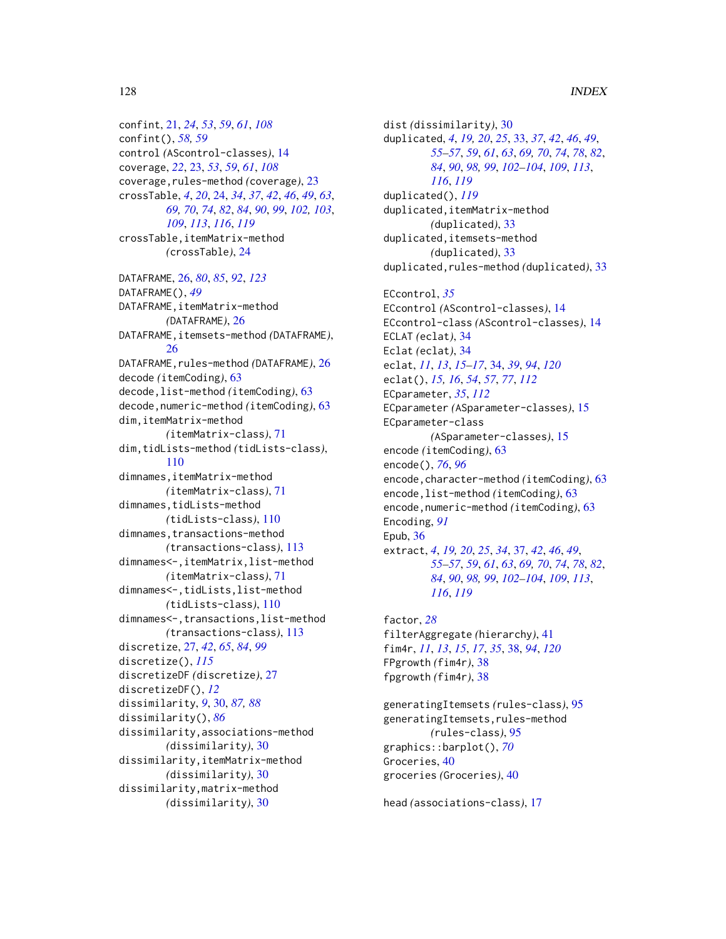confint, [21,](#page-20-0) *[24](#page-23-1)*, *[53](#page-52-0)*, *[59](#page-58-0)*, *[61](#page-60-0)*, *[108](#page-107-0)* confint(), *[58,](#page-57-1) [59](#page-58-0)* control *(*AScontrol-classes*)*, [14](#page-13-2) coverage, *[22](#page-21-0)*, [23,](#page-22-0) *[53](#page-52-0)*, *[59](#page-58-0)*, *[61](#page-60-0)*, *[108](#page-107-0)* coverage,rules-method *(*coverage*)*, [23](#page-22-0) crossTable, *[4](#page-3-0)*, *[20](#page-19-0)*, [24,](#page-23-1) *[34](#page-33-1)*, *[37](#page-36-1)*, *[42](#page-41-0)*, *[46](#page-45-1)*, *[49](#page-48-0)*, *[63](#page-62-1)*, *[69,](#page-68-1) [70](#page-69-0)*, *[74](#page-73-0)*, *[82](#page-81-0)*, *[84](#page-83-0)*, *[90](#page-89-1)*, *[99](#page-98-1)*, *[102,](#page-101-1) [103](#page-102-1)*, *[109](#page-108-1)*, *[113](#page-112-2)*, *[116](#page-115-0)*, *[119](#page-118-0)* crossTable,itemMatrix-method *(*crossTable*)*, [24](#page-23-1) DATAFRAME, [26,](#page-25-1) *[80](#page-79-1)*, *[85](#page-84-2)*, *[92](#page-91-0)*, *[123](#page-122-0)* DATAFRAME(), *[49](#page-48-0)* DATAFRAME, itemMatrix-method *(*DATAFRAME*)*, [26](#page-25-1) DATAFRAME,itemsets-method *(*DATAFRAME*)*, [26](#page-25-1) DATAFRAME,rules-method *(*DATAFRAME*)*, [26](#page-25-1) decode *(*itemCoding*)*, [63](#page-62-1) decode,list-method *(*itemCoding*)*, [63](#page-62-1) decode,numeric-method *(*itemCoding*)*, [63](#page-62-1) dim,itemMatrix-method *(*itemMatrix-class*)*, [71](#page-70-2) dim,tidLists-method *(*tidLists-class*)*, [110](#page-109-2) dimnames,itemMatrix-method *(*itemMatrix-class*)*, [71](#page-70-2) dimnames,tidLists-method *(*tidLists-class*)*, [110](#page-109-2) dimnames,transactions-method *(*transactions-class*)*, [113](#page-112-2) dimnames<-,itemMatrix,list-method

*(*itemMatrix-class*)*, [71](#page-70-2) dimnames<-,tidLists,list-method *(*tidLists-class*)*, [110](#page-109-2) dimnames<-,transactions,list-method *(*transactions-class*)*, [113](#page-112-2) discretize, [27,](#page-26-1) *[42](#page-41-0)*, *[65](#page-64-0)*, *[84](#page-83-0)*, *[99](#page-98-1)* discretize(), *[115](#page-114-0)* discretizeDF *(*discretize*)*, [27](#page-26-1) discretizeDF(), *[12](#page-11-0)* dissimilarity, *[9](#page-8-0)*, [30,](#page-29-0) *[87,](#page-86-0) [88](#page-87-1)* dissimilarity(), *[86](#page-85-0)* dissimilarity,associations-method *(*dissimilarity*)*, [30](#page-29-0) dissimilarity,itemMatrix-method *(*dissimilarity*)*, [30](#page-29-0) dissimilarity,matrix-method

*(*dissimilarity*)*, [30](#page-29-0)

dist *(*dissimilarity*)*, [30](#page-29-0) duplicated, *[4](#page-3-0)*, *[19,](#page-18-1) [20](#page-19-0)*, *[25](#page-24-0)*, [33,](#page-32-1) *[37](#page-36-1)*, *[42](#page-41-0)*, *[46](#page-45-1)*, *[49](#page-48-0)*, *[55](#page-54-1)[–57](#page-56-0)*, *[59](#page-58-0)*, *[61](#page-60-0)*, *[63](#page-62-1)*, *[69,](#page-68-1) [70](#page-69-0)*, *[74](#page-73-0)*, *[78](#page-77-0)*, *[82](#page-81-0)*, *[84](#page-83-0)*, *[90](#page-89-1)*, *[98,](#page-97-0) [99](#page-98-1)*, *[102](#page-101-1)[–104](#page-103-0)*, *[109](#page-108-1)*, *[113](#page-112-2)*, *[116](#page-115-0)*, *[119](#page-118-0)* duplicated(), *[119](#page-118-0)* duplicated,itemMatrix-method *(*duplicated*)*, [33](#page-32-1) duplicated,itemsets-method *(*duplicated*)*, [33](#page-32-1) duplicated,rules-method *(*duplicated*)*, [33](#page-32-1)

ECcontrol, *[35](#page-34-0)* ECcontrol *(*AScontrol-classes*)*, [14](#page-13-2) ECcontrol-class *(*AScontrol-classes*)*, [14](#page-13-2) ECLAT *(*eclat*)*, [34](#page-33-1) Eclat *(*eclat*)*, [34](#page-33-1) eclat, *[11](#page-10-1)*, *[13](#page-12-0)*, *[15](#page-14-2)[–17](#page-16-2)*, [34,](#page-33-1) *[39](#page-38-0)*, *[94](#page-93-0)*, *[120](#page-119-0)* eclat(), *[15,](#page-14-2) [16](#page-15-0)*, *[54](#page-53-1)*, *[57](#page-56-0)*, *[77](#page-76-0)*, *[112](#page-111-0)* ECparameter, *[35](#page-34-0)*, *[112](#page-111-0)* ECparameter *(*ASparameter-classes*)*, [15](#page-14-2) ECparameter-class *(*ASparameter-classes*)*, [15](#page-14-2) encode *(*itemCoding*)*, [63](#page-62-1) encode(), *[76](#page-75-2)*, *[96](#page-95-0)* encode,character-method *(*itemCoding*)*, [63](#page-62-1) encode,list-method *(*itemCoding*)*, [63](#page-62-1) encode,numeric-method *(*itemCoding*)*, [63](#page-62-1) Encoding, *[91](#page-90-0)* Epub, [36](#page-35-0) extract, *[4](#page-3-0)*, *[19,](#page-18-1) [20](#page-19-0)*, *[25](#page-24-0)*, *[34](#page-33-1)*, [37,](#page-36-1) *[42](#page-41-0)*, *[46](#page-45-1)*, *[49](#page-48-0)*, *[55](#page-54-1)[–57](#page-56-0)*, *[59](#page-58-0)*, *[61](#page-60-0)*, *[63](#page-62-1)*, *[69,](#page-68-1) [70](#page-69-0)*, *[74](#page-73-0)*, *[78](#page-77-0)*, *[82](#page-81-0)*, *[84](#page-83-0)*, *[90](#page-89-1)*, *[98,](#page-97-0) [99](#page-98-1)*, *[102](#page-101-1)[–104](#page-103-0)*, *[109](#page-108-1)*, *[113](#page-112-2)*, *[116](#page-115-0)*, *[119](#page-118-0)*

factor, *[28](#page-27-0)* filterAggregate *(*hierarchy*)*, [41](#page-40-1) fim4r, *[11](#page-10-1)*, *[13](#page-12-0)*, *[15](#page-14-2)*, *[17](#page-16-2)*, *[35](#page-34-0)*, [38,](#page-37-1) *[94](#page-93-0)*, *[120](#page-119-0)* FPgrowth *(*fim4r*)*, [38](#page-37-1) fpgrowth *(*fim4r*)*, [38](#page-37-1)

generatingItemsets *(*rules-class*)*, [95](#page-94-2) generatingItemsets,rules-method *(*rules-class*)*, [95](#page-94-2) graphics::barplot(), *[70](#page-69-0)* Groceries, [40](#page-39-0) groceries *(*Groceries*)*, [40](#page-39-0)

head *(*associations-class*)*, [17](#page-16-2)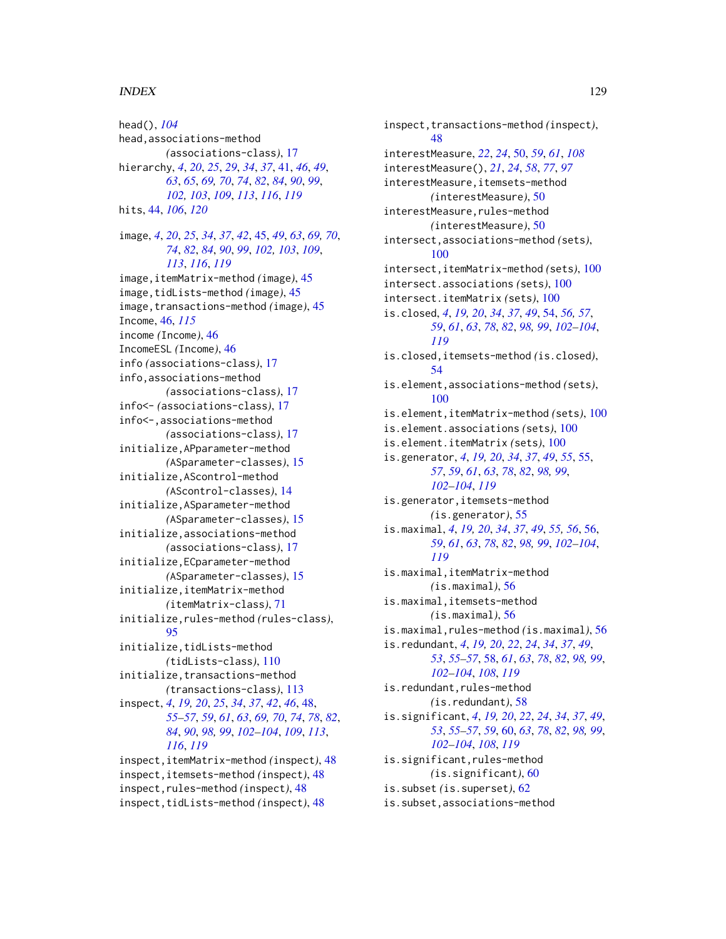head(), *[104](#page-103-0)* head,associations-method *(*associations-class*)*, [17](#page-16-2) hierarchy, *[4](#page-3-0)*, *[20](#page-19-0)*, *[25](#page-24-0)*, *[29](#page-28-0)*, *[34](#page-33-1)*, *[37](#page-36-1)*, [41,](#page-40-1) *[46](#page-45-1)*, *[49](#page-48-0)*, *[63](#page-62-1)*, *[65](#page-64-0)*, *[69,](#page-68-1) [70](#page-69-0)*, *[74](#page-73-0)*, *[82](#page-81-0)*, *[84](#page-83-0)*, *[90](#page-89-1)*, *[99](#page-98-1)*, *[102,](#page-101-1) [103](#page-102-1)*, *[109](#page-108-1)*, *[113](#page-112-2)*, *[116](#page-115-0)*, *[119](#page-118-0)* hits, [44,](#page-43-1) *[106](#page-105-1)*, *[120](#page-119-0)* image, *[4](#page-3-0)*, *[20](#page-19-0)*, *[25](#page-24-0)*, *[34](#page-33-1)*, *[37](#page-36-1)*, *[42](#page-41-0)*, [45,](#page-44-1) *[49](#page-48-0)*, *[63](#page-62-1)*, *[69,](#page-68-1) [70](#page-69-0)*, *[74](#page-73-0)*, *[82](#page-81-0)*, *[84](#page-83-0)*, *[90](#page-89-1)*, *[99](#page-98-1)*, *[102,](#page-101-1) [103](#page-102-1)*, *[109](#page-108-1)*, *[113](#page-112-2)*, *[116](#page-115-0)*, *[119](#page-118-0)* image,itemMatrix-method *(*image*)*, [45](#page-44-1) image,tidLists-method *(*image*)*, [45](#page-44-1) image,transactions-method *(*image*)*, [45](#page-44-1) Income, [46,](#page-45-1) *[115](#page-114-0)* income *(*Income*)*, [46](#page-45-1) IncomeESL *(*Income*)*, [46](#page-45-1) info *(*associations-class*)*, [17](#page-16-2) info,associations-method *(*associations-class*)*, [17](#page-16-2) info<- *(*associations-class*)*, [17](#page-16-2) info<-,associations-method *(*associations-class*)*, [17](#page-16-2) initialize,APparameter-method *(*ASparameter-classes*)*, [15](#page-14-2) initialize,AScontrol-method *(*AScontrol-classes*)*, [14](#page-13-2) initialize,ASparameter-method *(*ASparameter-classes*)*, [15](#page-14-2) initialize,associations-method *(*associations-class*)*, [17](#page-16-2) initialize,ECparameter-method *(*ASparameter-classes*)*, [15](#page-14-2) initialize,itemMatrix-method *(*itemMatrix-class*)*, [71](#page-70-2) initialize,rules-method *(*rules-class*)*, [95](#page-94-2) initialize,tidLists-method *(*tidLists-class*)*, [110](#page-109-2) initialize,transactions-method *(*transactions-class*)*, [113](#page-112-2) inspect, *[4](#page-3-0)*, *[19,](#page-18-1) [20](#page-19-0)*, *[25](#page-24-0)*, *[34](#page-33-1)*, *[37](#page-36-1)*, *[42](#page-41-0)*, *[46](#page-45-1)*, [48,](#page-47-1) *[55](#page-54-1)[–57](#page-56-0)*, *[59](#page-58-0)*, *[61](#page-60-0)*, *[63](#page-62-1)*, *[69,](#page-68-1) [70](#page-69-0)*, *[74](#page-73-0)*, *[78](#page-77-0)*, *[82](#page-81-0)*, *[84](#page-83-0)*, *[90](#page-89-1)*, *[98,](#page-97-0) [99](#page-98-1)*, *[102–](#page-101-1)[104](#page-103-0)*, *[109](#page-108-1)*, *[113](#page-112-2)*, *[116](#page-115-0)*, *[119](#page-118-0)* inspect,itemMatrix-method *(*inspect*)*, [48](#page-47-1) inspect,itemsets-method *(*inspect*)*, [48](#page-47-1) inspect,rules-method *(*inspect*)*, [48](#page-47-1) inspect,tidLists-method *(*inspect*)*, [48](#page-47-1)

inspect,transactions-method *(*inspect*)*, [48](#page-47-1) interestMeasure, *[22](#page-21-0)*, *[24](#page-23-1)*, [50,](#page-49-0) *[59](#page-58-0)*, *[61](#page-60-0)*, *[108](#page-107-0)* interestMeasure(), *[21](#page-20-0)*, *[24](#page-23-1)*, *[58](#page-57-1)*, *[77](#page-76-0)*, *[97](#page-96-0)* interestMeasure,itemsets-method *(*interestMeasure*)*, [50](#page-49-0) interestMeasure, rules-method *(*interestMeasure*)*, [50](#page-49-0) intersect,associations-method *(*sets*)*, [100](#page-99-1) intersect,itemMatrix-method *(*sets*)*, [100](#page-99-1) intersect.associations *(*sets*)*, [100](#page-99-1) intersect.itemMatrix *(*sets*)*, [100](#page-99-1) is.closed, *[4](#page-3-0)*, *[19,](#page-18-1) [20](#page-19-0)*, *[34](#page-33-1)*, *[37](#page-36-1)*, *[49](#page-48-0)*, [54,](#page-53-1) *[56,](#page-55-1) [57](#page-56-0)*, *[59](#page-58-0)*, *[61](#page-60-0)*, *[63](#page-62-1)*, *[78](#page-77-0)*, *[82](#page-81-0)*, *[98,](#page-97-0) [99](#page-98-1)*, *[102](#page-101-1)[–104](#page-103-0)*, *[119](#page-118-0)* is.closed,itemsets-method *(*is.closed*)*, [54](#page-53-1) is.element,associations-method *(*sets*)*, [100](#page-99-1) is.element,itemMatrix-method *(*sets*)*, [100](#page-99-1) is.element.associations *(*sets*)*, [100](#page-99-1) is.element.itemMatrix *(*sets*)*, [100](#page-99-1) is.generator, *[4](#page-3-0)*, *[19,](#page-18-1) [20](#page-19-0)*, *[34](#page-33-1)*, *[37](#page-36-1)*, *[49](#page-48-0)*, *[55](#page-54-1)*, [55,](#page-54-1) *[57](#page-56-0)*, *[59](#page-58-0)*, *[61](#page-60-0)*, *[63](#page-62-1)*, *[78](#page-77-0)*, *[82](#page-81-0)*, *[98,](#page-97-0) [99](#page-98-1)*, *[102](#page-101-1)[–104](#page-103-0)*, *[119](#page-118-0)* is.generator,itemsets-method *(*is.generator*)*, [55](#page-54-1) is.maximal, *[4](#page-3-0)*, *[19,](#page-18-1) [20](#page-19-0)*, *[34](#page-33-1)*, *[37](#page-36-1)*, *[49](#page-48-0)*, *[55,](#page-54-1) [56](#page-55-1)*, [56,](#page-55-1) *[59](#page-58-0)*, *[61](#page-60-0)*, *[63](#page-62-1)*, *[78](#page-77-0)*, *[82](#page-81-0)*, *[98,](#page-97-0) [99](#page-98-1)*, *[102](#page-101-1)[–104](#page-103-0)*, *[119](#page-118-0)* is.maximal,itemMatrix-method *(*is.maximal*)*, [56](#page-55-1) is.maximal,itemsets-method *(*is.maximal*)*, [56](#page-55-1) is.maximal,rules-method *(*is.maximal*)*, [56](#page-55-1) is.redundant, *[4](#page-3-0)*, *[19,](#page-18-1) [20](#page-19-0)*, *[22](#page-21-0)*, *[24](#page-23-1)*, *[34](#page-33-1)*, *[37](#page-36-1)*, *[49](#page-48-0)*, *[53](#page-52-0)*, *[55](#page-54-1)[–57](#page-56-0)*, [58,](#page-57-1) *[61](#page-60-0)*, *[63](#page-62-1)*, *[78](#page-77-0)*, *[82](#page-81-0)*, *[98,](#page-97-0) [99](#page-98-1)*, *[102](#page-101-1)[–104](#page-103-0)*, *[108](#page-107-0)*, *[119](#page-118-0)* is.redundant, rules-method *(*is.redundant*)*, [58](#page-57-1) is.significant, *[4](#page-3-0)*, *[19,](#page-18-1) [20](#page-19-0)*, *[22](#page-21-0)*, *[24](#page-23-1)*, *[34](#page-33-1)*, *[37](#page-36-1)*, *[49](#page-48-0)*, *[53](#page-52-0)*, *[55](#page-54-1)[–57](#page-56-0)*, *[59](#page-58-0)*, [60,](#page-59-1) *[63](#page-62-1)*, *[78](#page-77-0)*, *[82](#page-81-0)*, *[98,](#page-97-0) [99](#page-98-1)*, *[102](#page-101-1)[–104](#page-103-0)*, *[108](#page-107-0)*, *[119](#page-118-0)* is.significant,rules-method *(*is.significant*)*, [60](#page-59-1) is.subset *(*is.superset*)*, [62](#page-61-1) is.subset,associations-method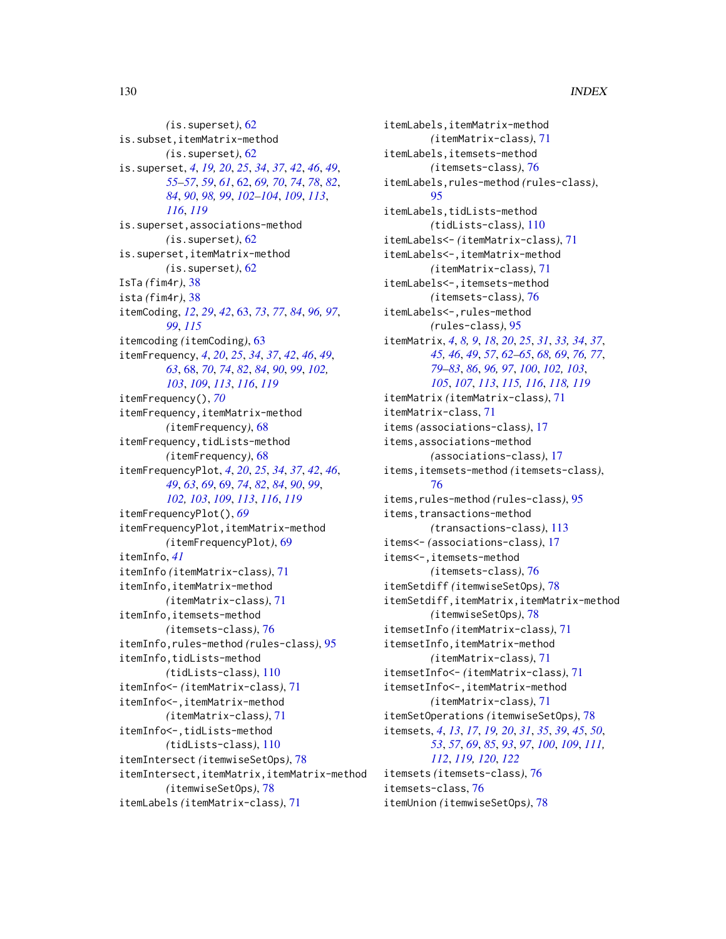*(*is.superset*)*, [62](#page-61-1) is.subset,itemMatrix-method *(*is.superset*)*, [62](#page-61-1) is.superset, *[4](#page-3-0)*, *[19,](#page-18-1) [20](#page-19-0)*, *[25](#page-24-0)*, *[34](#page-33-1)*, *[37](#page-36-1)*, *[42](#page-41-0)*, *[46](#page-45-1)*, *[49](#page-48-0)*, *[55](#page-54-1)[–57](#page-56-0)*, *[59](#page-58-0)*, *[61](#page-60-0)*, [62,](#page-61-1) *[69,](#page-68-1) [70](#page-69-0)*, *[74](#page-73-0)*, *[78](#page-77-0)*, *[82](#page-81-0)*, *[84](#page-83-0)*, *[90](#page-89-1)*, *[98,](#page-97-0) [99](#page-98-1)*, *[102–](#page-101-1)[104](#page-103-0)*, *[109](#page-108-1)*, *[113](#page-112-2)*, *[116](#page-115-0)*, *[119](#page-118-0)* is.superset,associations-method *(*is.superset*)*, [62](#page-61-1) is.superset,itemMatrix-method *(*is.superset*)*, [62](#page-61-1) IsTa *(*fim4r*)*, [38](#page-37-1) ista *(*fim4r*)*, [38](#page-37-1) itemCoding, *[12](#page-11-0)*, *[29](#page-28-0)*, *[42](#page-41-0)*, [63,](#page-62-1) *[73](#page-72-0)*, *[77](#page-76-0)*, *[84](#page-83-0)*, *[96,](#page-95-0) [97](#page-96-0)*, *[99](#page-98-1)*, *[115](#page-114-0)* itemcoding *(*itemCoding*)*, [63](#page-62-1) itemFrequency, *[4](#page-3-0)*, *[20](#page-19-0)*, *[25](#page-24-0)*, *[34](#page-33-1)*, *[37](#page-36-1)*, *[42](#page-41-0)*, *[46](#page-45-1)*, *[49](#page-48-0)*, *[63](#page-62-1)*, [68,](#page-67-1) *[70](#page-69-0)*, *[74](#page-73-0)*, *[82](#page-81-0)*, *[84](#page-83-0)*, *[90](#page-89-1)*, *[99](#page-98-1)*, *[102,](#page-101-1) [103](#page-102-1)*, *[109](#page-108-1)*, *[113](#page-112-2)*, *[116](#page-115-0)*, *[119](#page-118-0)* itemFrequency(), *[70](#page-69-0)* itemFrequency,itemMatrix-method *(*itemFrequency*)*, [68](#page-67-1) itemFrequency,tidLists-method *(*itemFrequency*)*, [68](#page-67-1) itemFrequencyPlot, *[4](#page-3-0)*, *[20](#page-19-0)*, *[25](#page-24-0)*, *[34](#page-33-1)*, *[37](#page-36-1)*, *[42](#page-41-0)*, *[46](#page-45-1)*, *[49](#page-48-0)*, *[63](#page-62-1)*, *[69](#page-68-1)*, [69,](#page-68-1) *[74](#page-73-0)*, *[82](#page-81-0)*, *[84](#page-83-0)*, *[90](#page-89-1)*, *[99](#page-98-1)*, *[102,](#page-101-1) [103](#page-102-1)*, *[109](#page-108-1)*, *[113](#page-112-2)*, *[116](#page-115-0)*, *[119](#page-118-0)* itemFrequencyPlot(), *[69](#page-68-1)* itemFrequencyPlot,itemMatrix-method *(*itemFrequencyPlot*)*, [69](#page-68-1) itemInfo, *[41](#page-40-1)* itemInfo *(*itemMatrix-class*)*, [71](#page-70-2) itemInfo,itemMatrix-method *(*itemMatrix-class*)*, [71](#page-70-2) itemInfo,itemsets-method *(*itemsets-class*)*, [76](#page-75-2) itemInfo,rules-method *(*rules-class*)*, [95](#page-94-2) itemInfo,tidLists-method *(*tidLists-class*)*, [110](#page-109-2) itemInfo<- *(*itemMatrix-class*)*, [71](#page-70-2) itemInfo<-,itemMatrix-method *(*itemMatrix-class*)*, [71](#page-70-2) itemInfo<-,tidLists-method *(*tidLists-class*)*, [110](#page-109-2) itemIntersect *(*itemwiseSetOps*)*, [78](#page-77-0) itemIntersect,itemMatrix,itemMatrix-method *(*itemwiseSetOps*)*, [78](#page-77-0) itemLabels *(*itemMatrix-class*)*, [71](#page-70-2)

itemLabels,itemMatrix-method *(*itemMatrix-class*)*, [71](#page-70-2) itemLabels,itemsets-method *(*itemsets-class*)*, [76](#page-75-2) itemLabels,rules-method *(*rules-class*)*, [95](#page-94-2) itemLabels,tidLists-method *(*tidLists-class*)*, [110](#page-109-2) itemLabels<- *(*itemMatrix-class*)*, [71](#page-70-2) itemLabels<-,itemMatrix-method *(*itemMatrix-class*)*, [71](#page-70-2) itemLabels<-,itemsets-method *(*itemsets-class*)*, [76](#page-75-2) itemLabels<-,rules-method *(*rules-class*)*, [95](#page-94-2) itemMatrix, *[4](#page-3-0)*, *[8,](#page-7-0) [9](#page-8-0)*, *[18](#page-17-0)*, *[20](#page-19-0)*, *[25](#page-24-0)*, *[31](#page-30-0)*, *[33,](#page-32-1) [34](#page-33-1)*, *[37](#page-36-1)*, *[45,](#page-44-1) [46](#page-45-1)*, *[49](#page-48-0)*, *[57](#page-56-0)*, *[62](#page-61-1)[–65](#page-64-0)*, *[68,](#page-67-1) [69](#page-68-1)*, *[76,](#page-75-2) [77](#page-76-0)*, *[79](#page-78-0)[–83](#page-82-1)*, *[86](#page-85-0)*, *[96,](#page-95-0) [97](#page-96-0)*, *[100](#page-99-1)*, *[102,](#page-101-1) [103](#page-102-1)*, *[105](#page-104-0)*, *[107](#page-106-0)*, *[113](#page-112-2)*, *[115,](#page-114-0) [116](#page-115-0)*, *[118,](#page-117-1) [119](#page-118-0)* itemMatrix *(*itemMatrix-class*)*, [71](#page-70-2) itemMatrix-class, [71](#page-70-2) items *(*associations-class*)*, [17](#page-16-2) items,associations-method *(*associations-class*)*, [17](#page-16-2) items,itemsets-method *(*itemsets-class*)*, [76](#page-75-2) items,rules-method *(*rules-class*)*, [95](#page-94-2) items,transactions-method *(*transactions-class*)*, [113](#page-112-2) items<- *(*associations-class*)*, [17](#page-16-2) items<-,itemsets-method *(*itemsets-class*)*, [76](#page-75-2) itemSetdiff *(*itemwiseSetOps*)*, [78](#page-77-0) itemSetdiff,itemMatrix,itemMatrix-method *(*itemwiseSetOps*)*, [78](#page-77-0) itemsetInfo *(*itemMatrix-class*)*, [71](#page-70-2) itemsetInfo,itemMatrix-method *(*itemMatrix-class*)*, [71](#page-70-2) itemsetInfo<- *(*itemMatrix-class*)*, [71](#page-70-2) itemsetInfo<-,itemMatrix-method *(*itemMatrix-class*)*, [71](#page-70-2) itemSetOperations *(*itemwiseSetOps*)*, [78](#page-77-0) itemsets, *[4](#page-3-0)*, *[13](#page-12-0)*, *[17](#page-16-2)*, *[19,](#page-18-1) [20](#page-19-0)*, *[31](#page-30-0)*, *[35](#page-34-0)*, *[39](#page-38-0)*, *[45](#page-44-1)*, *[50](#page-49-0)*, *[53](#page-52-0)*, *[57](#page-56-0)*, *[69](#page-68-1)*, *[85](#page-84-2)*, *[93](#page-92-1)*, *[97](#page-96-0)*, *[100](#page-99-1)*, *[109](#page-108-1)*, *[111,](#page-110-0) [112](#page-111-0)*, *[119,](#page-118-0) [120](#page-119-0)*, *[122](#page-121-0)* itemsets *(*itemsets-class*)*, [76](#page-75-2) itemsets-class, [76](#page-75-2) itemUnion *(*itemwiseSetOps*)*, [78](#page-77-0)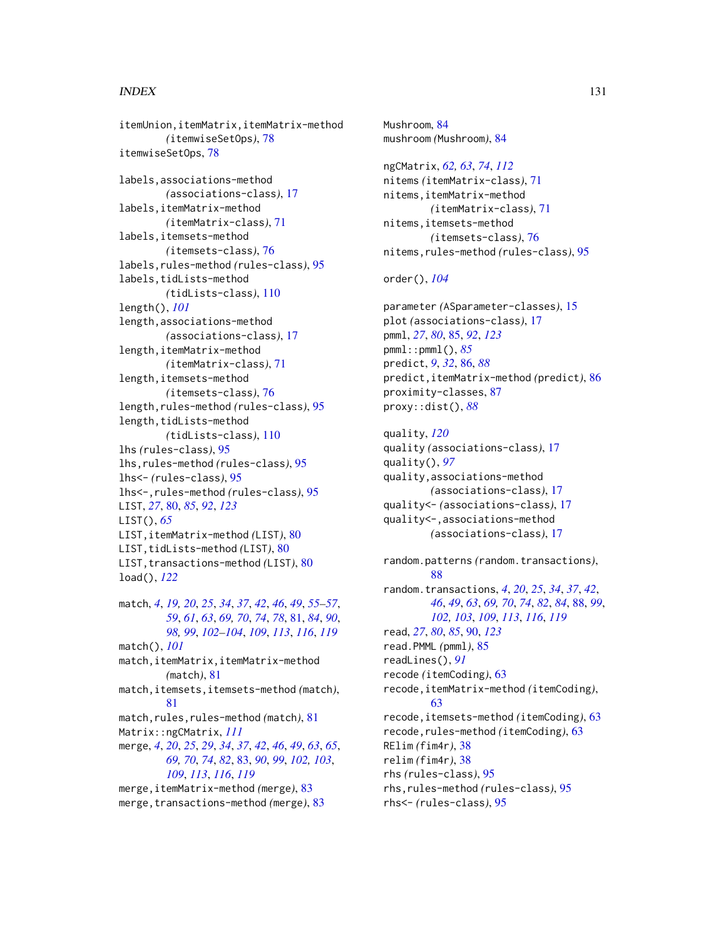# $I<sub>31</sub>$  is a set of  $I<sub>31</sub>$  is a set of  $I<sub>31</sub>$  is a set of  $I<sub>31</sub>$  is a set of  $I<sub>31</sub>$  is a set of  $I<sub>31</sub>$  is a set of  $I<sub>31</sub>$  is a set of  $I<sub>31</sub>$  is a set of  $I<sub>31</sub>$  is a set of  $I$

itemUnion,itemMatrix,itemMatrix-method *(*itemwiseSetOps*)*, [78](#page-77-0) itemwiseSetOps, [78](#page-77-0) labels,associations-method *(*associations-class*)*, [17](#page-16-2) labels,itemMatrix-method *(*itemMatrix-class*)*, [71](#page-70-2) labels,itemsets-method *(*itemsets-class*)*, [76](#page-75-2) labels,rules-method *(*rules-class*)*, [95](#page-94-2) labels,tidLists-method *(*tidLists-class*)*, [110](#page-109-2) length(), *[101](#page-100-0)* length,associations-method *(*associations-class*)*, [17](#page-16-2) length, itemMatrix-method *(*itemMatrix-class*)*, [71](#page-70-2) length,itemsets-method *(*itemsets-class*)*, [76](#page-75-2) length,rules-method *(*rules-class*)*, [95](#page-94-2) length,tidLists-method *(*tidLists-class*)*, [110](#page-109-2) lhs *(*rules-class*)*, [95](#page-94-2) lhs,rules-method *(*rules-class*)*, [95](#page-94-2) lhs<- *(*rules-class*)*, [95](#page-94-2) lhs<-,rules-method *(*rules-class*)*, [95](#page-94-2) LIST, *[27](#page-26-1)*, [80,](#page-79-1) *[85](#page-84-2)*, *[92](#page-91-0)*, *[123](#page-122-0)* LIST(), *[65](#page-64-0)* LIST,itemMatrix-method *(*LIST*)*, [80](#page-79-1) LIST,tidLists-method *(*LIST*)*, [80](#page-79-1) LIST, transactions-method *(LIST)*, [80](#page-79-1) load(), *[122](#page-121-0)* match, *[4](#page-3-0)*, *[19,](#page-18-1) [20](#page-19-0)*, *[25](#page-24-0)*, *[34](#page-33-1)*, *[37](#page-36-1)*, *[42](#page-41-0)*, *[46](#page-45-1)*, *[49](#page-48-0)*, *[55–](#page-54-1)[57](#page-56-0)*, *[59](#page-58-0)*, *[61](#page-60-0)*, *[63](#page-62-1)*, *[69,](#page-68-1) [70](#page-69-0)*, *[74](#page-73-0)*, *[78](#page-77-0)*, [81,](#page-80-1) *[84](#page-83-0)*, *[90](#page-89-1)*, *[98,](#page-97-0) [99](#page-98-1)*, *[102](#page-101-1)[–104](#page-103-0)*, *[109](#page-108-1)*, *[113](#page-112-2)*, *[116](#page-115-0)*, *[119](#page-118-0)* match(), *[101](#page-100-0)*

match,itemMatrix,itemMatrix-method *(*match*)*, [81](#page-80-1) match,itemsets,itemsets-method *(*match*)*, [81](#page-80-1) match,rules,rules-method *(*match*)*, [81](#page-80-1) Matrix::ngCMatrix, *[111](#page-110-0)* merge, *[4](#page-3-0)*, *[20](#page-19-0)*, *[25](#page-24-0)*, *[29](#page-28-0)*, *[34](#page-33-1)*, *[37](#page-36-1)*, *[42](#page-41-0)*, *[46](#page-45-1)*, *[49](#page-48-0)*, *[63](#page-62-1)*, *[65](#page-64-0)*, *[69,](#page-68-1) [70](#page-69-0)*, *[74](#page-73-0)*, *[82](#page-81-0)*, [83,](#page-82-1) *[90](#page-89-1)*, *[99](#page-98-1)*, *[102,](#page-101-1) [103](#page-102-1)*, *[109](#page-108-1)*, *[113](#page-112-2)*, *[116](#page-115-0)*, *[119](#page-118-0)* merge,itemMatrix-method *(*merge*)*, [83](#page-82-1) merge,transactions-method *(*merge*)*, [83](#page-82-1)

Mushroom, [84](#page-83-0) mushroom *(*Mushroom*)*, [84](#page-83-0) ngCMatrix, *[62,](#page-61-1) [63](#page-62-1)*, *[74](#page-73-0)*, *[112](#page-111-0)* nitems *(*itemMatrix-class*)*, [71](#page-70-2) nitems,itemMatrix-method *(*itemMatrix-class*)*, [71](#page-70-2) nitems,itemsets-method *(*itemsets-class*)*, [76](#page-75-2) nitems,rules-method *(*rules-class*)*, [95](#page-94-2)

# order(), *[104](#page-103-0)*

parameter *(*ASparameter-classes*)*, [15](#page-14-2) plot *(*associations-class*)*, [17](#page-16-2) pmml, *[27](#page-26-1)*, *[80](#page-79-1)*, [85,](#page-84-2) *[92](#page-91-0)*, *[123](#page-122-0)* pmml::pmml(), *[85](#page-84-2)* predict, *[9](#page-8-0)*, *[32](#page-31-0)*, [86,](#page-85-0) *[88](#page-87-1)* predict,itemMatrix-method *(*predict*)*, [86](#page-85-0) proximity-classes, [87](#page-86-0) proxy::dist(), *[88](#page-87-1)*

```
quality, 120
quality (associations-class), 17
quality(), 97
quality,associations-method
        (associations-class), 17
quality<- (associations-class), 17
quality<-,associations-method
        (associations-class), 17
```
random.patterns *(*random.transactions*)*, [88](#page-87-1) random.transactions, *[4](#page-3-0)*, *[20](#page-19-0)*, *[25](#page-24-0)*, *[34](#page-33-1)*, *[37](#page-36-1)*, *[42](#page-41-0)*, *[46](#page-45-1)*, *[49](#page-48-0)*, *[63](#page-62-1)*, *[69,](#page-68-1) [70](#page-69-0)*, *[74](#page-73-0)*, *[82](#page-81-0)*, *[84](#page-83-0)*, [88,](#page-87-1) *[99](#page-98-1)*, *[102,](#page-101-1) [103](#page-102-1)*, *[109](#page-108-1)*, *[113](#page-112-2)*, *[116](#page-115-0)*, *[119](#page-118-0)* read, *[27](#page-26-1)*, *[80](#page-79-1)*, *[85](#page-84-2)*, [90,](#page-89-1) *[123](#page-122-0)* read.PMML *(*pmml*)*, [85](#page-84-2) readLines(), *[91](#page-90-0)* recode *(*itemCoding*)*, [63](#page-62-1) recode,itemMatrix-method *(*itemCoding*)*, [63](#page-62-1) recode,itemsets-method *(*itemCoding*)*, [63](#page-62-1) recode,rules-method *(*itemCoding*)*, [63](#page-62-1) RElim *(*fim4r*)*, [38](#page-37-1) relim *(*fim4r*)*, [38](#page-37-1) rhs *(*rules-class*)*, [95](#page-94-2) rhs,rules-method *(*rules-class*)*, [95](#page-94-2) rhs<- *(*rules-class*)*, [95](#page-94-2)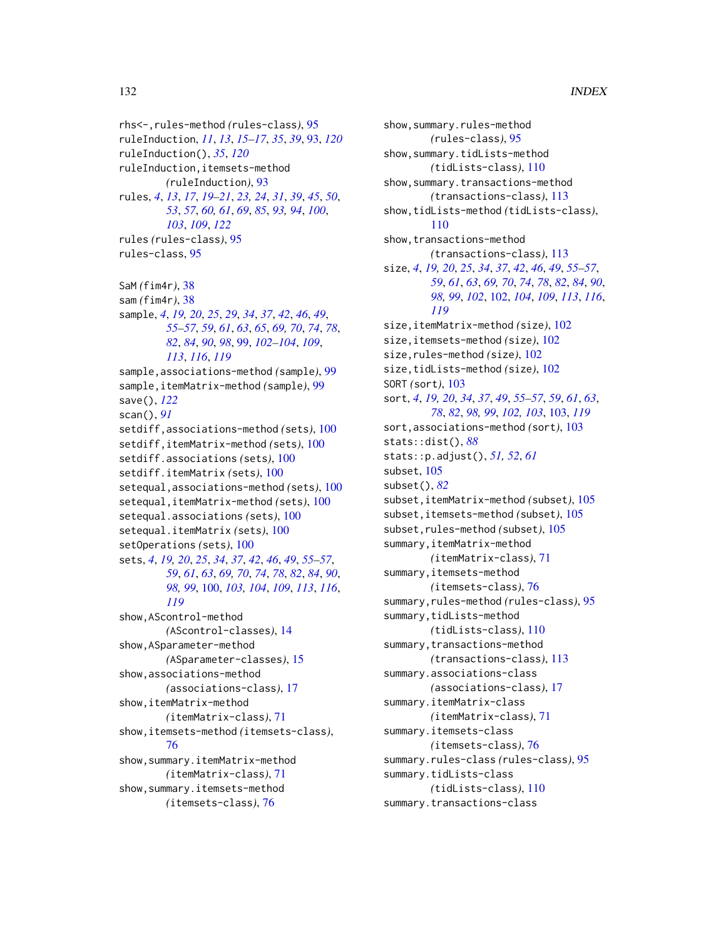rhs<-,rules-method *(*rules-class*)*, [95](#page-94-2) ruleInduction, *[11](#page-10-1)*, *[13](#page-12-0)*, *[15–](#page-14-2)[17](#page-16-2)*, *[35](#page-34-0)*, *[39](#page-38-0)*, [93,](#page-92-1) *[120](#page-119-0)* ruleInduction(), *[35](#page-34-0)*, *[120](#page-119-0)* ruleInduction,itemsets-method *(*ruleInduction*)*, [93](#page-92-1) rules, *[4](#page-3-0)*, *[13](#page-12-0)*, *[17](#page-16-2)*, *[19](#page-18-1)[–21](#page-20-0)*, *[23,](#page-22-0) [24](#page-23-1)*, *[31](#page-30-0)*, *[39](#page-38-0)*, *[45](#page-44-1)*, *[50](#page-49-0)*, *[53](#page-52-0)*, *[57](#page-56-0)*, *[60,](#page-59-1) [61](#page-60-0)*, *[69](#page-68-1)*, *[85](#page-84-2)*, *[93,](#page-92-1) [94](#page-93-0)*, *[100](#page-99-1)*, *[103](#page-102-1)*, *[109](#page-108-1)*, *[122](#page-121-0)* rules *(*rules-class*)*, [95](#page-94-2) rules-class, [95](#page-94-2) SaM *(*fim4r*)*, [38](#page-37-1) sam *(*fim4r*)*, [38](#page-37-1) sample, *[4](#page-3-0)*, *[19,](#page-18-1) [20](#page-19-0)*, *[25](#page-24-0)*, *[29](#page-28-0)*, *[34](#page-33-1)*, *[37](#page-36-1)*, *[42](#page-41-0)*, *[46](#page-45-1)*, *[49](#page-48-0)*, *[55](#page-54-1)[–57](#page-56-0)*, *[59](#page-58-0)*, *[61](#page-60-0)*, *[63](#page-62-1)*, *[65](#page-64-0)*, *[69,](#page-68-1) [70](#page-69-0)*, *[74](#page-73-0)*, *[78](#page-77-0)*, *[82](#page-81-0)*, *[84](#page-83-0)*, *[90](#page-89-1)*, *[98](#page-97-0)*, [99,](#page-98-1) *[102–](#page-101-1)[104](#page-103-0)*, *[109](#page-108-1)*, *[113](#page-112-2)*, *[116](#page-115-0)*, *[119](#page-118-0)* sample,associations-method *(*sample*)*, [99](#page-98-1) sample,itemMatrix-method *(*sample*)*, [99](#page-98-1) save(), *[122](#page-121-0)* scan(), *[91](#page-90-0)* setdiff,associations-method *(*sets*)*, [100](#page-99-1) setdiff,itemMatrix-method *(*sets*)*, [100](#page-99-1) setdiff.associations *(*sets*)*, [100](#page-99-1) setdiff.itemMatrix *(*sets*)*, [100](#page-99-1) setequal,associations-method *(*sets*)*, [100](#page-99-1) setequal,itemMatrix-method *(*sets*)*, [100](#page-99-1) setequal.associations *(*sets*)*, [100](#page-99-1) setequal.itemMatrix *(*sets*)*, [100](#page-99-1) setOperations *(*sets*)*, [100](#page-99-1) sets, *[4](#page-3-0)*, *[19,](#page-18-1) [20](#page-19-0)*, *[25](#page-24-0)*, *[34](#page-33-1)*, *[37](#page-36-1)*, *[42](#page-41-0)*, *[46](#page-45-1)*, *[49](#page-48-0)*, *[55–](#page-54-1)[57](#page-56-0)*, *[59](#page-58-0)*, *[61](#page-60-0)*, *[63](#page-62-1)*, *[69,](#page-68-1) [70](#page-69-0)*, *[74](#page-73-0)*, *[78](#page-77-0)*, *[82](#page-81-0)*, *[84](#page-83-0)*, *[90](#page-89-1)*, *[98,](#page-97-0) [99](#page-98-1)*, [100,](#page-99-1) *[103,](#page-102-1) [104](#page-103-0)*, *[109](#page-108-1)*, *[113](#page-112-2)*, *[116](#page-115-0)*, *[119](#page-118-0)* show,AScontrol-method *(*AScontrol-classes*)*, [14](#page-13-2) show,ASparameter-method *(*ASparameter-classes*)*, [15](#page-14-2) show,associations-method *(*associations-class*)*, [17](#page-16-2) show,itemMatrix-method *(*itemMatrix-class*)*, [71](#page-70-2) show,itemsets-method *(*itemsets-class*)*, [76](#page-75-2) show,summary.itemMatrix-method *(*itemMatrix-class*)*, [71](#page-70-2) show,summary.itemsets-method

*(*itemsets-class*)*, [76](#page-75-2)

show, summary.rules-method *(*rules-class*)*, [95](#page-94-2) show,summary.tidLists-method *(*tidLists-class*)*, [110](#page-109-2) show, summary.transactions-method *(*transactions-class*)*, [113](#page-112-2) show,tidLists-method *(*tidLists-class*)*, [110](#page-109-2) show,transactions-method *(*transactions-class*)*, [113](#page-112-2) size, *[4](#page-3-0)*, *[19,](#page-18-1) [20](#page-19-0)*, *[25](#page-24-0)*, *[34](#page-33-1)*, *[37](#page-36-1)*, *[42](#page-41-0)*, *[46](#page-45-1)*, *[49](#page-48-0)*, *[55](#page-54-1)[–57](#page-56-0)*, *[59](#page-58-0)*, *[61](#page-60-0)*, *[63](#page-62-1)*, *[69,](#page-68-1) [70](#page-69-0)*, *[74](#page-73-0)*, *[78](#page-77-0)*, *[82](#page-81-0)*, *[84](#page-83-0)*, *[90](#page-89-1)*, *[98,](#page-97-0) [99](#page-98-1)*, *[102](#page-101-1)*, [102,](#page-101-1) *[104](#page-103-0)*, *[109](#page-108-1)*, *[113](#page-112-2)*, *[116](#page-115-0)*, *[119](#page-118-0)* size,itemMatrix-method *(*size*)*, [102](#page-101-1) size,itemsets-method *(*size*)*, [102](#page-101-1) size,rules-method *(*size*)*, [102](#page-101-1) size,tidLists-method *(*size*)*, [102](#page-101-1) SORT *(*sort*)*, [103](#page-102-1) sort, *[4](#page-3-0)*, *[19,](#page-18-1) [20](#page-19-0)*, *[34](#page-33-1)*, *[37](#page-36-1)*, *[49](#page-48-0)*, *[55](#page-54-1)[–57](#page-56-0)*, *[59](#page-58-0)*, *[61](#page-60-0)*, *[63](#page-62-1)*, *[78](#page-77-0)*, *[82](#page-81-0)*, *[98,](#page-97-0) [99](#page-98-1)*, *[102,](#page-101-1) [103](#page-102-1)*, [103,](#page-102-1) *[119](#page-118-0)* sort,associations-method *(*sort*)*, [103](#page-102-1) stats::dist(), *[88](#page-87-1)* stats::p.adjust(), *[51,](#page-50-0) [52](#page-51-0)*, *[61](#page-60-0)* subset, [105](#page-104-0) subset(), *[82](#page-81-0)* subset,itemMatrix-method *(*subset*)*, [105](#page-104-0) subset,itemsets-method *(*subset*)*, [105](#page-104-0) subset,rules-method *(*subset*)*, [105](#page-104-0) summary,itemMatrix-method *(*itemMatrix-class*)*, [71](#page-70-2) summary,itemsets-method *(*itemsets-class*)*, [76](#page-75-2) summary,rules-method *(*rules-class*)*, [95](#page-94-2) summary,tidLists-method *(*tidLists-class*)*, [110](#page-109-2) summary,transactions-method *(*transactions-class*)*, [113](#page-112-2) summary.associations-class *(*associations-class*)*, [17](#page-16-2) summary.itemMatrix-class *(*itemMatrix-class*)*, [71](#page-70-2) summary.itemsets-class *(*itemsets-class*)*, [76](#page-75-2) summary.rules-class *(*rules-class*)*, [95](#page-94-2) summary.tidLists-class *(*tidLists-class*)*, [110](#page-109-2) summary.transactions-class